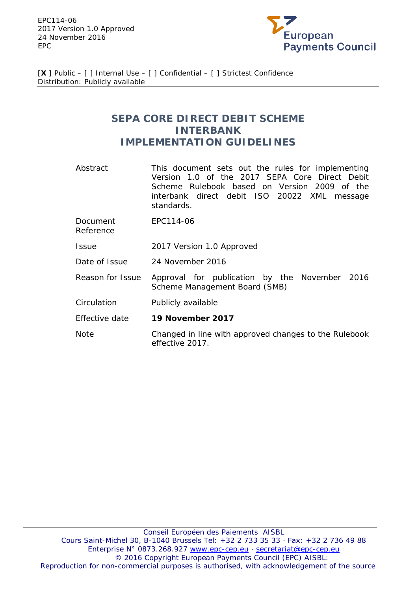EPC114-06 2017 Version 1.0 Approved 24 November 2016 EPC



[**X** ] Public – [ ] Internal Use – [ ] Confidential – [ ] Strictest Confidence Distribution: Publicly available

# **SEPA CORE DIRECT DEBIT SCHEME INTERBANK IMPLEMENTATION GUIDELINES**

- Abstract This document sets out the rules for implementing Version 1.0 of the 2017 SEPA Core Direct Debit Scheme Rulebook based on Version 2009 of the interbank direct debit ISO 20022 XML message standards.
- Document EPC114-06

Reference

- Issue 2017 Version 1.0 Approved
- Date of Issue 24 November 2016
- Reason for Issue Approval for publication by the November 2016 Scheme Management Board (SMB)
- Circulation Publicly available
- Effective date **19 November 2017**
- Note Changed in line with approved changes to the Rulebook effective 2017.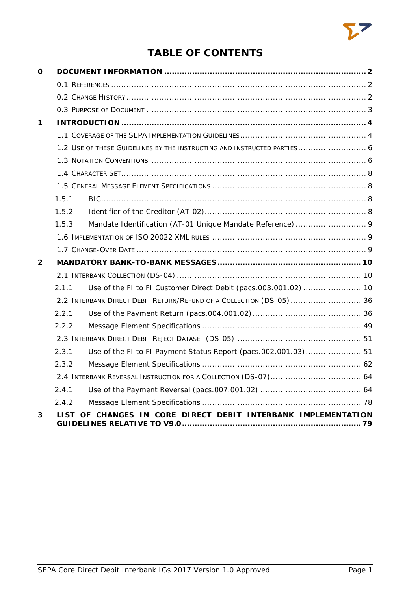

# **TABLE OF CONTENTS**

| O           |       |                                                                         |
|-------------|-------|-------------------------------------------------------------------------|
|             |       |                                                                         |
|             |       |                                                                         |
|             |       |                                                                         |
| $\mathbf 1$ |       |                                                                         |
|             |       |                                                                         |
|             |       | 1.2 USE OF THESE GUIDELINES BY THE INSTRUCTING AND INSTRUCTED PARTIES 6 |
|             |       |                                                                         |
|             |       |                                                                         |
|             |       |                                                                         |
|             | 1.5.1 |                                                                         |
|             | 1.5.2 |                                                                         |
|             | 1.5.3 |                                                                         |
|             |       |                                                                         |
|             |       |                                                                         |
| 2           |       |                                                                         |
|             |       |                                                                         |
|             | 2.1.1 |                                                                         |
|             |       | 2.2 INTERBANK DIRECT DEBIT RETURN/REFUND OF A COLLECTION (DS-05)  36    |
|             | 2.2.1 |                                                                         |
|             | 2.2.2 |                                                                         |
|             |       |                                                                         |
|             | 2.3.1 | Use of the FI to FI Payment Status Report (pacs.002.001.03) 51          |
|             | 2.3.2 |                                                                         |
|             |       |                                                                         |
|             | 2.4.1 |                                                                         |
|             | 2.4.2 |                                                                         |
| 3           |       | LIST OF CHANGES IN CORE DIRECT DEBIT INTERBANK IMPLEMENTATION           |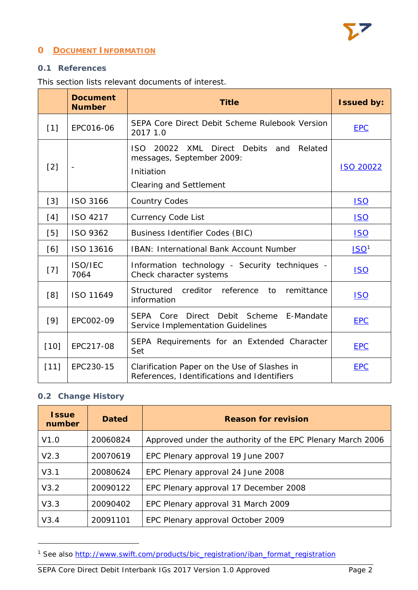

# <span id="page-2-0"></span>**0 DOCUMENT INFORMATION**

#### <span id="page-2-1"></span>**0.1 References**

This section lists relevant documents of interest.

|        | <b>Document</b><br><b>Number</b> | <b>Title</b>                                                                                                                | <b>Issued by:</b> |
|--------|----------------------------------|-----------------------------------------------------------------------------------------------------------------------------|-------------------|
| $[1]$  | EPC016-06                        | SEPA Core Direct Debit Scheme Rulebook Version<br>2017 1.0                                                                  | <b>EPC</b>        |
| $[2]$  |                                  | 20022 XML Direct Debits and<br>ISO.<br>Related<br>messages, September 2009:<br>Initiation<br><b>Clearing and Settlement</b> | <b>ISO 20022</b>  |
| $[3]$  | ISO 3166                         | <b>Country Codes</b>                                                                                                        | <b>ISO</b>        |
| [4]    | ISO 4217                         | <b>Currency Code List</b>                                                                                                   | <u>ISO</u>        |
| [5]    | ISO 9362                         | <b>Business Identifier Codes (BIC)</b>                                                                                      | <b>ISO</b>        |
| [6]    | ISO 13616                        | <b>IBAN: International Bank Account Number</b>                                                                              | ISO <sup>1</sup>  |
| $[7]$  | ISO/IEC<br>7064                  | Information technology - Security techniques -<br>Check character systems                                                   | <b>ISO</b>        |
| [8]    | ISO 11649                        | Structured<br>creditor reference<br>remittance<br>to<br>information                                                         | <u>ISO</u>        |
| $[9]$  | EPC002-09                        | E-Mandate<br>SEPA Core<br><b>Direct</b><br>Debit<br>Scheme<br>Service Implementation Guidelines                             | <b>EPC</b>        |
| $[10]$ | EPC217-08                        | SEPA Requirements for an Extended Character<br>Set                                                                          | <b>EPC</b>        |
| $[11]$ | EPC230-15                        | Clarification Paper on the Use of Slashes in<br>References, Identifications and Identifiers                                 | <b>EPC</b>        |

# <span id="page-2-2"></span>**0.2 Change History**

l

| <b>Issue</b><br>number | <b>Dated</b> | <b>Reason for revision</b>                                 |
|------------------------|--------------|------------------------------------------------------------|
| V1.0                   | 20060824     | Approved under the authority of the EPC Plenary March 2006 |
| V2.3                   | 20070619     | EPC Plenary approval 19 June 2007                          |
| V3.1                   | 20080624     | EPC Plenary approval 24 June 2008                          |
| V3.2                   | 20090122     | EPC Plenary approval 17 December 2008                      |
| V3.3                   | 20090402     | EPC Plenary approval 31 March 2009                         |
| V3.4                   | 20091101     | EPC Plenary approval October 2009                          |

<span id="page-2-3"></span><sup>1</sup> See also [http://www.swift.com/products/bic\\_registration/iban\\_format\\_registration](http://www.swift.com/products/bic_registration/iban_format_registration)

SEPA Core Direct Debit Interbank IGs 2017 Version 1.0 Approved Page 2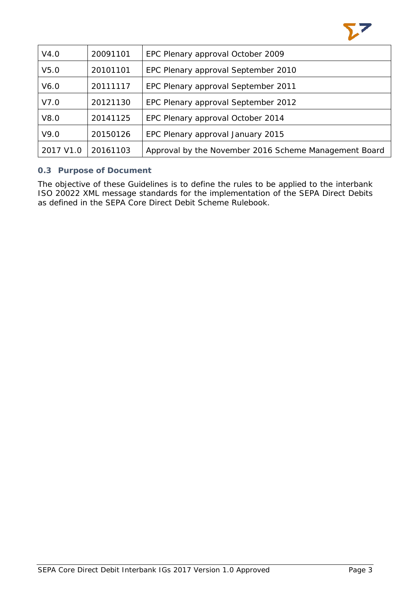

| V4.0             | 20091101 | EPC Plenary approval October 2009                     |  |  |
|------------------|----------|-------------------------------------------------------|--|--|
| V <sub>5.0</sub> | 20101101 | EPC Plenary approval September 2010                   |  |  |
| V6.0             | 20111117 | EPC Plenary approval September 2011                   |  |  |
| V7.0             | 20121130 | EPC Plenary approval September 2012                   |  |  |
| V8.0             | 20141125 | EPC Plenary approval October 2014                     |  |  |
| V9.0             | 20150126 | EPC Plenary approval January 2015                     |  |  |
| 2017 V1.0        | 20161103 | Approval by the November 2016 Scheme Management Board |  |  |

# <span id="page-3-0"></span>**0.3 Purpose of Document**

The objective of these Guidelines is to define the rules to be applied to the interbank ISO 20022 XML message standards for the implementation of the SEPA Direct Debits as defined in the SEPA Core Direct Debit Scheme Rulebook.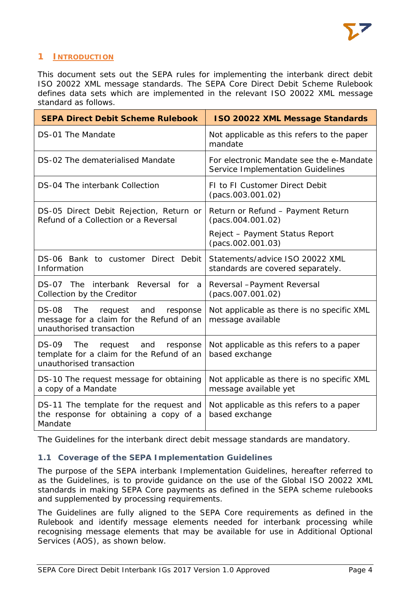

# <span id="page-4-0"></span>**1 INTRODUCTION**

This document sets out the SEPA rules for implementing the interbank direct debit ISO 20022 XML message standards. The SEPA Core Direct Debit Scheme Rulebook defines data sets which are implemented in the relevant ISO 20022 XML message standard as follows.

| <b>SEPA Direct Debit Scheme Rulebook</b>                                                                               | <b>ISO 20022 XML Message Standards</b>                                        |
|------------------------------------------------------------------------------------------------------------------------|-------------------------------------------------------------------------------|
| DS-01 The Mandate                                                                                                      | Not applicable as this refers to the paper<br>mandate                         |
| DS-02 The dematerialised Mandate                                                                                       | For electronic Mandate see the e-Mandate<br>Service Implementation Guidelines |
| DS-04 The interbank Collection                                                                                         | FI to FI Customer Direct Debit<br>(pacs.003.001.02)                           |
| DS-05 Direct Debit Rejection, Return or<br>Refund of a Collection or a Reversal                                        | Return or Refund - Payment Return<br>(pacs.004.001.02)                        |
|                                                                                                                        | Reject - Payment Status Report<br>(pacs.002.001.03)                           |
| DS-06 Bank to customer Direct Debit<br>Information                                                                     | Statements/advice ISO 20022 XML<br>standards are covered separately.          |
| DS-07 The interbank Reversal for a<br>Collection by the Creditor                                                       | Reversal - Payment Reversal<br>(pacs.007.001.02)                              |
| <b>DS-08</b><br>The<br>request and<br>response<br>message for a claim for the Refund of an<br>unauthorised transaction | Not applicable as there is no specific XML<br>message available               |
| DS-09 The request and<br>response<br>template for a claim for the Refund of an<br>unauthorised transaction             | Not applicable as this refers to a paper<br>based exchange                    |
| DS-10 The request message for obtaining<br>a copy of a Mandate                                                         | Not applicable as there is no specific XML<br>message available yet           |
| DS-11 The template for the request and<br>the response for obtaining a copy of a<br>Mandate                            | Not applicable as this refers to a paper<br>based exchange                    |

The Guidelines for the interbank direct debit message standards are mandatory.

# <span id="page-4-1"></span>**1.1 Coverage of the SEPA Implementation Guidelines**

The purpose of the SEPA interbank Implementation Guidelines, hereafter referred to as the Guidelines, is to provide guidance on the use of the Global ISO 20022 XML standards in making SEPA Core payments as defined in the SEPA scheme rulebooks and supplemented by processing requirements.

The Guidelines are fully aligned to the SEPA Core requirements as defined in the Rulebook and identify message elements needed for interbank processing while recognising message elements that may be available for use in Additional Optional Services (AOS), as shown below.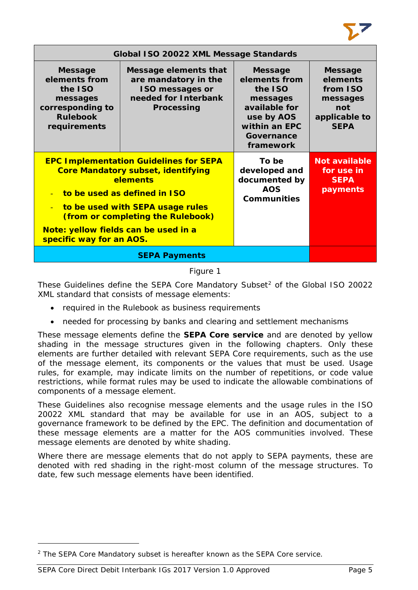

| Global ISO 20022 XML Message Standards                                                                        |                                                                                                                                                                                                                 |                                                                                                                                   |                                                                                           |  |  |
|---------------------------------------------------------------------------------------------------------------|-----------------------------------------------------------------------------------------------------------------------------------------------------------------------------------------------------------------|-----------------------------------------------------------------------------------------------------------------------------------|-------------------------------------------------------------------------------------------|--|--|
| <b>Message</b><br>elements from<br>the ISO<br>messages<br>corresponding to<br><b>Rulebook</b><br>requirements | Message elements that<br>are mandatory in the<br><b>ISO messages or</b><br>needed for Interbank<br>Processing                                                                                                   | <b>Message</b><br>elements from<br>the ISO<br>messages<br>available for<br>use by AOS<br>within an EPC<br>Governance<br>framework | <b>Message</b><br>elements<br>from ISO<br>messages<br>not<br>applicable to<br><b>SEPA</b> |  |  |
| $\mathbf{u}$<br>Note: yellow fields can be used in a<br>specific way for an AOS.                              | <b>EPC Implementation Guidelines for SEPA</b><br><b>Core Mandatory subset, identifying</b><br>elements<br>to be used as defined in ISO<br>to be used with SEPA usage rules<br>(from or completing the Rulebook) | To be<br>developed and<br>documented by<br><b>AOS</b><br><b>Communities</b>                                                       | <b>Not available</b><br>for use in<br><b>SEPA</b><br>payments                             |  |  |
|                                                                                                               |                                                                                                                                                                                                                 |                                                                                                                                   |                                                                                           |  |  |

#### Figure 1

These Guidelines define the SEPA Core Mandatory Subset<sup>[2](#page-5-0)</sup> of the Global ISO 20022 XML standard that consists of message elements:

- required in the Rulebook as business requirements
- needed for processing by banks and clearing and settlement mechanisms

These message elements define the **SEPA Core service** and are denoted by yellow shading in the message structures given in the following chapters. Only these elements are further detailed with relevant SEPA Core requirements, such as the use of the message element, its components or the values that must be used. Usage rules, for example, may indicate limits on the number of repetitions, or code value restrictions, while format rules may be used to indicate the allowable combinations of components of a message element.

These Guidelines also recognise message elements and the usage rules in the ISO 20022 XML standard that may be available for use in an AOS, subject to a governance framework to be defined by the EPC. The definition and documentation of these message elements are a matter for the AOS communities involved. These message elements are denoted by white shading.

Where there are message elements that do not apply to SEPA payments, these are denoted with red shading in the right-most column of the message structures. To date, few such message elements have been identified.

l

<span id="page-5-0"></span><sup>2</sup> The SEPA Core Mandatory subset is hereafter known as the SEPA Core service.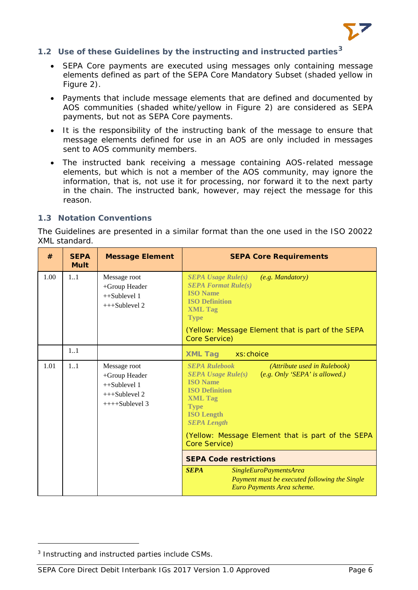

# <span id="page-6-0"></span>**1.2 Use of these Guidelines by the instructing and instructed parties[3](#page-6-2)**

- SEPA Core payments are executed using messages only containing message elements defined as part of the SEPA Core Mandatory Subset (shaded yellow in Figure 2).
- Payments that include message elements that are defined and documented by AOS communities (shaded white/yellow in Figure 2) are considered as SEPA payments, but not as SEPA Core payments.
- It is the responsibility of the instructing bank of the message to ensure that message elements defined for use in an AOS are only included in messages sent to AOS community members.
- The instructed bank receiving a message containing AOS-related message elements, but which is not a member of the AOS community, may ignore the information, that is, not use it for processing, nor forward it to the next party in the chain. The instructed bank, however, may reject the message for this reason.

#### <span id="page-6-1"></span>**1.3 Notation Conventions**

The Guidelines are presented in a similar format than the one used in the ISO 20022 XML standard.

| #    | <b>SEPA</b><br><b>Mult</b> | <b>Message Element</b>                                                                | <b>SEPA Core Requirements</b>                                                                                                                                                                                                                                                                                                                    |
|------|----------------------------|---------------------------------------------------------------------------------------|--------------------------------------------------------------------------------------------------------------------------------------------------------------------------------------------------------------------------------------------------------------------------------------------------------------------------------------------------|
| 1.00 | 11                         | Message root<br>+Group Header<br>$++Sublevel 1$<br>+++Sublevel 2                      | <b>SEPA Usage Rule(s)</b><br>(e.g. Mandatory)<br><b>SEPA Format Rule(s)</b><br><b>ISO</b> Name<br><b>ISO Definition</b><br><b>XML Tag</b><br><b>Type</b><br>(Yellow: Message Element that is part of the SEPA<br>Core Service)                                                                                                                   |
|      | 1.1                        |                                                                                       | <b>XML Tag</b><br>xs:choice                                                                                                                                                                                                                                                                                                                      |
| 1.01 | 11                         | Message root<br>+Group Header<br>$++Sublevel 1$<br>$+++Sublevel 2$<br>$+++Sublevel 3$ | <b>SEPA Rulebook</b><br>(Attribute used in Rulebook)<br>(e.g. Only 'SEPA' is allowed.)<br>$SEPA$ Usage Rule $(s)$<br><b>ISO Name</b><br><b>ISO Definition</b><br><b>XML Tag</b><br><b>Type</b><br><b>ISO Length</b><br><b>SEPA Length</b><br>(Yellow: Message Element that is part of the SEPA<br>Core Service)<br><b>SEPA Code restrictions</b> |
|      |                            |                                                                                       | <b>SEPA</b><br>SingleEuroPaymentsArea<br>Payment must be executed following the Single<br>Euro Payments Area scheme.                                                                                                                                                                                                                             |

l

<span id="page-6-2"></span><sup>3</sup> Instructing and instructed parties include CSMs.

SEPA Core Direct Debit Interbank IGs 2017 Version 1.0 Approved Page 6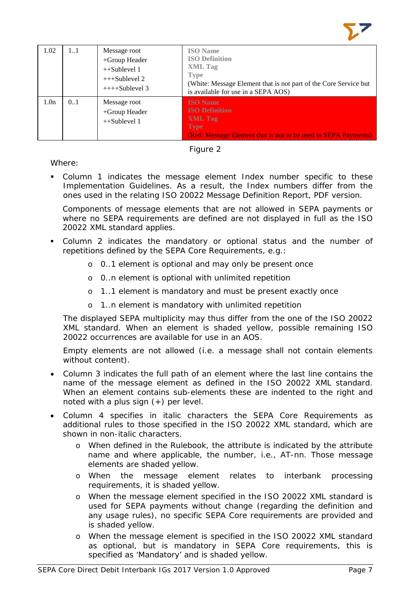

| 1.02             | 11  | Message root<br>+Group Header<br>$++Sublevel 1$<br>$++Sublevel 2$<br>$++++Sublevel 3$ | <b>ISO</b> Name<br><b>ISO Definition</b><br><b>XML</b> Tag<br><b>Type</b><br>(White: Message Element that is not part of the Core Service but<br>is available for use in a SEPA AOS) |
|------------------|-----|---------------------------------------------------------------------------------------|--------------------------------------------------------------------------------------------------------------------------------------------------------------------------------------|
| 1.0 <sub>n</sub> | 0.1 | Message root<br>+Group Header<br>$++Sublevel 1$                                       | <b>ISO</b> Name<br><b>ISO Definition</b><br><b>XML</b> Tag<br><b>Type</b><br>(Red: Message Element that is not to be used in SEPA Payments)                                          |



Where:

 Column 1 indicates the message element Index number specific to these Implementation Guidelines. As a result, the Index numbers differ from the ones used in the relating ISO 20022 Message Definition Report, PDF version.

Components of message elements that are not allowed in SEPA payments or where no SEPA requirements are defined are not displayed in full as the ISO 20022 XML standard applies.

- Column 2 indicates the mandatory or optional status and the number of repetitions defined by the SEPA Core Requirements, e.g.:
	- o 0..1 element is optional and may only be present once
	- o 0..n element is optional with unlimited repetition
	- o 1..1 element is mandatory and must be present exactly once
	- o 1..n element is mandatory with unlimited repetition

The displayed SEPA multiplicity may thus differ from the one of the ISO 20022 XML standard. When an element is shaded yellow, possible remaining ISO 20022 occurrences are available for use in an AOS.

Empty elements are not allowed (i.e. a message shall not contain elements without content).

- Column 3 indicates the full path of an element where the last line contains the name of the message element as defined in the ISO 20022 XML standard. When an element contains sub-elements these are indented to the right and noted with a plus sign (+) per level.
- Column 4 specifies in italic characters the SEPA Core Requirements as additional rules to those specified in the ISO 20022 XML standard, which are shown in non-italic characters.
	- o When defined in the Rulebook, the attribute is indicated by the attribute name and where applicable, the number, i.e., AT-nn. Those message elements are shaded yellow.
	- o When the message element relates to interbank processing requirements, it is shaded yellow.
	- o When the message element specified in the ISO 20022 XML standard is used for SEPA payments without change (regarding the definition and any usage rules), no specific SEPA Core requirements are provided and is shaded yellow.
	- o When the message element is specified in the ISO 20022 XML standard as optional, but is mandatory in SEPA Core requirements, this is specified as 'Mandatory' and is shaded yellow.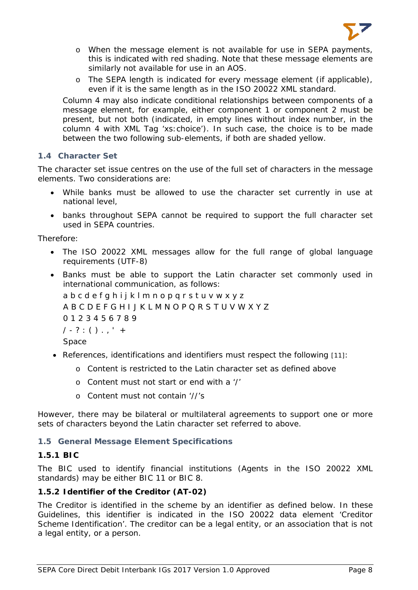

- o When the message element is not available for use in SEPA payments, this is indicated with red shading. Note that these message elements are similarly not available for use in an AOS.
- o The SEPA length is indicated for every message element (if applicable), even if it is the same length as in the ISO 20022 XML standard.

Column 4 may also indicate conditional relationships between components of a message element, for example, either component 1 or component 2 must be present, but not both (indicated, in empty lines without index number, in the column 4 with XML Tag 'xs:choice'). In such case, the choice is to be made between the two following sub-elements, if both are shaded yellow.

# <span id="page-8-0"></span>**1.4 Character Set**

The character set issue centres on the use of the full set of characters in the message elements. Two considerations are:

- While banks must be allowed to use the character set currently in use at national level,
- banks throughout SEPA cannot be required to support the full character set used in SEPA countries.

Therefore:

- The ISO 20022 XML messages allow for the full range of global language requirements (UTF-8)
- Banks must be able to support the Latin character set commonly used in international communication, as follows:

a b c d e f g h i j k l m n o p q r s t u v w x y z A B C D E F G H I J K L M N O P Q R S T U V W X Y Z 0 1 2 3 4 5 6 7 8 9  $/ - ? : () . , ' +$ Space

- References, identifications and identifiers must respect the following [11]:
	- o Content is restricted to the Latin character set as defined above
	- o Content must not start or end with a '/'
	- o Content must not contain '//'s

However, there may be bilateral or multilateral agreements to support one or more sets of characters beyond the Latin character set referred to above.

#### <span id="page-8-1"></span>**1.5 General Message Element Specifications**

#### <span id="page-8-2"></span>**1.5.1 BIC**

The BIC used to identify financial institutions (Agents in the ISO 20022 XML standards) may be either BIC 11 or BIC 8.

# <span id="page-8-3"></span>**1.5.2 Identifier of the Creditor (AT-02)**

The Creditor is identified in the scheme by an identifier as defined below. In these Guidelines, this identifier is indicated in the ISO 20022 data element 'Creditor Scheme Identification'. The creditor can be a legal entity, or an association that is not a legal entity, or a person.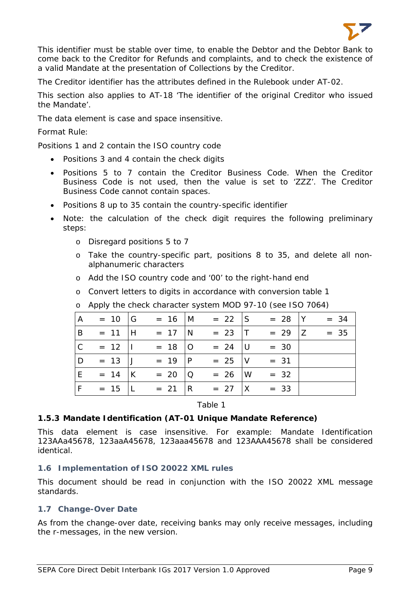

This identifier must be stable over time, to enable the Debtor and the Debtor Bank to come back to the Creditor for Refunds and complaints, and to check the existence of a valid Mandate at the presentation of Collections by the Creditor.

The Creditor identifier has the attributes defined in the Rulebook under AT-02.

This section also applies to AT-18 'The identifier of the original Creditor who issued the Mandate'.

The data element is case and space insensitive.

#### *Format Rule*:

Positions 1 and 2 contain the ISO country code

- Positions 3 and 4 contain the check digits
- Positions 5 to 7 contain the Creditor Business Code. When the Creditor Business Code is not used, then the value is set to 'ZZZ'. The Creditor Business Code cannot contain spaces.
- Positions 8 up to 35 contain the country-specific identifier
- Note: the calculation of the check digit requires the following preliminary steps:
	- o Disregard positions 5 to 7
	- o Take the country-specific part, positions 8 to 35, and delete all nonalphanumeric characters
	- o Add the ISO country code and '00' to the right-hand end
	- o Convert letters to digits in accordance with conversion table 1

| <b>A</b>       | $= 10$ G         | $= 16$ M           | $= 22$ S   | $= 28$  Y     | $= 34$ |
|----------------|------------------|--------------------|------------|---------------|--------|
| B              | $= 11$  H        | $= 17 \text{ N}$   | $= 23$ T   | $= 29 \mid Z$ | $= 35$ |
| $\overline{C}$ | $= 12$           | $= 18$   O         | $= 24$ U   | $= 30$        |        |
| l D            | $= 13$ J         | $= 19$  P          | $= 25$ V   | $= 31$        |        |
| E              | $= 14$ K         | $= 20 \mid Q$      | $= 26$ W   | $= 32$        |        |
| F              | $= 15 \text{ L}$ | $= 21 \, \text{R}$ | $= 27$   X | $= 33$        |        |

o Apply the check character system MOD 97-10 (see ISO 7064)

Table 1

#### <span id="page-9-0"></span>**1.5.3 Mandate Identification (AT-01 Unique Mandate Reference)**

This data element is case insensitive. For example: Mandate Identification 123AAa45678, 123aaA45678, 123aaa45678 and 123AAA45678 shall be considered identical.

#### <span id="page-9-1"></span>**1.6 Implementation of ISO 20022 XML rules**

This document should be read in conjunction with the ISO 20022 XML message standards.

#### <span id="page-9-2"></span>**1.7 Change-Over Date**

As from the change-over date, receiving banks may only receive messages, including the r-messages, in the new version.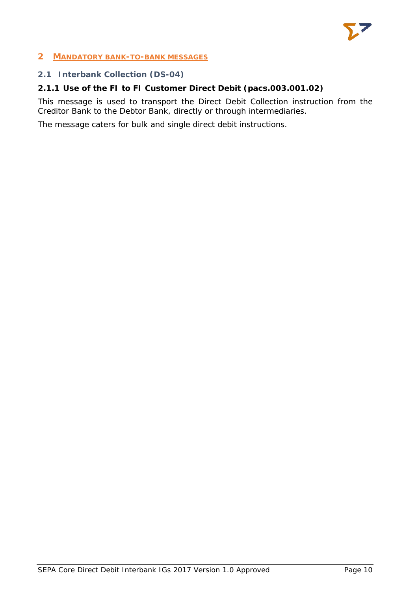

#### <span id="page-10-0"></span>**2 MANDATORY BANK-TO-BANK MESSAGES**

#### <span id="page-10-1"></span>**2.1 Interbank Collection (DS-04)**

# <span id="page-10-2"></span>**2.1.1 Use of the FI to FI Customer Direct Debit (pacs.003.001.02)**

This message is used to transport the Direct Debit Collection instruction from the Creditor Bank to the Debtor Bank, directly or through intermediaries.

The message caters for bulk and single direct debit instructions.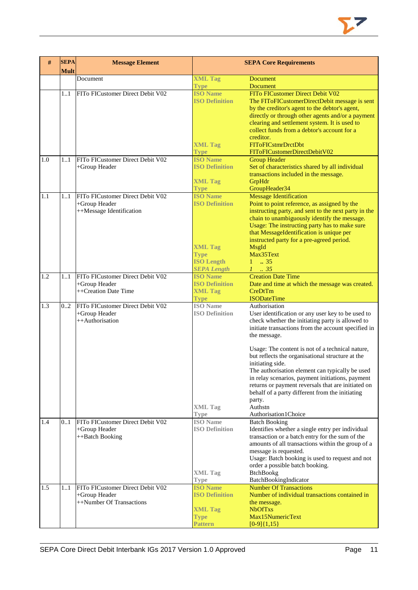

| #   | <b>SEPA</b><br><b>Mult</b> | <b>Message Element</b>                            | <b>SEPA Core Requirements</b>            |                                                                                 |  |  |
|-----|----------------------------|---------------------------------------------------|------------------------------------------|---------------------------------------------------------------------------------|--|--|
|     |                            | Document                                          | <b>XML Tag</b>                           | <b>Document</b>                                                                 |  |  |
|     |                            |                                                   | <b>Type</b>                              | <b>Document</b>                                                                 |  |  |
|     | 11                         | FITo FICustomer Direct Debit V02                  | <b>ISO Name</b>                          | FITo FICustomer Direct Debit V02                                                |  |  |
|     |                            |                                                   | <b>ISO Definition</b>                    | The FIToFICustomerDirectDebit message is sent                                   |  |  |
|     |                            |                                                   |                                          | by the creditor's agent to the debtor's agent,                                  |  |  |
|     |                            |                                                   |                                          | directly or through other agents and/or a payment                               |  |  |
|     |                            |                                                   |                                          | clearing and settlement system. It is used to                                   |  |  |
|     |                            |                                                   |                                          | collect funds from a debtor's account for a                                     |  |  |
|     |                            |                                                   |                                          | creditor.                                                                       |  |  |
|     |                            |                                                   | <b>XML Tag</b><br><b>Type</b>            | FIToFICstmrDrctDbt<br>FIToFICustomerDirectDebitV02                              |  |  |
| 1.0 | 11                         | FITo FICustomer Direct Debit V02                  | <b>ISO Name</b>                          | <b>Group Header</b>                                                             |  |  |
|     |                            | +Group Header                                     | <b>ISO Definition</b>                    | Set of characteristics shared by all individual                                 |  |  |
|     |                            |                                                   |                                          | transactions included in the message.                                           |  |  |
|     |                            |                                                   | <b>XML Tag</b>                           | GrpHdr                                                                          |  |  |
|     |                            |                                                   | <b>Type</b>                              | GroupHeader34                                                                   |  |  |
| 1.1 | 11                         | FITo FICustomer Direct Debit V02                  | <b>ISO Name</b>                          | <b>Message Identification</b>                                                   |  |  |
|     |                            | +Group Header                                     | <b>ISO Definition</b>                    | Point to point reference, as assigned by the                                    |  |  |
|     |                            | ++Message Identification                          |                                          | instructing party, and sent to the next party in the                            |  |  |
|     |                            |                                                   |                                          | chain to unambiguously identify the message.                                    |  |  |
|     |                            |                                                   |                                          | Usage: The instructing party has to make sure                                   |  |  |
|     |                            |                                                   |                                          | that MessageIdentification is unique per                                        |  |  |
|     |                            |                                                   | <b>XML Tag</b>                           | instructed party for a pre-agreed period.<br><b>MsgId</b>                       |  |  |
|     |                            |                                                   | <b>Type</b>                              | Max35Text                                                                       |  |  |
|     |                            |                                                   | <b>ISO Length</b>                        | $\therefore$ 35<br>1                                                            |  |  |
|     |                            |                                                   | <b>SEPA Length</b>                       | $1 \cdot .35$                                                                   |  |  |
| 1.2 | 11                         | FITo FICustomer Direct Debit V02                  | <b>ISO</b> Name                          | <b>Creation Date Time</b>                                                       |  |  |
|     |                            | +Group Header                                     | <b>ISO Definition</b>                    | Date and time at which the message was created.                                 |  |  |
|     |                            | ++Creation Date Time                              | <b>XML Tag</b>                           | CreDtTm                                                                         |  |  |
|     |                            |                                                   | <b>Type</b>                              | <b>ISODateTime</b>                                                              |  |  |
| 1.3 | 0.2                        | FITo FICustomer Direct Debit V02                  | <b>ISO</b> Name                          | Authorisation                                                                   |  |  |
|     |                            | +Group Header                                     | <b>ISO Definition</b>                    | User identification or any user key to be used to                               |  |  |
|     |                            | ++Authorisation                                   |                                          | check whether the initiating party is allowed to                                |  |  |
|     |                            |                                                   |                                          | initiate transactions from the account specified in<br>the message.             |  |  |
|     |                            |                                                   |                                          |                                                                                 |  |  |
|     |                            |                                                   |                                          | Usage: The content is not of a technical nature,                                |  |  |
|     |                            |                                                   |                                          | but reflects the organisational structure at the                                |  |  |
|     |                            |                                                   |                                          | initiating side.                                                                |  |  |
|     |                            |                                                   |                                          | The authorisation element can typically be used                                 |  |  |
|     |                            |                                                   |                                          | in relay scenarios, payment initiations, payment                                |  |  |
|     |                            |                                                   |                                          | returns or payment reversals that are initiated on                              |  |  |
|     |                            |                                                   |                                          | behalf of a party different from the initiating                                 |  |  |
|     |                            |                                                   |                                          | party.<br>Authstn                                                               |  |  |
|     |                            |                                                   | <b>XML Tag</b><br><b>Type</b>            | Authorisation1Choice                                                            |  |  |
| 1.4 | 0.1                        | FITo FICustomer Direct Debit V02                  | <b>ISO</b> Name                          | <b>Batch Booking</b>                                                            |  |  |
|     |                            | +Group Header                                     | <b>ISO Definition</b>                    | Identifies whether a single entry per individual                                |  |  |
|     |                            | ++Batch Booking                                   |                                          | transaction or a batch entry for the sum of the                                 |  |  |
|     |                            |                                                   |                                          | amounts of all transactions within the group of a                               |  |  |
|     |                            |                                                   |                                          | message is requested.                                                           |  |  |
|     |                            |                                                   |                                          | Usage: Batch booking is used to request and not                                 |  |  |
|     |                            |                                                   |                                          | order a possible batch booking.                                                 |  |  |
|     |                            |                                                   | <b>XML Tag</b>                           | BtchBookg                                                                       |  |  |
|     |                            |                                                   | <b>Type</b>                              | BatchBookingIndicator                                                           |  |  |
| 1.5 | 11                         | FITo FICustomer Direct Debit V02<br>+Group Header | <b>ISO Name</b><br><b>ISO Definition</b> | <b>Number Of Transactions</b><br>Number of individual transactions contained in |  |  |
|     |                            | ++Number Of Transactions                          |                                          | the message.                                                                    |  |  |
|     |                            |                                                   | <b>XML Tag</b>                           | <b>NbOfTxs</b>                                                                  |  |  |
|     |                            |                                                   | <b>Type</b>                              | Max15NumericText                                                                |  |  |
|     |                            |                                                   | Pattern                                  | $[0-9]{1,15}$                                                                   |  |  |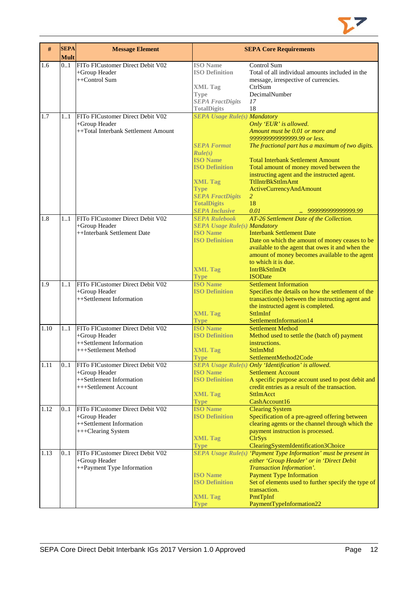

| #    | <b>SEPA</b><br><b>Mult</b> | <b>Message Element</b>                            | <b>SEPA Core Requirements</b>                               |                                                                                                     |  |  |
|------|----------------------------|---------------------------------------------------|-------------------------------------------------------------|-----------------------------------------------------------------------------------------------------|--|--|
| 1.6  | 01                         | FITo FICustomer Direct Debit V02<br>+Group Header | <b>ISO</b> Name<br><b>ISO Definition</b>                    | Control Sum<br>Total of all individual amounts included in the                                      |  |  |
|      |                            | ++Control Sum                                     |                                                             | message, irrespective of currencies.                                                                |  |  |
|      |                            |                                                   | <b>XML Tag</b>                                              | CtrlSum                                                                                             |  |  |
|      |                            |                                                   | <b>Type</b>                                                 | DecimalNumber                                                                                       |  |  |
|      |                            |                                                   | <b>SEPA FractDigits</b>                                     | 17<br>18                                                                                            |  |  |
| 1.7  | 1.1                        | FITo FICustomer Direct Debit V02                  | <b>TotalDigits</b><br><b>SEPA Usage Rule(s) Mandatory</b>   |                                                                                                     |  |  |
|      |                            | +Group Header                                     |                                                             | Only 'EUR' is allowed.                                                                              |  |  |
|      |                            | ++Total Interbank Settlement Amount               |                                                             | Amount must be 0.01 or more and                                                                     |  |  |
|      |                            |                                                   |                                                             | 999999999999999.99 or less.                                                                         |  |  |
|      |                            |                                                   | <b>SEPA Format</b><br>Rule(s)                               | The fractional part has a maximum of two digits.                                                    |  |  |
|      |                            |                                                   | <b>ISO</b> Name                                             | <b>Total Interbank Settlement Amount</b>                                                            |  |  |
|      |                            |                                                   | <b>ISO Definition</b>                                       | Total amount of money moved between the                                                             |  |  |
|      |                            |                                                   | <b>XML Tag</b>                                              | instructing agent and the instructed agent.<br>TtlIntrBkSttlmAmt                                    |  |  |
|      |                            |                                                   | <b>Type</b>                                                 | <b>ActiveCurrencyAndAmount</b>                                                                      |  |  |
|      |                            |                                                   | <b>SEPA FractDigits</b>                                     | 2                                                                                                   |  |  |
|      |                            |                                                   | <b>TotalDigits</b>                                          | 18                                                                                                  |  |  |
|      |                            | FITo FICustomer Direct Debit V02                  | <b>SEPA Inclusive</b>                                       | 0.01<br>999999999999999.99                                                                          |  |  |
| 1.8  | 11                         | +Group Header                                     | <b>SEPA Rulebook</b><br><b>SEPA Usage Rule(s) Mandatory</b> | AT-26 Settlement Date of the Collection.                                                            |  |  |
|      |                            | ++Interbank Settlement Date                       | <b>ISO</b> Name                                             | <b>Interbank Settlement Date</b>                                                                    |  |  |
|      |                            |                                                   | <b>ISO Definition</b>                                       | Date on which the amount of money ceases to be                                                      |  |  |
|      |                            |                                                   |                                                             | available to the agent that owes it and when the                                                    |  |  |
|      |                            |                                                   |                                                             | amount of money becomes available to the agent<br>to which it is due.                               |  |  |
|      |                            |                                                   | <b>XML Tag</b>                                              | <b>IntrBkSttlmDt</b>                                                                                |  |  |
|      |                            |                                                   | <b>Type</b>                                                 | <b>ISODate</b>                                                                                      |  |  |
| 1.9  | 11                         | FITo FICustomer Direct Debit V02                  | <b>ISO Name</b>                                             | <b>Settlement Information</b>                                                                       |  |  |
|      |                            | +Group Header                                     | <b>ISO Definition</b>                                       | Specifies the details on how the settlement of the                                                  |  |  |
|      |                            | ++Settlement Information                          |                                                             | transaction(s) between the instructing agent and<br>the instructed agent is completed.              |  |  |
|      |                            |                                                   | <b>XML Tag</b>                                              | SttlmInf                                                                                            |  |  |
|      |                            |                                                   | <b>Type</b>                                                 | SettlementInformation14                                                                             |  |  |
| 1.10 | 11                         | FITo FICustomer Direct Debit V02                  | <b>ISO Name</b>                                             | <b>Settlement Method</b>                                                                            |  |  |
|      |                            | +Group Header<br>++Settlement Information         | <b>ISO Definition</b>                                       | Method used to settle the (batch of) payment<br>instructions.                                       |  |  |
|      |                            | +++Settlement Method                              | <b>XML Tag</b>                                              | SttlmMtd                                                                                            |  |  |
|      |                            |                                                   | <b>Type</b>                                                 | SettlementMethod2Code                                                                               |  |  |
| 1.11 | 0.1                        | FITo FICustomer Direct Debit V02                  |                                                             | SEPA Usage Rule(s) Only 'Identification' is allowed.                                                |  |  |
|      |                            | +Group Header                                     | <b>ISO Name</b>                                             | <b>Settlement Account</b>                                                                           |  |  |
|      |                            | ++Settlement Information<br>+++Settlement Account | <b>ISO Definition</b>                                       | A specific purpose account used to post debit and<br>credit entries as a result of the transaction. |  |  |
|      |                            |                                                   | <b>XML Tag</b>                                              | <b>SttlmAcct</b>                                                                                    |  |  |
|      |                            |                                                   | <b>Type</b>                                                 | CashAccount16                                                                                       |  |  |
| 1.12 | 0.1                        | FITo FICustomer Direct Debit V02                  | <b>ISO Name</b>                                             | <b>Clearing System</b>                                                                              |  |  |
|      |                            | +Group Header                                     | <b>ISO Definition</b>                                       | Specification of a pre-agreed offering between                                                      |  |  |
|      |                            | ++Settlement Information<br>+++Clearing System    |                                                             | clearing agents or the channel through which the<br>payment instruction is processed.               |  |  |
|      |                            |                                                   | <b>XML Tag</b>                                              | <b>ClrSys</b>                                                                                       |  |  |
|      |                            |                                                   | <b>Type</b>                                                 | ClearingSystemIdentification3Choice                                                                 |  |  |
| 1.13 | 0.1                        | FITo FICustomer Direct Debit V02                  |                                                             | SEPA Usage Rule(s) 'Payment Type Information' must be present in                                    |  |  |
|      |                            | +Group Header<br>++Payment Type Information       |                                                             | either 'Group Header' or in 'Direct Debit<br>Transaction Information'.                              |  |  |
|      |                            |                                                   | <b>ISO</b> Name                                             | <b>Payment Type Information</b>                                                                     |  |  |
|      |                            |                                                   | <b>ISO Definition</b>                                       | Set of elements used to further specify the type of                                                 |  |  |
|      |                            |                                                   |                                                             | transaction.                                                                                        |  |  |
|      |                            |                                                   | <b>XML Tag</b>                                              | PmtTpInf                                                                                            |  |  |
|      |                            |                                                   | <b>Type</b>                                                 | PaymentTypeInformation22                                                                            |  |  |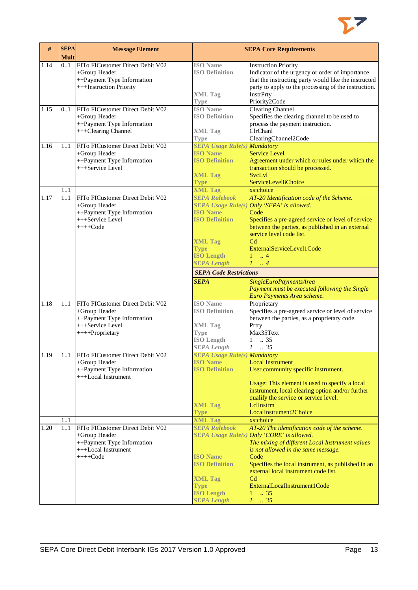

| #    | <b>SEPA</b><br><b>Mult</b> | <b>Message Element</b>                                                                                                 |                                                                                                                                              | <b>SEPA Core Requirements</b>                                                                                                                                                                                                                                                                                                                                                                    |
|------|----------------------------|------------------------------------------------------------------------------------------------------------------------|----------------------------------------------------------------------------------------------------------------------------------------------|--------------------------------------------------------------------------------------------------------------------------------------------------------------------------------------------------------------------------------------------------------------------------------------------------------------------------------------------------------------------------------------------------|
| 1.14 | 0.1                        | FITo FICustomer Direct Debit V02<br>+Group Header<br>++Payment Type Information<br>+++Instruction Priority             | <b>ISO</b> Name<br><b>ISO Definition</b><br><b>XML Tag</b><br><b>Type</b>                                                                    | <b>Instruction Priority</b><br>Indicator of the urgency or order of importance<br>that the instructing party would like the instructed<br>party to apply to the processing of the instruction.<br>InstrPrty<br>Priority2Code                                                                                                                                                                     |
| 1.15 | 01                         | FITo FICustomer Direct Debit V02<br>+Group Header<br>++Payment Type Information<br>+++Clearing Channel                 | <b>ISO</b> Name<br><b>ISO Definition</b><br><b>XML</b> Tag<br><b>Type</b>                                                                    | <b>Clearing Channel</b><br>Specifies the clearing channel to be used to<br>process the payment instruction.<br>ClrChanl<br>ClearingChannel2Code                                                                                                                                                                                                                                                  |
| 1.16 | 11                         | FITo FICustomer Direct Debit V02<br>+Group Header<br>++Payment Type Information<br>+++Service Level                    | <b>SEPA Usage Rule(s) Mandatory</b><br><b>ISO Name</b><br><b>ISO Definition</b><br><b>XML Tag</b><br><b>Type</b>                             | <b>Service Level</b><br>Agreement under which or rules under which the<br>transaction should be processed.<br>SvcLvl<br>ServiceLevel8Choice                                                                                                                                                                                                                                                      |
|      | 11                         |                                                                                                                        | <b>XML Tag</b>                                                                                                                               | xs:choice                                                                                                                                                                                                                                                                                                                                                                                        |
| 1.17 | 11                         | FITo FICustomer Direct Debit V02<br>+Group Header<br>++Payment Type Information<br>+++Service Level<br>$++++Code$      | <b>SEPA Rulebook</b><br><b>ISO Name</b><br><b>ISO Definition</b><br><b>XML Tag</b>                                                           | AT-20 Identification code of the Scheme.<br>SEPA Usage Rule(s) Only 'SEPA' is allowed.<br>Code<br>Specifies a pre-agreed service or level of service<br>between the parties, as published in an external<br>service level code list.<br>C <sub>d</sub>                                                                                                                                           |
|      |                            |                                                                                                                        | <b>Type</b><br><b>ISO Length</b><br><b>SEPA Length</b>                                                                                       | ExternalServiceLevel1Code<br>$\ldots$ 4<br>$\mathbf{1}$<br>$1 \dots 4$                                                                                                                                                                                                                                                                                                                           |
|      |                            |                                                                                                                        | <b>SEPA Code Restrictions</b>                                                                                                                |                                                                                                                                                                                                                                                                                                                                                                                                  |
|      |                            |                                                                                                                        | <b>SEPA</b>                                                                                                                                  | SingleEuroPaymentsArea<br>Payment must be executed following the Single<br>Euro Payments Area scheme.                                                                                                                                                                                                                                                                                            |
| 1.18 | 11                         | FITo FICustomer Direct Debit V02<br>+Group Header<br>++Payment Type Information<br>+++Service Level<br>++++Proprietary | <b>ISO</b> Name<br><b>ISO Definition</b><br><b>XML Tag</b><br><b>Type</b><br><b>ISO Length</b><br><b>SEPA Length</b>                         | Proprietary<br>Specifies a pre-agreed service or level of service<br>between the parties, as a proprietary code.<br>Prtry<br>Max35Text<br>$1 \t . 35$<br>$1 \t . 35$                                                                                                                                                                                                                             |
| 1.19 |                            | 11 FITo FICustomer Direct Debit V02<br>+Group Header<br>++Payment Type Information<br>+++Local Instrument              | <b>SEPA Usage Rule(s) Mandatory</b><br><b>ISO</b> Name<br><b>ISO Definition</b><br><b>XML Tag</b><br><b>Type</b>                             | <b>Local Instrument</b><br>User community specific instrument.<br>Usage: This element is used to specify a local<br>instrument, local clearing option and/or further<br>qualify the service or service level.<br>LelInstrm<br>LocalInstrument2Choice                                                                                                                                             |
|      | 1.1                        |                                                                                                                        | <b>XML Tag</b>                                                                                                                               | xs:choice                                                                                                                                                                                                                                                                                                                                                                                        |
| 1.20 | 11                         | FITo FICustomer Direct Debit V02<br>+Group Header<br>++Payment Type Information<br>+++Local Instrument<br>$+++Code$    | <b>SEPA Rulebook</b><br><b>ISO Name</b><br><b>ISO Definition</b><br><b>XML Tag</b><br><b>Type</b><br><b>ISO Length</b><br><b>SEPA Length</b> | AT-20 The identification code of the scheme.<br>SEPA Usage Rule(s) Only 'CORE' is allowed.<br>The mixing of different Local Instrument values<br>is not allowed in the same message.<br>Code<br>Specifies the local instrument, as published in an<br>external local instrument code list.<br>C <sub>d</sub><br>ExternalLocalInstrument1Code<br>.35<br>$1 -$<br>$\therefore$ 35<br>$\mathcal{I}$ |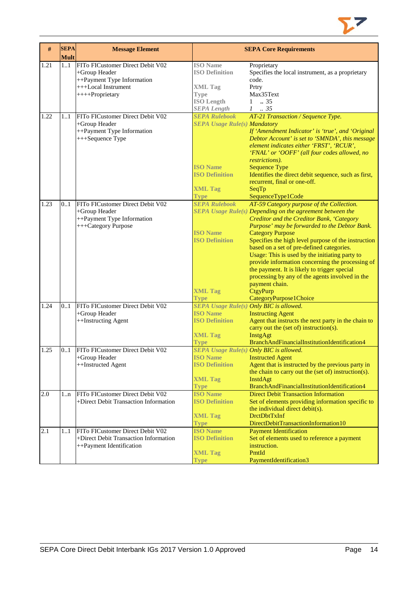

| #    | <b>SEPA</b><br><b>Mult</b> | <b>Message Element</b>                                                                                                    |                                                                                                                                          | <b>SEPA Core Requirements</b>                                                                                                                                                                                                                                                                                                                                                                                                                                                                                                                                                                        |
|------|----------------------------|---------------------------------------------------------------------------------------------------------------------------|------------------------------------------------------------------------------------------------------------------------------------------|------------------------------------------------------------------------------------------------------------------------------------------------------------------------------------------------------------------------------------------------------------------------------------------------------------------------------------------------------------------------------------------------------------------------------------------------------------------------------------------------------------------------------------------------------------------------------------------------------|
| 1.21 | 1.1                        | FITo FICustomer Direct Debit V02<br>+Group Header<br>++Payment Type Information<br>+++Local Instrument<br>++++Proprietary | <b>ISO</b> Name<br><b>ISO Definition</b><br><b>XML Tag</b><br><b>Type</b><br><b>ISO Length</b><br><b>SEPA Length</b>                     | Proprietary<br>Specifies the local instrument, as a proprietary<br>code.<br>Prtry<br>Max35Text<br>.35<br>$\mathbf{1}$<br>$1 \t . 35$                                                                                                                                                                                                                                                                                                                                                                                                                                                                 |
| 1.22 | 11                         | FITo FICustomer Direct Debit V02<br>+Group Header<br>++Payment Type Information<br>+++Sequence Type                       | <b>SEPA Rulebook</b><br><b>SEPA Usage Rule(s) Mandatory</b><br><b>ISO</b> Name<br><b>ISO Definition</b><br><b>XML Tag</b><br><b>Type</b> | AT-21 Transaction / Sequence Type.<br>If 'Amendment Indicator' is 'true', and 'Original<br>Debtor Account' is set to 'SMNDA', this message<br>element indicates either 'FRST', 'RCUR',<br>'FNAL' or 'OOFF' (all four codes allowed, no<br>restrictions).<br><b>Sequence Type</b><br>Identifies the direct debit sequence, such as first,<br>recurrent, final or one-off.<br>SeqTp<br>SequenceType1Code                                                                                                                                                                                               |
| 1.23 | 0.1                        | FITo FICustomer Direct Debit V02<br>+Group Header<br>++Payment Type Information<br>+++Category Purpose                    | <b>SEPA Rulebook</b><br><b>ISO</b> Name<br><b>ISO Definition</b><br><b>XML Tag</b><br><b>Type</b>                                        | AT-59 Category purpose of the Collection.<br>SEPA Usage Rule(s) Depending on the agreement between the<br>Creditor and the Creditor Bank, 'Category<br>Purpose' may be forwarded to the Debtor Bank.<br><b>Category Purpose</b><br>Specifies the high level purpose of the instruction<br>based on a set of pre-defined categories.<br>Usage: This is used by the initiating party to<br>provide information concerning the processing of<br>the payment. It is likely to trigger special<br>processing by any of the agents involved in the<br>payment chain.<br>CtgyPurp<br>CategoryPurpose1Choice |
| 1.24 | 0.1                        | FITo FICustomer Direct Debit V02<br>+Group Header<br>++Instructing Agent                                                  | <b>SEPA Usage Rule(s) Only BIC is allowed.</b><br><b>ISO Name</b><br><b>ISO Definition</b><br><b>XML Tag</b><br><b>Type</b>              | <b>Instructing Agent</b><br>Agent that instructs the next party in the chain to<br>carry out the (set of) instruction(s).<br>InstgAgt<br>BranchAndFinancialInstitutionIdentification4                                                                                                                                                                                                                                                                                                                                                                                                                |
| 1.25 | 0.1                        | FITo FICustomer Direct Debit V02<br>+Group Header<br>++Instructed Agent                                                   | <b>SEPA Usage Rule(s) Only BIC is allowed.</b><br><b>ISO Name</b><br><b>ISO Definition</b><br><b>XML Tag</b><br><b>Type</b>              | <b>Instructed Agent</b><br>Agent that is instructed by the previous party in<br>the chain to carry out the (set of) instruction(s).<br><b>InstdAgt</b><br>BranchAndFinancialInstitutionIdentification4                                                                                                                                                                                                                                                                                                                                                                                               |
| 2.0  | 1n                         | FITo FICustomer Direct Debit V02<br>+Direct Debit Transaction Information                                                 | <b>ISO Name</b><br><b>ISO Definition</b><br><b>XML Tag</b><br><b>Type</b>                                                                | <b>Direct Debit Transaction Information</b><br>Set of elements providing information specific to<br>the individual direct debit(s).<br><b>DrctDbtTxInf</b><br>DirectDebitTransactionInformation10                                                                                                                                                                                                                                                                                                                                                                                                    |
| 2.1  | 11                         | FITo FICustomer Direct Debit V02<br>+Direct Debit Transaction Information<br>++Payment Identification                     | <b>ISO Name</b><br><b>ISO Definition</b><br><b>XML Tag</b><br><b>Type</b>                                                                | <b>Payment Identification</b><br>Set of elements used to reference a payment<br>instruction.<br>PmtId<br>PaymentIdentification3                                                                                                                                                                                                                                                                                                                                                                                                                                                                      |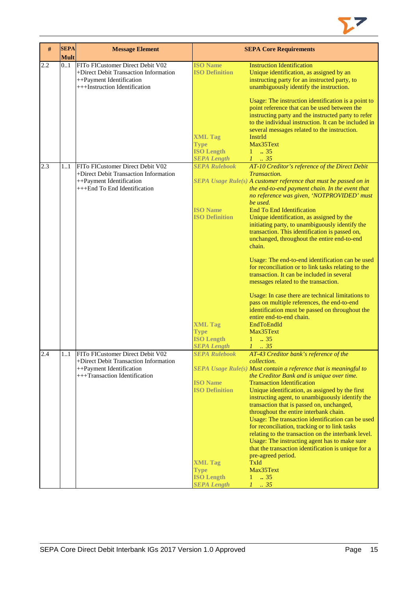

| #   | <b>SEPA</b><br><b>Mult</b> | <b>Message Element</b>                                                                                                                 |                                                                                                                                                                    | <b>SEPA Core Requirements</b>                                                                                                                                                                                                                                                                                                                                                                                                                                                                                                                                                                                                                                                                                                                                                                                                                                                                                                              |
|-----|----------------------------|----------------------------------------------------------------------------------------------------------------------------------------|--------------------------------------------------------------------------------------------------------------------------------------------------------------------|--------------------------------------------------------------------------------------------------------------------------------------------------------------------------------------------------------------------------------------------------------------------------------------------------------------------------------------------------------------------------------------------------------------------------------------------------------------------------------------------------------------------------------------------------------------------------------------------------------------------------------------------------------------------------------------------------------------------------------------------------------------------------------------------------------------------------------------------------------------------------------------------------------------------------------------------|
| 2.2 | 0.1                        | FITo FICustomer Direct Debit V02<br>+Direct Debit Transaction Information<br>++Payment Identification<br>+++Instruction Identification | <b>ISO Name</b><br><b>ISO Definition</b><br><b>XML Tag</b><br><b>Type</b><br><b>ISO Length</b>                                                                     | <b>Instruction Identification</b><br>Unique identification, as assigned by an<br>instructing party for an instructed party, to<br>unambiguously identify the instruction.<br>Usage: The instruction identification is a point to<br>point reference that can be used between the<br>instructing party and the instructed party to refer<br>to the individual instruction. It can be included in<br>several messages related to the instruction.<br>InstrId<br>Max35Text<br>$1 \t . 35$                                                                                                                                                                                                                                                                                                                                                                                                                                                     |
| 2.3 | 11                         | FITo FICustomer Direct Debit V02<br>+Direct Debit Transaction Information<br>++Payment Identification<br>+++End To End Identification  | <b>SEPA Length</b><br><b>SEPA Rulebook</b><br><b>ISO Name</b><br><b>ISO Definition</b><br><b>XML Tag</b><br><b>Type</b><br><b>ISO Length</b>                       | $1 \t 35$<br>AT-10 Creditor's reference of the Direct Debit<br>Transaction.<br>SEPA Usage Rule(s) A customer reference that must be passed on in<br>the end-to-end payment chain. In the event that<br>no reference was given, 'NOTPROVIDED' must<br>be used.<br><b>End To End Identification</b><br>Unique identification, as assigned by the<br>initiating party, to unambiguously identify the<br>transaction. This identification is passed on,<br>unchanged, throughout the entire end-to-end<br>chain.<br>Usage: The end-to-end identification can be used<br>for reconciliation or to link tasks relating to the<br>transaction. It can be included in several<br>messages related to the transaction.<br>Usage: In case there are technical limitations to<br>pass on multiple references, the end-to-end<br>identification must be passed on throughout the<br>entire end-to-end chain.<br>EndToEndId<br>Max35Text<br>$1 \t . 35$ |
| 2.4 | 11                         | FITo FICustomer Direct Debit V02<br>+Direct Debit Transaction Information<br>++Payment Identification<br>+++Transaction Identification | <b>SEPA Length</b><br><b>SEPA Rulebook</b><br><b>ISO</b> Name<br><b>ISO Definition</b><br><b>XML Tag</b><br><b>Type</b><br><b>ISO Length</b><br><b>SEPA Length</b> | $1 \cdot .35$<br>AT-43 Creditor bank's reference of the<br>collection.<br>SEPA Usage Rule(s) Must contain a reference that is meaningful to<br>the Creditor Bank and is unique over time.<br><b>Transaction Identification</b><br>Unique identification, as assigned by the first<br>instructing agent, to unambiguously identify the<br>transaction that is passed on, unchanged,<br>throughout the entire interbank chain.<br>Usage: The transaction identification can be used<br>for reconciliation, tracking or to link tasks<br>relating to the transaction on the interbank level.<br>Usage: The instructing agent has to make sure<br>that the transaction identification is unique for a<br>pre-agreed period.<br>TxId<br>Max35Text<br>$1 \t . 35$<br>$1 \t35$                                                                                                                                                                    |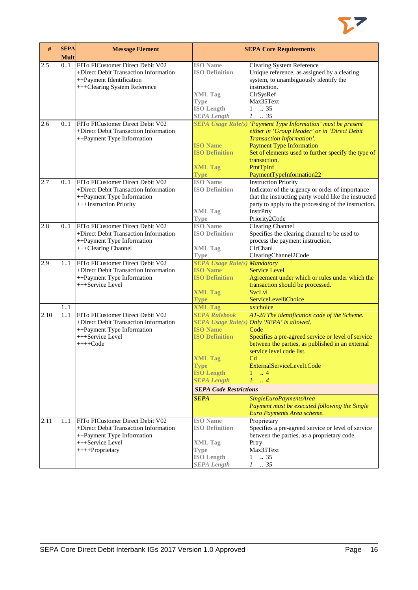

| #    | <b>SEPA</b><br><b>Mult</b> | <b>Message Element</b>                                                                                                                         |                                                                                                                                                                                                                | <b>SEPA Core Requirements</b>                                                                                                                                                                                                                                                                                                                                                                                                                                     |
|------|----------------------------|------------------------------------------------------------------------------------------------------------------------------------------------|----------------------------------------------------------------------------------------------------------------------------------------------------------------------------------------------------------------|-------------------------------------------------------------------------------------------------------------------------------------------------------------------------------------------------------------------------------------------------------------------------------------------------------------------------------------------------------------------------------------------------------------------------------------------------------------------|
| 2.5  | 01                         | FITo FICustomer Direct Debit V02<br>+Direct Debit Transaction Information<br>++Payment Identification<br>+++Clearing System Reference          | <b>ISO</b> Name<br><b>ISO Definition</b><br><b>XML Tag</b><br><b>Type</b><br><b>ISO Length</b><br><b>SEPA Length</b>                                                                                           | <b>Clearing System Reference</b><br>Unique reference, as assigned by a clearing<br>system, to unambiguously identify the<br>instruction.<br>ClrSysRef<br>Max35Text<br>$\ldots$ 35<br>$\mathbf{1}$<br>$1 \t . 35$                                                                                                                                                                                                                                                  |
| 2.6  | 0.1                        | FITo FICustomer Direct Debit V02<br>+Direct Debit Transaction Information<br>++Payment Type Information                                        | <b>ISO</b> Name<br><b>ISO Definition</b><br><b>XML Tag</b><br><b>Type</b>                                                                                                                                      | SEPA Usage Rule(s) 'Payment Type Information' must be present<br>either in 'Group Header' or in 'Direct Debit<br>Transaction Information'.<br><b>Payment Type Information</b><br>Set of elements used to further specify the type of<br>transaction.<br>PmtTpInf<br>PaymentTypeInformation22                                                                                                                                                                      |
| 2.7  | 01                         | FITo FICustomer Direct Debit V02<br>+Direct Debit Transaction Information<br>++Payment Type Information<br>+++Instruction Priority             | <b>ISO</b> Name<br><b>ISO Definition</b><br><b>XML Tag</b><br><b>Type</b>                                                                                                                                      | <b>Instruction Priority</b><br>Indicator of the urgency or order of importance<br>that the instructing party would like the instructed<br>party to apply to the processing of the instruction.<br>InstrPrty<br>Priority2Code                                                                                                                                                                                                                                      |
| 2.8  | 0.1                        | FITo FICustomer Direct Debit V02<br>+Direct Debit Transaction Information<br>++Payment Type Information<br>+++Clearing Channel                 | <b>ISO</b> Name<br><b>ISO Definition</b><br><b>XML Tag</b><br>Type                                                                                                                                             | <b>Clearing Channel</b><br>Specifies the clearing channel to be used to<br>process the payment instruction.<br>ClrChanl<br>ClearingChannel2Code                                                                                                                                                                                                                                                                                                                   |
| 2.9  | 11                         | FITo FICustomer Direct Debit V02<br>+Direct Debit Transaction Information<br>++Payment Type Information<br>+++Service Level                    | <b>SEPA Usage Rule(s) Mandatory</b><br><b>ISO Name</b><br><b>ISO Definition</b><br><b>XML Tag</b><br><b>Type</b>                                                                                               | <b>Service Level</b><br>Agreement under which or rules under which the<br>transaction should be processed.<br><b>SvcLvl</b><br>ServiceLevel8Choice                                                                                                                                                                                                                                                                                                                |
| 2.10 | 1.1<br>1.1                 | FITo FICustomer Direct Debit V02<br>+Direct Debit Transaction Information<br>++Payment Type Information<br>+++Service Level<br>$+++Code$       | <b>XML Tag</b><br><b>SEPA Rulebook</b><br><b>ISO Name</b><br><b>ISO Definition</b><br><b>XML Tag</b><br><b>Type</b><br><b>ISO Length</b><br><b>SEPA Length</b><br><b>SEPA Code Restrictions</b><br><b>SEPA</b> | xs:choice<br>AT-20 The identification code of the Scheme.<br>SEPA Usage Rule(s) Only 'SEPA' is allowed.<br>Code<br>Specifies a pre-agreed service or level of service<br>between the parties, as published in an external<br>service level code list.<br>Cd<br>ExternalServiceLevel1Code<br>$\overline{4}$<br>$\mathbf{1}$<br>$\mathcal{I}$<br>$\cdot$ 4<br>SingleEuroPaymentsArea<br>Payment must be executed following the Single<br>Euro Payments Area scheme. |
| 2.11 | 11                         | FITo FICustomer Direct Debit V02<br>+Direct Debit Transaction Information<br>++Payment Type Information<br>+++Service Level<br>++++Proprietary | <b>ISO</b> Name<br><b>ISO Definition</b><br><b>XML Tag</b><br><b>Type</b><br><b>ISO Length</b><br><b>SEPA Length</b>                                                                                           | Proprietary<br>Specifies a pre-agreed service or level of service<br>between the parties, as a proprietary code.<br>Prtry<br>Max35Text<br>.35<br>$\mathbf{1}$<br>$1-.35$                                                                                                                                                                                                                                                                                          |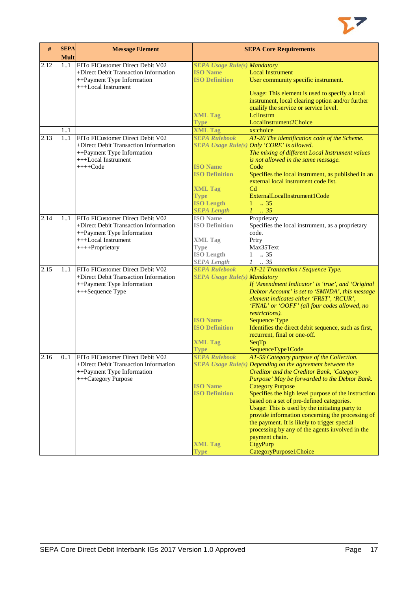

| #    | <b>SEPA</b><br><b>Mult</b> | <b>Message Element</b>                |                                          | <b>SEPA Core Requirements</b>                                                                      |
|------|----------------------------|---------------------------------------|------------------------------------------|----------------------------------------------------------------------------------------------------|
| 2.12 | 11                         | FITo FICustomer Direct Debit V02      | <b>SEPA Usage Rule(s) Mandatory</b>      |                                                                                                    |
|      |                            | +Direct Debit Transaction Information | <b>ISO Name</b>                          | <b>Local Instrument</b>                                                                            |
|      |                            | ++Payment Type Information            | <b>ISO Definition</b>                    | User community specific instrument.                                                                |
|      |                            | +++Local Instrument                   |                                          |                                                                                                    |
|      |                            |                                       |                                          | Usage: This element is used to specify a local                                                     |
|      |                            |                                       |                                          | instrument, local clearing option and/or further                                                   |
|      |                            |                                       |                                          | qualify the service or service level.                                                              |
|      |                            |                                       | <b>XML Tag</b>                           | Lellnstrm                                                                                          |
|      |                            |                                       | <b>Type</b>                              | LocalInstrument2Choice                                                                             |
|      | 11                         |                                       | <b>XML Tag</b>                           | xs:choice                                                                                          |
| 2.13 | 1.1                        | FITo FICustomer Direct Debit V02      | <b>SEPA Rulebook</b>                     | AT-20 The identification code of the Scheme.                                                       |
|      |                            | +Direct Debit Transaction Information |                                          | SEPA Usage Rule(s) Only 'CORE' is allowed.                                                         |
|      |                            | ++Payment Type Information            |                                          | The mixing of different Local Instrument values                                                    |
|      |                            | +++Local Instrument                   |                                          | is not allowed in the same message.                                                                |
|      |                            | $+++Code$                             | <b>ISO</b> Name<br><b>ISO Definition</b> | Code                                                                                               |
|      |                            |                                       |                                          | Specifies the local instrument, as published in an<br>external local instrument code list.         |
|      |                            |                                       |                                          | C <sub>d</sub>                                                                                     |
|      |                            |                                       | <b>XML Tag</b><br><b>Type</b>            | ExternalLocalInstrument1Code                                                                       |
|      |                            |                                       | <b>ISO Length</b>                        | $1 \t . 35$                                                                                        |
|      |                            |                                       | <b>SEPA Length</b>                       | $1 \cdot .35$                                                                                      |
| 2.14 | 11                         | FITo FICustomer Direct Debit V02      | <b>ISO Name</b>                          | Proprietary                                                                                        |
|      |                            | +Direct Debit Transaction Information | <b>ISO Definition</b>                    | Specifies the local instrument, as a proprietary                                                   |
|      |                            | ++Payment Type Information            |                                          | code.                                                                                              |
|      |                            | +++Local Instrument                   | <b>XML Tag</b>                           | Prtry                                                                                              |
|      |                            | ++++Proprietary                       | <b>Type</b>                              | Max35Text                                                                                          |
|      |                            |                                       | <b>ISO Length</b>                        | $1 \t . 35$                                                                                        |
|      |                            |                                       | <b>SEPA Length</b>                       | $1 \t . 35$                                                                                        |
| 2.15 | 11                         | FITo FICustomer Direct Debit V02      | <b>SEPA Rulebook</b>                     | AT-21 Transaction / Sequence Type.                                                                 |
|      |                            | +Direct Debit Transaction Information | <b>SEPA Usage Rule(s) Mandatory</b>      |                                                                                                    |
|      |                            | ++Payment Type Information            |                                          | If 'Amendment Indicator' is 'true', and 'Original                                                  |
|      |                            | +++Sequence Type                      |                                          | Debtor Account' is set to 'SMNDA', this message                                                    |
|      |                            |                                       |                                          | element indicates either 'FRST', 'RCUR',                                                           |
|      |                            |                                       |                                          | 'FNAL' or 'OOFF' (all four codes allowed, no                                                       |
|      |                            |                                       |                                          | restrictions).                                                                                     |
|      |                            |                                       | <b>ISO Name</b>                          | <b>Sequence Type</b>                                                                               |
|      |                            |                                       | <b>ISO Definition</b>                    | Identifies the direct debit sequence, such as first,                                               |
|      |                            |                                       |                                          | recurrent, final or one-off.                                                                       |
|      |                            |                                       | <b>XML Tag</b>                           | SeqTp                                                                                              |
|      |                            |                                       | <b>Type</b>                              | SequenceType1Code                                                                                  |
| 2.16 | 0.1                        | FITo FICustomer Direct Debit V02      | <b>SEPA Rulebook</b>                     | AT-59 Category purpose of the Collection.                                                          |
|      |                            | +Direct Debit Transaction Information |                                          | SEPA Usage Rule(s) Depending on the agreement between the                                          |
|      |                            | ++Payment Type Information            |                                          | Creditor and the Creditor Bank, 'Category                                                          |
|      |                            | +++Category Purpose                   |                                          | Purpose' May be forwarded to the Debtor Bank.                                                      |
|      |                            |                                       | <b>ISO Name</b>                          | <b>Category Purpose</b>                                                                            |
|      |                            |                                       | <b>ISO Definition</b>                    | Specifies the high level purpose of the instruction                                                |
|      |                            |                                       |                                          | based on a set of pre-defined categories.                                                          |
|      |                            |                                       |                                          | Usage: This is used by the initiating party to<br>provide information concerning the processing of |
|      |                            |                                       |                                          | the payment. It is likely to trigger special                                                       |
|      |                            |                                       |                                          | processing by any of the agents involved in the                                                    |
|      |                            |                                       |                                          | payment chain.                                                                                     |
|      |                            |                                       | <b>XML Tag</b>                           | CtgyPurp                                                                                           |
|      |                            |                                       | <b>Type</b>                              | CategoryPurpose1Choice                                                                             |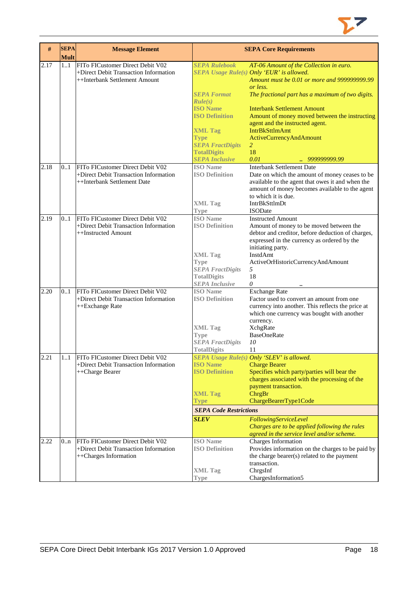

| #    | <b>SEPA</b><br><b>Mult</b> | <b>Message Element</b>                                                                                     |                                                                                                                                                                                                              | <b>SEPA Core Requirements</b>                                                                                                                                                                                                                                                                                                                                                                                                |
|------|----------------------------|------------------------------------------------------------------------------------------------------------|--------------------------------------------------------------------------------------------------------------------------------------------------------------------------------------------------------------|------------------------------------------------------------------------------------------------------------------------------------------------------------------------------------------------------------------------------------------------------------------------------------------------------------------------------------------------------------------------------------------------------------------------------|
| 2.17 | 11                         | FITo FICustomer Direct Debit V02<br>+Direct Debit Transaction Information<br>++Interbank Settlement Amount | <b>SEPA Rulebook</b><br><b>SEPA Format</b><br>Rule(s)<br><b>ISO Name</b><br><b>ISO Definition</b><br><b>XML Tag</b><br><b>Type</b><br><b>SEPA FractDigits</b><br><b>TotalDigits</b><br><b>SEPA Inclusive</b> | AT-06 Amount of the Collection in euro.<br>SEPA Usage Rule(s) Only 'EUR' is allowed.<br>Amount must be 0.01 or more and 999999999.99<br>or less.<br>The fractional part has a maximum of two digits.<br><b>Interbank Settlement Amount</b><br>Amount of money moved between the instructing<br>agent and the instructed agent.<br><b>IntrBkSttlmAmt</b><br><b>ActiveCurrencyAndAmount</b><br>2<br>18<br>0.01<br>999999999.99 |
| 2.18 | 0.1                        | FITo FICustomer Direct Debit V02<br>+Direct Debit Transaction Information<br>++Interbank Settlement Date   | <b>ISO</b> Name<br><b>ISO Definition</b><br><b>XML Tag</b><br><b>Type</b>                                                                                                                                    | <b>Interbank Settlement Date</b><br>Date on which the amount of money ceases to be<br>available to the agent that owes it and when the<br>amount of money becomes available to the agent<br>to which it is due.<br><b>IntrBkSttlmDt</b><br><b>ISODate</b>                                                                                                                                                                    |
| 2.19 | 0.1                        | FITo FICustomer Direct Debit V02<br>+Direct Debit Transaction Information<br>++Instructed Amount           | <b>ISO</b> Name<br><b>ISO Definition</b><br><b>XML Tag</b><br><b>Type</b><br><b>SEPA FractDigits</b><br><b>TotalDigits</b><br><b>SEPA Inclusive</b>                                                          | <b>Instructed Amount</b><br>Amount of money to be moved between the<br>debtor and creditor, before deduction of charges,<br>expressed in the currency as ordered by the<br>initiating party.<br>InstdAmt<br>ActiveOrHistoricCurrencyAndAmount<br>5<br>18<br>0                                                                                                                                                                |
| 2.20 | 0.1                        | FITo FICustomer Direct Debit V02<br>+Direct Debit Transaction Information<br>++Exchange Rate               | <b>ISO</b> Name<br><b>ISO Definition</b><br><b>XML</b> Tag<br><b>Type</b><br><b>SEPA FractDigits</b><br><b>TotalDigits</b>                                                                                   | <b>Exchange Rate</b><br>Factor used to convert an amount from one<br>currency into another. This reflects the price at<br>which one currency was bought with another<br>currency.<br><b>XchgRate</b><br><b>BaseOneRate</b><br>10<br>11                                                                                                                                                                                       |
| 2.21 | 11                         | FITo FICustomer Direct Debit V02<br>+Direct Debit Transaction Information<br>++Charge Bearer               | <b>ISO</b> Name<br><b>ISO Definition</b><br><b>XML Tag</b><br><b>Type</b><br><b>SEPA Code Restrictions</b><br><b>SLEV</b>                                                                                    | SEPA Usage Rule(s) Only 'SLEV' is allowed.<br><b>Charge Bearer</b><br>Specifies which party/parties will bear the<br>charges associated with the processing of the<br>payment transaction.<br>ChrgBr<br>ChargeBearerType1Code<br>FollowingServiceLevel<br>Charges are to be applied following the rules<br>agreed in the service level and/or scheme.                                                                        |
| 2.22 | 0n                         | FITo FICustomer Direct Debit V02<br>+Direct Debit Transaction Information<br>++Charges Information         | <b>ISO</b> Name<br><b>ISO Definition</b><br><b>XML</b> Tag<br><b>Type</b>                                                                                                                                    | Charges Information<br>Provides information on the charges to be paid by<br>the charge bearer(s) related to the payment<br>transaction.<br>ChrgsInf<br>ChargesInformation5                                                                                                                                                                                                                                                   |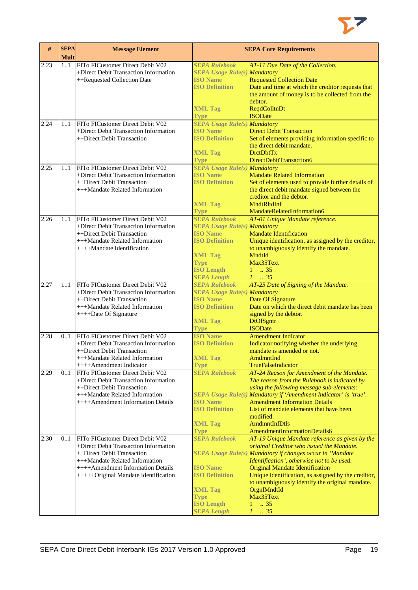

| #    | <b>SEPA</b><br><b>Mult</b> | <b>Message Element</b>                                              |                                          | <b>SEPA Core Requirements</b>                                                   |
|------|----------------------------|---------------------------------------------------------------------|------------------------------------------|---------------------------------------------------------------------------------|
| 2.23 | 11                         | FITo FICustomer Direct Debit V02                                    | <b>SEPA Rulebook</b>                     | AT-11 Due Date of the Collection.                                               |
|      |                            | +Direct Debit Transaction Information                               | <b>SEPA Usage Rule(s) Mandatory</b>      |                                                                                 |
|      |                            | ++Requested Collection Date                                         | <b>ISO Name</b>                          | <b>Requested Collection Date</b>                                                |
|      |                            |                                                                     | <b>ISO Definition</b>                    | Date and time at which the creditor requests that                               |
|      |                            |                                                                     |                                          | the amount of money is to be collected from the                                 |
|      |                            |                                                                     |                                          | debtor.<br>ReqdColltnDt                                                         |
|      |                            |                                                                     | <b>XML Tag</b><br>Type                   | <b>ISODate</b>                                                                  |
| 2.24 | 11                         | FITo FICustomer Direct Debit V02                                    | <b>SEPA Usage Rule(s) Mandatory</b>      |                                                                                 |
|      |                            | +Direct Debit Transaction Information                               | <b>ISO Name</b>                          | <b>Direct Debit Transaction</b>                                                 |
|      |                            | ++Direct Debit Transaction                                          | <b>ISO Definition</b>                    | Set of elements providing information specific to                               |
|      |                            |                                                                     |                                          | the direct debit mandate.                                                       |
|      |                            |                                                                     | <b>XML Tag</b>                           | <b>DrctDbtTx</b>                                                                |
|      |                            |                                                                     | <b>Type</b>                              | DirectDebitTransaction6                                                         |
| 2.25 | 11                         | FITo FICustomer Direct Debit V02                                    | <b>SEPA Usage Rule(s) Mandatory</b>      |                                                                                 |
|      |                            | +Direct Debit Transaction Information<br>++Direct Debit Transaction | <b>ISO</b> Name<br><b>ISO Definition</b> | <b>Mandate Related Information</b>                                              |
|      |                            | +++Mandate Related Information                                      |                                          | Set of elements used to provide further details of                              |
|      |                            |                                                                     |                                          | the direct debit mandate signed between the<br>creditor and the debtor.         |
|      |                            |                                                                     | <b>XML Tag</b>                           | MndtRltdInf                                                                     |
|      |                            |                                                                     | <b>Type</b>                              | MandateRelatedInformation6                                                      |
| 2.26 | 11                         | FITo FICustomer Direct Debit V02                                    | <b>SEPA Rulebook</b>                     | AT-01 Unique Mandate reference.                                                 |
|      |                            | +Direct Debit Transaction Information                               | <b>SEPA Usage Rule(s) Mandatory</b>      |                                                                                 |
|      |                            | ++Direct Debit Transaction                                          | <b>ISO Name</b>                          | <b>Mandate Identification</b>                                                   |
|      |                            | +++Mandate Related Information                                      | <b>ISO Definition</b>                    | Unique identification, as assigned by the creditor,                             |
|      |                            | ++++Mandate Identification                                          |                                          | to unambiguously identify the mandate.                                          |
|      |                            |                                                                     | <b>XML Tag</b>                           | MndtId                                                                          |
|      |                            |                                                                     | <b>Type</b>                              | Max35Text                                                                       |
|      |                            |                                                                     | <b>ISO Length</b>                        | $1 \t . 35$                                                                     |
|      |                            |                                                                     | <b>SEPA Length</b>                       | $1 \t35$                                                                        |
| 2.27 | 1.1                        | FITo FICustomer Direct Debit V02                                    | <b>SEPA Rulebook</b>                     | AT-25 Date of Signing of the Mandate.                                           |
|      |                            | +Direct Debit Transaction Information                               | <b>SEPA Usage Rule(s) Mandatory</b>      |                                                                                 |
|      |                            | ++Direct Debit Transaction                                          | <b>ISO Name</b><br><b>ISO Definition</b> | Date Of Signature<br>Date on which the direct debit mandate has been            |
|      |                            | +++Mandate Related Information<br>++++Date Of Signature             |                                          | signed by the debtor.                                                           |
|      |                            |                                                                     | <b>XML Tag</b>                           | <b>DtOfSgntr</b>                                                                |
|      |                            |                                                                     | <b>Type</b>                              | <b>ISODate</b>                                                                  |
| 2.28 | 0.1                        | FITo FICustomer Direct Debit V02                                    | <b>ISO Name</b>                          | <b>Amendment Indicator</b>                                                      |
|      |                            | +Direct Debit Transaction Information                               | <b>ISO Definition</b>                    | Indicator notifying whether the underlying                                      |
|      |                            | ++Direct Debit Transaction                                          |                                          | mandate is amended or not.                                                      |
|      |                            | +++Mandate Related Information                                      | <b>XML Tag</b>                           | AmdmntInd                                                                       |
|      |                            | ++++Amendment Indicator                                             | <b>Type</b>                              | TrueFalseIndicator                                                              |
| 2.29 | 0.1                        | FITo FICustomer Direct Debit V02                                    | <b>SEPA Rulebook</b>                     | AT-24 Reason for Amendment of the Mandate.                                      |
|      |                            | +Direct Debit Transaction Information                               |                                          | The reason from the Rulebook is indicated by                                    |
|      |                            | ++Direct Debit Transaction                                          |                                          | using the following message sub-elements:                                       |
|      |                            | +++Mandate Related Information                                      |                                          | SEPA Usage Rule(s) Mandatory if 'Amendment Indicator' is 'true'.                |
|      |                            | ++++Amendment Information Details                                   | <b>ISO Name</b><br><b>ISO Definition</b> | <b>Amendment Information Details</b><br>List of mandate elements that have been |
|      |                            |                                                                     |                                          | modified.                                                                       |
|      |                            |                                                                     | <b>XML Tag</b>                           | AmdmntInfDtls                                                                   |
|      |                            |                                                                     | <b>Type</b>                              | AmendmentInformationDetails6                                                    |
| 2.30 | 01                         | FITo FICustomer Direct Debit V02                                    | <b>SEPA Rulebook</b>                     | AT-19 Unique Mandate reference as given by the                                  |
|      |                            | +Direct Debit Transaction Information                               |                                          | original Creditor who issued the Mandate.                                       |
|      |                            | ++Direct Debit Transaction                                          |                                          | SEPA Usage Rule(s) Mandatory if changes occur in 'Mandate                       |
|      |                            | +++Mandate Related Information                                      |                                          | Identification', otherwise not to be used.                                      |
|      |                            | ++++Amendment Information Details                                   | <b>ISO Name</b>                          | <b>Original Mandate Identification</b>                                          |
|      |                            | +++++Original Mandate Identification                                | <b>ISO Definition</b>                    | Unique identification, as assigned by the creditor,                             |
|      |                            |                                                                     |                                          | to unambiguously identify the original mandate.                                 |
|      |                            |                                                                     | <b>XML Tag</b>                           | OrgnlMndtId                                                                     |
|      |                            |                                                                     | <b>Type</b>                              | Max35Text                                                                       |
|      |                            |                                                                     | <b>ISO Length</b>                        | $\overline{.}35$<br>$\mathbf{1}$                                                |
|      |                            |                                                                     | <b>SEPA Length</b>                       | $1 \t35$                                                                        |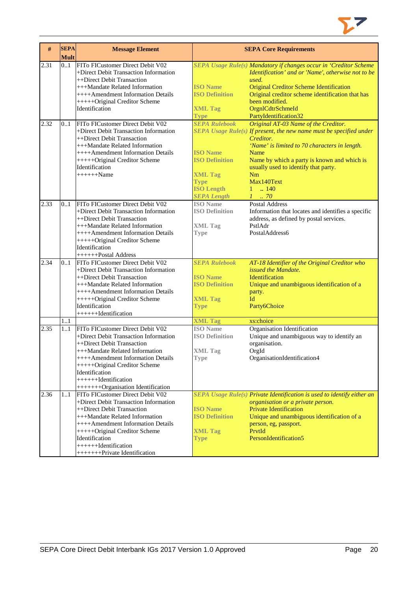

| $\#$ | <b>SEPA</b><br><b>Mult</b> | <b>Message Element</b>                |                                   | <b>SEPA Core Requirements</b>                                           |
|------|----------------------------|---------------------------------------|-----------------------------------|-------------------------------------------------------------------------|
| 2.31 | 0.1                        | FITo FICustomer Direct Debit V02      |                                   | SEPA Usage Rule(s) Mandatory if changes occur in 'Creditor Scheme       |
|      |                            | +Direct Debit Transaction Information |                                   | Identification' and or 'Name', otherwise not to be                      |
|      |                            | ++Direct Debit Transaction            |                                   | used.                                                                   |
|      |                            | +++Mandate Related Information        | <b>ISO Name</b>                   | <b>Original Creditor Scheme Identification</b>                          |
|      |                            | ++++Amendment Information Details     | <b>ISO Definition</b>             | Original creditor scheme identification that has                        |
|      |                            | +++++Original Creditor Scheme         |                                   | been modified.                                                          |
|      |                            | Identification                        | <b>XML Tag</b>                    | OrgnlCdtrSchmeId                                                        |
|      |                            |                                       | <b>Type</b>                       | PartyIdentification32                                                   |
| 2.32 | 01                         | FITo FICustomer Direct Debit V02      | <b>SEPA Rulebook</b>              | Original AT-03 Name of the Creditor.                                    |
|      |                            | +Direct Debit Transaction Information |                                   | SEPA Usage Rule(s) If present, the new name must be specified under     |
|      |                            | ++Direct Debit Transaction            |                                   | Creditor.                                                               |
|      |                            | +++Mandate Related Information        |                                   | 'Name' is limited to 70 characters in length.                           |
|      |                            | ++++Amendment Information Details     | <b>ISO Name</b>                   | Name                                                                    |
|      |                            | +++++Original Creditor Scheme         | <b>ISO Definition</b>             | Name by which a party is known and which is                             |
|      |                            | Identification                        |                                   | usually used to identify that party.                                    |
|      |                            | $+++++Name$                           | <b>XML Tag</b>                    | Nm                                                                      |
|      |                            |                                       | <b>Type</b>                       | Max140Text                                                              |
|      |                            |                                       | <b>ISO Length</b>                 | $1 \t  140$                                                             |
|      |                            |                                       | <b>SEPA Length</b>                | $1 \dots 70$                                                            |
| 2.33 | 01                         | FITo FICustomer Direct Debit V02      | <b>ISO</b> Name                   | <b>Postal Address</b>                                                   |
|      |                            | +Direct Debit Transaction Information | <b>ISO Definition</b>             | Information that locates and identifies a specific                      |
|      |                            | ++Direct Debit Transaction            |                                   | address, as defined by postal services.                                 |
|      |                            | +++Mandate Related Information        | <b>XML Tag</b>                    | PstlAdr                                                                 |
|      |                            | ++++Amendment Information Details     | <b>Type</b>                       | PostalAddress6                                                          |
|      |                            | +++++Original Creditor Scheme         |                                   |                                                                         |
|      |                            | Identification                        |                                   |                                                                         |
|      |                            | +++++++Postal Address                 |                                   |                                                                         |
| 2.34 | 0.1                        | FITo FICustomer Direct Debit V02      | <b>SEPA Rulebook</b>              | AT-18 Identifier of the Original Creditor who                           |
|      |                            | +Direct Debit Transaction Information |                                   | issued the Mandate.                                                     |
|      |                            | ++Direct Debit Transaction            | <b>ISO Name</b>                   | Identification                                                          |
|      |                            | +++Mandate Related Information        | <b>ISO Definition</b>             | Unique and unambiguous identification of a                              |
|      |                            | ++++Amendment Information Details     |                                   | party.                                                                  |
|      |                            | +++++Original Creditor Scheme         | <b>XML Tag</b>                    | Id                                                                      |
|      |                            | Identification                        | <b>Type</b>                       | Party6Choice                                                            |
|      |                            | +++++++Identification                 |                                   |                                                                         |
|      | 1.1                        | FITo FICustomer Direct Debit V02      | <b>XML Tag</b><br><b>ISO</b> Name | xs:choice<br>Organisation Identification                                |
| 2.35 | 1.1                        | +Direct Debit Transaction Information | <b>ISO Definition</b>             | Unique and unambiguous way to identify an                               |
|      |                            | ++Direct Debit Transaction            |                                   | organisation.                                                           |
|      |                            | +++Mandate Related Information        |                                   | OrgId                                                                   |
|      |                            | ++++Amendment Information Details     | <b>XML</b> Tag                    |                                                                         |
|      |                            | +++++Original Creditor Scheme         | Type                              | OrganisationIdentification4                                             |
|      |                            | Identification                        |                                   |                                                                         |
|      |                            | +++++++Identification                 |                                   |                                                                         |
|      |                            | ++++++++Organisation Identification   |                                   |                                                                         |
| 2.36 | 11                         | FITo FICustomer Direct Debit V02      |                                   | SEPA Usage Rule(s) Private Identification is used to identify either an |
|      |                            | +Direct Debit Transaction Information |                                   | organisation or a private person.                                       |
|      |                            | ++Direct Debit Transaction            | <b>ISO Name</b>                   | <b>Private Identification</b>                                           |
|      |                            | +++Mandate Related Information        | <b>ISO Definition</b>             | Unique and unambiguous identification of a                              |
|      |                            | ++++Amendment Information Details     |                                   | person, eg, passport.                                                   |
|      |                            | +++++Original Creditor Scheme         | <b>XML Tag</b>                    | PrvtId                                                                  |
|      |                            | Identification                        | <b>Type</b>                       | PersonIdentification5                                                   |
|      |                            | +++++++Identification                 |                                   |                                                                         |
|      |                            | ++++++++Private Identification        |                                   |                                                                         |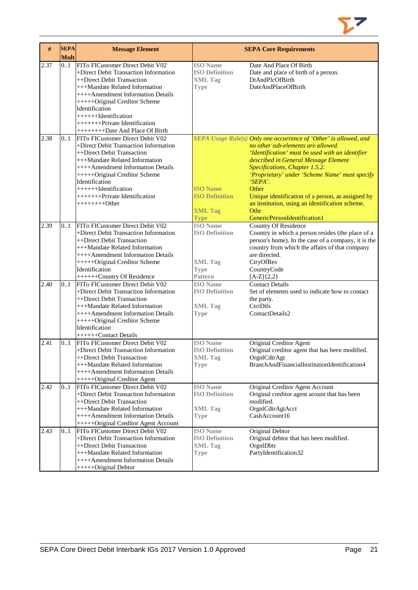

| $\#$ | <b>SEPA</b><br><b>Mult</b> | <b>Message Element</b>                                                                                                                                                                                                                                                                                                                             |                                                                                             | <b>SEPA Core Requirements</b>                                                                                                                                                                                                                                                                                                                                                                                                                               |
|------|----------------------------|----------------------------------------------------------------------------------------------------------------------------------------------------------------------------------------------------------------------------------------------------------------------------------------------------------------------------------------------------|---------------------------------------------------------------------------------------------|-------------------------------------------------------------------------------------------------------------------------------------------------------------------------------------------------------------------------------------------------------------------------------------------------------------------------------------------------------------------------------------------------------------------------------------------------------------|
| 2.37 | 0.1                        | FITo FICustomer Direct Debit V02<br>+Direct Debit Transaction Information<br>++Direct Debit Transaction<br>+++Mandate Related Information<br>++++Amendment Information Details<br>+++++Original Creditor Scheme<br>Identification<br>$+++++Identification$<br>++++++++Private Identification                                                       | <b>ISO</b> Name<br><b>ISO Definition</b><br><b>XML Tag</b><br><b>Type</b>                   | Date And Place Of Birth<br>Date and place of birth of a person.<br>DtAndPlcOfBirth<br>DateAndPlaceOfBirth                                                                                                                                                                                                                                                                                                                                                   |
| 2.38 | 0.1                        | +++++++++Date And Place Of Birth<br>FITo FICustomer Direct Debit V02<br>+Direct Debit Transaction Information<br>++Direct Debit Transaction<br>+++Mandate Related Information<br>++++Amendment Information Details<br>+++++Original Creditor Scheme<br>Identification<br>+++++++Identification<br>++++++++Private Identification<br>$+++++++Other$ | <b>ISO Name</b><br><b>ISO Definition</b><br><b>XML Tag</b><br><b>Type</b>                   | SEPA Usage Rule(s) Only one occurrence of 'Other' is allowed, and<br>no other sub-elements are allowed.<br>'Identification' must be used with an identifier<br>described in General Message Element<br>Specifications, Chapter 1.5.2.<br>'Proprietary' under 'Scheme Name' must specify<br>'SEPA'.<br>Other<br>Unique identification of a person, as assigned by<br>an institution, using an identification scheme.<br>Othr<br>GenericPersonIdentification1 |
| 2.39 | 0.1                        | FITo FICustomer Direct Debit V02<br>+Direct Debit Transaction Information<br>++Direct Debit Transaction<br>+++Mandate Related Information<br>++++Amendment Information Details<br>+++++Original Creditor Scheme<br>Identification<br>++++++Country Of Residence                                                                                    | <b>ISO</b> Name<br><b>ISO Definition</b><br><b>XML Tag</b><br><b>Type</b><br><b>Pattern</b> | <b>Country Of Residence</b><br>Country in which a person resides (the place of a<br>person's home). In the case of a company, it is the<br>country from which the affairs of that company<br>are directed.<br>CtryOfRes<br>CountryCode<br>$[A-Z]\{2,2\}$                                                                                                                                                                                                    |
| 2.40 | 0.1                        | FITo FICustomer Direct Debit V02<br>+Direct Debit Transaction Information<br>++Direct Debit Transaction<br>+++Mandate Related Information<br>++++Amendment Information Details<br>+++++Original Creditor Scheme<br>Identification<br>++++++Contact Details                                                                                         | <b>ISO</b> Name<br><b>ISO Definition</b><br><b>XML Tag</b><br><b>Type</b>                   | <b>Contact Details</b><br>Set of elements used to indicate how to contact<br>the party.<br>CtctDtls<br>ContactDetails2                                                                                                                                                                                                                                                                                                                                      |
| 2.41 | 01                         | FITo FICustomer Direct Debit V02<br>+Direct Debit Transaction Information<br>++Direct Debit Transaction<br>+++Mandate Related Information<br>++++Amendment Information Details<br>+++++Original Creditor Agent                                                                                                                                     | <b>ISO</b> Name<br><b>ISO Definition</b><br>XML Tag<br><b>Type</b>                          | Original Creditor Agent<br>Original creditor agent that has been modified.<br>OrgnICdtrAgt<br>BranchAndFinancialInstitutionIdentification4                                                                                                                                                                                                                                                                                                                  |
| 2.42 | 01                         | FITo FICustomer Direct Debit V02<br>+Direct Debit Transaction Information<br>++Direct Debit Transaction<br>+++Mandate Related Information<br>++++Amendment Information Details<br>+++++Original Creditor Agent Account                                                                                                                             | <b>ISO</b> Name<br><b>ISO Definition</b><br><b>XML Tag</b><br>Type                          | Original Creditor Agent Account<br>Original creditor agent acount that has been<br>modified.<br>OrgnlCdtrAgtAcct<br>CashAccount16                                                                                                                                                                                                                                                                                                                           |
| 2.43 | 0.1                        | FITo FICustomer Direct Debit V02<br>+Direct Debit Transaction Information<br>++Direct Debit Transaction<br>+++Mandate Related Information<br>++++Amendment Information Details<br>+++++Original Debtor                                                                                                                                             | <b>ISO Name</b><br><b>ISO Definition</b><br><b>XML Tag</b><br><b>Type</b>                   | Original Debtor<br>Original debtor that has been modified.<br>OrgnIDbtr<br>PartyIdentification32                                                                                                                                                                                                                                                                                                                                                            |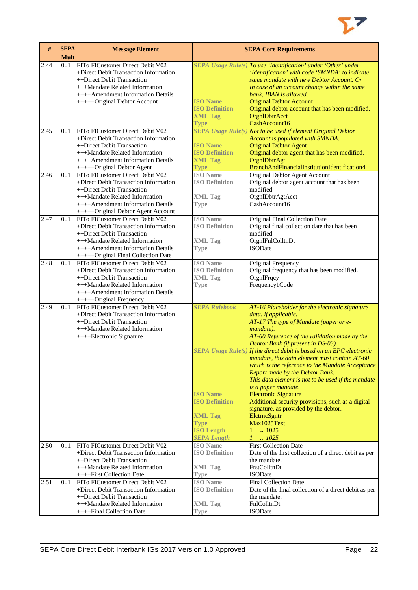

| #    | <b>SEPA</b><br><b>Mult</b> | <b>Message Element</b>                                              |                                | <b>SEPA Core Requirements</b>                                                    |
|------|----------------------------|---------------------------------------------------------------------|--------------------------------|----------------------------------------------------------------------------------|
| 2.44 | 0.1                        | FITo FICustomer Direct Debit V02                                    |                                | SEPA Usage Rule(s) To use 'Identification' under 'Other' under                   |
|      |                            | +Direct Debit Transaction Information                               |                                | 'Identification' with code 'SMNDA' to indicate                                   |
|      |                            | ++Direct Debit Transaction                                          |                                | same mandate with new Debtor Account. Or                                         |
|      |                            | +++Mandate Related Information                                      |                                | In case of an account change within the same                                     |
|      |                            | ++++Amendment Information Details                                   |                                | bank, IBAN is allowed.                                                           |
|      |                            | +++++Original Debtor Account                                        | <b>ISO</b> Name                | <b>Original Debtor Account</b>                                                   |
|      |                            |                                                                     | <b>ISO Definition</b>          | Original debtor account that has been modified.                                  |
|      |                            |                                                                     | <b>XML Tag</b>                 | OrgnlDbtrAcct                                                                    |
|      |                            |                                                                     | <b>Type</b>                    | CashAccount16                                                                    |
| 2.45 | 0.1                        | FITo FICustomer Direct Debit V02                                    |                                | SEPA Usage Rule(s) Not to be used if element Original Debtor                     |
|      |                            | +Direct Debit Transaction Information                               |                                | Account is populated with SMNDA.                                                 |
|      |                            | ++Direct Debit Transaction                                          | <b>ISO Name</b>                | <b>Original Debtor Agent</b>                                                     |
|      |                            | +++Mandate Related Information                                      | <b>ISO Definition</b>          | Original debtor agent that has been modified.                                    |
|      |                            | ++++Amendment Information Details                                   | <b>XML Tag</b>                 | OrgnlDbtrAgt<br>BranchAndFinancialInstitutionIdentification4                     |
| 2.46 |                            | +++++Original Debtor Agent<br>FITo FICustomer Direct Debit V02      | <b>Type</b><br><b>ISO</b> Name |                                                                                  |
|      | 01                         | +Direct Debit Transaction Information                               | <b>ISO Definition</b>          | Original Debtor Agent Account<br>Original debtor agent account that has been     |
|      |                            | ++Direct Debit Transaction                                          |                                | modified.                                                                        |
|      |                            | +++Mandate Related Information                                      | <b>XML Tag</b>                 | OrgnlDbtrAgtAcct                                                                 |
|      |                            | ++++Amendment Information Details                                   | <b>Type</b>                    | CashAccount16                                                                    |
|      |                            | +++++Original Debtor Agent Account                                  |                                |                                                                                  |
| 2.47 | 0.1                        | FITo FICustomer Direct Debit V02                                    | <b>ISO</b> Name                | Original Final Collection Date                                                   |
|      |                            | +Direct Debit Transaction Information                               | <b>ISO Definition</b>          | Original final collection date that has been                                     |
|      |                            | ++Direct Debit Transaction                                          |                                | modified.                                                                        |
|      |                            | +++Mandate Related Information                                      | <b>XML Tag</b>                 | OrgnlFnlColltnDt                                                                 |
|      |                            | ++++Amendment Information Details                                   | <b>Type</b>                    | <b>ISODate</b>                                                                   |
|      |                            | +++++Original Final Collection Date                                 |                                |                                                                                  |
| 2.48 | 0.1                        | FITo FICustomer Direct Debit V02                                    | <b>ISO</b> Name                | Original Frequency                                                               |
|      |                            | +Direct Debit Transaction Information                               | <b>ISO Definition</b>          | Original frequency that has been modified.                                       |
|      |                            | ++Direct Debit Transaction                                          | <b>XML Tag</b>                 | OrgnlFrqcy                                                                       |
|      |                            | +++Mandate Related Information<br>++++Amendment Information Details | <b>Type</b>                    | Frequency1Code                                                                   |
|      |                            | +++++Original Frequency                                             |                                |                                                                                  |
| 2.49 | 01                         | FITo FICustomer Direct Debit V02                                    | <b>SEPA Rulebook</b>           | AT-16 Placeholder for the electronic signature                                   |
|      |                            | +Direct Debit Transaction Information                               |                                | data, if applicable.                                                             |
|      |                            | ++Direct Debit Transaction                                          |                                | AT-17 The type of Mandate (paper or e-                                           |
|      |                            | +++Mandate Related Information                                      |                                | mandate).                                                                        |
|      |                            | ++++Electronic Signature                                            |                                | AT-60 Reference of the validation made by the                                    |
|      |                            |                                                                     |                                | Debtor Bank (if present in DS-03).                                               |
|      |                            |                                                                     |                                | SEPA Usage Rule(s) If the direct debit is based on an EPC electronic             |
|      |                            |                                                                     |                                | mandate, this data element must contain $AT$ -60                                 |
|      |                            |                                                                     |                                | which is the reference to the Mandate Acceptance                                 |
|      |                            |                                                                     |                                | Report made by the Debtor Bank.                                                  |
|      |                            |                                                                     |                                | This data element is not to be used if the mandate                               |
|      |                            |                                                                     | <b>ISO Name</b>                | is a paper mandate.                                                              |
|      |                            |                                                                     | <b>ISO Definition</b>          | <b>Electronic Signature</b><br>Additional security provisions, such as a digital |
|      |                            |                                                                     |                                | signature, as provided by the debtor.                                            |
|      |                            |                                                                     | <b>XML Tag</b>                 | EletrneSgntr                                                                     |
|      |                            |                                                                     | <b>Type</b>                    | Max1025Text                                                                      |
|      |                            |                                                                     | <b>ISO Length</b>              | .1025<br>$1 -$                                                                   |
|      |                            |                                                                     | <b>SEPA Length</b>             | 1<br>.1025                                                                       |
| 2.50 | 0.1                        | FITo FICustomer Direct Debit V02                                    | <b>ISO</b> Name                | <b>First Collection Date</b>                                                     |
|      |                            | +Direct Debit Transaction Information                               | <b>ISO Definition</b>          | Date of the first collection of a direct debit as per                            |
|      |                            | ++Direct Debit Transaction                                          |                                | the mandate.                                                                     |
|      |                            | +++Mandate Related Information                                      | <b>XML Tag</b>                 | FrstColltnDt                                                                     |
|      |                            | ++++First Collection Date                                           | <b>Type</b>                    | <b>ISODate</b>                                                                   |
| 2.51 | 01                         | FITo FICustomer Direct Debit V02                                    | <b>ISO</b> Name                | <b>Final Collection Date</b>                                                     |
|      |                            | +Direct Debit Transaction Information                               | <b>ISO Definition</b>          | Date of the final collection of a direct debit as per                            |
|      |                            | ++Direct Debit Transaction                                          |                                | the mandate.                                                                     |
|      |                            | +++Mandate Related Information                                      | <b>XML</b> Tag                 | FnlColltnDt                                                                      |
|      |                            | ++++Final Collection Date                                           | <b>Type</b>                    | <b>ISODate</b>                                                                   |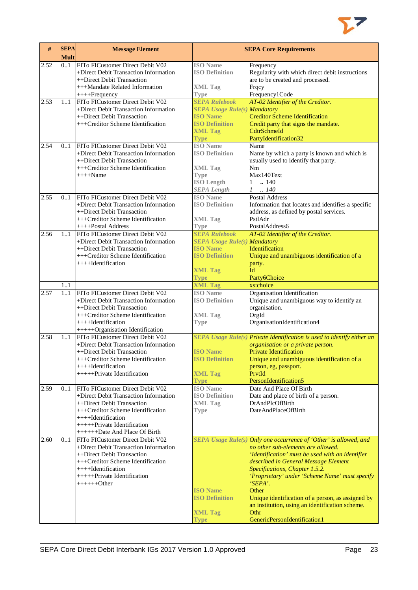

| FITo FICustomer Direct Debit V02<br><b>ISO</b> Name<br>2.52<br>01<br>Frequency<br>Regularity with which direct debit instructions<br>+Direct Debit Transaction Information<br><b>ISO Definition</b><br>++Direct Debit Transaction<br>are to be created and processed.<br>+++Mandate Related Information<br><b>XML Tag</b><br>Frqcy<br>++++Frequency<br>Frequency1Code<br><b>Type</b><br>FITo FICustomer Direct Debit V02<br><b>SEPA Rulebook</b><br>AT-02 Identifier of the Creditor.<br>2.53<br>11<br>+Direct Debit Transaction Information<br><b>SEPA Usage Rule(s) Mandatory</b><br><b>Creditor Scheme Identification</b><br>++Direct Debit Transaction<br><b>ISO Name</b><br><b>ISO Definition</b><br>+++Creditor Scheme Identification<br>Credit party that signs the mandate.<br><b>XML Tag</b><br>CdtrSchmeId<br>PartyIdentification32<br><b>Type</b><br><b>ISO</b> Name<br>FITo FICustomer Direct Debit V02<br>2.54<br>Name<br>01<br>+Direct Debit Transaction Information<br><b>ISO Definition</b><br>Name by which a party is known and which is<br>++Direct Debit Transaction<br>usually used to identify that party.<br>+++Creditor Scheme Identification<br><b>XML Tag</b><br>Nm<br>Max140Text<br>$+++$ Name<br><b>Type</b><br><b>ISO Length</b><br>1<br>.140<br><b>SEPA Length</b><br>$1 \quad . \quad 140$<br>FITo FICustomer Direct Debit V02<br><b>ISO</b> Name<br>Postal Address<br>2.55<br>0.1<br>+Direct Debit Transaction Information<br><b>ISO Definition</b><br>Information that locates and identifies a specific<br>++Direct Debit Transaction<br>address, as defined by postal services.<br>PstlAdr<br>+++Creditor Scheme Identification<br><b>XML Tag</b><br>++++Postal Address<br>PostalAddress6<br><b>Type</b><br><b>SEPA Rulebook</b><br>FITo FICustomer Direct Debit V02<br>AT-02 Identifier of the Creditor.<br>2.56<br>11<br>+Direct Debit Transaction Information<br><b>SEPA Usage Rule(s) Mandatory</b><br><b>ISO Name</b><br>Identification<br>++Direct Debit Transaction<br><b>ISO Definition</b><br>+++Creditor Scheme Identification<br>Unique and unambiguous identification of a<br>++++Identification<br>party.<br>Id<br><b>XML Tag</b><br><b>Type</b><br>Party6Choice<br><b>XML Tag</b><br>1.1<br>xs:choice<br>FITo FICustomer Direct Debit V02<br><b>ISO</b> Name<br>Organisation Identification<br>2.57<br>11<br>+Direct Debit Transaction Information<br><b>ISO Definition</b><br>Unique and unambiguous way to identify an<br>++Direct Debit Transaction<br>organisation.<br>OrgId<br>+++Creditor Scheme Identification<br><b>XML Tag</b><br>OrganisationIdentification4<br>++++Identification<br><b>Type</b><br>+++++Organisation Identification<br>FITo FICustomer Direct Debit V02<br>SEPA Usage Rule(s) Private Identification is used to identify either an<br>2.58<br>1.1<br>+Direct Debit Transaction Information<br>organisation or a private person.<br><b>ISO Name</b><br><b>Private Identification</b><br>++Direct Debit Transaction<br>+++Creditor Scheme Identification<br><b>ISO Definition</b><br>Unique and unambiguous identification of a<br>++++Identification<br>person, eg, passport.<br>+++++Private Identification<br>PrvtId<br><b>XML Tag</b><br>PersonIdentification5<br><b>Type</b><br><b>ISO</b> Name<br>Date And Place Of Birth<br>2.59<br>FITo FICustomer Direct Debit V02<br>01<br>+Direct Debit Transaction Information<br><b>ISO Definition</b><br>Date and place of birth of a person.<br>++Direct Debit Transaction<br>DtAndPlcOfBirth<br><b>XML Tag</b><br>DateAndPlaceOfBirth<br>+++Creditor Scheme Identification<br><b>Type</b><br>$++++$ Identification<br>++++++Private Identification<br>+++++++Date And Place Of Birth<br>SEPA Usage Rule(s) Only one occurrence of 'Other' is allowed, and<br>2.60<br>0.1<br>FITo FICustomer Direct Debit V02<br>+Direct Debit Transaction Information<br>no other sub-elements are allowed.<br>++Direct Debit Transaction<br>'Identification' must be used with an identifier<br>+++Creditor Scheme Identification<br>described in General Message Element<br>++++Identification<br>Specifications, Chapter 1.5.2.<br>++++++Private Identification<br>'Proprietary' under 'Scheme Name' must specify<br>$+++++Other$<br>'SEPA'.<br><b>ISO Name</b><br>Other<br><b>ISO Definition</b><br>Unique identification of a person, as assigned by<br>an institution, using an identification scheme.<br>Othr<br><b>XML Tag</b> | # | <b>SEPA</b><br><b>Mult</b> | <b>Message Element</b> |             | <b>SEPA Core Requirements</b> |
|---------------------------------------------------------------------------------------------------------------------------------------------------------------------------------------------------------------------------------------------------------------------------------------------------------------------------------------------------------------------------------------------------------------------------------------------------------------------------------------------------------------------------------------------------------------------------------------------------------------------------------------------------------------------------------------------------------------------------------------------------------------------------------------------------------------------------------------------------------------------------------------------------------------------------------------------------------------------------------------------------------------------------------------------------------------------------------------------------------------------------------------------------------------------------------------------------------------------------------------------------------------------------------------------------------------------------------------------------------------------------------------------------------------------------------------------------------------------------------------------------------------------------------------------------------------------------------------------------------------------------------------------------------------------------------------------------------------------------------------------------------------------------------------------------------------------------------------------------------------------------------------------------------------------------------------------------------------------------------------------------------------------------------------------------------------------------------------------------------------------------------------------------------------------------------------------------------------------------------------------------------------------------------------------------------------------------------------------------------------------------------------------------------------------------------------------------------------------------------------------------------------------------------------------------------------------------------------------------------------------------------------------------------------------------------------------------------------------------------------------------------------------------------------------------------------------------------------------------------------------------------------------------------------------------------------------------------------------------------------------------------------------------------------------------------------------------------------------------------------------------------------------------------------------------------------------------------------------------------------------------------------------------------------------------------------------------------------------------------------------------------------------------------------------------------------------------------------------------------------------------------------------------------------------------------------------------------------------------------------------------------------------------------------------------------------------------------------------------------------------------------------------------------------------------------------------------------------------------------------------------------------------------------------------------------------------------------------------------------------------------------------------------------------------------------------------------------------------------------------------------------------------------------------------------------------------------------------------------------------------------------------------------------------------------------------------------------------------------------------------------------------------------------------------------------------------------|---|----------------------------|------------------------|-------------|-------------------------------|
|                                                                                                                                                                                                                                                                                                                                                                                                                                                                                                                                                                                                                                                                                                                                                                                                                                                                                                                                                                                                                                                                                                                                                                                                                                                                                                                                                                                                                                                                                                                                                                                                                                                                                                                                                                                                                                                                                                                                                                                                                                                                                                                                                                                                                                                                                                                                                                                                                                                                                                                                                                                                                                                                                                                                                                                                                                                                                                                                                                                                                                                                                                                                                                                                                                                                                                                                                                                                                                                                                                                                                                                                                                                                                                                                                                                                                                                                                                                                                                                                                                                                                                                                                                                                                                                                                                                                                                                                                                                   |   |                            |                        |             |                               |
|                                                                                                                                                                                                                                                                                                                                                                                                                                                                                                                                                                                                                                                                                                                                                                                                                                                                                                                                                                                                                                                                                                                                                                                                                                                                                                                                                                                                                                                                                                                                                                                                                                                                                                                                                                                                                                                                                                                                                                                                                                                                                                                                                                                                                                                                                                                                                                                                                                                                                                                                                                                                                                                                                                                                                                                                                                                                                                                                                                                                                                                                                                                                                                                                                                                                                                                                                                                                                                                                                                                                                                                                                                                                                                                                                                                                                                                                                                                                                                                                                                                                                                                                                                                                                                                                                                                                                                                                                                                   |   |                            |                        |             |                               |
|                                                                                                                                                                                                                                                                                                                                                                                                                                                                                                                                                                                                                                                                                                                                                                                                                                                                                                                                                                                                                                                                                                                                                                                                                                                                                                                                                                                                                                                                                                                                                                                                                                                                                                                                                                                                                                                                                                                                                                                                                                                                                                                                                                                                                                                                                                                                                                                                                                                                                                                                                                                                                                                                                                                                                                                                                                                                                                                                                                                                                                                                                                                                                                                                                                                                                                                                                                                                                                                                                                                                                                                                                                                                                                                                                                                                                                                                                                                                                                                                                                                                                                                                                                                                                                                                                                                                                                                                                                                   |   |                            |                        |             |                               |
|                                                                                                                                                                                                                                                                                                                                                                                                                                                                                                                                                                                                                                                                                                                                                                                                                                                                                                                                                                                                                                                                                                                                                                                                                                                                                                                                                                                                                                                                                                                                                                                                                                                                                                                                                                                                                                                                                                                                                                                                                                                                                                                                                                                                                                                                                                                                                                                                                                                                                                                                                                                                                                                                                                                                                                                                                                                                                                                                                                                                                                                                                                                                                                                                                                                                                                                                                                                                                                                                                                                                                                                                                                                                                                                                                                                                                                                                                                                                                                                                                                                                                                                                                                                                                                                                                                                                                                                                                                                   |   |                            |                        |             |                               |
|                                                                                                                                                                                                                                                                                                                                                                                                                                                                                                                                                                                                                                                                                                                                                                                                                                                                                                                                                                                                                                                                                                                                                                                                                                                                                                                                                                                                                                                                                                                                                                                                                                                                                                                                                                                                                                                                                                                                                                                                                                                                                                                                                                                                                                                                                                                                                                                                                                                                                                                                                                                                                                                                                                                                                                                                                                                                                                                                                                                                                                                                                                                                                                                                                                                                                                                                                                                                                                                                                                                                                                                                                                                                                                                                                                                                                                                                                                                                                                                                                                                                                                                                                                                                                                                                                                                                                                                                                                                   |   |                            |                        |             |                               |
|                                                                                                                                                                                                                                                                                                                                                                                                                                                                                                                                                                                                                                                                                                                                                                                                                                                                                                                                                                                                                                                                                                                                                                                                                                                                                                                                                                                                                                                                                                                                                                                                                                                                                                                                                                                                                                                                                                                                                                                                                                                                                                                                                                                                                                                                                                                                                                                                                                                                                                                                                                                                                                                                                                                                                                                                                                                                                                                                                                                                                                                                                                                                                                                                                                                                                                                                                                                                                                                                                                                                                                                                                                                                                                                                                                                                                                                                                                                                                                                                                                                                                                                                                                                                                                                                                                                                                                                                                                                   |   |                            |                        |             |                               |
|                                                                                                                                                                                                                                                                                                                                                                                                                                                                                                                                                                                                                                                                                                                                                                                                                                                                                                                                                                                                                                                                                                                                                                                                                                                                                                                                                                                                                                                                                                                                                                                                                                                                                                                                                                                                                                                                                                                                                                                                                                                                                                                                                                                                                                                                                                                                                                                                                                                                                                                                                                                                                                                                                                                                                                                                                                                                                                                                                                                                                                                                                                                                                                                                                                                                                                                                                                                                                                                                                                                                                                                                                                                                                                                                                                                                                                                                                                                                                                                                                                                                                                                                                                                                                                                                                                                                                                                                                                                   |   |                            |                        |             |                               |
|                                                                                                                                                                                                                                                                                                                                                                                                                                                                                                                                                                                                                                                                                                                                                                                                                                                                                                                                                                                                                                                                                                                                                                                                                                                                                                                                                                                                                                                                                                                                                                                                                                                                                                                                                                                                                                                                                                                                                                                                                                                                                                                                                                                                                                                                                                                                                                                                                                                                                                                                                                                                                                                                                                                                                                                                                                                                                                                                                                                                                                                                                                                                                                                                                                                                                                                                                                                                                                                                                                                                                                                                                                                                                                                                                                                                                                                                                                                                                                                                                                                                                                                                                                                                                                                                                                                                                                                                                                                   |   |                            |                        |             |                               |
|                                                                                                                                                                                                                                                                                                                                                                                                                                                                                                                                                                                                                                                                                                                                                                                                                                                                                                                                                                                                                                                                                                                                                                                                                                                                                                                                                                                                                                                                                                                                                                                                                                                                                                                                                                                                                                                                                                                                                                                                                                                                                                                                                                                                                                                                                                                                                                                                                                                                                                                                                                                                                                                                                                                                                                                                                                                                                                                                                                                                                                                                                                                                                                                                                                                                                                                                                                                                                                                                                                                                                                                                                                                                                                                                                                                                                                                                                                                                                                                                                                                                                                                                                                                                                                                                                                                                                                                                                                                   |   |                            |                        |             |                               |
|                                                                                                                                                                                                                                                                                                                                                                                                                                                                                                                                                                                                                                                                                                                                                                                                                                                                                                                                                                                                                                                                                                                                                                                                                                                                                                                                                                                                                                                                                                                                                                                                                                                                                                                                                                                                                                                                                                                                                                                                                                                                                                                                                                                                                                                                                                                                                                                                                                                                                                                                                                                                                                                                                                                                                                                                                                                                                                                                                                                                                                                                                                                                                                                                                                                                                                                                                                                                                                                                                                                                                                                                                                                                                                                                                                                                                                                                                                                                                                                                                                                                                                                                                                                                                                                                                                                                                                                                                                                   |   |                            |                        |             |                               |
|                                                                                                                                                                                                                                                                                                                                                                                                                                                                                                                                                                                                                                                                                                                                                                                                                                                                                                                                                                                                                                                                                                                                                                                                                                                                                                                                                                                                                                                                                                                                                                                                                                                                                                                                                                                                                                                                                                                                                                                                                                                                                                                                                                                                                                                                                                                                                                                                                                                                                                                                                                                                                                                                                                                                                                                                                                                                                                                                                                                                                                                                                                                                                                                                                                                                                                                                                                                                                                                                                                                                                                                                                                                                                                                                                                                                                                                                                                                                                                                                                                                                                                                                                                                                                                                                                                                                                                                                                                                   |   |                            |                        |             |                               |
|                                                                                                                                                                                                                                                                                                                                                                                                                                                                                                                                                                                                                                                                                                                                                                                                                                                                                                                                                                                                                                                                                                                                                                                                                                                                                                                                                                                                                                                                                                                                                                                                                                                                                                                                                                                                                                                                                                                                                                                                                                                                                                                                                                                                                                                                                                                                                                                                                                                                                                                                                                                                                                                                                                                                                                                                                                                                                                                                                                                                                                                                                                                                                                                                                                                                                                                                                                                                                                                                                                                                                                                                                                                                                                                                                                                                                                                                                                                                                                                                                                                                                                                                                                                                                                                                                                                                                                                                                                                   |   |                            |                        |             |                               |
|                                                                                                                                                                                                                                                                                                                                                                                                                                                                                                                                                                                                                                                                                                                                                                                                                                                                                                                                                                                                                                                                                                                                                                                                                                                                                                                                                                                                                                                                                                                                                                                                                                                                                                                                                                                                                                                                                                                                                                                                                                                                                                                                                                                                                                                                                                                                                                                                                                                                                                                                                                                                                                                                                                                                                                                                                                                                                                                                                                                                                                                                                                                                                                                                                                                                                                                                                                                                                                                                                                                                                                                                                                                                                                                                                                                                                                                                                                                                                                                                                                                                                                                                                                                                                                                                                                                                                                                                                                                   |   |                            |                        |             |                               |
|                                                                                                                                                                                                                                                                                                                                                                                                                                                                                                                                                                                                                                                                                                                                                                                                                                                                                                                                                                                                                                                                                                                                                                                                                                                                                                                                                                                                                                                                                                                                                                                                                                                                                                                                                                                                                                                                                                                                                                                                                                                                                                                                                                                                                                                                                                                                                                                                                                                                                                                                                                                                                                                                                                                                                                                                                                                                                                                                                                                                                                                                                                                                                                                                                                                                                                                                                                                                                                                                                                                                                                                                                                                                                                                                                                                                                                                                                                                                                                                                                                                                                                                                                                                                                                                                                                                                                                                                                                                   |   |                            |                        |             |                               |
|                                                                                                                                                                                                                                                                                                                                                                                                                                                                                                                                                                                                                                                                                                                                                                                                                                                                                                                                                                                                                                                                                                                                                                                                                                                                                                                                                                                                                                                                                                                                                                                                                                                                                                                                                                                                                                                                                                                                                                                                                                                                                                                                                                                                                                                                                                                                                                                                                                                                                                                                                                                                                                                                                                                                                                                                                                                                                                                                                                                                                                                                                                                                                                                                                                                                                                                                                                                                                                                                                                                                                                                                                                                                                                                                                                                                                                                                                                                                                                                                                                                                                                                                                                                                                                                                                                                                                                                                                                                   |   |                            |                        |             |                               |
|                                                                                                                                                                                                                                                                                                                                                                                                                                                                                                                                                                                                                                                                                                                                                                                                                                                                                                                                                                                                                                                                                                                                                                                                                                                                                                                                                                                                                                                                                                                                                                                                                                                                                                                                                                                                                                                                                                                                                                                                                                                                                                                                                                                                                                                                                                                                                                                                                                                                                                                                                                                                                                                                                                                                                                                                                                                                                                                                                                                                                                                                                                                                                                                                                                                                                                                                                                                                                                                                                                                                                                                                                                                                                                                                                                                                                                                                                                                                                                                                                                                                                                                                                                                                                                                                                                                                                                                                                                                   |   |                            |                        |             |                               |
|                                                                                                                                                                                                                                                                                                                                                                                                                                                                                                                                                                                                                                                                                                                                                                                                                                                                                                                                                                                                                                                                                                                                                                                                                                                                                                                                                                                                                                                                                                                                                                                                                                                                                                                                                                                                                                                                                                                                                                                                                                                                                                                                                                                                                                                                                                                                                                                                                                                                                                                                                                                                                                                                                                                                                                                                                                                                                                                                                                                                                                                                                                                                                                                                                                                                                                                                                                                                                                                                                                                                                                                                                                                                                                                                                                                                                                                                                                                                                                                                                                                                                                                                                                                                                                                                                                                                                                                                                                                   |   |                            |                        |             |                               |
|                                                                                                                                                                                                                                                                                                                                                                                                                                                                                                                                                                                                                                                                                                                                                                                                                                                                                                                                                                                                                                                                                                                                                                                                                                                                                                                                                                                                                                                                                                                                                                                                                                                                                                                                                                                                                                                                                                                                                                                                                                                                                                                                                                                                                                                                                                                                                                                                                                                                                                                                                                                                                                                                                                                                                                                                                                                                                                                                                                                                                                                                                                                                                                                                                                                                                                                                                                                                                                                                                                                                                                                                                                                                                                                                                                                                                                                                                                                                                                                                                                                                                                                                                                                                                                                                                                                                                                                                                                                   |   |                            |                        |             |                               |
|                                                                                                                                                                                                                                                                                                                                                                                                                                                                                                                                                                                                                                                                                                                                                                                                                                                                                                                                                                                                                                                                                                                                                                                                                                                                                                                                                                                                                                                                                                                                                                                                                                                                                                                                                                                                                                                                                                                                                                                                                                                                                                                                                                                                                                                                                                                                                                                                                                                                                                                                                                                                                                                                                                                                                                                                                                                                                                                                                                                                                                                                                                                                                                                                                                                                                                                                                                                                                                                                                                                                                                                                                                                                                                                                                                                                                                                                                                                                                                                                                                                                                                                                                                                                                                                                                                                                                                                                                                                   |   |                            |                        |             |                               |
|                                                                                                                                                                                                                                                                                                                                                                                                                                                                                                                                                                                                                                                                                                                                                                                                                                                                                                                                                                                                                                                                                                                                                                                                                                                                                                                                                                                                                                                                                                                                                                                                                                                                                                                                                                                                                                                                                                                                                                                                                                                                                                                                                                                                                                                                                                                                                                                                                                                                                                                                                                                                                                                                                                                                                                                                                                                                                                                                                                                                                                                                                                                                                                                                                                                                                                                                                                                                                                                                                                                                                                                                                                                                                                                                                                                                                                                                                                                                                                                                                                                                                                                                                                                                                                                                                                                                                                                                                                                   |   |                            |                        |             |                               |
|                                                                                                                                                                                                                                                                                                                                                                                                                                                                                                                                                                                                                                                                                                                                                                                                                                                                                                                                                                                                                                                                                                                                                                                                                                                                                                                                                                                                                                                                                                                                                                                                                                                                                                                                                                                                                                                                                                                                                                                                                                                                                                                                                                                                                                                                                                                                                                                                                                                                                                                                                                                                                                                                                                                                                                                                                                                                                                                                                                                                                                                                                                                                                                                                                                                                                                                                                                                                                                                                                                                                                                                                                                                                                                                                                                                                                                                                                                                                                                                                                                                                                                                                                                                                                                                                                                                                                                                                                                                   |   |                            |                        |             |                               |
|                                                                                                                                                                                                                                                                                                                                                                                                                                                                                                                                                                                                                                                                                                                                                                                                                                                                                                                                                                                                                                                                                                                                                                                                                                                                                                                                                                                                                                                                                                                                                                                                                                                                                                                                                                                                                                                                                                                                                                                                                                                                                                                                                                                                                                                                                                                                                                                                                                                                                                                                                                                                                                                                                                                                                                                                                                                                                                                                                                                                                                                                                                                                                                                                                                                                                                                                                                                                                                                                                                                                                                                                                                                                                                                                                                                                                                                                                                                                                                                                                                                                                                                                                                                                                                                                                                                                                                                                                                                   |   |                            |                        |             |                               |
|                                                                                                                                                                                                                                                                                                                                                                                                                                                                                                                                                                                                                                                                                                                                                                                                                                                                                                                                                                                                                                                                                                                                                                                                                                                                                                                                                                                                                                                                                                                                                                                                                                                                                                                                                                                                                                                                                                                                                                                                                                                                                                                                                                                                                                                                                                                                                                                                                                                                                                                                                                                                                                                                                                                                                                                                                                                                                                                                                                                                                                                                                                                                                                                                                                                                                                                                                                                                                                                                                                                                                                                                                                                                                                                                                                                                                                                                                                                                                                                                                                                                                                                                                                                                                                                                                                                                                                                                                                                   |   |                            |                        |             |                               |
|                                                                                                                                                                                                                                                                                                                                                                                                                                                                                                                                                                                                                                                                                                                                                                                                                                                                                                                                                                                                                                                                                                                                                                                                                                                                                                                                                                                                                                                                                                                                                                                                                                                                                                                                                                                                                                                                                                                                                                                                                                                                                                                                                                                                                                                                                                                                                                                                                                                                                                                                                                                                                                                                                                                                                                                                                                                                                                                                                                                                                                                                                                                                                                                                                                                                                                                                                                                                                                                                                                                                                                                                                                                                                                                                                                                                                                                                                                                                                                                                                                                                                                                                                                                                                                                                                                                                                                                                                                                   |   |                            |                        |             |                               |
|                                                                                                                                                                                                                                                                                                                                                                                                                                                                                                                                                                                                                                                                                                                                                                                                                                                                                                                                                                                                                                                                                                                                                                                                                                                                                                                                                                                                                                                                                                                                                                                                                                                                                                                                                                                                                                                                                                                                                                                                                                                                                                                                                                                                                                                                                                                                                                                                                                                                                                                                                                                                                                                                                                                                                                                                                                                                                                                                                                                                                                                                                                                                                                                                                                                                                                                                                                                                                                                                                                                                                                                                                                                                                                                                                                                                                                                                                                                                                                                                                                                                                                                                                                                                                                                                                                                                                                                                                                                   |   |                            |                        |             |                               |
|                                                                                                                                                                                                                                                                                                                                                                                                                                                                                                                                                                                                                                                                                                                                                                                                                                                                                                                                                                                                                                                                                                                                                                                                                                                                                                                                                                                                                                                                                                                                                                                                                                                                                                                                                                                                                                                                                                                                                                                                                                                                                                                                                                                                                                                                                                                                                                                                                                                                                                                                                                                                                                                                                                                                                                                                                                                                                                                                                                                                                                                                                                                                                                                                                                                                                                                                                                                                                                                                                                                                                                                                                                                                                                                                                                                                                                                                                                                                                                                                                                                                                                                                                                                                                                                                                                                                                                                                                                                   |   |                            |                        |             |                               |
|                                                                                                                                                                                                                                                                                                                                                                                                                                                                                                                                                                                                                                                                                                                                                                                                                                                                                                                                                                                                                                                                                                                                                                                                                                                                                                                                                                                                                                                                                                                                                                                                                                                                                                                                                                                                                                                                                                                                                                                                                                                                                                                                                                                                                                                                                                                                                                                                                                                                                                                                                                                                                                                                                                                                                                                                                                                                                                                                                                                                                                                                                                                                                                                                                                                                                                                                                                                                                                                                                                                                                                                                                                                                                                                                                                                                                                                                                                                                                                                                                                                                                                                                                                                                                                                                                                                                                                                                                                                   |   |                            |                        |             |                               |
|                                                                                                                                                                                                                                                                                                                                                                                                                                                                                                                                                                                                                                                                                                                                                                                                                                                                                                                                                                                                                                                                                                                                                                                                                                                                                                                                                                                                                                                                                                                                                                                                                                                                                                                                                                                                                                                                                                                                                                                                                                                                                                                                                                                                                                                                                                                                                                                                                                                                                                                                                                                                                                                                                                                                                                                                                                                                                                                                                                                                                                                                                                                                                                                                                                                                                                                                                                                                                                                                                                                                                                                                                                                                                                                                                                                                                                                                                                                                                                                                                                                                                                                                                                                                                                                                                                                                                                                                                                                   |   |                            |                        |             |                               |
|                                                                                                                                                                                                                                                                                                                                                                                                                                                                                                                                                                                                                                                                                                                                                                                                                                                                                                                                                                                                                                                                                                                                                                                                                                                                                                                                                                                                                                                                                                                                                                                                                                                                                                                                                                                                                                                                                                                                                                                                                                                                                                                                                                                                                                                                                                                                                                                                                                                                                                                                                                                                                                                                                                                                                                                                                                                                                                                                                                                                                                                                                                                                                                                                                                                                                                                                                                                                                                                                                                                                                                                                                                                                                                                                                                                                                                                                                                                                                                                                                                                                                                                                                                                                                                                                                                                                                                                                                                                   |   |                            |                        |             |                               |
|                                                                                                                                                                                                                                                                                                                                                                                                                                                                                                                                                                                                                                                                                                                                                                                                                                                                                                                                                                                                                                                                                                                                                                                                                                                                                                                                                                                                                                                                                                                                                                                                                                                                                                                                                                                                                                                                                                                                                                                                                                                                                                                                                                                                                                                                                                                                                                                                                                                                                                                                                                                                                                                                                                                                                                                                                                                                                                                                                                                                                                                                                                                                                                                                                                                                                                                                                                                                                                                                                                                                                                                                                                                                                                                                                                                                                                                                                                                                                                                                                                                                                                                                                                                                                                                                                                                                                                                                                                                   |   |                            |                        |             |                               |
|                                                                                                                                                                                                                                                                                                                                                                                                                                                                                                                                                                                                                                                                                                                                                                                                                                                                                                                                                                                                                                                                                                                                                                                                                                                                                                                                                                                                                                                                                                                                                                                                                                                                                                                                                                                                                                                                                                                                                                                                                                                                                                                                                                                                                                                                                                                                                                                                                                                                                                                                                                                                                                                                                                                                                                                                                                                                                                                                                                                                                                                                                                                                                                                                                                                                                                                                                                                                                                                                                                                                                                                                                                                                                                                                                                                                                                                                                                                                                                                                                                                                                                                                                                                                                                                                                                                                                                                                                                                   |   |                            |                        |             |                               |
|                                                                                                                                                                                                                                                                                                                                                                                                                                                                                                                                                                                                                                                                                                                                                                                                                                                                                                                                                                                                                                                                                                                                                                                                                                                                                                                                                                                                                                                                                                                                                                                                                                                                                                                                                                                                                                                                                                                                                                                                                                                                                                                                                                                                                                                                                                                                                                                                                                                                                                                                                                                                                                                                                                                                                                                                                                                                                                                                                                                                                                                                                                                                                                                                                                                                                                                                                                                                                                                                                                                                                                                                                                                                                                                                                                                                                                                                                                                                                                                                                                                                                                                                                                                                                                                                                                                                                                                                                                                   |   |                            |                        |             |                               |
|                                                                                                                                                                                                                                                                                                                                                                                                                                                                                                                                                                                                                                                                                                                                                                                                                                                                                                                                                                                                                                                                                                                                                                                                                                                                                                                                                                                                                                                                                                                                                                                                                                                                                                                                                                                                                                                                                                                                                                                                                                                                                                                                                                                                                                                                                                                                                                                                                                                                                                                                                                                                                                                                                                                                                                                                                                                                                                                                                                                                                                                                                                                                                                                                                                                                                                                                                                                                                                                                                                                                                                                                                                                                                                                                                                                                                                                                                                                                                                                                                                                                                                                                                                                                                                                                                                                                                                                                                                                   |   |                            |                        |             |                               |
|                                                                                                                                                                                                                                                                                                                                                                                                                                                                                                                                                                                                                                                                                                                                                                                                                                                                                                                                                                                                                                                                                                                                                                                                                                                                                                                                                                                                                                                                                                                                                                                                                                                                                                                                                                                                                                                                                                                                                                                                                                                                                                                                                                                                                                                                                                                                                                                                                                                                                                                                                                                                                                                                                                                                                                                                                                                                                                                                                                                                                                                                                                                                                                                                                                                                                                                                                                                                                                                                                                                                                                                                                                                                                                                                                                                                                                                                                                                                                                                                                                                                                                                                                                                                                                                                                                                                                                                                                                                   |   |                            |                        |             |                               |
|                                                                                                                                                                                                                                                                                                                                                                                                                                                                                                                                                                                                                                                                                                                                                                                                                                                                                                                                                                                                                                                                                                                                                                                                                                                                                                                                                                                                                                                                                                                                                                                                                                                                                                                                                                                                                                                                                                                                                                                                                                                                                                                                                                                                                                                                                                                                                                                                                                                                                                                                                                                                                                                                                                                                                                                                                                                                                                                                                                                                                                                                                                                                                                                                                                                                                                                                                                                                                                                                                                                                                                                                                                                                                                                                                                                                                                                                                                                                                                                                                                                                                                                                                                                                                                                                                                                                                                                                                                                   |   |                            |                        |             |                               |
|                                                                                                                                                                                                                                                                                                                                                                                                                                                                                                                                                                                                                                                                                                                                                                                                                                                                                                                                                                                                                                                                                                                                                                                                                                                                                                                                                                                                                                                                                                                                                                                                                                                                                                                                                                                                                                                                                                                                                                                                                                                                                                                                                                                                                                                                                                                                                                                                                                                                                                                                                                                                                                                                                                                                                                                                                                                                                                                                                                                                                                                                                                                                                                                                                                                                                                                                                                                                                                                                                                                                                                                                                                                                                                                                                                                                                                                                                                                                                                                                                                                                                                                                                                                                                                                                                                                                                                                                                                                   |   |                            |                        |             |                               |
|                                                                                                                                                                                                                                                                                                                                                                                                                                                                                                                                                                                                                                                                                                                                                                                                                                                                                                                                                                                                                                                                                                                                                                                                                                                                                                                                                                                                                                                                                                                                                                                                                                                                                                                                                                                                                                                                                                                                                                                                                                                                                                                                                                                                                                                                                                                                                                                                                                                                                                                                                                                                                                                                                                                                                                                                                                                                                                                                                                                                                                                                                                                                                                                                                                                                                                                                                                                                                                                                                                                                                                                                                                                                                                                                                                                                                                                                                                                                                                                                                                                                                                                                                                                                                                                                                                                                                                                                                                                   |   |                            |                        |             |                               |
|                                                                                                                                                                                                                                                                                                                                                                                                                                                                                                                                                                                                                                                                                                                                                                                                                                                                                                                                                                                                                                                                                                                                                                                                                                                                                                                                                                                                                                                                                                                                                                                                                                                                                                                                                                                                                                                                                                                                                                                                                                                                                                                                                                                                                                                                                                                                                                                                                                                                                                                                                                                                                                                                                                                                                                                                                                                                                                                                                                                                                                                                                                                                                                                                                                                                                                                                                                                                                                                                                                                                                                                                                                                                                                                                                                                                                                                                                                                                                                                                                                                                                                                                                                                                                                                                                                                                                                                                                                                   |   |                            |                        |             |                               |
|                                                                                                                                                                                                                                                                                                                                                                                                                                                                                                                                                                                                                                                                                                                                                                                                                                                                                                                                                                                                                                                                                                                                                                                                                                                                                                                                                                                                                                                                                                                                                                                                                                                                                                                                                                                                                                                                                                                                                                                                                                                                                                                                                                                                                                                                                                                                                                                                                                                                                                                                                                                                                                                                                                                                                                                                                                                                                                                                                                                                                                                                                                                                                                                                                                                                                                                                                                                                                                                                                                                                                                                                                                                                                                                                                                                                                                                                                                                                                                                                                                                                                                                                                                                                                                                                                                                                                                                                                                                   |   |                            |                        |             |                               |
|                                                                                                                                                                                                                                                                                                                                                                                                                                                                                                                                                                                                                                                                                                                                                                                                                                                                                                                                                                                                                                                                                                                                                                                                                                                                                                                                                                                                                                                                                                                                                                                                                                                                                                                                                                                                                                                                                                                                                                                                                                                                                                                                                                                                                                                                                                                                                                                                                                                                                                                                                                                                                                                                                                                                                                                                                                                                                                                                                                                                                                                                                                                                                                                                                                                                                                                                                                                                                                                                                                                                                                                                                                                                                                                                                                                                                                                                                                                                                                                                                                                                                                                                                                                                                                                                                                                                                                                                                                                   |   |                            |                        |             |                               |
|                                                                                                                                                                                                                                                                                                                                                                                                                                                                                                                                                                                                                                                                                                                                                                                                                                                                                                                                                                                                                                                                                                                                                                                                                                                                                                                                                                                                                                                                                                                                                                                                                                                                                                                                                                                                                                                                                                                                                                                                                                                                                                                                                                                                                                                                                                                                                                                                                                                                                                                                                                                                                                                                                                                                                                                                                                                                                                                                                                                                                                                                                                                                                                                                                                                                                                                                                                                                                                                                                                                                                                                                                                                                                                                                                                                                                                                                                                                                                                                                                                                                                                                                                                                                                                                                                                                                                                                                                                                   |   |                            |                        |             |                               |
|                                                                                                                                                                                                                                                                                                                                                                                                                                                                                                                                                                                                                                                                                                                                                                                                                                                                                                                                                                                                                                                                                                                                                                                                                                                                                                                                                                                                                                                                                                                                                                                                                                                                                                                                                                                                                                                                                                                                                                                                                                                                                                                                                                                                                                                                                                                                                                                                                                                                                                                                                                                                                                                                                                                                                                                                                                                                                                                                                                                                                                                                                                                                                                                                                                                                                                                                                                                                                                                                                                                                                                                                                                                                                                                                                                                                                                                                                                                                                                                                                                                                                                                                                                                                                                                                                                                                                                                                                                                   |   |                            |                        |             |                               |
|                                                                                                                                                                                                                                                                                                                                                                                                                                                                                                                                                                                                                                                                                                                                                                                                                                                                                                                                                                                                                                                                                                                                                                                                                                                                                                                                                                                                                                                                                                                                                                                                                                                                                                                                                                                                                                                                                                                                                                                                                                                                                                                                                                                                                                                                                                                                                                                                                                                                                                                                                                                                                                                                                                                                                                                                                                                                                                                                                                                                                                                                                                                                                                                                                                                                                                                                                                                                                                                                                                                                                                                                                                                                                                                                                                                                                                                                                                                                                                                                                                                                                                                                                                                                                                                                                                                                                                                                                                                   |   |                            |                        |             |                               |
|                                                                                                                                                                                                                                                                                                                                                                                                                                                                                                                                                                                                                                                                                                                                                                                                                                                                                                                                                                                                                                                                                                                                                                                                                                                                                                                                                                                                                                                                                                                                                                                                                                                                                                                                                                                                                                                                                                                                                                                                                                                                                                                                                                                                                                                                                                                                                                                                                                                                                                                                                                                                                                                                                                                                                                                                                                                                                                                                                                                                                                                                                                                                                                                                                                                                                                                                                                                                                                                                                                                                                                                                                                                                                                                                                                                                                                                                                                                                                                                                                                                                                                                                                                                                                                                                                                                                                                                                                                                   |   |                            |                        |             |                               |
|                                                                                                                                                                                                                                                                                                                                                                                                                                                                                                                                                                                                                                                                                                                                                                                                                                                                                                                                                                                                                                                                                                                                                                                                                                                                                                                                                                                                                                                                                                                                                                                                                                                                                                                                                                                                                                                                                                                                                                                                                                                                                                                                                                                                                                                                                                                                                                                                                                                                                                                                                                                                                                                                                                                                                                                                                                                                                                                                                                                                                                                                                                                                                                                                                                                                                                                                                                                                                                                                                                                                                                                                                                                                                                                                                                                                                                                                                                                                                                                                                                                                                                                                                                                                                                                                                                                                                                                                                                                   |   |                            |                        |             |                               |
|                                                                                                                                                                                                                                                                                                                                                                                                                                                                                                                                                                                                                                                                                                                                                                                                                                                                                                                                                                                                                                                                                                                                                                                                                                                                                                                                                                                                                                                                                                                                                                                                                                                                                                                                                                                                                                                                                                                                                                                                                                                                                                                                                                                                                                                                                                                                                                                                                                                                                                                                                                                                                                                                                                                                                                                                                                                                                                                                                                                                                                                                                                                                                                                                                                                                                                                                                                                                                                                                                                                                                                                                                                                                                                                                                                                                                                                                                                                                                                                                                                                                                                                                                                                                                                                                                                                                                                                                                                                   |   |                            |                        |             |                               |
|                                                                                                                                                                                                                                                                                                                                                                                                                                                                                                                                                                                                                                                                                                                                                                                                                                                                                                                                                                                                                                                                                                                                                                                                                                                                                                                                                                                                                                                                                                                                                                                                                                                                                                                                                                                                                                                                                                                                                                                                                                                                                                                                                                                                                                                                                                                                                                                                                                                                                                                                                                                                                                                                                                                                                                                                                                                                                                                                                                                                                                                                                                                                                                                                                                                                                                                                                                                                                                                                                                                                                                                                                                                                                                                                                                                                                                                                                                                                                                                                                                                                                                                                                                                                                                                                                                                                                                                                                                                   |   |                            |                        |             |                               |
|                                                                                                                                                                                                                                                                                                                                                                                                                                                                                                                                                                                                                                                                                                                                                                                                                                                                                                                                                                                                                                                                                                                                                                                                                                                                                                                                                                                                                                                                                                                                                                                                                                                                                                                                                                                                                                                                                                                                                                                                                                                                                                                                                                                                                                                                                                                                                                                                                                                                                                                                                                                                                                                                                                                                                                                                                                                                                                                                                                                                                                                                                                                                                                                                                                                                                                                                                                                                                                                                                                                                                                                                                                                                                                                                                                                                                                                                                                                                                                                                                                                                                                                                                                                                                                                                                                                                                                                                                                                   |   |                            |                        |             |                               |
|                                                                                                                                                                                                                                                                                                                                                                                                                                                                                                                                                                                                                                                                                                                                                                                                                                                                                                                                                                                                                                                                                                                                                                                                                                                                                                                                                                                                                                                                                                                                                                                                                                                                                                                                                                                                                                                                                                                                                                                                                                                                                                                                                                                                                                                                                                                                                                                                                                                                                                                                                                                                                                                                                                                                                                                                                                                                                                                                                                                                                                                                                                                                                                                                                                                                                                                                                                                                                                                                                                                                                                                                                                                                                                                                                                                                                                                                                                                                                                                                                                                                                                                                                                                                                                                                                                                                                                                                                                                   |   |                            |                        |             |                               |
|                                                                                                                                                                                                                                                                                                                                                                                                                                                                                                                                                                                                                                                                                                                                                                                                                                                                                                                                                                                                                                                                                                                                                                                                                                                                                                                                                                                                                                                                                                                                                                                                                                                                                                                                                                                                                                                                                                                                                                                                                                                                                                                                                                                                                                                                                                                                                                                                                                                                                                                                                                                                                                                                                                                                                                                                                                                                                                                                                                                                                                                                                                                                                                                                                                                                                                                                                                                                                                                                                                                                                                                                                                                                                                                                                                                                                                                                                                                                                                                                                                                                                                                                                                                                                                                                                                                                                                                                                                                   |   |                            |                        |             |                               |
|                                                                                                                                                                                                                                                                                                                                                                                                                                                                                                                                                                                                                                                                                                                                                                                                                                                                                                                                                                                                                                                                                                                                                                                                                                                                                                                                                                                                                                                                                                                                                                                                                                                                                                                                                                                                                                                                                                                                                                                                                                                                                                                                                                                                                                                                                                                                                                                                                                                                                                                                                                                                                                                                                                                                                                                                                                                                                                                                                                                                                                                                                                                                                                                                                                                                                                                                                                                                                                                                                                                                                                                                                                                                                                                                                                                                                                                                                                                                                                                                                                                                                                                                                                                                                                                                                                                                                                                                                                                   |   |                            |                        |             |                               |
|                                                                                                                                                                                                                                                                                                                                                                                                                                                                                                                                                                                                                                                                                                                                                                                                                                                                                                                                                                                                                                                                                                                                                                                                                                                                                                                                                                                                                                                                                                                                                                                                                                                                                                                                                                                                                                                                                                                                                                                                                                                                                                                                                                                                                                                                                                                                                                                                                                                                                                                                                                                                                                                                                                                                                                                                                                                                                                                                                                                                                                                                                                                                                                                                                                                                                                                                                                                                                                                                                                                                                                                                                                                                                                                                                                                                                                                                                                                                                                                                                                                                                                                                                                                                                                                                                                                                                                                                                                                   |   |                            |                        |             |                               |
|                                                                                                                                                                                                                                                                                                                                                                                                                                                                                                                                                                                                                                                                                                                                                                                                                                                                                                                                                                                                                                                                                                                                                                                                                                                                                                                                                                                                                                                                                                                                                                                                                                                                                                                                                                                                                                                                                                                                                                                                                                                                                                                                                                                                                                                                                                                                                                                                                                                                                                                                                                                                                                                                                                                                                                                                                                                                                                                                                                                                                                                                                                                                                                                                                                                                                                                                                                                                                                                                                                                                                                                                                                                                                                                                                                                                                                                                                                                                                                                                                                                                                                                                                                                                                                                                                                                                                                                                                                                   |   |                            |                        |             |                               |
|                                                                                                                                                                                                                                                                                                                                                                                                                                                                                                                                                                                                                                                                                                                                                                                                                                                                                                                                                                                                                                                                                                                                                                                                                                                                                                                                                                                                                                                                                                                                                                                                                                                                                                                                                                                                                                                                                                                                                                                                                                                                                                                                                                                                                                                                                                                                                                                                                                                                                                                                                                                                                                                                                                                                                                                                                                                                                                                                                                                                                                                                                                                                                                                                                                                                                                                                                                                                                                                                                                                                                                                                                                                                                                                                                                                                                                                                                                                                                                                                                                                                                                                                                                                                                                                                                                                                                                                                                                                   |   |                            |                        |             |                               |
|                                                                                                                                                                                                                                                                                                                                                                                                                                                                                                                                                                                                                                                                                                                                                                                                                                                                                                                                                                                                                                                                                                                                                                                                                                                                                                                                                                                                                                                                                                                                                                                                                                                                                                                                                                                                                                                                                                                                                                                                                                                                                                                                                                                                                                                                                                                                                                                                                                                                                                                                                                                                                                                                                                                                                                                                                                                                                                                                                                                                                                                                                                                                                                                                                                                                                                                                                                                                                                                                                                                                                                                                                                                                                                                                                                                                                                                                                                                                                                                                                                                                                                                                                                                                                                                                                                                                                                                                                                                   |   |                            |                        |             |                               |
|                                                                                                                                                                                                                                                                                                                                                                                                                                                                                                                                                                                                                                                                                                                                                                                                                                                                                                                                                                                                                                                                                                                                                                                                                                                                                                                                                                                                                                                                                                                                                                                                                                                                                                                                                                                                                                                                                                                                                                                                                                                                                                                                                                                                                                                                                                                                                                                                                                                                                                                                                                                                                                                                                                                                                                                                                                                                                                                                                                                                                                                                                                                                                                                                                                                                                                                                                                                                                                                                                                                                                                                                                                                                                                                                                                                                                                                                                                                                                                                                                                                                                                                                                                                                                                                                                                                                                                                                                                                   |   |                            |                        |             |                               |
|                                                                                                                                                                                                                                                                                                                                                                                                                                                                                                                                                                                                                                                                                                                                                                                                                                                                                                                                                                                                                                                                                                                                                                                                                                                                                                                                                                                                                                                                                                                                                                                                                                                                                                                                                                                                                                                                                                                                                                                                                                                                                                                                                                                                                                                                                                                                                                                                                                                                                                                                                                                                                                                                                                                                                                                                                                                                                                                                                                                                                                                                                                                                                                                                                                                                                                                                                                                                                                                                                                                                                                                                                                                                                                                                                                                                                                                                                                                                                                                                                                                                                                                                                                                                                                                                                                                                                                                                                                                   |   |                            |                        |             |                               |
|                                                                                                                                                                                                                                                                                                                                                                                                                                                                                                                                                                                                                                                                                                                                                                                                                                                                                                                                                                                                                                                                                                                                                                                                                                                                                                                                                                                                                                                                                                                                                                                                                                                                                                                                                                                                                                                                                                                                                                                                                                                                                                                                                                                                                                                                                                                                                                                                                                                                                                                                                                                                                                                                                                                                                                                                                                                                                                                                                                                                                                                                                                                                                                                                                                                                                                                                                                                                                                                                                                                                                                                                                                                                                                                                                                                                                                                                                                                                                                                                                                                                                                                                                                                                                                                                                                                                                                                                                                                   |   |                            |                        |             |                               |
|                                                                                                                                                                                                                                                                                                                                                                                                                                                                                                                                                                                                                                                                                                                                                                                                                                                                                                                                                                                                                                                                                                                                                                                                                                                                                                                                                                                                                                                                                                                                                                                                                                                                                                                                                                                                                                                                                                                                                                                                                                                                                                                                                                                                                                                                                                                                                                                                                                                                                                                                                                                                                                                                                                                                                                                                                                                                                                                                                                                                                                                                                                                                                                                                                                                                                                                                                                                                                                                                                                                                                                                                                                                                                                                                                                                                                                                                                                                                                                                                                                                                                                                                                                                                                                                                                                                                                                                                                                                   |   |                            |                        |             |                               |
|                                                                                                                                                                                                                                                                                                                                                                                                                                                                                                                                                                                                                                                                                                                                                                                                                                                                                                                                                                                                                                                                                                                                                                                                                                                                                                                                                                                                                                                                                                                                                                                                                                                                                                                                                                                                                                                                                                                                                                                                                                                                                                                                                                                                                                                                                                                                                                                                                                                                                                                                                                                                                                                                                                                                                                                                                                                                                                                                                                                                                                                                                                                                                                                                                                                                                                                                                                                                                                                                                                                                                                                                                                                                                                                                                                                                                                                                                                                                                                                                                                                                                                                                                                                                                                                                                                                                                                                                                                                   |   |                            |                        |             |                               |
|                                                                                                                                                                                                                                                                                                                                                                                                                                                                                                                                                                                                                                                                                                                                                                                                                                                                                                                                                                                                                                                                                                                                                                                                                                                                                                                                                                                                                                                                                                                                                                                                                                                                                                                                                                                                                                                                                                                                                                                                                                                                                                                                                                                                                                                                                                                                                                                                                                                                                                                                                                                                                                                                                                                                                                                                                                                                                                                                                                                                                                                                                                                                                                                                                                                                                                                                                                                                                                                                                                                                                                                                                                                                                                                                                                                                                                                                                                                                                                                                                                                                                                                                                                                                                                                                                                                                                                                                                                                   |   |                            |                        |             |                               |
|                                                                                                                                                                                                                                                                                                                                                                                                                                                                                                                                                                                                                                                                                                                                                                                                                                                                                                                                                                                                                                                                                                                                                                                                                                                                                                                                                                                                                                                                                                                                                                                                                                                                                                                                                                                                                                                                                                                                                                                                                                                                                                                                                                                                                                                                                                                                                                                                                                                                                                                                                                                                                                                                                                                                                                                                                                                                                                                                                                                                                                                                                                                                                                                                                                                                                                                                                                                                                                                                                                                                                                                                                                                                                                                                                                                                                                                                                                                                                                                                                                                                                                                                                                                                                                                                                                                                                                                                                                                   |   |                            |                        | <b>Type</b> | GenericPersonIdentification1  |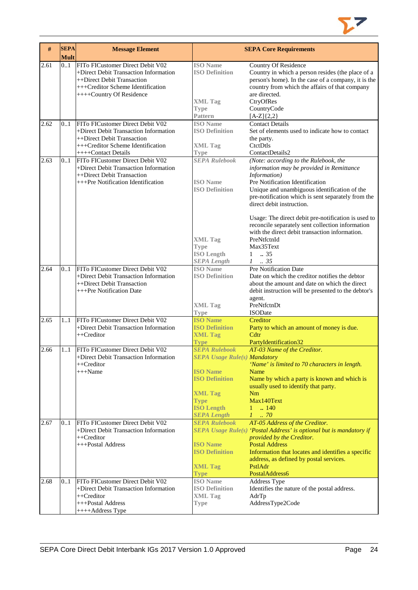

| #    | <b>SEPA</b><br><b>Mult</b> | <b>Message Element</b>                                                                                                                                                   |                                                                                                         | <b>SEPA Core Requirements</b>                                                                                                                                                                                                                                            |
|------|----------------------------|--------------------------------------------------------------------------------------------------------------------------------------------------------------------------|---------------------------------------------------------------------------------------------------------|--------------------------------------------------------------------------------------------------------------------------------------------------------------------------------------------------------------------------------------------------------------------------|
| 2.61 | 0.1                        | FITo FICustomer Direct Debit V02<br>+Direct Debit Transaction Information<br>++Direct Debit Transaction<br>+++Creditor Scheme Identification<br>++++Country Of Residence | <b>ISO</b> Name<br><b>ISO Definition</b><br><b>XML Tag</b><br><b>Type</b>                               | Country Of Residence<br>Country in which a person resides (the place of a<br>person's home). In the case of a company, it is the<br>country from which the affairs of that company<br>are directed.<br>CtryOfRes<br>CountryCode                                          |
| 2.62 | 01                         | FITo FICustomer Direct Debit V02<br>+Direct Debit Transaction Information                                                                                                | <b>Pattern</b><br><b>ISO</b> Name<br><b>ISO Definition</b>                                              | $[A-Z]\{2,2\}$<br><b>Contact Details</b><br>Set of elements used to indicate how to contact                                                                                                                                                                              |
|      |                            | ++Direct Debit Transaction<br>+++Creditor Scheme Identification<br>++++Contact Details                                                                                   | <b>XML Tag</b><br><b>Type</b>                                                                           | the party.<br>CtctDtls<br>ContactDetails2                                                                                                                                                                                                                                |
| 2.63 | 0.1                        | FITo FICustomer Direct Debit V02<br>+Direct Debit Transaction Information<br>++Direct Debit Transaction<br>+++Pre Notification Identification                            | <b>SEPA Rulebook</b><br><b>ISO</b> Name<br><b>ISO Definition</b>                                        | (Note: according to the Rulebook, the<br>information may be provided in Remittance<br>Information)<br>Pre Notification Identification<br>Unique and unambiguous identification of the<br>pre-notification which is sent separately from the<br>direct debit instruction. |
|      |                            |                                                                                                                                                                          | <b>XML Tag</b><br><b>Type</b><br><b>ISO</b> Length<br><b>SEPA Length</b>                                | Usage: The direct debit pre-notification is used to<br>reconcile separately sent collection information<br>with the direct debit transaction information.<br>PreNtfctnId<br>Max35Text<br>$\mathbf{1}$<br>.35<br>$1-.35$                                                  |
| 2.64 | 01                         | FITo FICustomer Direct Debit V02<br>+Direct Debit Transaction Information<br>++Direct Debit Transaction<br>+++Pre Notification Date                                      | <b>ISO</b> Name<br><b>ISO Definition</b>                                                                | Pre Notification Date<br>Date on which the creditor notifies the debtor<br>about the amount and date on which the direct<br>debit instruction will be presented to the debtor's<br>agent.                                                                                |
|      |                            |                                                                                                                                                                          | <b>XML Tag</b><br><b>Type</b>                                                                           | PreNtfctnDt<br><b>ISODate</b>                                                                                                                                                                                                                                            |
| 2.65 | 1.1                        | FITo FICustomer Direct Debit V02<br>+Direct Debit Transaction Information<br>++Creditor                                                                                  | <b>ISO Name</b><br><b>ISO Definition</b><br><b>XML Tag</b><br><b>Type</b>                               | Creditor<br>Party to which an amount of money is due.<br>C <sub>dt</sub><br>PartyIdentification32                                                                                                                                                                        |
| 2.66 | 11                         | FITo FICustomer Direct Debit V02<br>+Direct Debit Transaction Information<br>++Creditor<br>$+++Name$                                                                     | <b>SEPA Rulebook</b><br><b>SEPA Usage Rule(s) Mandatory</b><br><b>ISO Name</b><br><b>ISO Definition</b> | AT-03 Name of the Creditor.<br>'Name' is limited to 70 characters in length.<br>Name<br>Name by which a party is known and which is                                                                                                                                      |
|      |                            |                                                                                                                                                                          | <b>XML Tag</b><br><b>Type</b><br><b>ISO Length</b><br><b>SEPA Length</b>                                | usually used to identify that party.<br>Nm<br>Max140Text<br>.140<br>$1 -$<br>$1 \cdot .70$                                                                                                                                                                               |
| 2.67 | 01                         | FITo FICustomer Direct Debit V02<br>+Direct Debit Transaction Information<br>++Creditor<br>+++Postal Address                                                             | <b>SEPA Rulebook</b><br><b>ISO Name</b>                                                                 | AT-05 Address of the Creditor.<br>SEPA Usage Rule(s) 'Postal Address' is optional but is mandatory if<br>provided by the Creditor.<br><b>Postal Address</b>                                                                                                              |
|      |                            |                                                                                                                                                                          | <b>ISO Definition</b><br><b>XML Tag</b><br><b>Type</b>                                                  | Information that locates and identifies a specific<br>address, as defined by postal services.<br>PstlAdr<br>PostalAddress6                                                                                                                                               |
| 2.68 | 01                         | FITo FICustomer Direct Debit V02<br>+Direct Debit Transaction Information<br>$++Creditor$<br>+++Postal Address                                                           | <b>ISO Name</b><br><b>ISO Definition</b><br><b>XML Tag</b><br>Type                                      | Address Type<br>Identifies the nature of the postal address.<br>AdrTp<br>AddressType2Code                                                                                                                                                                                |
|      |                            | ++++Address Type                                                                                                                                                         |                                                                                                         |                                                                                                                                                                                                                                                                          |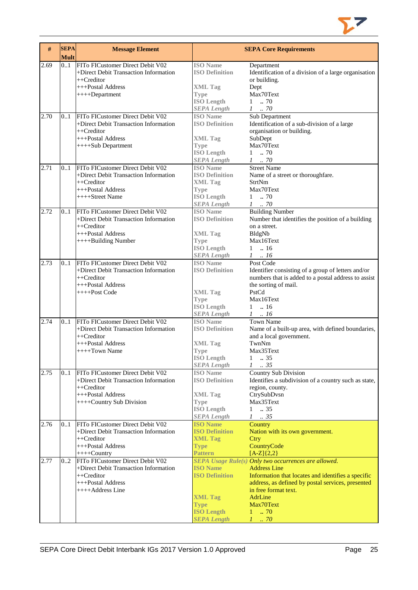

| #    | <b>SEPA</b><br><b>Mult</b> | <b>Message Element</b>                                                    |                                          | <b>SEPA Core Requirements</b>                                                      |
|------|----------------------------|---------------------------------------------------------------------------|------------------------------------------|------------------------------------------------------------------------------------|
| 2.69 | 01                         | FITo FICustomer Direct Debit V02                                          | <b>ISO</b> Name                          | Department                                                                         |
|      |                            | +Direct Debit Transaction Information<br>++Creditor                       | <b>ISO Definition</b>                    | Identification of a division of a large organisation<br>or building.               |
|      |                            | +++Postal Address                                                         | <b>XML Tag</b>                           | Dept                                                                               |
|      |                            | $+++Department$                                                           | <b>Type</b>                              | Max70Text                                                                          |
|      |                            |                                                                           | <b>ISO Length</b>                        | $1 \t . 70$                                                                        |
|      |                            |                                                                           | <b>SEPA Length</b>                       | $1$ 70                                                                             |
| 2.70 | 01                         | FITo FICustomer Direct Debit V02                                          | <b>ISO Name</b>                          | Sub Department                                                                     |
|      |                            | +Direct Debit Transaction Information                                     | <b>ISO Definition</b>                    | Identification of a sub-division of a large                                        |
|      |                            | $++Creditor$                                                              |                                          | organisation or building.                                                          |
|      |                            | +++Postal Address                                                         | <b>XML Tag</b>                           | SubDept                                                                            |
|      |                            | ++++Sub Department                                                        | <b>Type</b>                              | Max70Text                                                                          |
|      |                            |                                                                           | <b>ISO Length</b>                        | $1 \t . 70$                                                                        |
|      |                            |                                                                           | <b>SEPA Length</b>                       | $1 \t . 70$                                                                        |
| 2.71 | 0.1                        | FITo FICustomer Direct Debit V02                                          | <b>ISO</b> Name                          | <b>Street Name</b>                                                                 |
|      |                            | +Direct Debit Transaction Information                                     | <b>ISO Definition</b>                    | Name of a street or thoroughfare.                                                  |
|      |                            | ++Creditor                                                                | <b>XML Tag</b>                           | <b>StrtNm</b>                                                                      |
|      |                            | +++Postal Address<br>++++Street Name                                      | <b>Type</b>                              | Max70Text<br>$1 \t . 70$                                                           |
|      |                            |                                                                           | <b>ISO Length</b><br><b>SEPA Length</b>  | $1 \quad .70$                                                                      |
| 2.72 | 0.1                        | FITo FICustomer Direct Debit V02                                          | <b>ISO</b> Name                          | <b>Building Number</b>                                                             |
|      |                            | +Direct Debit Transaction Information                                     | <b>ISO Definition</b>                    | Number that identifies the position of a building                                  |
|      |                            | ++Creditor                                                                |                                          | on a street.                                                                       |
|      |                            | +++Postal Address                                                         | <b>XML Tag</b>                           | BldgNb                                                                             |
|      |                            | ++++Building Number                                                       | <b>Type</b>                              | Max16Text                                                                          |
|      |                            |                                                                           | <b>ISO Length</b>                        | $1 \t . 16$                                                                        |
|      |                            |                                                                           | <b>SEPA Length</b>                       | $1 \quad .16$                                                                      |
| 2.73 | 0.1                        | FITo FICustomer Direct Debit V02                                          | <b>ISO Name</b>                          | Post Code                                                                          |
|      |                            | +Direct Debit Transaction Information                                     | <b>ISO Definition</b>                    | Identifier consisting of a group of letters and/or                                 |
|      |                            | ++Creditor                                                                |                                          | numbers that is added to a postal address to assist                                |
|      |                            | +++Postal Address                                                         |                                          | the sorting of mail.                                                               |
|      |                            | ++++Post Code                                                             | <b>XML Tag</b>                           | PstCd                                                                              |
|      |                            |                                                                           | <b>Type</b>                              | Max16Text                                                                          |
|      |                            |                                                                           | <b>ISO Length</b>                        | $1 \t . 16$                                                                        |
|      |                            |                                                                           | <b>SEPA Length</b>                       | $1 \t . 16$                                                                        |
| 2.74 | 01                         | FITo FICustomer Direct Debit V02<br>+Direct Debit Transaction Information | <b>ISO</b> Name<br><b>ISO Definition</b> | <b>Town Name</b>                                                                   |
|      |                            | ++Creditor                                                                |                                          | Name of a built-up area, with defined boundaries,<br>and a local government.       |
|      |                            | +++Postal Address                                                         | <b>XML</b> Tag                           | TwnNm                                                                              |
|      |                            | $+++$ Town Name                                                           | <b>Type</b>                              | Max35Text                                                                          |
|      |                            |                                                                           | <b>ISO</b> Length                        | $\mathbf{1}$<br>$\therefore$ 35                                                    |
|      |                            |                                                                           | <b>SEPA Length</b>                       | $1 \t . 35$                                                                        |
| 2.75 | 01                         | FITo FICustomer Direct Debit V02                                          | <b>ISO</b> Name                          | Country Sub Division                                                               |
|      |                            | +Direct Debit Transaction Information                                     | <b>ISO Definition</b>                    | Identifies a subdivision of a country such as state,                               |
|      |                            | ++Creditor                                                                |                                          | region, county.                                                                    |
|      |                            | +++Postal Address                                                         | <b>XML Tag</b>                           | CtrySubDvsn                                                                        |
|      |                            | ++++Country Sub Division                                                  | <b>Type</b>                              | Max35Text                                                                          |
|      |                            |                                                                           | <b>ISO Length</b>                        | 1<br>$\therefore$ 35                                                               |
|      |                            |                                                                           | <b>SEPA Length</b>                       | $1 \t . 35$                                                                        |
| 2.76 | 0.1                        | FITo FICustomer Direct Debit V02                                          | <b>ISO Name</b>                          | Country                                                                            |
|      |                            | +Direct Debit Transaction Information                                     | <b>ISO Definition</b>                    | Nation with its own government.                                                    |
|      |                            | ++Creditor                                                                | <b>XML Tag</b>                           | Ctry                                                                               |
|      |                            | +++Postal Address                                                         | <b>Type</b>                              | CountryCode                                                                        |
|      |                            | $+++$ Country                                                             | <b>Pattern</b>                           | $[A-Z]\{2,2\}$                                                                     |
| 2.77 | 0.2                        | FITo FICustomer Direct Debit V02<br>+Direct Debit Transaction Information | <b>ISO Name</b>                          | <b>SEPA Usage Rule(s) Only two occurrences are allowed.</b><br><b>Address Line</b> |
|      |                            | ++Creditor                                                                | <b>ISO Definition</b>                    | Information that locates and identifies a specific                                 |
|      |                            | +++Postal Address                                                         |                                          | address, as defined by postal services, presented                                  |
|      |                            | ++++Address Line                                                          |                                          | in free format text.                                                               |
|      |                            |                                                                           | <b>XML Tag</b>                           | <b>AdrLine</b>                                                                     |
|      |                            |                                                                           | <b>Type</b>                              | Max70Text                                                                          |
|      |                            |                                                                           | <b>ISO Length</b>                        | $1 \t . 70$                                                                        |
|      |                            |                                                                           | <b>SEPA Length</b>                       | $1 \dots 70$                                                                       |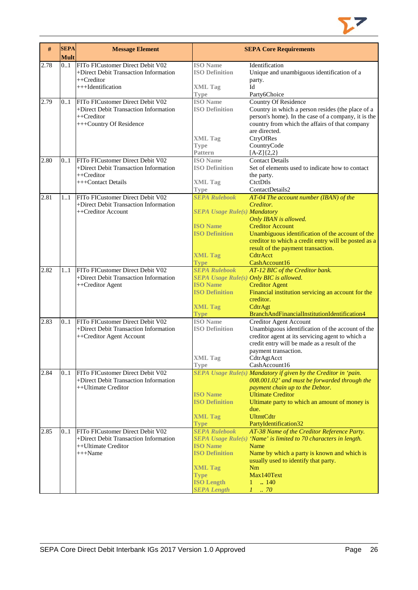

| #    | <b>SEPA</b><br><b>Mult</b> | <b>Message Element</b>                                                                                             |                                                                                                                                              | <b>SEPA Core Requirements</b>                                                                                                                                                                                                                                                                          |
|------|----------------------------|--------------------------------------------------------------------------------------------------------------------|----------------------------------------------------------------------------------------------------------------------------------------------|--------------------------------------------------------------------------------------------------------------------------------------------------------------------------------------------------------------------------------------------------------------------------------------------------------|
| 2.78 | 01                         | FITo FICustomer Direct Debit V02<br>+Direct Debit Transaction Information<br>++Creditor<br>+++Identification       | <b>ISO</b> Name<br><b>ISO Definition</b><br><b>XML Tag</b>                                                                                   | Identification<br>Unique and unambiguous identification of a<br>party.<br>Id                                                                                                                                                                                                                           |
| 2.79 | 01                         | FITo FICustomer Direct Debit V02<br>+Direct Debit Transaction Information<br>++Creditor<br>+++Country Of Residence | <b>Type</b><br><b>ISO</b> Name<br><b>ISO Definition</b>                                                                                      | Party6Choice<br><b>Country Of Residence</b><br>Country in which a person resides (the place of a<br>person's home). In the case of a company, it is the<br>country from which the affairs of that company<br>are directed.                                                                             |
|      |                            |                                                                                                                    | <b>XML Tag</b><br><b>Type</b><br><b>Pattern</b>                                                                                              | CtryOfRes<br>CountryCode<br>$[A-Z]\{2,2\}$                                                                                                                                                                                                                                                             |
| 2.80 | 01                         | FITo FICustomer Direct Debit V02<br>+Direct Debit Transaction Information<br>$++Creditor$<br>+++Contact Details    | <b>ISO</b> Name<br><b>ISO Definition</b><br><b>XML Tag</b>                                                                                   | <b>Contact Details</b><br>Set of elements used to indicate how to contact<br>the party.<br>CtctDtls                                                                                                                                                                                                    |
| 2.81 | 11                         | FITo FICustomer Direct Debit V02<br>+Direct Debit Transaction Information<br>++Creditor Account                    | <b>Type</b><br><b>SEPA Rulebook</b><br><b>SEPA Usage Rule(s) Mandatory</b><br><b>ISO</b> Name                                                | ContactDetails2<br>AT-04 The account number (IBAN) of the<br>Creditor.<br>Only IBAN is allowed.<br><b>Creditor Account</b>                                                                                                                                                                             |
|      |                            |                                                                                                                    | <b>ISO Definition</b><br><b>XML Tag</b><br><b>Type</b>                                                                                       | Unambiguous identification of the account of the<br>creditor to which a credit entry will be posted as a<br>result of the payment transaction.<br>CdtrAcct<br>CashAccount16                                                                                                                            |
| 2.82 | 1.1                        | FITo FICustomer Direct Debit V02<br>+Direct Debit Transaction Information<br>++Creditor Agent                      | <b>SEPA Rulebook</b><br>SEPA Usage Rule(s) Only BIC is allowed.<br><b>ISO Name</b><br><b>ISO Definition</b><br><b>XML Tag</b><br><b>Type</b> | AT-12 BIC of the Creditor bank.<br><b>Creditor Agent</b><br>Financial institution servicing an account for the<br>creditor.<br>CdtrAgt<br>BranchAndFinancialInstitutionIdentification4                                                                                                                 |
| 2.83 | 0.1                        | FITo FICustomer Direct Debit V02<br>+Direct Debit Transaction Information<br>++Creditor Agent Account              | <b>ISO</b> Name<br><b>ISO Definition</b><br><b>XML Tag</b>                                                                                   | Creditor Agent Account<br>Unambiguous identification of the account of the<br>creditor agent at its servicing agent to which a<br>credit entry will be made as a result of the<br>payment transaction.<br>CdtrAgtAcct                                                                                  |
| 2.84 | 0.1                        | FITo FICustomer Direct Debit V02<br>+Direct Debit Transaction Information<br>++Ultimate Creditor                   | Type<br><b>ISO</b> Name<br><b>ISO Definition</b><br><b>XML Tag</b><br><b>Type</b>                                                            | CashAccount16<br>SEPA Usage Rule(s) Mandatory if given by the Creditor in 'pain.<br>008.001.02' and must be forwarded through the<br>payment chain up to the Debtor.<br><b>Ultimate Creditor</b><br>Ultimate party to which an amount of money is<br>due.<br><b>UltmtCdtr</b><br>PartyIdentification32 |
| 2.85 | 0.1                        | FITo FICustomer Direct Debit V02<br>+Direct Debit Transaction Information<br>++Ultimate Creditor<br>$+++Name$      | <b>SEPA Rulebook</b><br><b>ISO Name</b><br><b>ISO Definition</b><br><b>XML Tag</b><br><b>Type</b><br><b>ISO Length</b><br><b>SEPA Length</b> | AT-38 Name of the Creditor Reference Party.<br>SEPA Usage Rule(s) 'Name' is limited to 70 characters in length.<br>Name<br>Name by which a party is known and which is<br>usually used to identify that party.<br>Nm<br>Max140Text<br>$\therefore$ 140<br>$\mathbf{1}$<br>$1 \ldots 70$                |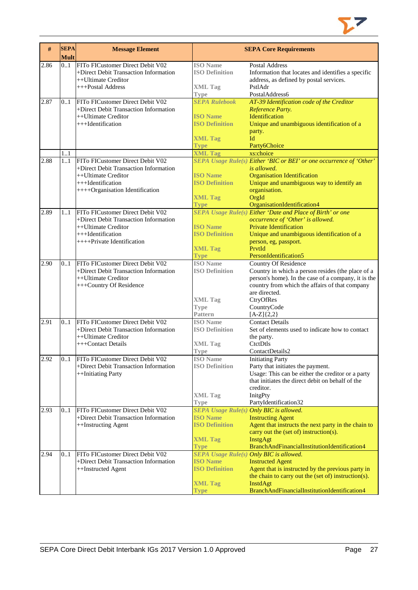

| FITo FICustomer Direct Debit V02<br><b>ISO</b> Name<br><b>Postal Address</b><br>2.86<br>01<br><b>ISO Definition</b><br>+Direct Debit Transaction Information<br>Information that locates and identifies a specific<br>address, as defined by postal services.<br>++Ultimate Creditor<br>+++Postal Address<br><b>XML Tag</b><br>PstlAdr<br>PostalAddress6<br><b>Type</b><br><b>SEPA Rulebook</b><br>FITo FICustomer Direct Debit V02<br>AT-39 Identification code of the Creditor<br>2.87<br>01<br>+Direct Debit Transaction Information<br>Reference Party.<br>++Ultimate Creditor<br><b>ISO Name</b><br><b>Identification</b><br><b>ISO Definition</b><br>Unique and unambiguous identification of a<br>+++Identification<br>party.<br>Id<br><b>XML Tag</b><br><b>Type</b><br>Party6Choice<br><b>XML Tag</b><br>xs:choice<br>1.1<br>2.88<br>FITo FICustomer Direct Debit V02<br>SEPA Usage Rule(s) Either 'BIC or BEI' or one occurrence of 'Other'<br>11<br>is allowed.<br>+Direct Debit Transaction Information<br><b>ISO Name</b><br><b>Organisation Identification</b><br>++Ultimate Creditor<br><b>ISO Definition</b><br>Unique and unambiguous way to identify an<br>+++Identification<br>++++Organisation Identification<br>organisation.<br>OrgId<br><b>XML Tag</b><br>OrganisationIdentification4<br><b>Type</b><br>FITo FICustomer Direct Debit V02<br><b>SEPA Usage Rule(s) Either 'Date and Place of Birth' or one</b><br>2.89<br>1.1<br>+Direct Debit Transaction Information<br>occurrence of 'Other' is allowed.<br><b>ISO Name</b><br><b>Private Identification</b><br>++Ultimate Creditor<br><b>ISO Definition</b><br>Unique and unambiguous identification of a<br>+++Identification<br>++++Private Identification<br>person, eg, passport.<br><b>XML Tag</b><br>PrytId<br>PersonIdentification5<br><b>Type</b><br>FITo FICustomer Direct Debit V02<br><b>ISO Name</b><br>2.90<br>Country Of Residence<br>0.1<br>+Direct Debit Transaction Information<br><b>ISO Definition</b><br>Country in which a person resides (the place of a<br>++Ultimate Creditor<br>person's home). In the case of a company, it is the<br>country from which the affairs of that company<br>+++Country Of Residence<br>are directed.<br><b>XML Tag</b><br>CtryOfRes<br>CountryCode<br><b>Type</b><br><b>Pattern</b><br>$[A-Z]{2,2}$<br>FITo FICustomer Direct Debit V02<br><b>ISO</b> Name<br><b>Contact Details</b><br>2.91<br>0.1<br>+Direct Debit Transaction Information<br><b>ISO Definition</b><br>Set of elements used to indicate how to contact<br>++Ultimate Creditor<br>the party.<br>CtctDtls<br>+++Contact Details<br><b>XML</b> Tag<br>ContactDetails2<br><b>Type</b><br><b>ISO</b> Name<br><b>Initiating Party</b><br>2.92<br>FITo FICustomer Direct Debit V02<br>0.1<br>+Direct Debit Transaction Information<br><b>ISO Definition</b><br>Party that initiates the payment.<br>Usage: This can be either the creditor or a party<br>++Initiating Party<br>that initiates the direct debit on behalf of the<br>creditor.<br><b>XML Tag</b><br>InitgPty<br>PartyIdentification32<br><b>Type</b><br>FITo FICustomer Direct Debit V02<br><b>SEPA Usage Rule(s) Only BIC is allowed.</b><br>2.93<br>0.1<br>+Direct Debit Transaction Information<br><b>ISO Name</b><br><b>Instructing Agent</b><br><b>ISO Definition</b><br>Agent that instructs the next party in the chain to<br>++Instructing Agent<br>carry out the (set of) instruction(s).<br><b>XML Tag</b><br>InstgAgt<br>BranchAndFinancialInstitutionIdentification4<br><b>Type</b><br>FITo FICustomer Direct Debit V02<br><b>SEPA Usage Rule(s) Only BIC is allowed.</b><br>2.94<br>0.1<br><b>ISO Name</b><br>+Direct Debit Transaction Information<br><b>Instructed Agent</b><br><b>ISO Definition</b><br>++Instructed Agent<br>Agent that is instructed by the previous party in<br>the chain to carry out the (set of) instruction(s).<br><b>XML Tag</b><br>InstdAgt<br>BranchAndFinancialInstitutionIdentification4<br><b>Type</b> | # | <b>SEPA</b><br><b>Mult</b> | <b>Message Element</b> | <b>SEPA Core Requirements</b> |
|-------------------------------------------------------------------------------------------------------------------------------------------------------------------------------------------------------------------------------------------------------------------------------------------------------------------------------------------------------------------------------------------------------------------------------------------------------------------------------------------------------------------------------------------------------------------------------------------------------------------------------------------------------------------------------------------------------------------------------------------------------------------------------------------------------------------------------------------------------------------------------------------------------------------------------------------------------------------------------------------------------------------------------------------------------------------------------------------------------------------------------------------------------------------------------------------------------------------------------------------------------------------------------------------------------------------------------------------------------------------------------------------------------------------------------------------------------------------------------------------------------------------------------------------------------------------------------------------------------------------------------------------------------------------------------------------------------------------------------------------------------------------------------------------------------------------------------------------------------------------------------------------------------------------------------------------------------------------------------------------------------------------------------------------------------------------------------------------------------------------------------------------------------------------------------------------------------------------------------------------------------------------------------------------------------------------------------------------------------------------------------------------------------------------------------------------------------------------------------------------------------------------------------------------------------------------------------------------------------------------------------------------------------------------------------------------------------------------------------------------------------------------------------------------------------------------------------------------------------------------------------------------------------------------------------------------------------------------------------------------------------------------------------------------------------------------------------------------------------------------------------------------------------------------------------------------------------------------------------------------------------------------------------------------------------------------------------------------------------------------------------------------------------------------------------------------------------------------------------------------------------------------------------------------------------------------------------------------------------------------------------------------------------------------------------------------------------------------------------------------------------------------------------------------------------------------------------------------------------------------------------------------------------------------------------------------------------------------------------------------------------------|---|----------------------------|------------------------|-------------------------------|
|                                                                                                                                                                                                                                                                                                                                                                                                                                                                                                                                                                                                                                                                                                                                                                                                                                                                                                                                                                                                                                                                                                                                                                                                                                                                                                                                                                                                                                                                                                                                                                                                                                                                                                                                                                                                                                                                                                                                                                                                                                                                                                                                                                                                                                                                                                                                                                                                                                                                                                                                                                                                                                                                                                                                                                                                                                                                                                                                                                                                                                                                                                                                                                                                                                                                                                                                                                                                                                                                                                                                                                                                                                                                                                                                                                                                                                                                                                                                                                                                             |   |                            |                        |                               |
|                                                                                                                                                                                                                                                                                                                                                                                                                                                                                                                                                                                                                                                                                                                                                                                                                                                                                                                                                                                                                                                                                                                                                                                                                                                                                                                                                                                                                                                                                                                                                                                                                                                                                                                                                                                                                                                                                                                                                                                                                                                                                                                                                                                                                                                                                                                                                                                                                                                                                                                                                                                                                                                                                                                                                                                                                                                                                                                                                                                                                                                                                                                                                                                                                                                                                                                                                                                                                                                                                                                                                                                                                                                                                                                                                                                                                                                                                                                                                                                                             |   |                            |                        |                               |
|                                                                                                                                                                                                                                                                                                                                                                                                                                                                                                                                                                                                                                                                                                                                                                                                                                                                                                                                                                                                                                                                                                                                                                                                                                                                                                                                                                                                                                                                                                                                                                                                                                                                                                                                                                                                                                                                                                                                                                                                                                                                                                                                                                                                                                                                                                                                                                                                                                                                                                                                                                                                                                                                                                                                                                                                                                                                                                                                                                                                                                                                                                                                                                                                                                                                                                                                                                                                                                                                                                                                                                                                                                                                                                                                                                                                                                                                                                                                                                                                             |   |                            |                        |                               |
|                                                                                                                                                                                                                                                                                                                                                                                                                                                                                                                                                                                                                                                                                                                                                                                                                                                                                                                                                                                                                                                                                                                                                                                                                                                                                                                                                                                                                                                                                                                                                                                                                                                                                                                                                                                                                                                                                                                                                                                                                                                                                                                                                                                                                                                                                                                                                                                                                                                                                                                                                                                                                                                                                                                                                                                                                                                                                                                                                                                                                                                                                                                                                                                                                                                                                                                                                                                                                                                                                                                                                                                                                                                                                                                                                                                                                                                                                                                                                                                                             |   |                            |                        |                               |
|                                                                                                                                                                                                                                                                                                                                                                                                                                                                                                                                                                                                                                                                                                                                                                                                                                                                                                                                                                                                                                                                                                                                                                                                                                                                                                                                                                                                                                                                                                                                                                                                                                                                                                                                                                                                                                                                                                                                                                                                                                                                                                                                                                                                                                                                                                                                                                                                                                                                                                                                                                                                                                                                                                                                                                                                                                                                                                                                                                                                                                                                                                                                                                                                                                                                                                                                                                                                                                                                                                                                                                                                                                                                                                                                                                                                                                                                                                                                                                                                             |   |                            |                        |                               |
|                                                                                                                                                                                                                                                                                                                                                                                                                                                                                                                                                                                                                                                                                                                                                                                                                                                                                                                                                                                                                                                                                                                                                                                                                                                                                                                                                                                                                                                                                                                                                                                                                                                                                                                                                                                                                                                                                                                                                                                                                                                                                                                                                                                                                                                                                                                                                                                                                                                                                                                                                                                                                                                                                                                                                                                                                                                                                                                                                                                                                                                                                                                                                                                                                                                                                                                                                                                                                                                                                                                                                                                                                                                                                                                                                                                                                                                                                                                                                                                                             |   |                            |                        |                               |
|                                                                                                                                                                                                                                                                                                                                                                                                                                                                                                                                                                                                                                                                                                                                                                                                                                                                                                                                                                                                                                                                                                                                                                                                                                                                                                                                                                                                                                                                                                                                                                                                                                                                                                                                                                                                                                                                                                                                                                                                                                                                                                                                                                                                                                                                                                                                                                                                                                                                                                                                                                                                                                                                                                                                                                                                                                                                                                                                                                                                                                                                                                                                                                                                                                                                                                                                                                                                                                                                                                                                                                                                                                                                                                                                                                                                                                                                                                                                                                                                             |   |                            |                        |                               |
|                                                                                                                                                                                                                                                                                                                                                                                                                                                                                                                                                                                                                                                                                                                                                                                                                                                                                                                                                                                                                                                                                                                                                                                                                                                                                                                                                                                                                                                                                                                                                                                                                                                                                                                                                                                                                                                                                                                                                                                                                                                                                                                                                                                                                                                                                                                                                                                                                                                                                                                                                                                                                                                                                                                                                                                                                                                                                                                                                                                                                                                                                                                                                                                                                                                                                                                                                                                                                                                                                                                                                                                                                                                                                                                                                                                                                                                                                                                                                                                                             |   |                            |                        |                               |
|                                                                                                                                                                                                                                                                                                                                                                                                                                                                                                                                                                                                                                                                                                                                                                                                                                                                                                                                                                                                                                                                                                                                                                                                                                                                                                                                                                                                                                                                                                                                                                                                                                                                                                                                                                                                                                                                                                                                                                                                                                                                                                                                                                                                                                                                                                                                                                                                                                                                                                                                                                                                                                                                                                                                                                                                                                                                                                                                                                                                                                                                                                                                                                                                                                                                                                                                                                                                                                                                                                                                                                                                                                                                                                                                                                                                                                                                                                                                                                                                             |   |                            |                        |                               |
|                                                                                                                                                                                                                                                                                                                                                                                                                                                                                                                                                                                                                                                                                                                                                                                                                                                                                                                                                                                                                                                                                                                                                                                                                                                                                                                                                                                                                                                                                                                                                                                                                                                                                                                                                                                                                                                                                                                                                                                                                                                                                                                                                                                                                                                                                                                                                                                                                                                                                                                                                                                                                                                                                                                                                                                                                                                                                                                                                                                                                                                                                                                                                                                                                                                                                                                                                                                                                                                                                                                                                                                                                                                                                                                                                                                                                                                                                                                                                                                                             |   |                            |                        |                               |
|                                                                                                                                                                                                                                                                                                                                                                                                                                                                                                                                                                                                                                                                                                                                                                                                                                                                                                                                                                                                                                                                                                                                                                                                                                                                                                                                                                                                                                                                                                                                                                                                                                                                                                                                                                                                                                                                                                                                                                                                                                                                                                                                                                                                                                                                                                                                                                                                                                                                                                                                                                                                                                                                                                                                                                                                                                                                                                                                                                                                                                                                                                                                                                                                                                                                                                                                                                                                                                                                                                                                                                                                                                                                                                                                                                                                                                                                                                                                                                                                             |   |                            |                        |                               |
|                                                                                                                                                                                                                                                                                                                                                                                                                                                                                                                                                                                                                                                                                                                                                                                                                                                                                                                                                                                                                                                                                                                                                                                                                                                                                                                                                                                                                                                                                                                                                                                                                                                                                                                                                                                                                                                                                                                                                                                                                                                                                                                                                                                                                                                                                                                                                                                                                                                                                                                                                                                                                                                                                                                                                                                                                                                                                                                                                                                                                                                                                                                                                                                                                                                                                                                                                                                                                                                                                                                                                                                                                                                                                                                                                                                                                                                                                                                                                                                                             |   |                            |                        |                               |
|                                                                                                                                                                                                                                                                                                                                                                                                                                                                                                                                                                                                                                                                                                                                                                                                                                                                                                                                                                                                                                                                                                                                                                                                                                                                                                                                                                                                                                                                                                                                                                                                                                                                                                                                                                                                                                                                                                                                                                                                                                                                                                                                                                                                                                                                                                                                                                                                                                                                                                                                                                                                                                                                                                                                                                                                                                                                                                                                                                                                                                                                                                                                                                                                                                                                                                                                                                                                                                                                                                                                                                                                                                                                                                                                                                                                                                                                                                                                                                                                             |   |                            |                        |                               |
|                                                                                                                                                                                                                                                                                                                                                                                                                                                                                                                                                                                                                                                                                                                                                                                                                                                                                                                                                                                                                                                                                                                                                                                                                                                                                                                                                                                                                                                                                                                                                                                                                                                                                                                                                                                                                                                                                                                                                                                                                                                                                                                                                                                                                                                                                                                                                                                                                                                                                                                                                                                                                                                                                                                                                                                                                                                                                                                                                                                                                                                                                                                                                                                                                                                                                                                                                                                                                                                                                                                                                                                                                                                                                                                                                                                                                                                                                                                                                                                                             |   |                            |                        |                               |
|                                                                                                                                                                                                                                                                                                                                                                                                                                                                                                                                                                                                                                                                                                                                                                                                                                                                                                                                                                                                                                                                                                                                                                                                                                                                                                                                                                                                                                                                                                                                                                                                                                                                                                                                                                                                                                                                                                                                                                                                                                                                                                                                                                                                                                                                                                                                                                                                                                                                                                                                                                                                                                                                                                                                                                                                                                                                                                                                                                                                                                                                                                                                                                                                                                                                                                                                                                                                                                                                                                                                                                                                                                                                                                                                                                                                                                                                                                                                                                                                             |   |                            |                        |                               |
|                                                                                                                                                                                                                                                                                                                                                                                                                                                                                                                                                                                                                                                                                                                                                                                                                                                                                                                                                                                                                                                                                                                                                                                                                                                                                                                                                                                                                                                                                                                                                                                                                                                                                                                                                                                                                                                                                                                                                                                                                                                                                                                                                                                                                                                                                                                                                                                                                                                                                                                                                                                                                                                                                                                                                                                                                                                                                                                                                                                                                                                                                                                                                                                                                                                                                                                                                                                                                                                                                                                                                                                                                                                                                                                                                                                                                                                                                                                                                                                                             |   |                            |                        |                               |
|                                                                                                                                                                                                                                                                                                                                                                                                                                                                                                                                                                                                                                                                                                                                                                                                                                                                                                                                                                                                                                                                                                                                                                                                                                                                                                                                                                                                                                                                                                                                                                                                                                                                                                                                                                                                                                                                                                                                                                                                                                                                                                                                                                                                                                                                                                                                                                                                                                                                                                                                                                                                                                                                                                                                                                                                                                                                                                                                                                                                                                                                                                                                                                                                                                                                                                                                                                                                                                                                                                                                                                                                                                                                                                                                                                                                                                                                                                                                                                                                             |   |                            |                        |                               |
|                                                                                                                                                                                                                                                                                                                                                                                                                                                                                                                                                                                                                                                                                                                                                                                                                                                                                                                                                                                                                                                                                                                                                                                                                                                                                                                                                                                                                                                                                                                                                                                                                                                                                                                                                                                                                                                                                                                                                                                                                                                                                                                                                                                                                                                                                                                                                                                                                                                                                                                                                                                                                                                                                                                                                                                                                                                                                                                                                                                                                                                                                                                                                                                                                                                                                                                                                                                                                                                                                                                                                                                                                                                                                                                                                                                                                                                                                                                                                                                                             |   |                            |                        |                               |
|                                                                                                                                                                                                                                                                                                                                                                                                                                                                                                                                                                                                                                                                                                                                                                                                                                                                                                                                                                                                                                                                                                                                                                                                                                                                                                                                                                                                                                                                                                                                                                                                                                                                                                                                                                                                                                                                                                                                                                                                                                                                                                                                                                                                                                                                                                                                                                                                                                                                                                                                                                                                                                                                                                                                                                                                                                                                                                                                                                                                                                                                                                                                                                                                                                                                                                                                                                                                                                                                                                                                                                                                                                                                                                                                                                                                                                                                                                                                                                                                             |   |                            |                        |                               |
|                                                                                                                                                                                                                                                                                                                                                                                                                                                                                                                                                                                                                                                                                                                                                                                                                                                                                                                                                                                                                                                                                                                                                                                                                                                                                                                                                                                                                                                                                                                                                                                                                                                                                                                                                                                                                                                                                                                                                                                                                                                                                                                                                                                                                                                                                                                                                                                                                                                                                                                                                                                                                                                                                                                                                                                                                                                                                                                                                                                                                                                                                                                                                                                                                                                                                                                                                                                                                                                                                                                                                                                                                                                                                                                                                                                                                                                                                                                                                                                                             |   |                            |                        |                               |
|                                                                                                                                                                                                                                                                                                                                                                                                                                                                                                                                                                                                                                                                                                                                                                                                                                                                                                                                                                                                                                                                                                                                                                                                                                                                                                                                                                                                                                                                                                                                                                                                                                                                                                                                                                                                                                                                                                                                                                                                                                                                                                                                                                                                                                                                                                                                                                                                                                                                                                                                                                                                                                                                                                                                                                                                                                                                                                                                                                                                                                                                                                                                                                                                                                                                                                                                                                                                                                                                                                                                                                                                                                                                                                                                                                                                                                                                                                                                                                                                             |   |                            |                        |                               |
|                                                                                                                                                                                                                                                                                                                                                                                                                                                                                                                                                                                                                                                                                                                                                                                                                                                                                                                                                                                                                                                                                                                                                                                                                                                                                                                                                                                                                                                                                                                                                                                                                                                                                                                                                                                                                                                                                                                                                                                                                                                                                                                                                                                                                                                                                                                                                                                                                                                                                                                                                                                                                                                                                                                                                                                                                                                                                                                                                                                                                                                                                                                                                                                                                                                                                                                                                                                                                                                                                                                                                                                                                                                                                                                                                                                                                                                                                                                                                                                                             |   |                            |                        |                               |
|                                                                                                                                                                                                                                                                                                                                                                                                                                                                                                                                                                                                                                                                                                                                                                                                                                                                                                                                                                                                                                                                                                                                                                                                                                                                                                                                                                                                                                                                                                                                                                                                                                                                                                                                                                                                                                                                                                                                                                                                                                                                                                                                                                                                                                                                                                                                                                                                                                                                                                                                                                                                                                                                                                                                                                                                                                                                                                                                                                                                                                                                                                                                                                                                                                                                                                                                                                                                                                                                                                                                                                                                                                                                                                                                                                                                                                                                                                                                                                                                             |   |                            |                        |                               |
|                                                                                                                                                                                                                                                                                                                                                                                                                                                                                                                                                                                                                                                                                                                                                                                                                                                                                                                                                                                                                                                                                                                                                                                                                                                                                                                                                                                                                                                                                                                                                                                                                                                                                                                                                                                                                                                                                                                                                                                                                                                                                                                                                                                                                                                                                                                                                                                                                                                                                                                                                                                                                                                                                                                                                                                                                                                                                                                                                                                                                                                                                                                                                                                                                                                                                                                                                                                                                                                                                                                                                                                                                                                                                                                                                                                                                                                                                                                                                                                                             |   |                            |                        |                               |
|                                                                                                                                                                                                                                                                                                                                                                                                                                                                                                                                                                                                                                                                                                                                                                                                                                                                                                                                                                                                                                                                                                                                                                                                                                                                                                                                                                                                                                                                                                                                                                                                                                                                                                                                                                                                                                                                                                                                                                                                                                                                                                                                                                                                                                                                                                                                                                                                                                                                                                                                                                                                                                                                                                                                                                                                                                                                                                                                                                                                                                                                                                                                                                                                                                                                                                                                                                                                                                                                                                                                                                                                                                                                                                                                                                                                                                                                                                                                                                                                             |   |                            |                        |                               |
|                                                                                                                                                                                                                                                                                                                                                                                                                                                                                                                                                                                                                                                                                                                                                                                                                                                                                                                                                                                                                                                                                                                                                                                                                                                                                                                                                                                                                                                                                                                                                                                                                                                                                                                                                                                                                                                                                                                                                                                                                                                                                                                                                                                                                                                                                                                                                                                                                                                                                                                                                                                                                                                                                                                                                                                                                                                                                                                                                                                                                                                                                                                                                                                                                                                                                                                                                                                                                                                                                                                                                                                                                                                                                                                                                                                                                                                                                                                                                                                                             |   |                            |                        |                               |
|                                                                                                                                                                                                                                                                                                                                                                                                                                                                                                                                                                                                                                                                                                                                                                                                                                                                                                                                                                                                                                                                                                                                                                                                                                                                                                                                                                                                                                                                                                                                                                                                                                                                                                                                                                                                                                                                                                                                                                                                                                                                                                                                                                                                                                                                                                                                                                                                                                                                                                                                                                                                                                                                                                                                                                                                                                                                                                                                                                                                                                                                                                                                                                                                                                                                                                                                                                                                                                                                                                                                                                                                                                                                                                                                                                                                                                                                                                                                                                                                             |   |                            |                        |                               |
|                                                                                                                                                                                                                                                                                                                                                                                                                                                                                                                                                                                                                                                                                                                                                                                                                                                                                                                                                                                                                                                                                                                                                                                                                                                                                                                                                                                                                                                                                                                                                                                                                                                                                                                                                                                                                                                                                                                                                                                                                                                                                                                                                                                                                                                                                                                                                                                                                                                                                                                                                                                                                                                                                                                                                                                                                                                                                                                                                                                                                                                                                                                                                                                                                                                                                                                                                                                                                                                                                                                                                                                                                                                                                                                                                                                                                                                                                                                                                                                                             |   |                            |                        |                               |
|                                                                                                                                                                                                                                                                                                                                                                                                                                                                                                                                                                                                                                                                                                                                                                                                                                                                                                                                                                                                                                                                                                                                                                                                                                                                                                                                                                                                                                                                                                                                                                                                                                                                                                                                                                                                                                                                                                                                                                                                                                                                                                                                                                                                                                                                                                                                                                                                                                                                                                                                                                                                                                                                                                                                                                                                                                                                                                                                                                                                                                                                                                                                                                                                                                                                                                                                                                                                                                                                                                                                                                                                                                                                                                                                                                                                                                                                                                                                                                                                             |   |                            |                        |                               |
|                                                                                                                                                                                                                                                                                                                                                                                                                                                                                                                                                                                                                                                                                                                                                                                                                                                                                                                                                                                                                                                                                                                                                                                                                                                                                                                                                                                                                                                                                                                                                                                                                                                                                                                                                                                                                                                                                                                                                                                                                                                                                                                                                                                                                                                                                                                                                                                                                                                                                                                                                                                                                                                                                                                                                                                                                                                                                                                                                                                                                                                                                                                                                                                                                                                                                                                                                                                                                                                                                                                                                                                                                                                                                                                                                                                                                                                                                                                                                                                                             |   |                            |                        |                               |
|                                                                                                                                                                                                                                                                                                                                                                                                                                                                                                                                                                                                                                                                                                                                                                                                                                                                                                                                                                                                                                                                                                                                                                                                                                                                                                                                                                                                                                                                                                                                                                                                                                                                                                                                                                                                                                                                                                                                                                                                                                                                                                                                                                                                                                                                                                                                                                                                                                                                                                                                                                                                                                                                                                                                                                                                                                                                                                                                                                                                                                                                                                                                                                                                                                                                                                                                                                                                                                                                                                                                                                                                                                                                                                                                                                                                                                                                                                                                                                                                             |   |                            |                        |                               |
|                                                                                                                                                                                                                                                                                                                                                                                                                                                                                                                                                                                                                                                                                                                                                                                                                                                                                                                                                                                                                                                                                                                                                                                                                                                                                                                                                                                                                                                                                                                                                                                                                                                                                                                                                                                                                                                                                                                                                                                                                                                                                                                                                                                                                                                                                                                                                                                                                                                                                                                                                                                                                                                                                                                                                                                                                                                                                                                                                                                                                                                                                                                                                                                                                                                                                                                                                                                                                                                                                                                                                                                                                                                                                                                                                                                                                                                                                                                                                                                                             |   |                            |                        |                               |
|                                                                                                                                                                                                                                                                                                                                                                                                                                                                                                                                                                                                                                                                                                                                                                                                                                                                                                                                                                                                                                                                                                                                                                                                                                                                                                                                                                                                                                                                                                                                                                                                                                                                                                                                                                                                                                                                                                                                                                                                                                                                                                                                                                                                                                                                                                                                                                                                                                                                                                                                                                                                                                                                                                                                                                                                                                                                                                                                                                                                                                                                                                                                                                                                                                                                                                                                                                                                                                                                                                                                                                                                                                                                                                                                                                                                                                                                                                                                                                                                             |   |                            |                        |                               |
|                                                                                                                                                                                                                                                                                                                                                                                                                                                                                                                                                                                                                                                                                                                                                                                                                                                                                                                                                                                                                                                                                                                                                                                                                                                                                                                                                                                                                                                                                                                                                                                                                                                                                                                                                                                                                                                                                                                                                                                                                                                                                                                                                                                                                                                                                                                                                                                                                                                                                                                                                                                                                                                                                                                                                                                                                                                                                                                                                                                                                                                                                                                                                                                                                                                                                                                                                                                                                                                                                                                                                                                                                                                                                                                                                                                                                                                                                                                                                                                                             |   |                            |                        |                               |
|                                                                                                                                                                                                                                                                                                                                                                                                                                                                                                                                                                                                                                                                                                                                                                                                                                                                                                                                                                                                                                                                                                                                                                                                                                                                                                                                                                                                                                                                                                                                                                                                                                                                                                                                                                                                                                                                                                                                                                                                                                                                                                                                                                                                                                                                                                                                                                                                                                                                                                                                                                                                                                                                                                                                                                                                                                                                                                                                                                                                                                                                                                                                                                                                                                                                                                                                                                                                                                                                                                                                                                                                                                                                                                                                                                                                                                                                                                                                                                                                             |   |                            |                        |                               |
|                                                                                                                                                                                                                                                                                                                                                                                                                                                                                                                                                                                                                                                                                                                                                                                                                                                                                                                                                                                                                                                                                                                                                                                                                                                                                                                                                                                                                                                                                                                                                                                                                                                                                                                                                                                                                                                                                                                                                                                                                                                                                                                                                                                                                                                                                                                                                                                                                                                                                                                                                                                                                                                                                                                                                                                                                                                                                                                                                                                                                                                                                                                                                                                                                                                                                                                                                                                                                                                                                                                                                                                                                                                                                                                                                                                                                                                                                                                                                                                                             |   |                            |                        |                               |
|                                                                                                                                                                                                                                                                                                                                                                                                                                                                                                                                                                                                                                                                                                                                                                                                                                                                                                                                                                                                                                                                                                                                                                                                                                                                                                                                                                                                                                                                                                                                                                                                                                                                                                                                                                                                                                                                                                                                                                                                                                                                                                                                                                                                                                                                                                                                                                                                                                                                                                                                                                                                                                                                                                                                                                                                                                                                                                                                                                                                                                                                                                                                                                                                                                                                                                                                                                                                                                                                                                                                                                                                                                                                                                                                                                                                                                                                                                                                                                                                             |   |                            |                        |                               |
|                                                                                                                                                                                                                                                                                                                                                                                                                                                                                                                                                                                                                                                                                                                                                                                                                                                                                                                                                                                                                                                                                                                                                                                                                                                                                                                                                                                                                                                                                                                                                                                                                                                                                                                                                                                                                                                                                                                                                                                                                                                                                                                                                                                                                                                                                                                                                                                                                                                                                                                                                                                                                                                                                                                                                                                                                                                                                                                                                                                                                                                                                                                                                                                                                                                                                                                                                                                                                                                                                                                                                                                                                                                                                                                                                                                                                                                                                                                                                                                                             |   |                            |                        |                               |
|                                                                                                                                                                                                                                                                                                                                                                                                                                                                                                                                                                                                                                                                                                                                                                                                                                                                                                                                                                                                                                                                                                                                                                                                                                                                                                                                                                                                                                                                                                                                                                                                                                                                                                                                                                                                                                                                                                                                                                                                                                                                                                                                                                                                                                                                                                                                                                                                                                                                                                                                                                                                                                                                                                                                                                                                                                                                                                                                                                                                                                                                                                                                                                                                                                                                                                                                                                                                                                                                                                                                                                                                                                                                                                                                                                                                                                                                                                                                                                                                             |   |                            |                        |                               |
|                                                                                                                                                                                                                                                                                                                                                                                                                                                                                                                                                                                                                                                                                                                                                                                                                                                                                                                                                                                                                                                                                                                                                                                                                                                                                                                                                                                                                                                                                                                                                                                                                                                                                                                                                                                                                                                                                                                                                                                                                                                                                                                                                                                                                                                                                                                                                                                                                                                                                                                                                                                                                                                                                                                                                                                                                                                                                                                                                                                                                                                                                                                                                                                                                                                                                                                                                                                                                                                                                                                                                                                                                                                                                                                                                                                                                                                                                                                                                                                                             |   |                            |                        |                               |
|                                                                                                                                                                                                                                                                                                                                                                                                                                                                                                                                                                                                                                                                                                                                                                                                                                                                                                                                                                                                                                                                                                                                                                                                                                                                                                                                                                                                                                                                                                                                                                                                                                                                                                                                                                                                                                                                                                                                                                                                                                                                                                                                                                                                                                                                                                                                                                                                                                                                                                                                                                                                                                                                                                                                                                                                                                                                                                                                                                                                                                                                                                                                                                                                                                                                                                                                                                                                                                                                                                                                                                                                                                                                                                                                                                                                                                                                                                                                                                                                             |   |                            |                        |                               |
|                                                                                                                                                                                                                                                                                                                                                                                                                                                                                                                                                                                                                                                                                                                                                                                                                                                                                                                                                                                                                                                                                                                                                                                                                                                                                                                                                                                                                                                                                                                                                                                                                                                                                                                                                                                                                                                                                                                                                                                                                                                                                                                                                                                                                                                                                                                                                                                                                                                                                                                                                                                                                                                                                                                                                                                                                                                                                                                                                                                                                                                                                                                                                                                                                                                                                                                                                                                                                                                                                                                                                                                                                                                                                                                                                                                                                                                                                                                                                                                                             |   |                            |                        |                               |
|                                                                                                                                                                                                                                                                                                                                                                                                                                                                                                                                                                                                                                                                                                                                                                                                                                                                                                                                                                                                                                                                                                                                                                                                                                                                                                                                                                                                                                                                                                                                                                                                                                                                                                                                                                                                                                                                                                                                                                                                                                                                                                                                                                                                                                                                                                                                                                                                                                                                                                                                                                                                                                                                                                                                                                                                                                                                                                                                                                                                                                                                                                                                                                                                                                                                                                                                                                                                                                                                                                                                                                                                                                                                                                                                                                                                                                                                                                                                                                                                             |   |                            |                        |                               |
|                                                                                                                                                                                                                                                                                                                                                                                                                                                                                                                                                                                                                                                                                                                                                                                                                                                                                                                                                                                                                                                                                                                                                                                                                                                                                                                                                                                                                                                                                                                                                                                                                                                                                                                                                                                                                                                                                                                                                                                                                                                                                                                                                                                                                                                                                                                                                                                                                                                                                                                                                                                                                                                                                                                                                                                                                                                                                                                                                                                                                                                                                                                                                                                                                                                                                                                                                                                                                                                                                                                                                                                                                                                                                                                                                                                                                                                                                                                                                                                                             |   |                            |                        |                               |
|                                                                                                                                                                                                                                                                                                                                                                                                                                                                                                                                                                                                                                                                                                                                                                                                                                                                                                                                                                                                                                                                                                                                                                                                                                                                                                                                                                                                                                                                                                                                                                                                                                                                                                                                                                                                                                                                                                                                                                                                                                                                                                                                                                                                                                                                                                                                                                                                                                                                                                                                                                                                                                                                                                                                                                                                                                                                                                                                                                                                                                                                                                                                                                                                                                                                                                                                                                                                                                                                                                                                                                                                                                                                                                                                                                                                                                                                                                                                                                                                             |   |                            |                        |                               |
|                                                                                                                                                                                                                                                                                                                                                                                                                                                                                                                                                                                                                                                                                                                                                                                                                                                                                                                                                                                                                                                                                                                                                                                                                                                                                                                                                                                                                                                                                                                                                                                                                                                                                                                                                                                                                                                                                                                                                                                                                                                                                                                                                                                                                                                                                                                                                                                                                                                                                                                                                                                                                                                                                                                                                                                                                                                                                                                                                                                                                                                                                                                                                                                                                                                                                                                                                                                                                                                                                                                                                                                                                                                                                                                                                                                                                                                                                                                                                                                                             |   |                            |                        |                               |
|                                                                                                                                                                                                                                                                                                                                                                                                                                                                                                                                                                                                                                                                                                                                                                                                                                                                                                                                                                                                                                                                                                                                                                                                                                                                                                                                                                                                                                                                                                                                                                                                                                                                                                                                                                                                                                                                                                                                                                                                                                                                                                                                                                                                                                                                                                                                                                                                                                                                                                                                                                                                                                                                                                                                                                                                                                                                                                                                                                                                                                                                                                                                                                                                                                                                                                                                                                                                                                                                                                                                                                                                                                                                                                                                                                                                                                                                                                                                                                                                             |   |                            |                        |                               |
|                                                                                                                                                                                                                                                                                                                                                                                                                                                                                                                                                                                                                                                                                                                                                                                                                                                                                                                                                                                                                                                                                                                                                                                                                                                                                                                                                                                                                                                                                                                                                                                                                                                                                                                                                                                                                                                                                                                                                                                                                                                                                                                                                                                                                                                                                                                                                                                                                                                                                                                                                                                                                                                                                                                                                                                                                                                                                                                                                                                                                                                                                                                                                                                                                                                                                                                                                                                                                                                                                                                                                                                                                                                                                                                                                                                                                                                                                                                                                                                                             |   |                            |                        |                               |
|                                                                                                                                                                                                                                                                                                                                                                                                                                                                                                                                                                                                                                                                                                                                                                                                                                                                                                                                                                                                                                                                                                                                                                                                                                                                                                                                                                                                                                                                                                                                                                                                                                                                                                                                                                                                                                                                                                                                                                                                                                                                                                                                                                                                                                                                                                                                                                                                                                                                                                                                                                                                                                                                                                                                                                                                                                                                                                                                                                                                                                                                                                                                                                                                                                                                                                                                                                                                                                                                                                                                                                                                                                                                                                                                                                                                                                                                                                                                                                                                             |   |                            |                        |                               |
|                                                                                                                                                                                                                                                                                                                                                                                                                                                                                                                                                                                                                                                                                                                                                                                                                                                                                                                                                                                                                                                                                                                                                                                                                                                                                                                                                                                                                                                                                                                                                                                                                                                                                                                                                                                                                                                                                                                                                                                                                                                                                                                                                                                                                                                                                                                                                                                                                                                                                                                                                                                                                                                                                                                                                                                                                                                                                                                                                                                                                                                                                                                                                                                                                                                                                                                                                                                                                                                                                                                                                                                                                                                                                                                                                                                                                                                                                                                                                                                                             |   |                            |                        |                               |
|                                                                                                                                                                                                                                                                                                                                                                                                                                                                                                                                                                                                                                                                                                                                                                                                                                                                                                                                                                                                                                                                                                                                                                                                                                                                                                                                                                                                                                                                                                                                                                                                                                                                                                                                                                                                                                                                                                                                                                                                                                                                                                                                                                                                                                                                                                                                                                                                                                                                                                                                                                                                                                                                                                                                                                                                                                                                                                                                                                                                                                                                                                                                                                                                                                                                                                                                                                                                                                                                                                                                                                                                                                                                                                                                                                                                                                                                                                                                                                                                             |   |                            |                        |                               |
|                                                                                                                                                                                                                                                                                                                                                                                                                                                                                                                                                                                                                                                                                                                                                                                                                                                                                                                                                                                                                                                                                                                                                                                                                                                                                                                                                                                                                                                                                                                                                                                                                                                                                                                                                                                                                                                                                                                                                                                                                                                                                                                                                                                                                                                                                                                                                                                                                                                                                                                                                                                                                                                                                                                                                                                                                                                                                                                                                                                                                                                                                                                                                                                                                                                                                                                                                                                                                                                                                                                                                                                                                                                                                                                                                                                                                                                                                                                                                                                                             |   |                            |                        |                               |
|                                                                                                                                                                                                                                                                                                                                                                                                                                                                                                                                                                                                                                                                                                                                                                                                                                                                                                                                                                                                                                                                                                                                                                                                                                                                                                                                                                                                                                                                                                                                                                                                                                                                                                                                                                                                                                                                                                                                                                                                                                                                                                                                                                                                                                                                                                                                                                                                                                                                                                                                                                                                                                                                                                                                                                                                                                                                                                                                                                                                                                                                                                                                                                                                                                                                                                                                                                                                                                                                                                                                                                                                                                                                                                                                                                                                                                                                                                                                                                                                             |   |                            |                        |                               |
|                                                                                                                                                                                                                                                                                                                                                                                                                                                                                                                                                                                                                                                                                                                                                                                                                                                                                                                                                                                                                                                                                                                                                                                                                                                                                                                                                                                                                                                                                                                                                                                                                                                                                                                                                                                                                                                                                                                                                                                                                                                                                                                                                                                                                                                                                                                                                                                                                                                                                                                                                                                                                                                                                                                                                                                                                                                                                                                                                                                                                                                                                                                                                                                                                                                                                                                                                                                                                                                                                                                                                                                                                                                                                                                                                                                                                                                                                                                                                                                                             |   |                            |                        |                               |
|                                                                                                                                                                                                                                                                                                                                                                                                                                                                                                                                                                                                                                                                                                                                                                                                                                                                                                                                                                                                                                                                                                                                                                                                                                                                                                                                                                                                                                                                                                                                                                                                                                                                                                                                                                                                                                                                                                                                                                                                                                                                                                                                                                                                                                                                                                                                                                                                                                                                                                                                                                                                                                                                                                                                                                                                                                                                                                                                                                                                                                                                                                                                                                                                                                                                                                                                                                                                                                                                                                                                                                                                                                                                                                                                                                                                                                                                                                                                                                                                             |   |                            |                        |                               |
|                                                                                                                                                                                                                                                                                                                                                                                                                                                                                                                                                                                                                                                                                                                                                                                                                                                                                                                                                                                                                                                                                                                                                                                                                                                                                                                                                                                                                                                                                                                                                                                                                                                                                                                                                                                                                                                                                                                                                                                                                                                                                                                                                                                                                                                                                                                                                                                                                                                                                                                                                                                                                                                                                                                                                                                                                                                                                                                                                                                                                                                                                                                                                                                                                                                                                                                                                                                                                                                                                                                                                                                                                                                                                                                                                                                                                                                                                                                                                                                                             |   |                            |                        |                               |
|                                                                                                                                                                                                                                                                                                                                                                                                                                                                                                                                                                                                                                                                                                                                                                                                                                                                                                                                                                                                                                                                                                                                                                                                                                                                                                                                                                                                                                                                                                                                                                                                                                                                                                                                                                                                                                                                                                                                                                                                                                                                                                                                                                                                                                                                                                                                                                                                                                                                                                                                                                                                                                                                                                                                                                                                                                                                                                                                                                                                                                                                                                                                                                                                                                                                                                                                                                                                                                                                                                                                                                                                                                                                                                                                                                                                                                                                                                                                                                                                             |   |                            |                        |                               |
|                                                                                                                                                                                                                                                                                                                                                                                                                                                                                                                                                                                                                                                                                                                                                                                                                                                                                                                                                                                                                                                                                                                                                                                                                                                                                                                                                                                                                                                                                                                                                                                                                                                                                                                                                                                                                                                                                                                                                                                                                                                                                                                                                                                                                                                                                                                                                                                                                                                                                                                                                                                                                                                                                                                                                                                                                                                                                                                                                                                                                                                                                                                                                                                                                                                                                                                                                                                                                                                                                                                                                                                                                                                                                                                                                                                                                                                                                                                                                                                                             |   |                            |                        |                               |
|                                                                                                                                                                                                                                                                                                                                                                                                                                                                                                                                                                                                                                                                                                                                                                                                                                                                                                                                                                                                                                                                                                                                                                                                                                                                                                                                                                                                                                                                                                                                                                                                                                                                                                                                                                                                                                                                                                                                                                                                                                                                                                                                                                                                                                                                                                                                                                                                                                                                                                                                                                                                                                                                                                                                                                                                                                                                                                                                                                                                                                                                                                                                                                                                                                                                                                                                                                                                                                                                                                                                                                                                                                                                                                                                                                                                                                                                                                                                                                                                             |   |                            |                        |                               |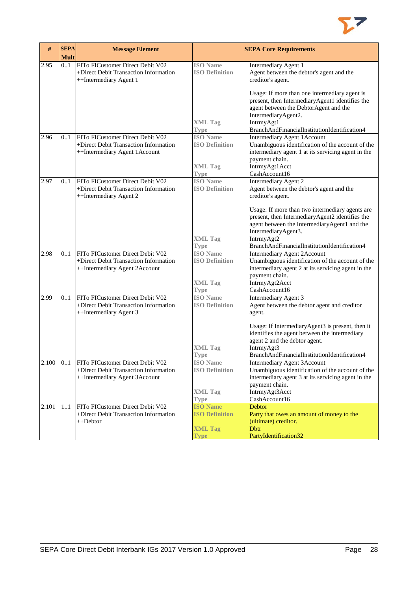

| #     | <b>SEPA</b> | <b>Message Element</b>                                                                                     |                                                                           | <b>SEPA Core Requirements</b>                                                                                                                                                                     |
|-------|-------------|------------------------------------------------------------------------------------------------------------|---------------------------------------------------------------------------|---------------------------------------------------------------------------------------------------------------------------------------------------------------------------------------------------|
|       | <b>Mult</b> |                                                                                                            |                                                                           |                                                                                                                                                                                                   |
| 2.95  | 0.1         | FITo FICustomer Direct Debit V02<br>+Direct Debit Transaction Information<br>++Intermediary Agent 1        | <b>ISO</b> Name<br><b>ISO Definition</b>                                  | <b>Intermediary Agent 1</b><br>Agent between the debtor's agent and the<br>creditor's agent.                                                                                                      |
|       |             |                                                                                                            | <b>XML Tag</b>                                                            | Usage: If more than one intermediary agent is<br>present, then IntermediaryAgent1 identifies the<br>agent between the DebtorAgent and the<br>IntermediaryAgent2.<br>IntrmyAgt1                    |
|       |             | FITo FICustomer Direct Debit V02                                                                           | <b>Type</b>                                                               | BranchAndFinancialInstitutionIdentification4                                                                                                                                                      |
| 2.96  | 0.1         | +Direct Debit Transaction Information<br>++Intermediary Agent 1Account                                     | <b>ISO</b> Name<br><b>ISO Definition</b><br><b>XML</b> Tag<br><b>Type</b> | <b>Intermediary Agent 1Account</b><br>Unambiguous identification of the account of the<br>intermediary agent 1 at its servicing agent in the<br>payment chain.<br>IntrmyAgt1Acct<br>CashAccount16 |
| 2.97  | 0.1         | FITo FICustomer Direct Debit V02                                                                           | <b>ISO</b> Name                                                           | Intermediary Agent 2                                                                                                                                                                              |
|       |             | +Direct Debit Transaction Information<br>++Intermediary Agent 2                                            | <b>ISO Definition</b>                                                     | Agent between the debtor's agent and the<br>creditor's agent.                                                                                                                                     |
|       |             |                                                                                                            | <b>XML Tag</b>                                                            | Usage: If more than two intermediary agents are<br>present, then IntermediaryAgent2 identifies the<br>agent between the IntermediaryAgent1 and the<br>IntermediaryAgent3.<br>IntrmyAgt2           |
|       |             |                                                                                                            | <b>Type</b>                                                               | BranchAndFinancialInstitutionIdentification4                                                                                                                                                      |
| 2.98  | 0.1         | FITo FICustomer Direct Debit V02<br>+Direct Debit Transaction Information<br>++Intermediary Agent 2Account | <b>ISO</b> Name<br><b>ISO Definition</b><br><b>XML Tag</b>                | Intermediary Agent 2Account<br>Unambiguous identification of the account of the<br>intermediary agent 2 at its servicing agent in the<br>payment chain.<br>IntrmyAgt2Acct                         |
|       |             |                                                                                                            | <b>Type</b>                                                               | CashAccount16                                                                                                                                                                                     |
| 2.99  | 0.1         | FITo FICustomer Direct Debit V02<br>+Direct Debit Transaction Information<br>++Intermediary Agent 3        | <b>ISO</b> Name<br><b>ISO Definition</b>                                  | Intermediary Agent 3<br>Agent between the debtor agent and creditor<br>agent.                                                                                                                     |
|       |             |                                                                                                            | XML Tag                                                                   | Usage: If IntermediaryAgent3 is present, then it<br>identifies the agent between the intermediary<br>agent 2 and the debtor agent.<br>IntrmyAgt3                                                  |
|       |             |                                                                                                            | <b>Type</b>                                                               | BranchAndFinancialInstitutionIdentification4                                                                                                                                                      |
| 2.100 | 01          | FITo FICustomer Direct Debit V02<br>+Direct Debit Transaction Information<br>++Intermediary Agent 3Account | <b>ISO</b> Name<br><b>ISO Definition</b>                                  | Intermediary Agent 3Account<br>Unambiguous identification of the account of the<br>intermediary agent 3 at its servicing agent in the<br>payment chain.                                           |
|       |             |                                                                                                            | <b>XML Tag</b>                                                            | IntrmyAgt3Acct                                                                                                                                                                                    |
|       |             |                                                                                                            | <b>Type</b>                                                               | CashAccount16                                                                                                                                                                                     |
| 2.101 | 11          | FITo FICustomer Direct Debit V02                                                                           | <b>ISO Name</b>                                                           | Debtor                                                                                                                                                                                            |
|       |             | +Direct Debit Transaction Information<br>++Debtor                                                          | <b>ISO Definition</b>                                                     | Party that owes an amount of money to the<br>(ultimate) creditor.                                                                                                                                 |
|       |             |                                                                                                            | <b>XML Tag</b>                                                            | <b>D</b> btr                                                                                                                                                                                      |
|       |             |                                                                                                            | <b>Type</b>                                                               | PartyIdentification32                                                                                                                                                                             |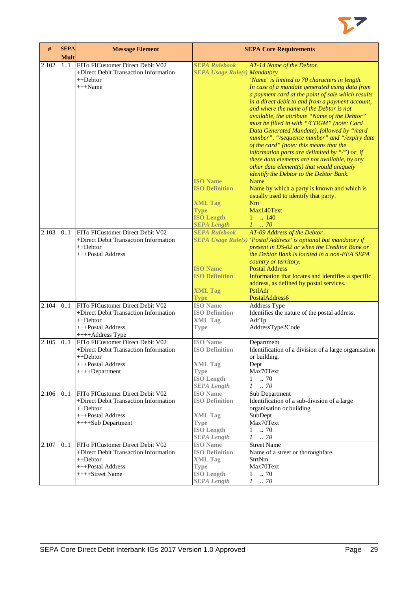| #     | <b>SEPA</b><br><b>Mult</b> | <b>Message Element</b>                |                                            | <b>SEPA Core Requirements</b>                                    |
|-------|----------------------------|---------------------------------------|--------------------------------------------|------------------------------------------------------------------|
| 2.102 | 11                         | FITo FICustomer Direct Debit V02      | <b>SEPA Rulebook</b>                       | AT-14 Name of the Debtor.                                        |
|       |                            | +Direct Debit Transaction Information | <b>SEPA Usage Rule(s) Mandatory</b>        |                                                                  |
|       |                            | $++Dektor$                            |                                            | 'Name' is limited to 70 characters in length.                    |
|       |                            | $+++Name$                             |                                            |                                                                  |
|       |                            |                                       |                                            | In case of a mandate generated using data from                   |
|       |                            |                                       |                                            | a payment card at the point of sale which results                |
|       |                            |                                       |                                            | in a direct debit to and from a payment account,                 |
|       |                            |                                       |                                            | and where the name of the Debtor is not                          |
|       |                            |                                       |                                            | available, the attribute "Name of the Debtor"                    |
|       |                            |                                       |                                            | must be filled in with "/CDGM" (note: Card                       |
|       |                            |                                       |                                            | Data Generated Mandate), followed by "/card                      |
|       |                            |                                       |                                            | number", "/sequence number" and "/expiry date                    |
|       |                            |                                       |                                            | of the card" (note: this means that the                          |
|       |                            |                                       |                                            | information parts are delimited by "/") or, if                   |
|       |                            |                                       |                                            | these data elements are not available, by any                    |
|       |                            |                                       |                                            | other data element(s) that would uniquely                        |
|       |                            |                                       |                                            | identify the Debtor to the Debtor Bank.                          |
|       |                            |                                       | <b>ISO Name</b>                            | Name                                                             |
|       |                            |                                       | <b>ISO Definition</b>                      | Name by which a party is known and which is                      |
|       |                            |                                       |                                            | usually used to identify that party.                             |
|       |                            |                                       | <b>XML Tag</b>                             | <b>Nm</b>                                                        |
|       |                            |                                       |                                            | Max140Text                                                       |
|       |                            |                                       | <b>Type</b><br><b>ISO Length</b>           | $1 \t  140$                                                      |
|       |                            |                                       |                                            |                                                                  |
|       |                            |                                       | <b>SEPA Length</b><br><b>SEPA Rulebook</b> | $1 \ldots 70$                                                    |
| 2.103 | 0.1                        | FITo FICustomer Direct Debit V02      |                                            | AT-09 Address of the Debtor.                                     |
|       |                            | +Direct Debit Transaction Information |                                            | SEPA Usage Rule(s) 'Postal Address' is optional but mandatory if |
|       |                            | ++Debtor                              |                                            | present in DS-02 or when the Creditor Bank or                    |
|       |                            | +++Postal Address                     |                                            | the Debtor Bank is located in a non-EEA SEPA                     |
|       |                            |                                       |                                            | country or territory.                                            |
|       |                            |                                       | <b>ISO Name</b>                            | <b>Postal Address</b>                                            |
|       |                            |                                       | <b>ISO Definition</b>                      | Information that locates and identifies a specific               |
|       |                            |                                       |                                            | address, as defined by postal services.                          |
|       |                            |                                       | <b>XML Tag</b>                             | PstlAdr                                                          |
|       |                            |                                       | <b>Type</b>                                | PostalAddress6                                                   |
| 2.104 | 0.1                        | FITo FICustomer Direct Debit V02      | <b>ISO</b> Name                            | Address Type                                                     |
|       |                            | +Direct Debit Transaction Information | <b>ISO Definition</b>                      | Identifies the nature of the postal address.                     |
|       |                            | $++Dektor$                            | <b>XML Tag</b>                             | AdrTp                                                            |
|       |                            | +++Postal Address                     | <b>Type</b>                                | AddressType2Code                                                 |
|       |                            | ++++Address Type                      |                                            |                                                                  |
| 2.105 | 0.1                        | FITo FICustomer Direct Debit V02      | <b>ISO</b> Name                            | Department                                                       |
|       |                            | +Direct Debit Transaction Information | <b>ISO Definition</b>                      | Identification of a division of a large organisation             |
|       |                            | ++Debtor                              |                                            | or building.                                                     |
|       |                            | +++Postal Address                     | <b>XML Tag</b>                             | Dept                                                             |
|       |                            | ++++Department                        | <b>Type</b>                                | Max70Text                                                        |
|       |                            |                                       | <b>ISO Length</b>                          | 70<br>$\mathbf{1}$                                               |
|       |                            |                                       | <b>SEPA Length</b>                         | $1 \t . 70$                                                      |
| 2.106 | 01                         | FITo FICustomer Direct Debit V02      | <b>ISO</b> Name                            | <b>Sub Department</b>                                            |
|       |                            | +Direct Debit Transaction Information | <b>ISO Definition</b>                      | Identification of a sub-division of a large                      |
|       |                            | ++Debtor                              |                                            | organisation or building.                                        |
|       |                            | +++Postal Address                     | <b>XML Tag</b>                             | SubDept                                                          |
|       |                            | ++++Sub Department                    | <b>Type</b>                                | Max70Text                                                        |
|       |                            |                                       | <b>ISO Length</b>                          | $1 \t . 70$                                                      |
|       |                            |                                       | <b>SEPA Length</b>                         | $1$ $\,$ . $70$                                                  |
| 2.107 | 0.1                        | FITo FICustomer Direct Debit V02      | <b>ISO</b> Name                            | <b>Street Name</b>                                               |
|       |                            | +Direct Debit Transaction Information | <b>ISO Definition</b>                      | Name of a street or thoroughfare.                                |
|       |                            | ++Debtor                              | <b>XML Tag</b>                             | StrtNm                                                           |
|       |                            | +++Postal Address                     |                                            | Max70Text                                                        |
|       |                            | ++++Street Name                       | <b>Type</b><br><b>ISO Length</b>           | $1 \t . 70$                                                      |
|       |                            |                                       | <b>SEPA Length</b>                         | $1$ $\,$ . $70$                                                  |
|       |                            |                                       |                                            |                                                                  |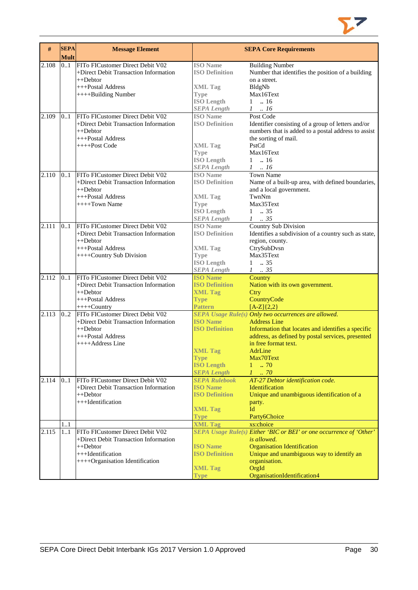

| #     | <b>SEPA</b><br><b>Mult</b> | <b>Message Element</b>                                                                                                                        |                                                                                                                      | <b>SEPA Core Requirements</b>                                                                                                                                                                                                                                      |
|-------|----------------------------|-----------------------------------------------------------------------------------------------------------------------------------------------|----------------------------------------------------------------------------------------------------------------------|--------------------------------------------------------------------------------------------------------------------------------------------------------------------------------------------------------------------------------------------------------------------|
| 2.108 | 0.1                        | FITo FICustomer Direct Debit V02<br>+Direct Debit Transaction Information<br>++Debtor<br>+++Postal Address<br>++++Building Number             | <b>ISO</b> Name<br><b>ISO Definition</b><br><b>XML Tag</b><br><b>Type</b><br><b>ISO Length</b><br><b>SEPA Length</b> | <b>Building Number</b><br>Number that identifies the position of a building<br>on a street.<br>BldgNb<br>Max16Text<br>$1 \t . 16$<br>$1 \t . 16$                                                                                                                   |
| 2.109 | 0.1                        | FITo FICustomer Direct Debit V02<br>+Direct Debit Transaction Information<br>$++Dektor$<br>+++Postal Address<br>++++Post Code                 | <b>ISO</b> Name<br><b>ISO Definition</b><br><b>XML Tag</b><br><b>Type</b><br><b>ISO Length</b><br><b>SEPA Length</b> | Post Code<br>Identifier consisting of a group of letters and/or<br>numbers that is added to a postal address to assist<br>the sorting of mail.<br>PstCd<br>Max16Text<br>$1 \t . 16$<br>$1 \ldots 16$                                                               |
| 2.110 | 0.1                        | FITo FICustomer Direct Debit V02<br>+Direct Debit Transaction Information<br>++Debtor<br>+++Postal Address<br>$++++$ Town Name                | <b>ISO</b> Name<br><b>ISO Definition</b><br><b>XML Tag</b><br><b>Type</b><br><b>ISO Length</b><br><b>SEPA Length</b> | <b>Town Name</b><br>Name of a built-up area, with defined boundaries,<br>and a local government.<br>TwnNm<br>Max35Text<br>$1 \t . 35$<br>$1-.35$                                                                                                                   |
| 2.111 | 0.1                        | FITo FICustomer Direct Debit V02<br>+Direct Debit Transaction Information<br>++Debtor<br>+++Postal Address<br>++++Country Sub Division        | <b>ISO</b> Name<br><b>ISO Definition</b><br><b>XML Tag</b><br><b>Type</b><br><b>ISO Length</b><br><b>SEPA Length</b> | Country Sub Division<br>Identifies a subdivision of a country such as state,<br>region, county.<br>CtrySubDvsn<br>Max35Text<br>$1 \t . 35$<br>$1 \t . 35$                                                                                                          |
| 2.112 | 01                         | FITo FICustomer Direct Debit V02<br>+Direct Debit Transaction Information<br>$++Dektor$<br>+++Postal Address<br>++++Country                   | <b>ISO Name</b><br><b>ISO Definition</b><br><b>XML Tag</b><br><b>Type</b><br><b>Pattern</b>                          | Country<br>Nation with its own government.<br>Ctry<br>CountryCode<br>$[A-Z]\{2,2\}$                                                                                                                                                                                |
| 2.113 | 02                         | FITo FICustomer Direct Debit V02<br>+Direct Debit Transaction Information<br>$++Dektor$<br>+++Postal Address<br>++++Address Line              | <b>ISO Name</b><br><b>ISO Definition</b><br><b>XML Tag</b><br><b>Type</b><br><b>ISO Length</b><br><b>SEPA Length</b> | SEPA Usage Rule(s) Only two occurrences are allowed.<br><b>Address Line</b><br>Information that locates and identifies a specific<br>address, as defined by postal services, presented<br>in free format text.<br>AdrLine<br>Max70Text<br>.70<br>1<br>$1 \dots 70$ |
| 2.114 | 0.1                        | FITo FICustomer Direct Debit V02<br>+Direct Debit Transaction Information<br>$++Dektor$<br>+++Identification                                  | <b>SEPA Rulebook</b><br><b>ISO Name</b><br><b>ISO Definition</b><br><b>XML Tag</b><br><b>Type</b>                    | AT-27 Debtor identification code.<br>Identification<br>Unique and unambiguous identification of a<br>party.<br>Id<br>Party6Choice                                                                                                                                  |
|       | 11                         |                                                                                                                                               | <b>XML Tag</b>                                                                                                       | xs:choice                                                                                                                                                                                                                                                          |
| 2.115 | 1.1                        | FITo FICustomer Direct Debit V02<br>+Direct Debit Transaction Information<br>++Debtor<br>+++Identification<br>++++Organisation Identification | <b>ISO Name</b><br><b>ISO Definition</b><br><b>XML Tag</b><br><b>Type</b>                                            | SEPA Usage Rule(s) Either 'BIC or BEI' or one occurrence of 'Other'<br><i>is allowed.</i><br><b>Organisation Identification</b><br>Unique and unambiguous way to identify an<br>organisation.<br>OrgId<br>OrganisationIdentification4                              |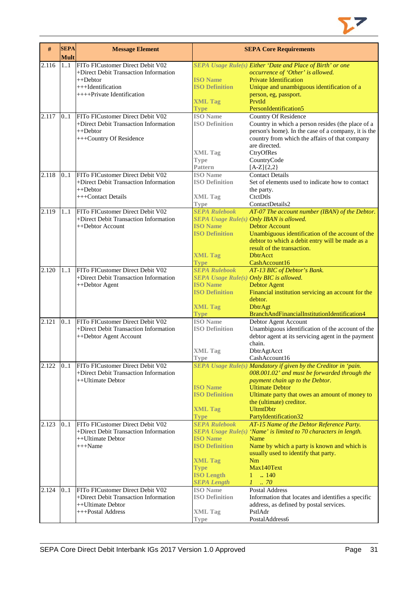

| #     | <b>SEPA</b><br><b>Mult</b> | <b>Message Element</b>                |                                         | <b>SEPA Core Requirements</b>                                    |
|-------|----------------------------|---------------------------------------|-----------------------------------------|------------------------------------------------------------------|
| 2.116 | 1.1                        | FITo FICustomer Direct Debit V02      |                                         | SEPA Usage Rule(s) Either 'Date and Place of Birth' or one       |
|       |                            | +Direct Debit Transaction Information |                                         |                                                                  |
|       |                            |                                       | <b>ISO Name</b>                         | occurrence of 'Other' is allowed.                                |
|       |                            | $++Dektor$                            | <b>ISO Definition</b>                   | <b>Private Identification</b>                                    |
|       |                            | +++Identification                     |                                         | Unique and unambiguous identification of a                       |
|       |                            | ++++Private Identification            |                                         | person, eg, passport.                                            |
|       |                            |                                       | <b>XML Tag</b>                          | PrvtId                                                           |
|       |                            |                                       | <b>Type</b>                             | PersonIdentification5                                            |
| 2.117 | 0.1                        | FITo FICustomer Direct Debit V02      | <b>ISO</b> Name                         | <b>Country Of Residence</b>                                      |
|       |                            | +Direct Debit Transaction Information | <b>ISO Definition</b>                   | Country in which a person resides (the place of a                |
|       |                            | ++Debtor                              |                                         | person's home). In the case of a company, it is the              |
|       |                            | +++Country Of Residence               |                                         | country from which the affairs of that company                   |
|       |                            |                                       |                                         | are directed.                                                    |
|       |                            |                                       | <b>XML Tag</b>                          | CtryOfRes                                                        |
|       |                            |                                       | Type                                    | CountryCode                                                      |
|       |                            |                                       | <b>Pattern</b>                          | $[A-Z]{2,2}$                                                     |
| 2.118 | 0.1                        | FITo FICustomer Direct Debit V02      | <b>ISO</b> Name                         | <b>Contact Details</b>                                           |
|       |                            | +Direct Debit Transaction Information | <b>ISO Definition</b>                   | Set of elements used to indicate how to contact                  |
|       |                            | $++Dektor$                            |                                         | the party.                                                       |
|       |                            | +++Contact Details                    | <b>XML Tag</b>                          | CtctDtls                                                         |
|       |                            |                                       | <b>Type</b>                             | ContactDetails2                                                  |
| 2.119 | 11                         | FITo FICustomer Direct Debit V02      | <b>SEPA Rulebook</b>                    | AT-07 The account number (IBAN) of the Debtor.                   |
|       |                            | +Direct Debit Transaction Information |                                         | SEPA Usage Rule(s) Only IBAN is allowed.                         |
|       |                            | ++Debtor Account                      | <b>ISO Name</b>                         | <b>Debtor Account</b>                                            |
|       |                            |                                       | <b>ISO Definition</b>                   | Unambiguous identification of the account of the                 |
|       |                            |                                       |                                         | debtor to which a debit entry will be made as a                  |
|       |                            |                                       |                                         | result of the transaction.                                       |
|       |                            |                                       | <b>XML Tag</b>                          | <b>DhtrAcct</b>                                                  |
|       |                            |                                       | <b>Type</b>                             | CashAccount16                                                    |
| 2.120 | 11                         | FITo FICustomer Direct Debit V02      | <b>SEPA Rulebook</b>                    | AT-13 BIC of Debtor's Bank.                                      |
|       |                            | +Direct Debit Transaction Information | SEPA Usage Rule(s) Only BIC is allowed. |                                                                  |
|       |                            | ++Debtor Agent                        | <b>ISO Name</b>                         | <b>Debtor Agent</b>                                              |
|       |                            |                                       | <b>ISO Definition</b>                   | Financial institution servicing an account for the               |
|       |                            |                                       |                                         | debtor.                                                          |
|       |                            |                                       | <b>XML Tag</b>                          | <b>DbtrAgt</b>                                                   |
|       |                            |                                       | <b>Type</b>                             | BranchAndFinancialInstitutionIdentification4                     |
| 2.121 | 0.1                        | FITo FICustomer Direct Debit V02      | <b>ISO</b> Name                         | Debtor Agent Account                                             |
|       |                            | +Direct Debit Transaction Information | <b>ISO Definition</b>                   | Unambiguous identification of the account of the                 |
|       |                            | ++Debtor Agent Account                |                                         | debtor agent at its servicing agent in the payment               |
|       |                            |                                       |                                         | chain.                                                           |
|       |                            |                                       | <b>XML Tag</b>                          | DbtrAgtAcct                                                      |
|       |                            |                                       | 'I ype                                  | CashAccount16                                                    |
| 2.122 | 0.1                        | FITo FICustomer Direct Debit V02      |                                         | SEPA Usage Rule(s) Mandatory if given by the Creditor in 'pain.  |
|       |                            | +Direct Debit Transaction Information |                                         | 008.001.02' and must be forwarded through the                    |
|       |                            | ++Ultimate Debtor                     |                                         | payment chain up to the Debtor.                                  |
|       |                            |                                       | <b>ISO</b> Name                         | <b>Ultimate Debtor</b>                                           |
|       |                            |                                       | <b>ISO Definition</b>                   | Ultimate party that owes an amount of money to                   |
|       |                            |                                       |                                         | the (ultimate) creditor.                                         |
|       |                            |                                       | <b>XML Tag</b>                          | <b>UltmtDbtr</b>                                                 |
|       |                            |                                       | Type                                    | PartyIdentification32                                            |
| 2.123 | 0.1                        | FITo FICustomer Direct Debit V02      | <b>SEPA Rulebook</b>                    | AT-15 Name of the Debtor Reference Party.                        |
|       |                            | +Direct Debit Transaction Information |                                         | SEPA Usage Rule(s) 'Name' is limited to 70 characters in length. |
|       |                            | ++Ultimate Debtor                     | <b>ISO Name</b>                         | Name                                                             |
|       |                            | $+++Name$                             | <b>ISO Definition</b>                   | Name by which a party is known and which is                      |
|       |                            |                                       |                                         | usually used to identify that party.                             |
|       |                            |                                       | <b>XML Tag</b>                          | Nm                                                               |
|       |                            |                                       | <b>Type</b>                             | Max140Text                                                       |
|       |                            |                                       | <b>ISO Length</b>                       | .140<br>$1 -$                                                    |
|       |                            |                                       | <b>SEPA Length</b>                      | $1-.70$                                                          |
| 2.124 | 0.1                        | FITo FICustomer Direct Debit V02      | <b>ISO</b> Name                         | Postal Address                                                   |
|       |                            | +Direct Debit Transaction Information | <b>ISO Definition</b>                   | Information that locates and identifies a specific               |
|       |                            | ++Ultimate Debtor                     |                                         | address, as defined by postal services.                          |
|       |                            | +++Postal Address                     | <b>XML Tag</b>                          | PstlAdr                                                          |
|       |                            |                                       | <b>Type</b>                             | PostalAddress6                                                   |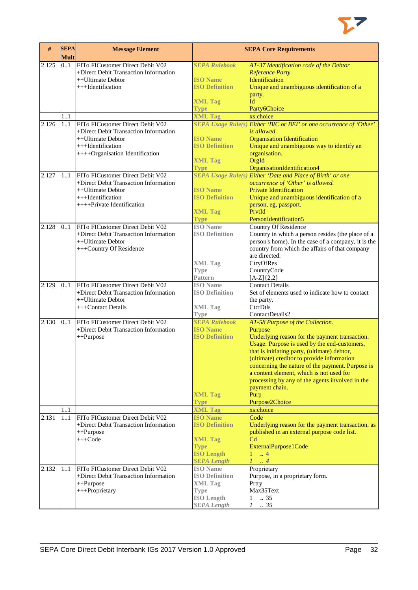

| #     | <b>SEPA</b><br><b>Mult</b> | <b>Message Element</b>                                                                                                                                 |                                                                                                                                        | <b>SEPA Core Requirements</b>                                                                                                                                                                                                                                                                                                                                                                                    |
|-------|----------------------------|--------------------------------------------------------------------------------------------------------------------------------------------------------|----------------------------------------------------------------------------------------------------------------------------------------|------------------------------------------------------------------------------------------------------------------------------------------------------------------------------------------------------------------------------------------------------------------------------------------------------------------------------------------------------------------------------------------------------------------|
| 2.125 | 0.1                        | FITo FICustomer Direct Debit V02<br>+Direct Debit Transaction Information<br>++Ultimate Debtor<br>$+++$ Identification                                 | <b>SEPA Rulebook</b><br><b>ISO Name</b><br><b>ISO Definition</b><br><b>XML Tag</b><br>Type                                             | AT-37 Identification code of the Debtor<br>Reference Party.<br>Identification<br>Unique and unambiguous identification of a<br>party.<br>Id<br>Party6Choice                                                                                                                                                                                                                                                      |
| 2.126 | 1.1<br>1.1                 | FITo FICustomer Direct Debit V02<br>+Direct Debit Transaction Information<br>++Ultimate Debtor<br>+++Identification<br>++++Organisation Identification | <b>XML Tag</b><br><b>ISO</b> Name<br><b>ISO Definition</b><br><b>XML Tag</b>                                                           | xs:choice<br>SEPA Usage Rule(s) Either 'BIC or BEI' or one occurrence of 'Other'<br>is allowed.<br><b>Organisation Identification</b><br>Unique and unambiguous way to identify an<br>organisation.<br>OrgId                                                                                                                                                                                                     |
| 2.127 | 1.1                        | FITo FICustomer Direct Debit V02<br>+Direct Debit Transaction Information<br>++Ultimate Debtor<br>+++Identification<br>$++++$ Private Identification   | <b>Type</b><br><b>ISO Name</b><br><b>ISO Definition</b><br><b>XML Tag</b><br><b>Type</b>                                               | OrganisationIdentification4<br>SEPA Usage Rule(s) Either 'Date and Place of Birth' or one<br>occurrence of 'Other' is allowed.<br><b>Private Identification</b><br>Unique and unambiguous identification of a<br>person, eg, passport.<br>PrvtId<br>PersonIdentification5                                                                                                                                        |
| 2.128 | 0.1                        | FITo FICustomer Direct Debit V02<br>+Direct Debit Transaction Information<br>++Ultimate Debtor<br>+++Country Of Residence                              | <b>ISO</b> Name<br><b>ISO Definition</b><br><b>XML Tag</b><br><b>Type</b><br><b>Pattern</b>                                            | Country Of Residence<br>Country in which a person resides (the place of a<br>person's home). In the case of a company, it is the<br>country from which the affairs of that company<br>are directed.<br>CtryOfRes<br>CountryCode<br>$[A-Z]\{2,2\}$                                                                                                                                                                |
| 2.129 | 0.1                        | FITo FICustomer Direct Debit V02<br>+Direct Debit Transaction Information<br>++Ultimate Debtor<br>+++Contact Details                                   | <b>ISO</b> Name<br><b>ISO Definition</b><br><b>XML Tag</b><br><b>Type</b>                                                              | <b>Contact Details</b><br>Set of elements used to indicate how to contact<br>the party.<br>CtetDtls<br>ContactDetails2                                                                                                                                                                                                                                                                                           |
| 2.130 | 0.1                        | FITo FICustomer Direct Debit V02<br>+Direct Debit Transaction Information<br>++Purpose                                                                 | <b>SEPA Rulebook</b><br><b>ISO Name</b><br><b>ISO Definition</b>                                                                       | AT-58 Purpose of the Collection.<br>Purpose<br>Underlying reason for the payment transaction.<br>Usage: Purpose is used by the end-customers,<br>that is initiating party, (ultimate) debtor,<br>(ultimate) creditor to provide information<br>concerning the nature of the payment. Purpose is<br>a content element, which is not used for<br>processing by any of the agents involved in the<br>payment chain. |
|       |                            |                                                                                                                                                        | <b>XML Tag</b><br><b>Type</b>                                                                                                          | Purp<br>Purpose2Choice                                                                                                                                                                                                                                                                                                                                                                                           |
| 2.131 | 11<br>11                   | FITo FICustomer Direct Debit V02<br>+Direct Debit Transaction Information<br>++Purpose<br>$+++Code$                                                    | <b>XML Tag</b><br><b>ISO Name</b><br><b>ISO Definition</b><br><b>XML Tag</b><br><b>Type</b><br><b>ISO Length</b><br><b>SEPA Length</b> | xs:choice<br>Code<br>Underlying reason for the payment transaction, as<br>published in an external purpose code list.<br>C <sub>d</sub><br>ExternalPurpose1Code<br>$\therefore$ 4<br>1<br>$\mathcal{I}$<br>$\overline{4}$                                                                                                                                                                                        |
| 2.132 | 11                         | FITo FICustomer Direct Debit V02<br>+Direct Debit Transaction Information<br>++Purpose<br>+++Proprietary                                               | <b>ISO</b> Name<br><b>ISO Definition</b><br><b>XML Tag</b><br><b>Type</b><br><b>ISO Length</b><br><b>SEPA Length</b>                   | Proprietary<br>Purpose, in a proprietary form.<br>Prtry<br>Max35Text<br>.35<br>$\mathbf{1}$<br>$1 \t . 35$                                                                                                                                                                                                                                                                                                       |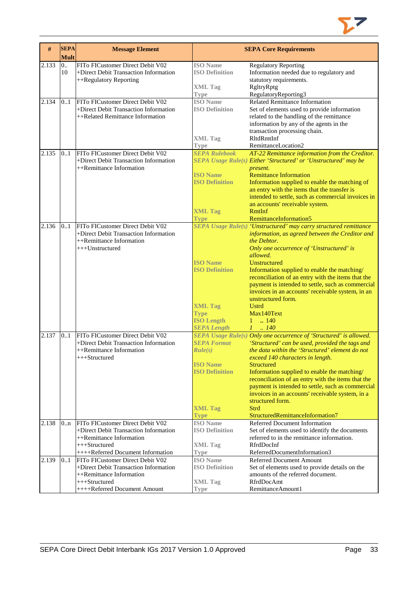

| #     | <b>SEPA</b><br><b>Mult</b> | <b>Message Element</b>                                                                                                                                                                      |                                                                                                            | <b>SEPA Core Requirements</b>                                                                                                                                                                                                                                                                                                                                                                                                                                                                                           |
|-------|----------------------------|---------------------------------------------------------------------------------------------------------------------------------------------------------------------------------------------|------------------------------------------------------------------------------------------------------------|-------------------------------------------------------------------------------------------------------------------------------------------------------------------------------------------------------------------------------------------------------------------------------------------------------------------------------------------------------------------------------------------------------------------------------------------------------------------------------------------------------------------------|
| 2.133 | 0.<br>10                   | FITo FICustomer Direct Debit V02<br>+Direct Debit Transaction Information<br>++Regulatory Reporting                                                                                         | <b>ISO</b> Name<br><b>ISO Definition</b><br><b>XML</b> Tag                                                 | <b>Regulatory Reporting</b><br>Information needed due to regulatory and<br>statutory requirements.<br>RgltryRptg                                                                                                                                                                                                                                                                                                                                                                                                        |
| 2.134 | 01                         | FITo FICustomer Direct Debit V02<br>+Direct Debit Transaction Information<br>++Related Remittance Information                                                                               | <b>Type</b><br><b>ISO</b> Name<br><b>ISO Definition</b>                                                    | RegulatoryReporting3<br><b>Related Remittance Information</b><br>Set of elements used to provide information<br>related to the handling of the remittance<br>information by any of the agents in the<br>transaction processing chain.                                                                                                                                                                                                                                                                                   |
|       |                            |                                                                                                                                                                                             | <b>XML Tag</b><br><b>Type</b>                                                                              | RltdRmtInf<br>RemittanceLocation2                                                                                                                                                                                                                                                                                                                                                                                                                                                                                       |
| 2.135 | 0.1                        | FITo FICustomer Direct Debit V02<br>+Direct Debit Transaction Information<br>++Remittance Information                                                                                       | <b>SEPA Rulebook</b><br><b>ISO Name</b><br><b>ISO Definition</b>                                           | AT-22 Remittance information from the Creditor.<br>SEPA Usage Rule(s) Either 'Structured' or 'Unstructured' may be<br>present.<br><b>Remittance Information</b><br>Information supplied to enable the matching of<br>an entry with the items that the transfer is<br>intended to settle, such as commercial invoices in<br>an accounts' receivable system.                                                                                                                                                              |
|       |                            |                                                                                                                                                                                             | <b>XML Tag</b><br><b>Type</b>                                                                              | RmtInf<br>RemittanceInformation5                                                                                                                                                                                                                                                                                                                                                                                                                                                                                        |
| 2.136 | 0.1                        | FITo FICustomer Direct Debit V02<br>+Direct Debit Transaction Information<br>++Remittance Information<br>+++Unstructured                                                                    | <b>ISO</b> Name<br><b>ISO Definition</b>                                                                   | <b>SEPA Usage Rule(s) 'Unstructured' may carry structured remittance</b><br>information, as agreed between the Creditor and<br>the Debtor.<br>Only one occurrence of 'Unstructured' is<br>allowed.<br>Unstructured<br>Information supplied to enable the matching/<br>reconciliation of an entry with the items that the<br>payment is intended to settle, such as commercial<br>invoices in an accounts' receivable system, in an<br>unstructured form.                                                                |
|       |                            |                                                                                                                                                                                             | <b>XML Tag</b><br><b>Type</b><br><b>ISO Length</b><br><b>SEPA Length</b>                                   | <b>Ustrd</b><br>Max140Text<br>$1 \t  140$<br>$1 \t . 140$                                                                                                                                                                                                                                                                                                                                                                                                                                                               |
| 2.137 | 0.1                        | FITo FICustomer Direct Debit V02<br>+Direct Debit Transaction Information<br>++Remittance Information<br>+++Structured                                                                      | <b>SEPA Format</b><br>Rule(s)<br><b>ISO</b> Name<br><b>ISO Definition</b><br><b>XML Tag</b><br><b>Type</b> | SEPA Usage Rule(s) Only one occurrence of 'Structured' is allowed.<br>'Structured' can be used, provided the tags and<br>the data within the 'Structured' element do not<br>exceed 140 characters in length.<br><b>Structured</b><br>Information supplied to enable the matching/<br>reconciliation of an entry with the items that the<br>payment is intended to settle, such as commercial<br>invoices in an accounts' receivable system, in a<br>structured form.<br><b>Strd</b><br>StructuredRemittanceInformation7 |
| 2.138 | 0 <sub>n</sub>             | FITo FICustomer Direct Debit V02<br>+Direct Debit Transaction Information<br>++Remittance Information<br>+++Structured                                                                      | <b>ISO</b> Name<br><b>ISO Definition</b><br><b>XML Tag</b>                                                 | Referred Document Information<br>Set of elements used to identify the documents<br>referred to in the remittance information.<br>RfrdDocInf                                                                                                                                                                                                                                                                                                                                                                             |
| 2.139 | 0.1                        | ++++Referred Document Information<br>FITo FICustomer Direct Debit V02<br>+Direct Debit Transaction Information<br>++Remittance Information<br>+++Structured<br>++++Referred Document Amount | <b>Type</b><br><b>ISO</b> Name<br><b>ISO Definition</b><br><b>XML Tag</b><br><b>Type</b>                   | ReferredDocumentInformation3<br><b>Referred Document Amount</b><br>Set of elements used to provide details on the<br>amounts of the referred document.<br><b>RfrdDocAmt</b><br>RemittanceAmount1                                                                                                                                                                                                                                                                                                                        |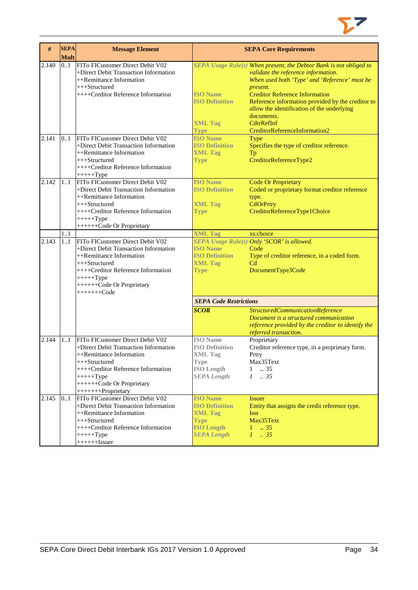

| #     | <b>SEPA</b><br><b>Mult</b> | <b>Message Element</b>                                                                                                                                                                                                           |                                                                                                                      | <b>SEPA Core Requirements</b>                                                                                                                                                                                                                                                                                                                                                   |
|-------|----------------------------|----------------------------------------------------------------------------------------------------------------------------------------------------------------------------------------------------------------------------------|----------------------------------------------------------------------------------------------------------------------|---------------------------------------------------------------------------------------------------------------------------------------------------------------------------------------------------------------------------------------------------------------------------------------------------------------------------------------------------------------------------------|
| 2.140 | 0.1                        | FITo FICustomer Direct Debit V02<br>+Direct Debit Transaction Information<br>++Remittance Information<br>+++Structured<br>++++Creditor Reference Information                                                                     | <b>ISO Name</b><br><b>ISO Definition</b><br><b>XML Tag</b><br><b>Type</b>                                            | SEPA Usage Rule(s) When present, the Debtor Bank is not obliged to<br>validate the reference information.<br>When used both 'Type' and 'Reference' must be<br>present.<br><b>Creditor Reference Information</b><br>Reference information provided by the creditor to<br>allow the identification of the underlying<br>documents.<br>CdtrRefInf<br>CreditorReferenceInformation2 |
| 2.141 | 0.1                        | FITo FICustomer Direct Debit V02<br>+Direct Debit Transaction Information<br>++Remittance Information<br>+++Structured<br>++++Creditor Reference Information<br>$+++++Type$                                                      | <b>ISO Name</b><br><b>ISO Definition</b><br><b>XML Tag</b><br><b>Type</b>                                            | <b>Type</b><br>Specifies the type of creditor reference.<br>Tp<br>CreditorReferenceType2                                                                                                                                                                                                                                                                                        |
| 2.142 | 11                         | FITo FICustomer Direct Debit V02<br>+Direct Debit Transaction Information<br>++Remittance Information<br>$+++Structured$<br>++++Creditor Reference Information<br>$+++++Type$<br>+++++++Code Or Proprietary                      | <b>ISO Name</b><br><b>ISO Definition</b><br><b>XML Tag</b><br><b>Type</b>                                            | <b>Code Or Proprietary</b><br>Coded or proprietary format creditor reference<br>type.<br>CdOrPrtry<br>CreditorReferenceType1Choice                                                                                                                                                                                                                                              |
|       | 11                         |                                                                                                                                                                                                                                  | <b>XML Tag</b>                                                                                                       | xs:choice                                                                                                                                                                                                                                                                                                                                                                       |
| 2.143 | 1.1                        | FITo FICustomer Direct Debit V02<br>+Direct Debit Transaction Information<br>++Remittance Information<br>$+++Structured$<br>++++Creditor Reference Information<br>$+++++Type$<br>+++++++Code Or Proprietary<br>$+++++Code$       | <b>ISO Name</b><br><b>ISO Definition</b><br><b>XML Tag</b><br><b>Type</b>                                            | SEPA Usage Rule(s) Only 'SCOR' is allowed.<br>Code<br>Type of creditor reference, in a coded form.<br>C <sub>d</sub><br>DocumentType3Code                                                                                                                                                                                                                                       |
|       |                            |                                                                                                                                                                                                                                  | <b>SEPA Code Restrictions</b>                                                                                        |                                                                                                                                                                                                                                                                                                                                                                                 |
|       |                            |                                                                                                                                                                                                                                  | <b>SCOR</b>                                                                                                          | StructuredCommunicationReference<br>Document is a structured communication<br>reference provided by the creditor to identify the<br>referred transaction.                                                                                                                                                                                                                       |
| 2.144 | 1.1                        | FITo FICustomer Direct Debit V02<br>+Direct Debit Transaction Information<br>++Remittance Information<br>+++Structured<br>++++Creditor Reference Information<br>$+++++Type$<br>+++++++Code Or Proprietary<br>++++++++Proprietary | <b>ISO</b> Name<br><b>ISO Definition</b><br><b>XML Tag</b><br>Type<br><b>ISO Length</b><br><b>SEPA</b> Length        | Proprietary<br>Creditor reference type, in a proprietary form.<br>Prtry<br>Max35Text<br>.35<br>$\mathbf{1}$<br>$1 \t . 35$                                                                                                                                                                                                                                                      |
| 2.145 | 0.1                        | FITo FICustomer Direct Debit V02<br>+Direct Debit Transaction Information<br>++Remittance Information<br>+++Structured<br>++++Creditor Reference Information<br>$+++++Type$<br>$+++++Issuer$                                     | <b>ISO Name</b><br><b>ISO Definition</b><br><b>XML Tag</b><br><b>Type</b><br><b>ISO Length</b><br><b>SEPA Length</b> | <b>Issuer</b><br>Entity that assigns the credit reference type.<br><b>Issr</b><br>Max35Text<br>$1 \t . 35$<br>$1 \t35$                                                                                                                                                                                                                                                          |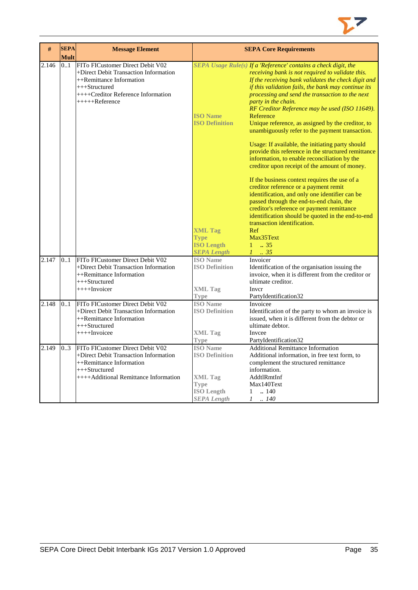

| #     | <b>SEPA</b> | <b>Message Element</b>                                                                                                                                                             |                                                                                                                      | <b>SEPA Core Requirements</b>                                                                                                                                                                                                                                                                                                                                                                                                                                                                                                          |
|-------|-------------|------------------------------------------------------------------------------------------------------------------------------------------------------------------------------------|----------------------------------------------------------------------------------------------------------------------|----------------------------------------------------------------------------------------------------------------------------------------------------------------------------------------------------------------------------------------------------------------------------------------------------------------------------------------------------------------------------------------------------------------------------------------------------------------------------------------------------------------------------------------|
|       | <b>Mult</b> |                                                                                                                                                                                    |                                                                                                                      |                                                                                                                                                                                                                                                                                                                                                                                                                                                                                                                                        |
| 2.146 | 0.1         | FITo FICustomer Direct Debit V02<br>+Direct Debit Transaction Information<br>++Remittance Information<br>$+++Structured$<br>++++Creditor Reference Information<br>$+++++Reference$ | <b>ISO Name</b><br><b>ISO Definition</b>                                                                             | SEPA Usage Rule(s) If a 'Reference' contains a check digit, the<br>receiving bank is not required to validate this.<br>If the receiving bank validates the check digit and<br>if this validation fails, the bank may continue its<br>processing and send the transaction to the next<br>party in the chain.<br>RF Creditor Reference may be used (ISO 11649).<br>Reference<br>Unique reference, as assigned by the creditor, to<br>unambiguously refer to the payment transaction.<br>Usage: If available, the initiating party should |
|       |             |                                                                                                                                                                                    |                                                                                                                      | provide this reference in the structured remittance<br>information, to enable reconciliation by the<br>creditor upon receipt of the amount of money.                                                                                                                                                                                                                                                                                                                                                                                   |
|       |             |                                                                                                                                                                                    |                                                                                                                      | If the business context requires the use of a<br>creditor reference or a payment remit<br>identification, and only one identifier can be<br>passed through the end-to-end chain, the<br>creditor's reference or payment remittance<br>identification should be quoted in the end-to-end                                                                                                                                                                                                                                                |
|       |             |                                                                                                                                                                                    | <b>XML Tag</b><br><b>Type</b><br><b>ISO Length</b><br><b>SEPA Length</b>                                             | transaction identification.<br>Ref<br>Max35Text<br>$1 \t . 35$<br>$1-.35$                                                                                                                                                                                                                                                                                                                                                                                                                                                              |
| 2.147 | 0.1         | FITo FICustomer Direct Debit V02<br>+Direct Debit Transaction Information<br>++Remittance Information<br>+++Structured<br>$++++Invoicer$                                           | <b>ISO</b> Name<br><b>ISO Definition</b><br><b>XML Tag</b><br>Type                                                   | Invoicer<br>Identification of the organisation issuing the<br>invoice, when it is different from the creditor or<br>ultimate creditor.<br>Inver<br>PartyIdentification32                                                                                                                                                                                                                                                                                                                                                               |
| 2.148 | 0.1         | FITo FICustomer Direct Debit V02<br>+Direct Debit Transaction Information<br>++Remittance Information<br>+++Structured<br>$+++$ Invoicee                                           | <b>ISO</b> Name<br><b>ISO Definition</b><br><b>XML</b> Tag<br><b>Type</b>                                            | Invoicee<br>Identification of the party to whom an invoice is<br>issued, when it is different from the debtor or<br>ultimate debtor.<br>Invcee<br>PartyIdentification32                                                                                                                                                                                                                                                                                                                                                                |
| 2.149 | 03          | FITo FICustomer Direct Debit V02<br>+Direct Debit Transaction Information<br>$++$ Remittance Information<br>$+++Structured$<br>++++Additional Remittance Information               | <b>ISO</b> Name<br><b>ISO Definition</b><br><b>XML</b> Tag<br><b>Type</b><br><b>ISO</b> Length<br><b>SEPA</b> Length | <b>Additional Remittance Information</b><br>Additional information, in free text form, to<br>complement the structured remittance<br>information.<br>AddtlRmtInf<br>Max140Text<br>.140<br>1<br>$1 \quad .140$                                                                                                                                                                                                                                                                                                                          |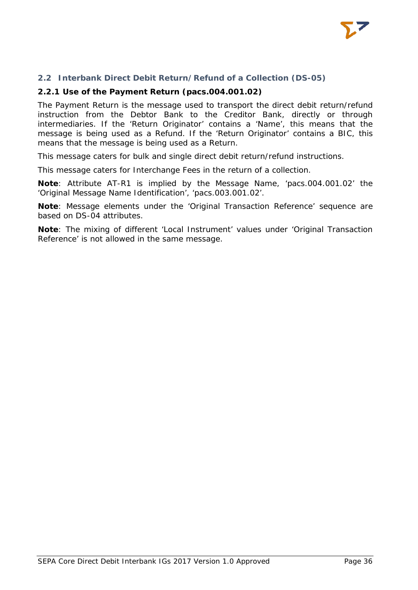

### **2.2 Interbank Direct Debit Return/Refund of a Collection (DS-05)**

#### **2.2.1 Use of the Payment Return (pacs.004.001.02)**

The Payment Return is the message used to transport the direct debit return/refund instruction from the Debtor Bank to the Creditor Bank, directly or through intermediaries. If the 'Return Originator' contains a 'Name', this means that the message is being used as a Refund. If the 'Return Originator' contains a BIC, this means that the message is being used as a Return.

This message caters for bulk and single direct debit return/refund instructions.

This message caters for Interchange Fees in the return of a collection.

**Note**: Attribute AT-R1 is implied by the Message Name, 'pacs.004.001.02' the 'Original Message Name Identification', 'pacs.003.001.02'.

**Note**: Message elements under the 'Original Transaction Reference' sequence are based on DS-04 attributes.

**Note**: The mixing of different 'Local Instrument' values under 'Original Transaction Reference' is not allowed in the same message.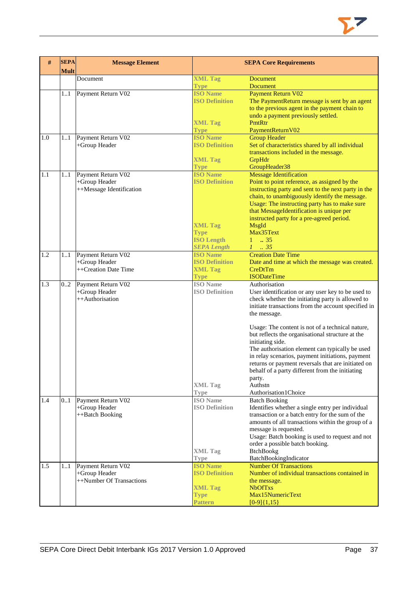| <b>XML Tag</b><br>Document<br>Document<br><b>Document</b><br><b>Type</b><br><b>ISO Name</b><br><b>Payment Return V02</b><br>Payment Return V02<br>11<br><b>ISO Definition</b><br>The PaymentReturn message is sent by an agent<br>to the previous agent in the payment chain to<br>undo a payment previously settled.<br><b>XML Tag</b><br>PmtRtr<br>PaymentReturnV02<br><b>Type</b><br><b>ISO Name</b><br><b>Group Header</b><br>1.0<br>11<br>Payment Return V02<br><b>ISO Definition</b><br>+Group Header<br>Set of characteristics shared by all individual<br>transactions included in the message.<br><b>XML Tag</b><br>GrpHdr<br>GroupHeader38<br><b>Type</b><br><b>ISO Name</b><br><b>Message Identification</b><br>1.1<br>Payment Return V02<br>11<br><b>ISO Definition</b><br>+Group Header<br>Point to point reference, as assigned by the<br>++Message Identification<br>instructing party and sent to the next party in the<br>chain, to unambiguously identify the message.<br>Usage: The instructing party has to make sure<br>that MessageIdentification is unique per<br>instructed party for a pre-agreed period.<br><b>XML Tag</b><br>MsgId<br>Max35Text<br><b>Type</b><br><b>ISO Length</b><br>$1 - .35$<br><b>SEPA Length</b><br>$1 \cdot .35$<br><b>Creation Date Time</b><br>1.2<br><b>ISO Name</b><br>11<br>Payment Return V02<br><b>ISO Definition</b><br>+Group Header<br>Date and time at which the message was created.<br>++Creation Date Time<br>CreDtTm<br><b>XML Tag</b><br><b>ISODateTime</b><br><b>Type</b><br><b>ISO</b> Name<br>1.3<br>Payment Return V02<br>Authorisation<br>02<br>+Group Header<br><b>ISO Definition</b><br>User identification or any user key to be used to<br>check whether the initiating party is allowed to<br>++Authorisation<br>initiate transactions from the account specified in<br>the message.<br>Usage: The content is not of a technical nature,<br>but reflects the organisational structure at the<br>initiating side.<br>The authorisation element can typically be used<br>in relay scenarios, payment initiations, payment<br>returns or payment reversals that are initiated on<br>behalf of a party different from the initiating<br>party.<br><b>XML Tag</b><br>Authstn<br>Authorisation1Choice<br><b>Type</b><br><b>ISO</b> Name<br>1.4<br>Payment Return V02<br><b>Batch Booking</b><br>0.1<br>Identifies whether a single entry per individual<br>+Group Header<br><b>ISO Definition</b><br>transaction or a batch entry for the sum of the<br>++Batch Booking<br>amounts of all transactions within the group of a<br>message is requested.<br>Usage: Batch booking is used to request and not<br>order a possible batch booking.<br><b>XML Tag</b><br><b>BtchBookg</b><br>BatchBookingIndicator<br><b>Type</b><br>1.5<br>Payment Return V02<br><b>ISO Name</b><br><b>Number Of Transactions</b><br>11<br>Number of individual transactions contained in<br>+Group Header<br><b>ISO Definition</b> | # | <b>SEPA</b><br><b>Mult</b> | <b>Message Element</b> | <b>SEPA Core Requirements</b> |
|------------------------------------------------------------------------------------------------------------------------------------------------------------------------------------------------------------------------------------------------------------------------------------------------------------------------------------------------------------------------------------------------------------------------------------------------------------------------------------------------------------------------------------------------------------------------------------------------------------------------------------------------------------------------------------------------------------------------------------------------------------------------------------------------------------------------------------------------------------------------------------------------------------------------------------------------------------------------------------------------------------------------------------------------------------------------------------------------------------------------------------------------------------------------------------------------------------------------------------------------------------------------------------------------------------------------------------------------------------------------------------------------------------------------------------------------------------------------------------------------------------------------------------------------------------------------------------------------------------------------------------------------------------------------------------------------------------------------------------------------------------------------------------------------------------------------------------------------------------------------------------------------------------------------------------------------------------------------------------------------------------------------------------------------------------------------------------------------------------------------------------------------------------------------------------------------------------------------------------------------------------------------------------------------------------------------------------------------------------------------------------------------------------------------------------------------------------------------------------------------------------------------------------------------------------------------------------------------------------------------------------------------------------------------------------------------------------------------------------------------------------------------------------------------------------------------------------------------------------------------------------------------------------------------------------------------------------------------------------|---|----------------------------|------------------------|-------------------------------|
|                                                                                                                                                                                                                                                                                                                                                                                                                                                                                                                                                                                                                                                                                                                                                                                                                                                                                                                                                                                                                                                                                                                                                                                                                                                                                                                                                                                                                                                                                                                                                                                                                                                                                                                                                                                                                                                                                                                                                                                                                                                                                                                                                                                                                                                                                                                                                                                                                                                                                                                                                                                                                                                                                                                                                                                                                                                                                                                                                                                    |   |                            |                        |                               |
|                                                                                                                                                                                                                                                                                                                                                                                                                                                                                                                                                                                                                                                                                                                                                                                                                                                                                                                                                                                                                                                                                                                                                                                                                                                                                                                                                                                                                                                                                                                                                                                                                                                                                                                                                                                                                                                                                                                                                                                                                                                                                                                                                                                                                                                                                                                                                                                                                                                                                                                                                                                                                                                                                                                                                                                                                                                                                                                                                                                    |   |                            |                        |                               |
|                                                                                                                                                                                                                                                                                                                                                                                                                                                                                                                                                                                                                                                                                                                                                                                                                                                                                                                                                                                                                                                                                                                                                                                                                                                                                                                                                                                                                                                                                                                                                                                                                                                                                                                                                                                                                                                                                                                                                                                                                                                                                                                                                                                                                                                                                                                                                                                                                                                                                                                                                                                                                                                                                                                                                                                                                                                                                                                                                                                    |   |                            |                        |                               |
|                                                                                                                                                                                                                                                                                                                                                                                                                                                                                                                                                                                                                                                                                                                                                                                                                                                                                                                                                                                                                                                                                                                                                                                                                                                                                                                                                                                                                                                                                                                                                                                                                                                                                                                                                                                                                                                                                                                                                                                                                                                                                                                                                                                                                                                                                                                                                                                                                                                                                                                                                                                                                                                                                                                                                                                                                                                                                                                                                                                    |   |                            |                        |                               |
|                                                                                                                                                                                                                                                                                                                                                                                                                                                                                                                                                                                                                                                                                                                                                                                                                                                                                                                                                                                                                                                                                                                                                                                                                                                                                                                                                                                                                                                                                                                                                                                                                                                                                                                                                                                                                                                                                                                                                                                                                                                                                                                                                                                                                                                                                                                                                                                                                                                                                                                                                                                                                                                                                                                                                                                                                                                                                                                                                                                    |   |                            |                        |                               |
|                                                                                                                                                                                                                                                                                                                                                                                                                                                                                                                                                                                                                                                                                                                                                                                                                                                                                                                                                                                                                                                                                                                                                                                                                                                                                                                                                                                                                                                                                                                                                                                                                                                                                                                                                                                                                                                                                                                                                                                                                                                                                                                                                                                                                                                                                                                                                                                                                                                                                                                                                                                                                                                                                                                                                                                                                                                                                                                                                                                    |   |                            |                        |                               |
|                                                                                                                                                                                                                                                                                                                                                                                                                                                                                                                                                                                                                                                                                                                                                                                                                                                                                                                                                                                                                                                                                                                                                                                                                                                                                                                                                                                                                                                                                                                                                                                                                                                                                                                                                                                                                                                                                                                                                                                                                                                                                                                                                                                                                                                                                                                                                                                                                                                                                                                                                                                                                                                                                                                                                                                                                                                                                                                                                                                    |   |                            |                        |                               |
|                                                                                                                                                                                                                                                                                                                                                                                                                                                                                                                                                                                                                                                                                                                                                                                                                                                                                                                                                                                                                                                                                                                                                                                                                                                                                                                                                                                                                                                                                                                                                                                                                                                                                                                                                                                                                                                                                                                                                                                                                                                                                                                                                                                                                                                                                                                                                                                                                                                                                                                                                                                                                                                                                                                                                                                                                                                                                                                                                                                    |   |                            |                        |                               |
|                                                                                                                                                                                                                                                                                                                                                                                                                                                                                                                                                                                                                                                                                                                                                                                                                                                                                                                                                                                                                                                                                                                                                                                                                                                                                                                                                                                                                                                                                                                                                                                                                                                                                                                                                                                                                                                                                                                                                                                                                                                                                                                                                                                                                                                                                                                                                                                                                                                                                                                                                                                                                                                                                                                                                                                                                                                                                                                                                                                    |   |                            |                        |                               |
|                                                                                                                                                                                                                                                                                                                                                                                                                                                                                                                                                                                                                                                                                                                                                                                                                                                                                                                                                                                                                                                                                                                                                                                                                                                                                                                                                                                                                                                                                                                                                                                                                                                                                                                                                                                                                                                                                                                                                                                                                                                                                                                                                                                                                                                                                                                                                                                                                                                                                                                                                                                                                                                                                                                                                                                                                                                                                                                                                                                    |   |                            |                        |                               |
|                                                                                                                                                                                                                                                                                                                                                                                                                                                                                                                                                                                                                                                                                                                                                                                                                                                                                                                                                                                                                                                                                                                                                                                                                                                                                                                                                                                                                                                                                                                                                                                                                                                                                                                                                                                                                                                                                                                                                                                                                                                                                                                                                                                                                                                                                                                                                                                                                                                                                                                                                                                                                                                                                                                                                                                                                                                                                                                                                                                    |   |                            |                        |                               |
|                                                                                                                                                                                                                                                                                                                                                                                                                                                                                                                                                                                                                                                                                                                                                                                                                                                                                                                                                                                                                                                                                                                                                                                                                                                                                                                                                                                                                                                                                                                                                                                                                                                                                                                                                                                                                                                                                                                                                                                                                                                                                                                                                                                                                                                                                                                                                                                                                                                                                                                                                                                                                                                                                                                                                                                                                                                                                                                                                                                    |   |                            |                        |                               |
|                                                                                                                                                                                                                                                                                                                                                                                                                                                                                                                                                                                                                                                                                                                                                                                                                                                                                                                                                                                                                                                                                                                                                                                                                                                                                                                                                                                                                                                                                                                                                                                                                                                                                                                                                                                                                                                                                                                                                                                                                                                                                                                                                                                                                                                                                                                                                                                                                                                                                                                                                                                                                                                                                                                                                                                                                                                                                                                                                                                    |   |                            |                        |                               |
|                                                                                                                                                                                                                                                                                                                                                                                                                                                                                                                                                                                                                                                                                                                                                                                                                                                                                                                                                                                                                                                                                                                                                                                                                                                                                                                                                                                                                                                                                                                                                                                                                                                                                                                                                                                                                                                                                                                                                                                                                                                                                                                                                                                                                                                                                                                                                                                                                                                                                                                                                                                                                                                                                                                                                                                                                                                                                                                                                                                    |   |                            |                        |                               |
|                                                                                                                                                                                                                                                                                                                                                                                                                                                                                                                                                                                                                                                                                                                                                                                                                                                                                                                                                                                                                                                                                                                                                                                                                                                                                                                                                                                                                                                                                                                                                                                                                                                                                                                                                                                                                                                                                                                                                                                                                                                                                                                                                                                                                                                                                                                                                                                                                                                                                                                                                                                                                                                                                                                                                                                                                                                                                                                                                                                    |   |                            |                        |                               |
|                                                                                                                                                                                                                                                                                                                                                                                                                                                                                                                                                                                                                                                                                                                                                                                                                                                                                                                                                                                                                                                                                                                                                                                                                                                                                                                                                                                                                                                                                                                                                                                                                                                                                                                                                                                                                                                                                                                                                                                                                                                                                                                                                                                                                                                                                                                                                                                                                                                                                                                                                                                                                                                                                                                                                                                                                                                                                                                                                                                    |   |                            |                        |                               |
|                                                                                                                                                                                                                                                                                                                                                                                                                                                                                                                                                                                                                                                                                                                                                                                                                                                                                                                                                                                                                                                                                                                                                                                                                                                                                                                                                                                                                                                                                                                                                                                                                                                                                                                                                                                                                                                                                                                                                                                                                                                                                                                                                                                                                                                                                                                                                                                                                                                                                                                                                                                                                                                                                                                                                                                                                                                                                                                                                                                    |   |                            |                        |                               |
|                                                                                                                                                                                                                                                                                                                                                                                                                                                                                                                                                                                                                                                                                                                                                                                                                                                                                                                                                                                                                                                                                                                                                                                                                                                                                                                                                                                                                                                                                                                                                                                                                                                                                                                                                                                                                                                                                                                                                                                                                                                                                                                                                                                                                                                                                                                                                                                                                                                                                                                                                                                                                                                                                                                                                                                                                                                                                                                                                                                    |   |                            |                        |                               |
|                                                                                                                                                                                                                                                                                                                                                                                                                                                                                                                                                                                                                                                                                                                                                                                                                                                                                                                                                                                                                                                                                                                                                                                                                                                                                                                                                                                                                                                                                                                                                                                                                                                                                                                                                                                                                                                                                                                                                                                                                                                                                                                                                                                                                                                                                                                                                                                                                                                                                                                                                                                                                                                                                                                                                                                                                                                                                                                                                                                    |   |                            |                        |                               |
|                                                                                                                                                                                                                                                                                                                                                                                                                                                                                                                                                                                                                                                                                                                                                                                                                                                                                                                                                                                                                                                                                                                                                                                                                                                                                                                                                                                                                                                                                                                                                                                                                                                                                                                                                                                                                                                                                                                                                                                                                                                                                                                                                                                                                                                                                                                                                                                                                                                                                                                                                                                                                                                                                                                                                                                                                                                                                                                                                                                    |   |                            |                        |                               |
|                                                                                                                                                                                                                                                                                                                                                                                                                                                                                                                                                                                                                                                                                                                                                                                                                                                                                                                                                                                                                                                                                                                                                                                                                                                                                                                                                                                                                                                                                                                                                                                                                                                                                                                                                                                                                                                                                                                                                                                                                                                                                                                                                                                                                                                                                                                                                                                                                                                                                                                                                                                                                                                                                                                                                                                                                                                                                                                                                                                    |   |                            |                        |                               |
|                                                                                                                                                                                                                                                                                                                                                                                                                                                                                                                                                                                                                                                                                                                                                                                                                                                                                                                                                                                                                                                                                                                                                                                                                                                                                                                                                                                                                                                                                                                                                                                                                                                                                                                                                                                                                                                                                                                                                                                                                                                                                                                                                                                                                                                                                                                                                                                                                                                                                                                                                                                                                                                                                                                                                                                                                                                                                                                                                                                    |   |                            |                        |                               |
|                                                                                                                                                                                                                                                                                                                                                                                                                                                                                                                                                                                                                                                                                                                                                                                                                                                                                                                                                                                                                                                                                                                                                                                                                                                                                                                                                                                                                                                                                                                                                                                                                                                                                                                                                                                                                                                                                                                                                                                                                                                                                                                                                                                                                                                                                                                                                                                                                                                                                                                                                                                                                                                                                                                                                                                                                                                                                                                                                                                    |   |                            |                        |                               |
|                                                                                                                                                                                                                                                                                                                                                                                                                                                                                                                                                                                                                                                                                                                                                                                                                                                                                                                                                                                                                                                                                                                                                                                                                                                                                                                                                                                                                                                                                                                                                                                                                                                                                                                                                                                                                                                                                                                                                                                                                                                                                                                                                                                                                                                                                                                                                                                                                                                                                                                                                                                                                                                                                                                                                                                                                                                                                                                                                                                    |   |                            |                        |                               |
|                                                                                                                                                                                                                                                                                                                                                                                                                                                                                                                                                                                                                                                                                                                                                                                                                                                                                                                                                                                                                                                                                                                                                                                                                                                                                                                                                                                                                                                                                                                                                                                                                                                                                                                                                                                                                                                                                                                                                                                                                                                                                                                                                                                                                                                                                                                                                                                                                                                                                                                                                                                                                                                                                                                                                                                                                                                                                                                                                                                    |   |                            |                        |                               |
|                                                                                                                                                                                                                                                                                                                                                                                                                                                                                                                                                                                                                                                                                                                                                                                                                                                                                                                                                                                                                                                                                                                                                                                                                                                                                                                                                                                                                                                                                                                                                                                                                                                                                                                                                                                                                                                                                                                                                                                                                                                                                                                                                                                                                                                                                                                                                                                                                                                                                                                                                                                                                                                                                                                                                                                                                                                                                                                                                                                    |   |                            |                        |                               |
|                                                                                                                                                                                                                                                                                                                                                                                                                                                                                                                                                                                                                                                                                                                                                                                                                                                                                                                                                                                                                                                                                                                                                                                                                                                                                                                                                                                                                                                                                                                                                                                                                                                                                                                                                                                                                                                                                                                                                                                                                                                                                                                                                                                                                                                                                                                                                                                                                                                                                                                                                                                                                                                                                                                                                                                                                                                                                                                                                                                    |   |                            |                        |                               |
|                                                                                                                                                                                                                                                                                                                                                                                                                                                                                                                                                                                                                                                                                                                                                                                                                                                                                                                                                                                                                                                                                                                                                                                                                                                                                                                                                                                                                                                                                                                                                                                                                                                                                                                                                                                                                                                                                                                                                                                                                                                                                                                                                                                                                                                                                                                                                                                                                                                                                                                                                                                                                                                                                                                                                                                                                                                                                                                                                                                    |   |                            |                        |                               |
|                                                                                                                                                                                                                                                                                                                                                                                                                                                                                                                                                                                                                                                                                                                                                                                                                                                                                                                                                                                                                                                                                                                                                                                                                                                                                                                                                                                                                                                                                                                                                                                                                                                                                                                                                                                                                                                                                                                                                                                                                                                                                                                                                                                                                                                                                                                                                                                                                                                                                                                                                                                                                                                                                                                                                                                                                                                                                                                                                                                    |   |                            |                        |                               |
|                                                                                                                                                                                                                                                                                                                                                                                                                                                                                                                                                                                                                                                                                                                                                                                                                                                                                                                                                                                                                                                                                                                                                                                                                                                                                                                                                                                                                                                                                                                                                                                                                                                                                                                                                                                                                                                                                                                                                                                                                                                                                                                                                                                                                                                                                                                                                                                                                                                                                                                                                                                                                                                                                                                                                                                                                                                                                                                                                                                    |   |                            |                        |                               |
|                                                                                                                                                                                                                                                                                                                                                                                                                                                                                                                                                                                                                                                                                                                                                                                                                                                                                                                                                                                                                                                                                                                                                                                                                                                                                                                                                                                                                                                                                                                                                                                                                                                                                                                                                                                                                                                                                                                                                                                                                                                                                                                                                                                                                                                                                                                                                                                                                                                                                                                                                                                                                                                                                                                                                                                                                                                                                                                                                                                    |   |                            |                        |                               |
|                                                                                                                                                                                                                                                                                                                                                                                                                                                                                                                                                                                                                                                                                                                                                                                                                                                                                                                                                                                                                                                                                                                                                                                                                                                                                                                                                                                                                                                                                                                                                                                                                                                                                                                                                                                                                                                                                                                                                                                                                                                                                                                                                                                                                                                                                                                                                                                                                                                                                                                                                                                                                                                                                                                                                                                                                                                                                                                                                                                    |   |                            |                        |                               |
|                                                                                                                                                                                                                                                                                                                                                                                                                                                                                                                                                                                                                                                                                                                                                                                                                                                                                                                                                                                                                                                                                                                                                                                                                                                                                                                                                                                                                                                                                                                                                                                                                                                                                                                                                                                                                                                                                                                                                                                                                                                                                                                                                                                                                                                                                                                                                                                                                                                                                                                                                                                                                                                                                                                                                                                                                                                                                                                                                                                    |   |                            |                        |                               |
|                                                                                                                                                                                                                                                                                                                                                                                                                                                                                                                                                                                                                                                                                                                                                                                                                                                                                                                                                                                                                                                                                                                                                                                                                                                                                                                                                                                                                                                                                                                                                                                                                                                                                                                                                                                                                                                                                                                                                                                                                                                                                                                                                                                                                                                                                                                                                                                                                                                                                                                                                                                                                                                                                                                                                                                                                                                                                                                                                                                    |   |                            |                        |                               |
|                                                                                                                                                                                                                                                                                                                                                                                                                                                                                                                                                                                                                                                                                                                                                                                                                                                                                                                                                                                                                                                                                                                                                                                                                                                                                                                                                                                                                                                                                                                                                                                                                                                                                                                                                                                                                                                                                                                                                                                                                                                                                                                                                                                                                                                                                                                                                                                                                                                                                                                                                                                                                                                                                                                                                                                                                                                                                                                                                                                    |   |                            |                        |                               |
|                                                                                                                                                                                                                                                                                                                                                                                                                                                                                                                                                                                                                                                                                                                                                                                                                                                                                                                                                                                                                                                                                                                                                                                                                                                                                                                                                                                                                                                                                                                                                                                                                                                                                                                                                                                                                                                                                                                                                                                                                                                                                                                                                                                                                                                                                                                                                                                                                                                                                                                                                                                                                                                                                                                                                                                                                                                                                                                                                                                    |   |                            |                        |                               |
|                                                                                                                                                                                                                                                                                                                                                                                                                                                                                                                                                                                                                                                                                                                                                                                                                                                                                                                                                                                                                                                                                                                                                                                                                                                                                                                                                                                                                                                                                                                                                                                                                                                                                                                                                                                                                                                                                                                                                                                                                                                                                                                                                                                                                                                                                                                                                                                                                                                                                                                                                                                                                                                                                                                                                                                                                                                                                                                                                                                    |   |                            |                        |                               |
|                                                                                                                                                                                                                                                                                                                                                                                                                                                                                                                                                                                                                                                                                                                                                                                                                                                                                                                                                                                                                                                                                                                                                                                                                                                                                                                                                                                                                                                                                                                                                                                                                                                                                                                                                                                                                                                                                                                                                                                                                                                                                                                                                                                                                                                                                                                                                                                                                                                                                                                                                                                                                                                                                                                                                                                                                                                                                                                                                                                    |   |                            |                        |                               |
|                                                                                                                                                                                                                                                                                                                                                                                                                                                                                                                                                                                                                                                                                                                                                                                                                                                                                                                                                                                                                                                                                                                                                                                                                                                                                                                                                                                                                                                                                                                                                                                                                                                                                                                                                                                                                                                                                                                                                                                                                                                                                                                                                                                                                                                                                                                                                                                                                                                                                                                                                                                                                                                                                                                                                                                                                                                                                                                                                                                    |   |                            |                        |                               |
|                                                                                                                                                                                                                                                                                                                                                                                                                                                                                                                                                                                                                                                                                                                                                                                                                                                                                                                                                                                                                                                                                                                                                                                                                                                                                                                                                                                                                                                                                                                                                                                                                                                                                                                                                                                                                                                                                                                                                                                                                                                                                                                                                                                                                                                                                                                                                                                                                                                                                                                                                                                                                                                                                                                                                                                                                                                                                                                                                                                    |   |                            |                        |                               |
|                                                                                                                                                                                                                                                                                                                                                                                                                                                                                                                                                                                                                                                                                                                                                                                                                                                                                                                                                                                                                                                                                                                                                                                                                                                                                                                                                                                                                                                                                                                                                                                                                                                                                                                                                                                                                                                                                                                                                                                                                                                                                                                                                                                                                                                                                                                                                                                                                                                                                                                                                                                                                                                                                                                                                                                                                                                                                                                                                                                    |   |                            |                        |                               |
|                                                                                                                                                                                                                                                                                                                                                                                                                                                                                                                                                                                                                                                                                                                                                                                                                                                                                                                                                                                                                                                                                                                                                                                                                                                                                                                                                                                                                                                                                                                                                                                                                                                                                                                                                                                                                                                                                                                                                                                                                                                                                                                                                                                                                                                                                                                                                                                                                                                                                                                                                                                                                                                                                                                                                                                                                                                                                                                                                                                    |   |                            |                        |                               |
|                                                                                                                                                                                                                                                                                                                                                                                                                                                                                                                                                                                                                                                                                                                                                                                                                                                                                                                                                                                                                                                                                                                                                                                                                                                                                                                                                                                                                                                                                                                                                                                                                                                                                                                                                                                                                                                                                                                                                                                                                                                                                                                                                                                                                                                                                                                                                                                                                                                                                                                                                                                                                                                                                                                                                                                                                                                                                                                                                                                    |   |                            |                        |                               |
|                                                                                                                                                                                                                                                                                                                                                                                                                                                                                                                                                                                                                                                                                                                                                                                                                                                                                                                                                                                                                                                                                                                                                                                                                                                                                                                                                                                                                                                                                                                                                                                                                                                                                                                                                                                                                                                                                                                                                                                                                                                                                                                                                                                                                                                                                                                                                                                                                                                                                                                                                                                                                                                                                                                                                                                                                                                                                                                                                                                    |   |                            |                        |                               |
|                                                                                                                                                                                                                                                                                                                                                                                                                                                                                                                                                                                                                                                                                                                                                                                                                                                                                                                                                                                                                                                                                                                                                                                                                                                                                                                                                                                                                                                                                                                                                                                                                                                                                                                                                                                                                                                                                                                                                                                                                                                                                                                                                                                                                                                                                                                                                                                                                                                                                                                                                                                                                                                                                                                                                                                                                                                                                                                                                                                    |   |                            |                        |                               |
|                                                                                                                                                                                                                                                                                                                                                                                                                                                                                                                                                                                                                                                                                                                                                                                                                                                                                                                                                                                                                                                                                                                                                                                                                                                                                                                                                                                                                                                                                                                                                                                                                                                                                                                                                                                                                                                                                                                                                                                                                                                                                                                                                                                                                                                                                                                                                                                                                                                                                                                                                                                                                                                                                                                                                                                                                                                                                                                                                                                    |   |                            |                        |                               |
|                                                                                                                                                                                                                                                                                                                                                                                                                                                                                                                                                                                                                                                                                                                                                                                                                                                                                                                                                                                                                                                                                                                                                                                                                                                                                                                                                                                                                                                                                                                                                                                                                                                                                                                                                                                                                                                                                                                                                                                                                                                                                                                                                                                                                                                                                                                                                                                                                                                                                                                                                                                                                                                                                                                                                                                                                                                                                                                                                                                    |   |                            |                        |                               |
|                                                                                                                                                                                                                                                                                                                                                                                                                                                                                                                                                                                                                                                                                                                                                                                                                                                                                                                                                                                                                                                                                                                                                                                                                                                                                                                                                                                                                                                                                                                                                                                                                                                                                                                                                                                                                                                                                                                                                                                                                                                                                                                                                                                                                                                                                                                                                                                                                                                                                                                                                                                                                                                                                                                                                                                                                                                                                                                                                                                    |   |                            |                        |                               |
|                                                                                                                                                                                                                                                                                                                                                                                                                                                                                                                                                                                                                                                                                                                                                                                                                                                                                                                                                                                                                                                                                                                                                                                                                                                                                                                                                                                                                                                                                                                                                                                                                                                                                                                                                                                                                                                                                                                                                                                                                                                                                                                                                                                                                                                                                                                                                                                                                                                                                                                                                                                                                                                                                                                                                                                                                                                                                                                                                                                    |   |                            |                        |                               |
|                                                                                                                                                                                                                                                                                                                                                                                                                                                                                                                                                                                                                                                                                                                                                                                                                                                                                                                                                                                                                                                                                                                                                                                                                                                                                                                                                                                                                                                                                                                                                                                                                                                                                                                                                                                                                                                                                                                                                                                                                                                                                                                                                                                                                                                                                                                                                                                                                                                                                                                                                                                                                                                                                                                                                                                                                                                                                                                                                                                    |   |                            |                        |                               |
|                                                                                                                                                                                                                                                                                                                                                                                                                                                                                                                                                                                                                                                                                                                                                                                                                                                                                                                                                                                                                                                                                                                                                                                                                                                                                                                                                                                                                                                                                                                                                                                                                                                                                                                                                                                                                                                                                                                                                                                                                                                                                                                                                                                                                                                                                                                                                                                                                                                                                                                                                                                                                                                                                                                                                                                                                                                                                                                                                                                    |   |                            |                        |                               |
|                                                                                                                                                                                                                                                                                                                                                                                                                                                                                                                                                                                                                                                                                                                                                                                                                                                                                                                                                                                                                                                                                                                                                                                                                                                                                                                                                                                                                                                                                                                                                                                                                                                                                                                                                                                                                                                                                                                                                                                                                                                                                                                                                                                                                                                                                                                                                                                                                                                                                                                                                                                                                                                                                                                                                                                                                                                                                                                                                                                    |   |                            |                        |                               |
| ++Number Of Transactions<br>the message.<br><b>NbOfTxs</b>                                                                                                                                                                                                                                                                                                                                                                                                                                                                                                                                                                                                                                                                                                                                                                                                                                                                                                                                                                                                                                                                                                                                                                                                                                                                                                                                                                                                                                                                                                                                                                                                                                                                                                                                                                                                                                                                                                                                                                                                                                                                                                                                                                                                                                                                                                                                                                                                                                                                                                                                                                                                                                                                                                                                                                                                                                                                                                                         |   |                            |                        |                               |
| <b>XML Tag</b><br>Max15NumericText<br><b>Type</b>                                                                                                                                                                                                                                                                                                                                                                                                                                                                                                                                                                                                                                                                                                                                                                                                                                                                                                                                                                                                                                                                                                                                                                                                                                                                                                                                                                                                                                                                                                                                                                                                                                                                                                                                                                                                                                                                                                                                                                                                                                                                                                                                                                                                                                                                                                                                                                                                                                                                                                                                                                                                                                                                                                                                                                                                                                                                                                                                  |   |                            |                        |                               |
| <b>Pattern</b><br>$[0-9]{1,15}$                                                                                                                                                                                                                                                                                                                                                                                                                                                                                                                                                                                                                                                                                                                                                                                                                                                                                                                                                                                                                                                                                                                                                                                                                                                                                                                                                                                                                                                                                                                                                                                                                                                                                                                                                                                                                                                                                                                                                                                                                                                                                                                                                                                                                                                                                                                                                                                                                                                                                                                                                                                                                                                                                                                                                                                                                                                                                                                                                    |   |                            |                        |                               |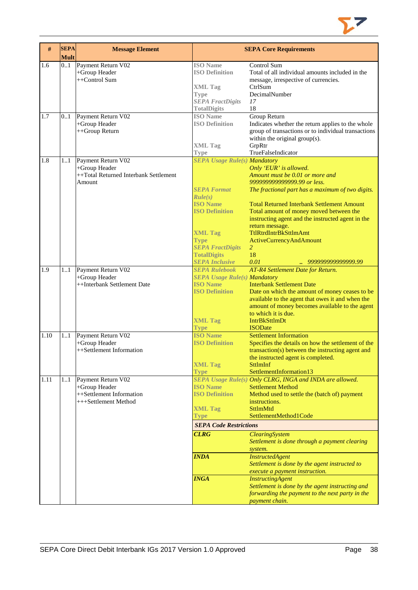

| #    | <b>SEPA</b><br>Mult | <b>Message Element</b>                                                                  |                                                                                                                                                                                                                             | <b>SEPA Core Requirements</b>                                                                                                                                                                                                                                                                                                                                                                                                                                                                                                                   |
|------|---------------------|-----------------------------------------------------------------------------------------|-----------------------------------------------------------------------------------------------------------------------------------------------------------------------------------------------------------------------------|-------------------------------------------------------------------------------------------------------------------------------------------------------------------------------------------------------------------------------------------------------------------------------------------------------------------------------------------------------------------------------------------------------------------------------------------------------------------------------------------------------------------------------------------------|
| 1.6  | 01                  | Payment Return V02<br>+Group Header<br>++Control Sum                                    | <b>ISO</b> Name<br><b>ISO Definition</b><br><b>XML Tag</b><br>Type<br><b>SEPA FractDigits</b><br><b>TotalDigits</b>                                                                                                         | Control Sum<br>Total of all individual amounts included in the<br>message, irrespective of currencies.<br>CtrlSum<br>DecimalNumber<br>17<br>18                                                                                                                                                                                                                                                                                                                                                                                                  |
| 1.7  | 0.1                 | Payment Return V02<br>+Group Header<br>++Group Return                                   | <b>ISO</b> Name<br><b>ISO Definition</b><br><b>XML Tag</b><br><b>Type</b>                                                                                                                                                   | Group Return<br>Indicates whether the return applies to the whole<br>group of transactions or to individual transactions<br>within the original group(s).<br>GrpRtr<br>TrueFalseIndicator                                                                                                                                                                                                                                                                                                                                                       |
| 1.8  | 1.1                 | Payment Return V02<br>+Group Header<br>++Total Returned Interbank Settlement<br>Amount  | <b>SEPA Usage Rule(s) Mandatory</b><br><b>SEPA Format</b><br>Rule(s)<br><b>ISO</b> Name<br><b>ISO Definition</b><br><b>XML Tag</b><br><b>Type</b><br><b>SEPA FractDigits</b><br><b>TotalDigits</b><br><b>SEPA Inclusive</b> | Only 'EUR' is allowed.<br>Amount must be 0.01 or more and<br>999999999999999.99 or less.<br>The fractional part has a maximum of two digits.<br><b>Total Returned Interbank Settlement Amount</b><br>Total amount of money moved between the<br>instructing agent and the instructed agent in the<br>return message.<br>TtlRtrdIntrBkSttlmAmt<br>ActiveCurrencyAndAmount<br>2<br>18<br>0.01<br>999999999999999.99                                                                                                                               |
| 1.9  | 1.1                 | Payment Return V02<br>+Group Header<br>++Interbank Settlement Date                      | <b>SEPA Rulebook</b><br><b>SEPA Usage Rule(s) Mandatory</b><br><b>ISO Name</b><br><b>ISO Definition</b><br><b>XML Tag</b><br><b>Type</b>                                                                                    | AT-R4 Settlement Date for Return.<br><b>Interbank Settlement Date</b><br>Date on which the amount of money ceases to be<br>available to the agent that owes it and when the<br>amount of money becomes available to the agent<br>to which it is due.<br><b>IntrBkSttImDt</b><br><b>ISODate</b>                                                                                                                                                                                                                                                  |
| 1.10 | 1.1                 | Payment Return V02<br>+Group Header<br>++Settlement Information                         | <b>ISO Name</b><br><b>ISO Definition</b><br><b>XML Tag</b><br><b>Type</b>                                                                                                                                                   | <b>Settlement Information</b><br>Specifies the details on how the settlement of the<br>transaction(s) between the instructing agent and<br>the instructed agent is completed.<br><b>SttlmInf</b><br>SettlementInformation13                                                                                                                                                                                                                                                                                                                     |
| 1.11 | 11                  | Payment Return V02<br>+Group Header<br>++Settlement Information<br>+++Settlement Method | <b>ISO Name</b><br><b>ISO Definition</b><br><b>XML Tag</b><br><b>Type</b><br><b>SEPA Code Restrictions</b><br><b>CLRG</b><br><b>INDA</b><br><b>INGA</b>                                                                     | SEPA Usage Rule(s) Only CLRG, INGA and INDA are allowed.<br><b>Settlement Method</b><br>Method used to settle the (batch of) payment<br>instructions.<br>SttlmMtd<br>SettlementMethod1Code<br><b>ClearingSystem</b><br>Settlement is done through a payment clearing<br>system.<br><b>InstructedAgent</b><br>Settlement is done by the agent instructed to<br>execute a payment instruction.<br><b>InstructingAgent</b><br>Settlement is done by the agent instructing and<br>forwarding the payment to the next party in the<br>payment chain. |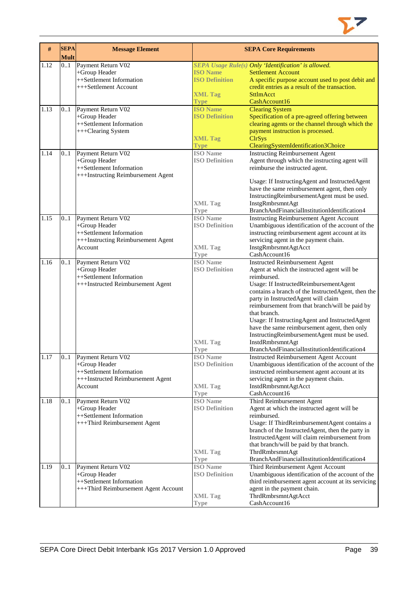

| $\#$         | <b>SEPA</b><br><b>Mult</b> | <b>Message Element</b>                                                                                             |                                                                                              | <b>SEPA Core Requirements</b>                                                                                                                                                                                                                                                                                                                                                                                                                                                                                                     |
|--------------|----------------------------|--------------------------------------------------------------------------------------------------------------------|----------------------------------------------------------------------------------------------|-----------------------------------------------------------------------------------------------------------------------------------------------------------------------------------------------------------------------------------------------------------------------------------------------------------------------------------------------------------------------------------------------------------------------------------------------------------------------------------------------------------------------------------|
| 1.12<br>1.13 | 0.1<br>0.1                 | Payment Return V02<br>+Group Header<br>++Settlement Information<br>+++Settlement Account<br>Payment Return V02     | <b>ISO Name</b><br><b>ISO Definition</b><br><b>XML Tag</b><br><b>Type</b><br><b>ISO Name</b> | SEPA Usage Rule(s) Only 'Identification' is allowed.<br><b>Settlement Account</b><br>A specific purpose account used to post debit and<br>credit entries as a result of the transaction.<br><b>SttlmAcct</b><br>CashAccount16<br><b>Clearing System</b>                                                                                                                                                                                                                                                                           |
|              |                            | +Group Header<br>++Settlement Information<br>+++Clearing System                                                    | <b>ISO Definition</b><br><b>XML Tag</b><br><b>Type</b>                                       | Specification of a pre-agreed offering between<br>clearing agents or the channel through which the<br>payment instruction is processed.<br><b>ClrSys</b><br>ClearingSystemIdentification3Choice                                                                                                                                                                                                                                                                                                                                   |
| 1.14         | 0.1                        | Payment Return V02<br>+Group Header<br>++Settlement Information<br>+++Instructing Reimbursement Agent              | <b>ISO</b> Name<br><b>ISO Definition</b><br><b>XML Tag</b><br>Type                           | <b>Instructing Reimbursement Agent</b><br>Agent through which the instructing agent will<br>reimburse the instructed agent.<br>Usage: If InstructingAgent and InstructedAgent<br>have the same reimbursement agent, then only<br>InstructingReimbursementAgent must be used.<br>InstgRmbrsmntAgt<br>BranchAndFinancialInstitutionIdentification4                                                                                                                                                                                  |
| 1.15         | 0.1                        | Payment Return V02<br>+Group Header<br>++Settlement Information<br>+++Instructing Reimbursement Agent<br>Account   | <b>ISO</b> Name<br><b>ISO Definition</b><br><b>XML Tag</b><br><b>Type</b>                    | <b>Instructing Reimbursement Agent Account</b><br>Unambiguous identification of the account of the<br>instructing reimbursement agent account at its<br>servicing agent in the payment chain.<br>InstgRmbrsmntAgtAcct<br>CashAccount16                                                                                                                                                                                                                                                                                            |
| 1.16         | 0.1                        | Payment Return V02<br>+Group Header<br>++Settlement Information<br>+++Instructed Reimbursement Agent               | <b>ISO</b> Name<br><b>ISO Definition</b><br><b>XML Tag</b><br>Type                           | <b>Instructed Reimbursement Agent</b><br>Agent at which the instructed agent will be<br>reimbursed.<br>Usage: If InstructedReimbursementAgent<br>contains a branch of the InstructedAgent, then the<br>party in InstructedAgent will claim<br>reimbursement from that branch/will be paid by<br>that branch.<br>Usage: If InstructingAgent and InstructedAgent<br>have the same reimbursement agent, then only<br>InstructingReimbursementAgent must be used.<br>InstdRmbrsmntAgt<br>BranchAndFinancialInstitutionIdentification4 |
| 1.17         |                            | 01 Payment Return V02<br>+Group Header<br>++Settlement Information<br>+++Instructed Reimbursement Agent<br>Account | <b>ISO</b> Name<br><b>ISO Definition</b><br><b>XML Tag</b><br>Type                           | Instructed Reimbursement Agent Account<br>Unambiguous identification of the account of the<br>instructed reimbursement agent account at its<br>servicing agent in the payment chain.<br>InstdRmbrsmntAgtAcct<br>CashAccount16                                                                                                                                                                                                                                                                                                     |
| 1.18         | 01                         | Payment Return V02<br>+Group Header<br>++Settlement Information<br>+++Third Reimbursement Agent                    | <b>ISO</b> Name<br><b>ISO Definition</b><br><b>XML Tag</b><br>Type                           | Third Reimbursement Agent<br>Agent at which the instructed agent will be<br>reimbursed.<br>Usage: If ThirdReimbursementAgent contains a<br>branch of the InstructedAgent, then the party in<br>InstructedAgent will claim reimbursement from<br>that branch/will be paid by that branch.<br>ThrdRmbrsmntAgt<br>BranchAndFinancialInstitutionIdentification4                                                                                                                                                                       |
| 1.19         | 01                         | Payment Return V02<br>+Group Header<br>++Settlement Information<br>+++Third Reimbursement Agent Account            | <b>ISO</b> Name<br><b>ISO Definition</b><br><b>XML</b> Tag<br>Type                           | Third Reimbursement Agent Account<br>Unambiguous identification of the account of the<br>third reimbursement agent account at its servicing<br>agent in the payment chain.<br>ThrdRmbrsmntAgtAcct<br>CashAccount16                                                                                                                                                                                                                                                                                                                |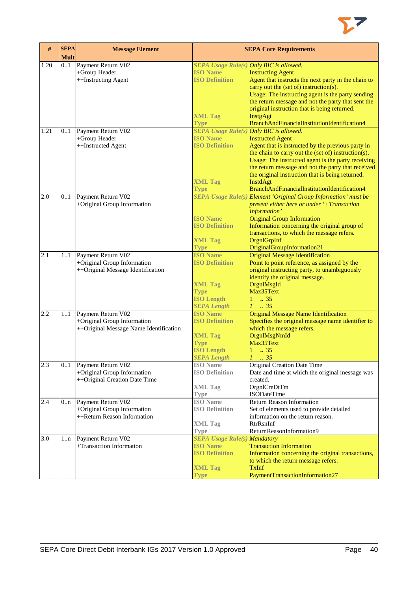

| 1.20<br>0.1<br>Payment Return V02<br>SEPA Usage Rule(s) Only BIC is allowed.<br>+Group Header<br><b>ISO Name</b><br><b>Instructing Agent</b><br><b>ISO Definition</b><br>++Instructing Agent<br>Agent that instructs the next party in the chain to<br>carry out the (set of) instruction(s).<br>Usage: The instructing agent is the party sending<br>the return message and not the party that sent the<br>original instruction that is being returned.<br><b>XML Tag</b><br>InstgAgt<br>BranchAndFinancialInstitutionIdentification4<br><b>Type</b><br>SEPA Usage Rule(s) Only BIC is allowed.<br>1.21<br>0.1<br>Payment Return V02<br><b>ISO Name</b><br>+Group Header<br><b>Instructed Agent</b><br>++Instructed Agent<br><b>ISO Definition</b><br>Agent that is instructed by the previous party in<br>the chain to carry out the (set of) instruction(s).<br>Usage: The instructed agent is the party receiving<br>the return message and not the party that received<br>the original instruction that is being returned.<br><b>XML Tag</b><br>InstdAgt<br>BranchAndFinancialInstitutionIdentification4<br><b>Type</b><br><b>SEPA Usage Rule(s) Element 'Original Group Information' must be</b><br>2.0<br>0.1<br>Payment Return V02<br>+Original Group Information<br>present either here or under '+Transaction<br>Information'<br><b>ISO Name</b><br><b>Original Group Information</b><br><b>ISO Definition</b><br>Information concerning the original group of<br>transactions, to which the message refers.<br>OrgnlGrpInf<br><b>XML Tag</b><br>OriginalGroupInformation21<br>Type<br>2.1<br><b>ISO Name</b><br>$\overline{1}$ 1<br>Payment Return V02<br><b>Original Message Identification</b><br>+Original Group Information<br>Point to point reference, as assigned by the<br><b>ISO Definition</b><br>++Original Message Identification<br>original instructing party, to unambiguously<br>identify the original message.<br><b>XML Tag</b><br>OrgnlMsgId<br>Max35Text<br><b>Type</b><br><b>ISO Length</b><br>$1 \t . 35$<br>$1-.35$<br><b>SEPA Length</b><br>Payment Return V02<br><b>ISO Name</b><br><b>Original Message Name Identification</b><br>2.2<br>11<br>+Original Group Information<br>Specifies the original message name identifier to<br><b>ISO Definition</b><br>++Original Message Name Identification<br>which the message refers.<br>OrgnlMsgNmId<br><b>XML Tag</b><br>Max35Text<br><b>Type</b><br><b>ISO Length</b><br>$1 \t . 35$<br><b>SEPA Length</b><br>$\therefore$ 35<br>2.3<br>Payment Return V02<br>Original Creation Date Time<br>0.1<br><b>ISO</b> Name<br>+Original Group Information<br><b>ISO Definition</b><br>Date and time at which the original message was<br>++Original Creation Date Time<br>created.<br><b>XML Tag</b><br>OrgnlCreDtTm<br><b>ISODateTime</b><br>Type<br>2.4<br>Payment Return V02<br><b>ISO</b> Name<br><b>Return Reason Information</b><br>0.n<br>+Original Group Information<br><b>ISO Definition</b><br>Set of elements used to provide detailed<br>++Return Reason Information<br>information on the return reason.<br>RtrRsnInf<br><b>XML Tag</b><br>ReturnReasonInformation9<br>Type<br>3.0<br>Payment Return V02<br><b>SEPA Usage Rule(s) Mandatory</b><br>1n<br><b>Transaction Information</b><br>+Transaction Information<br><b>ISO Name</b><br>Information concerning the original transactions,<br><b>ISO Definition</b> | # | <b>SEPA</b><br><b>Mult</b> | <b>Message Element</b> | <b>SEPA Core Requirements</b>       |
|--------------------------------------------------------------------------------------------------------------------------------------------------------------------------------------------------------------------------------------------------------------------------------------------------------------------------------------------------------------------------------------------------------------------------------------------------------------------------------------------------------------------------------------------------------------------------------------------------------------------------------------------------------------------------------------------------------------------------------------------------------------------------------------------------------------------------------------------------------------------------------------------------------------------------------------------------------------------------------------------------------------------------------------------------------------------------------------------------------------------------------------------------------------------------------------------------------------------------------------------------------------------------------------------------------------------------------------------------------------------------------------------------------------------------------------------------------------------------------------------------------------------------------------------------------------------------------------------------------------------------------------------------------------------------------------------------------------------------------------------------------------------------------------------------------------------------------------------------------------------------------------------------------------------------------------------------------------------------------------------------------------------------------------------------------------------------------------------------------------------------------------------------------------------------------------------------------------------------------------------------------------------------------------------------------------------------------------------------------------------------------------------------------------------------------------------------------------------------------------------------------------------------------------------------------------------------------------------------------------------------------------------------------------------------------------------------------------------------------------------------------------------------------------------------------------------------------------------------------------------------------------------------------------------------------------------------------------------------------------------------------------------------------------------------------------------------------------------------------------------------------------------------------------------------------------------------------------------------------------------------------------------------------------------------------------------------------------------------------------------------------------------------------------|---|----------------------------|------------------------|-------------------------------------|
|                                                                                                                                                                                                                                                                                                                                                                                                                                                                                                                                                                                                                                                                                                                                                                                                                                                                                                                                                                                                                                                                                                                                                                                                                                                                                                                                                                                                                                                                                                                                                                                                                                                                                                                                                                                                                                                                                                                                                                                                                                                                                                                                                                                                                                                                                                                                                                                                                                                                                                                                                                                                                                                                                                                                                                                                                                                                                                                                                                                                                                                                                                                                                                                                                                                                                                                                                                                                              |   |                            |                        |                                     |
|                                                                                                                                                                                                                                                                                                                                                                                                                                                                                                                                                                                                                                                                                                                                                                                                                                                                                                                                                                                                                                                                                                                                                                                                                                                                                                                                                                                                                                                                                                                                                                                                                                                                                                                                                                                                                                                                                                                                                                                                                                                                                                                                                                                                                                                                                                                                                                                                                                                                                                                                                                                                                                                                                                                                                                                                                                                                                                                                                                                                                                                                                                                                                                                                                                                                                                                                                                                                              |   |                            |                        |                                     |
|                                                                                                                                                                                                                                                                                                                                                                                                                                                                                                                                                                                                                                                                                                                                                                                                                                                                                                                                                                                                                                                                                                                                                                                                                                                                                                                                                                                                                                                                                                                                                                                                                                                                                                                                                                                                                                                                                                                                                                                                                                                                                                                                                                                                                                                                                                                                                                                                                                                                                                                                                                                                                                                                                                                                                                                                                                                                                                                                                                                                                                                                                                                                                                                                                                                                                                                                                                                                              |   |                            |                        |                                     |
|                                                                                                                                                                                                                                                                                                                                                                                                                                                                                                                                                                                                                                                                                                                                                                                                                                                                                                                                                                                                                                                                                                                                                                                                                                                                                                                                                                                                                                                                                                                                                                                                                                                                                                                                                                                                                                                                                                                                                                                                                                                                                                                                                                                                                                                                                                                                                                                                                                                                                                                                                                                                                                                                                                                                                                                                                                                                                                                                                                                                                                                                                                                                                                                                                                                                                                                                                                                                              |   |                            |                        |                                     |
|                                                                                                                                                                                                                                                                                                                                                                                                                                                                                                                                                                                                                                                                                                                                                                                                                                                                                                                                                                                                                                                                                                                                                                                                                                                                                                                                                                                                                                                                                                                                                                                                                                                                                                                                                                                                                                                                                                                                                                                                                                                                                                                                                                                                                                                                                                                                                                                                                                                                                                                                                                                                                                                                                                                                                                                                                                                                                                                                                                                                                                                                                                                                                                                                                                                                                                                                                                                                              |   |                            |                        |                                     |
|                                                                                                                                                                                                                                                                                                                                                                                                                                                                                                                                                                                                                                                                                                                                                                                                                                                                                                                                                                                                                                                                                                                                                                                                                                                                                                                                                                                                                                                                                                                                                                                                                                                                                                                                                                                                                                                                                                                                                                                                                                                                                                                                                                                                                                                                                                                                                                                                                                                                                                                                                                                                                                                                                                                                                                                                                                                                                                                                                                                                                                                                                                                                                                                                                                                                                                                                                                                                              |   |                            |                        |                                     |
|                                                                                                                                                                                                                                                                                                                                                                                                                                                                                                                                                                                                                                                                                                                                                                                                                                                                                                                                                                                                                                                                                                                                                                                                                                                                                                                                                                                                                                                                                                                                                                                                                                                                                                                                                                                                                                                                                                                                                                                                                                                                                                                                                                                                                                                                                                                                                                                                                                                                                                                                                                                                                                                                                                                                                                                                                                                                                                                                                                                                                                                                                                                                                                                                                                                                                                                                                                                                              |   |                            |                        |                                     |
|                                                                                                                                                                                                                                                                                                                                                                                                                                                                                                                                                                                                                                                                                                                                                                                                                                                                                                                                                                                                                                                                                                                                                                                                                                                                                                                                                                                                                                                                                                                                                                                                                                                                                                                                                                                                                                                                                                                                                                                                                                                                                                                                                                                                                                                                                                                                                                                                                                                                                                                                                                                                                                                                                                                                                                                                                                                                                                                                                                                                                                                                                                                                                                                                                                                                                                                                                                                                              |   |                            |                        |                                     |
|                                                                                                                                                                                                                                                                                                                                                                                                                                                                                                                                                                                                                                                                                                                                                                                                                                                                                                                                                                                                                                                                                                                                                                                                                                                                                                                                                                                                                                                                                                                                                                                                                                                                                                                                                                                                                                                                                                                                                                                                                                                                                                                                                                                                                                                                                                                                                                                                                                                                                                                                                                                                                                                                                                                                                                                                                                                                                                                                                                                                                                                                                                                                                                                                                                                                                                                                                                                                              |   |                            |                        |                                     |
|                                                                                                                                                                                                                                                                                                                                                                                                                                                                                                                                                                                                                                                                                                                                                                                                                                                                                                                                                                                                                                                                                                                                                                                                                                                                                                                                                                                                                                                                                                                                                                                                                                                                                                                                                                                                                                                                                                                                                                                                                                                                                                                                                                                                                                                                                                                                                                                                                                                                                                                                                                                                                                                                                                                                                                                                                                                                                                                                                                                                                                                                                                                                                                                                                                                                                                                                                                                                              |   |                            |                        |                                     |
|                                                                                                                                                                                                                                                                                                                                                                                                                                                                                                                                                                                                                                                                                                                                                                                                                                                                                                                                                                                                                                                                                                                                                                                                                                                                                                                                                                                                                                                                                                                                                                                                                                                                                                                                                                                                                                                                                                                                                                                                                                                                                                                                                                                                                                                                                                                                                                                                                                                                                                                                                                                                                                                                                                                                                                                                                                                                                                                                                                                                                                                                                                                                                                                                                                                                                                                                                                                                              |   |                            |                        |                                     |
|                                                                                                                                                                                                                                                                                                                                                                                                                                                                                                                                                                                                                                                                                                                                                                                                                                                                                                                                                                                                                                                                                                                                                                                                                                                                                                                                                                                                                                                                                                                                                                                                                                                                                                                                                                                                                                                                                                                                                                                                                                                                                                                                                                                                                                                                                                                                                                                                                                                                                                                                                                                                                                                                                                                                                                                                                                                                                                                                                                                                                                                                                                                                                                                                                                                                                                                                                                                                              |   |                            |                        |                                     |
|                                                                                                                                                                                                                                                                                                                                                                                                                                                                                                                                                                                                                                                                                                                                                                                                                                                                                                                                                                                                                                                                                                                                                                                                                                                                                                                                                                                                                                                                                                                                                                                                                                                                                                                                                                                                                                                                                                                                                                                                                                                                                                                                                                                                                                                                                                                                                                                                                                                                                                                                                                                                                                                                                                                                                                                                                                                                                                                                                                                                                                                                                                                                                                                                                                                                                                                                                                                                              |   |                            |                        |                                     |
|                                                                                                                                                                                                                                                                                                                                                                                                                                                                                                                                                                                                                                                                                                                                                                                                                                                                                                                                                                                                                                                                                                                                                                                                                                                                                                                                                                                                                                                                                                                                                                                                                                                                                                                                                                                                                                                                                                                                                                                                                                                                                                                                                                                                                                                                                                                                                                                                                                                                                                                                                                                                                                                                                                                                                                                                                                                                                                                                                                                                                                                                                                                                                                                                                                                                                                                                                                                                              |   |                            |                        |                                     |
|                                                                                                                                                                                                                                                                                                                                                                                                                                                                                                                                                                                                                                                                                                                                                                                                                                                                                                                                                                                                                                                                                                                                                                                                                                                                                                                                                                                                                                                                                                                                                                                                                                                                                                                                                                                                                                                                                                                                                                                                                                                                                                                                                                                                                                                                                                                                                                                                                                                                                                                                                                                                                                                                                                                                                                                                                                                                                                                                                                                                                                                                                                                                                                                                                                                                                                                                                                                                              |   |                            |                        |                                     |
|                                                                                                                                                                                                                                                                                                                                                                                                                                                                                                                                                                                                                                                                                                                                                                                                                                                                                                                                                                                                                                                                                                                                                                                                                                                                                                                                                                                                                                                                                                                                                                                                                                                                                                                                                                                                                                                                                                                                                                                                                                                                                                                                                                                                                                                                                                                                                                                                                                                                                                                                                                                                                                                                                                                                                                                                                                                                                                                                                                                                                                                                                                                                                                                                                                                                                                                                                                                                              |   |                            |                        |                                     |
|                                                                                                                                                                                                                                                                                                                                                                                                                                                                                                                                                                                                                                                                                                                                                                                                                                                                                                                                                                                                                                                                                                                                                                                                                                                                                                                                                                                                                                                                                                                                                                                                                                                                                                                                                                                                                                                                                                                                                                                                                                                                                                                                                                                                                                                                                                                                                                                                                                                                                                                                                                                                                                                                                                                                                                                                                                                                                                                                                                                                                                                                                                                                                                                                                                                                                                                                                                                                              |   |                            |                        |                                     |
|                                                                                                                                                                                                                                                                                                                                                                                                                                                                                                                                                                                                                                                                                                                                                                                                                                                                                                                                                                                                                                                                                                                                                                                                                                                                                                                                                                                                                                                                                                                                                                                                                                                                                                                                                                                                                                                                                                                                                                                                                                                                                                                                                                                                                                                                                                                                                                                                                                                                                                                                                                                                                                                                                                                                                                                                                                                                                                                                                                                                                                                                                                                                                                                                                                                                                                                                                                                                              |   |                            |                        |                                     |
|                                                                                                                                                                                                                                                                                                                                                                                                                                                                                                                                                                                                                                                                                                                                                                                                                                                                                                                                                                                                                                                                                                                                                                                                                                                                                                                                                                                                                                                                                                                                                                                                                                                                                                                                                                                                                                                                                                                                                                                                                                                                                                                                                                                                                                                                                                                                                                                                                                                                                                                                                                                                                                                                                                                                                                                                                                                                                                                                                                                                                                                                                                                                                                                                                                                                                                                                                                                                              |   |                            |                        |                                     |
|                                                                                                                                                                                                                                                                                                                                                                                                                                                                                                                                                                                                                                                                                                                                                                                                                                                                                                                                                                                                                                                                                                                                                                                                                                                                                                                                                                                                                                                                                                                                                                                                                                                                                                                                                                                                                                                                                                                                                                                                                                                                                                                                                                                                                                                                                                                                                                                                                                                                                                                                                                                                                                                                                                                                                                                                                                                                                                                                                                                                                                                                                                                                                                                                                                                                                                                                                                                                              |   |                            |                        |                                     |
|                                                                                                                                                                                                                                                                                                                                                                                                                                                                                                                                                                                                                                                                                                                                                                                                                                                                                                                                                                                                                                                                                                                                                                                                                                                                                                                                                                                                                                                                                                                                                                                                                                                                                                                                                                                                                                                                                                                                                                                                                                                                                                                                                                                                                                                                                                                                                                                                                                                                                                                                                                                                                                                                                                                                                                                                                                                                                                                                                                                                                                                                                                                                                                                                                                                                                                                                                                                                              |   |                            |                        |                                     |
|                                                                                                                                                                                                                                                                                                                                                                                                                                                                                                                                                                                                                                                                                                                                                                                                                                                                                                                                                                                                                                                                                                                                                                                                                                                                                                                                                                                                                                                                                                                                                                                                                                                                                                                                                                                                                                                                                                                                                                                                                                                                                                                                                                                                                                                                                                                                                                                                                                                                                                                                                                                                                                                                                                                                                                                                                                                                                                                                                                                                                                                                                                                                                                                                                                                                                                                                                                                                              |   |                            |                        |                                     |
|                                                                                                                                                                                                                                                                                                                                                                                                                                                                                                                                                                                                                                                                                                                                                                                                                                                                                                                                                                                                                                                                                                                                                                                                                                                                                                                                                                                                                                                                                                                                                                                                                                                                                                                                                                                                                                                                                                                                                                                                                                                                                                                                                                                                                                                                                                                                                                                                                                                                                                                                                                                                                                                                                                                                                                                                                                                                                                                                                                                                                                                                                                                                                                                                                                                                                                                                                                                                              |   |                            |                        |                                     |
|                                                                                                                                                                                                                                                                                                                                                                                                                                                                                                                                                                                                                                                                                                                                                                                                                                                                                                                                                                                                                                                                                                                                                                                                                                                                                                                                                                                                                                                                                                                                                                                                                                                                                                                                                                                                                                                                                                                                                                                                                                                                                                                                                                                                                                                                                                                                                                                                                                                                                                                                                                                                                                                                                                                                                                                                                                                                                                                                                                                                                                                                                                                                                                                                                                                                                                                                                                                                              |   |                            |                        |                                     |
|                                                                                                                                                                                                                                                                                                                                                                                                                                                                                                                                                                                                                                                                                                                                                                                                                                                                                                                                                                                                                                                                                                                                                                                                                                                                                                                                                                                                                                                                                                                                                                                                                                                                                                                                                                                                                                                                                                                                                                                                                                                                                                                                                                                                                                                                                                                                                                                                                                                                                                                                                                                                                                                                                                                                                                                                                                                                                                                                                                                                                                                                                                                                                                                                                                                                                                                                                                                                              |   |                            |                        |                                     |
|                                                                                                                                                                                                                                                                                                                                                                                                                                                                                                                                                                                                                                                                                                                                                                                                                                                                                                                                                                                                                                                                                                                                                                                                                                                                                                                                                                                                                                                                                                                                                                                                                                                                                                                                                                                                                                                                                                                                                                                                                                                                                                                                                                                                                                                                                                                                                                                                                                                                                                                                                                                                                                                                                                                                                                                                                                                                                                                                                                                                                                                                                                                                                                                                                                                                                                                                                                                                              |   |                            |                        |                                     |
|                                                                                                                                                                                                                                                                                                                                                                                                                                                                                                                                                                                                                                                                                                                                                                                                                                                                                                                                                                                                                                                                                                                                                                                                                                                                                                                                                                                                                                                                                                                                                                                                                                                                                                                                                                                                                                                                                                                                                                                                                                                                                                                                                                                                                                                                                                                                                                                                                                                                                                                                                                                                                                                                                                                                                                                                                                                                                                                                                                                                                                                                                                                                                                                                                                                                                                                                                                                                              |   |                            |                        |                                     |
|                                                                                                                                                                                                                                                                                                                                                                                                                                                                                                                                                                                                                                                                                                                                                                                                                                                                                                                                                                                                                                                                                                                                                                                                                                                                                                                                                                                                                                                                                                                                                                                                                                                                                                                                                                                                                                                                                                                                                                                                                                                                                                                                                                                                                                                                                                                                                                                                                                                                                                                                                                                                                                                                                                                                                                                                                                                                                                                                                                                                                                                                                                                                                                                                                                                                                                                                                                                                              |   |                            |                        |                                     |
|                                                                                                                                                                                                                                                                                                                                                                                                                                                                                                                                                                                                                                                                                                                                                                                                                                                                                                                                                                                                                                                                                                                                                                                                                                                                                                                                                                                                                                                                                                                                                                                                                                                                                                                                                                                                                                                                                                                                                                                                                                                                                                                                                                                                                                                                                                                                                                                                                                                                                                                                                                                                                                                                                                                                                                                                                                                                                                                                                                                                                                                                                                                                                                                                                                                                                                                                                                                                              |   |                            |                        |                                     |
|                                                                                                                                                                                                                                                                                                                                                                                                                                                                                                                                                                                                                                                                                                                                                                                                                                                                                                                                                                                                                                                                                                                                                                                                                                                                                                                                                                                                                                                                                                                                                                                                                                                                                                                                                                                                                                                                                                                                                                                                                                                                                                                                                                                                                                                                                                                                                                                                                                                                                                                                                                                                                                                                                                                                                                                                                                                                                                                                                                                                                                                                                                                                                                                                                                                                                                                                                                                                              |   |                            |                        |                                     |
|                                                                                                                                                                                                                                                                                                                                                                                                                                                                                                                                                                                                                                                                                                                                                                                                                                                                                                                                                                                                                                                                                                                                                                                                                                                                                                                                                                                                                                                                                                                                                                                                                                                                                                                                                                                                                                                                                                                                                                                                                                                                                                                                                                                                                                                                                                                                                                                                                                                                                                                                                                                                                                                                                                                                                                                                                                                                                                                                                                                                                                                                                                                                                                                                                                                                                                                                                                                                              |   |                            |                        |                                     |
|                                                                                                                                                                                                                                                                                                                                                                                                                                                                                                                                                                                                                                                                                                                                                                                                                                                                                                                                                                                                                                                                                                                                                                                                                                                                                                                                                                                                                                                                                                                                                                                                                                                                                                                                                                                                                                                                                                                                                                                                                                                                                                                                                                                                                                                                                                                                                                                                                                                                                                                                                                                                                                                                                                                                                                                                                                                                                                                                                                                                                                                                                                                                                                                                                                                                                                                                                                                                              |   |                            |                        |                                     |
|                                                                                                                                                                                                                                                                                                                                                                                                                                                                                                                                                                                                                                                                                                                                                                                                                                                                                                                                                                                                                                                                                                                                                                                                                                                                                                                                                                                                                                                                                                                                                                                                                                                                                                                                                                                                                                                                                                                                                                                                                                                                                                                                                                                                                                                                                                                                                                                                                                                                                                                                                                                                                                                                                                                                                                                                                                                                                                                                                                                                                                                                                                                                                                                                                                                                                                                                                                                                              |   |                            |                        |                                     |
|                                                                                                                                                                                                                                                                                                                                                                                                                                                                                                                                                                                                                                                                                                                                                                                                                                                                                                                                                                                                                                                                                                                                                                                                                                                                                                                                                                                                                                                                                                                                                                                                                                                                                                                                                                                                                                                                                                                                                                                                                                                                                                                                                                                                                                                                                                                                                                                                                                                                                                                                                                                                                                                                                                                                                                                                                                                                                                                                                                                                                                                                                                                                                                                                                                                                                                                                                                                                              |   |                            |                        |                                     |
|                                                                                                                                                                                                                                                                                                                                                                                                                                                                                                                                                                                                                                                                                                                                                                                                                                                                                                                                                                                                                                                                                                                                                                                                                                                                                                                                                                                                                                                                                                                                                                                                                                                                                                                                                                                                                                                                                                                                                                                                                                                                                                                                                                                                                                                                                                                                                                                                                                                                                                                                                                                                                                                                                                                                                                                                                                                                                                                                                                                                                                                                                                                                                                                                                                                                                                                                                                                                              |   |                            |                        |                                     |
|                                                                                                                                                                                                                                                                                                                                                                                                                                                                                                                                                                                                                                                                                                                                                                                                                                                                                                                                                                                                                                                                                                                                                                                                                                                                                                                                                                                                                                                                                                                                                                                                                                                                                                                                                                                                                                                                                                                                                                                                                                                                                                                                                                                                                                                                                                                                                                                                                                                                                                                                                                                                                                                                                                                                                                                                                                                                                                                                                                                                                                                                                                                                                                                                                                                                                                                                                                                                              |   |                            |                        |                                     |
|                                                                                                                                                                                                                                                                                                                                                                                                                                                                                                                                                                                                                                                                                                                                                                                                                                                                                                                                                                                                                                                                                                                                                                                                                                                                                                                                                                                                                                                                                                                                                                                                                                                                                                                                                                                                                                                                                                                                                                                                                                                                                                                                                                                                                                                                                                                                                                                                                                                                                                                                                                                                                                                                                                                                                                                                                                                                                                                                                                                                                                                                                                                                                                                                                                                                                                                                                                                                              |   |                            |                        |                                     |
|                                                                                                                                                                                                                                                                                                                                                                                                                                                                                                                                                                                                                                                                                                                                                                                                                                                                                                                                                                                                                                                                                                                                                                                                                                                                                                                                                                                                                                                                                                                                                                                                                                                                                                                                                                                                                                                                                                                                                                                                                                                                                                                                                                                                                                                                                                                                                                                                                                                                                                                                                                                                                                                                                                                                                                                                                                                                                                                                                                                                                                                                                                                                                                                                                                                                                                                                                                                                              |   |                            |                        |                                     |
|                                                                                                                                                                                                                                                                                                                                                                                                                                                                                                                                                                                                                                                                                                                                                                                                                                                                                                                                                                                                                                                                                                                                                                                                                                                                                                                                                                                                                                                                                                                                                                                                                                                                                                                                                                                                                                                                                                                                                                                                                                                                                                                                                                                                                                                                                                                                                                                                                                                                                                                                                                                                                                                                                                                                                                                                                                                                                                                                                                                                                                                                                                                                                                                                                                                                                                                                                                                                              |   |                            |                        |                                     |
|                                                                                                                                                                                                                                                                                                                                                                                                                                                                                                                                                                                                                                                                                                                                                                                                                                                                                                                                                                                                                                                                                                                                                                                                                                                                                                                                                                                                                                                                                                                                                                                                                                                                                                                                                                                                                                                                                                                                                                                                                                                                                                                                                                                                                                                                                                                                                                                                                                                                                                                                                                                                                                                                                                                                                                                                                                                                                                                                                                                                                                                                                                                                                                                                                                                                                                                                                                                                              |   |                            |                        |                                     |
|                                                                                                                                                                                                                                                                                                                                                                                                                                                                                                                                                                                                                                                                                                                                                                                                                                                                                                                                                                                                                                                                                                                                                                                                                                                                                                                                                                                                                                                                                                                                                                                                                                                                                                                                                                                                                                                                                                                                                                                                                                                                                                                                                                                                                                                                                                                                                                                                                                                                                                                                                                                                                                                                                                                                                                                                                                                                                                                                                                                                                                                                                                                                                                                                                                                                                                                                                                                                              |   |                            |                        |                                     |
|                                                                                                                                                                                                                                                                                                                                                                                                                                                                                                                                                                                                                                                                                                                                                                                                                                                                                                                                                                                                                                                                                                                                                                                                                                                                                                                                                                                                                                                                                                                                                                                                                                                                                                                                                                                                                                                                                                                                                                                                                                                                                                                                                                                                                                                                                                                                                                                                                                                                                                                                                                                                                                                                                                                                                                                                                                                                                                                                                                                                                                                                                                                                                                                                                                                                                                                                                                                                              |   |                            |                        |                                     |
|                                                                                                                                                                                                                                                                                                                                                                                                                                                                                                                                                                                                                                                                                                                                                                                                                                                                                                                                                                                                                                                                                                                                                                                                                                                                                                                                                                                                                                                                                                                                                                                                                                                                                                                                                                                                                                                                                                                                                                                                                                                                                                                                                                                                                                                                                                                                                                                                                                                                                                                                                                                                                                                                                                                                                                                                                                                                                                                                                                                                                                                                                                                                                                                                                                                                                                                                                                                                              |   |                            |                        |                                     |
|                                                                                                                                                                                                                                                                                                                                                                                                                                                                                                                                                                                                                                                                                                                                                                                                                                                                                                                                                                                                                                                                                                                                                                                                                                                                                                                                                                                                                                                                                                                                                                                                                                                                                                                                                                                                                                                                                                                                                                                                                                                                                                                                                                                                                                                                                                                                                                                                                                                                                                                                                                                                                                                                                                                                                                                                                                                                                                                                                                                                                                                                                                                                                                                                                                                                                                                                                                                                              |   |                            |                        |                                     |
|                                                                                                                                                                                                                                                                                                                                                                                                                                                                                                                                                                                                                                                                                                                                                                                                                                                                                                                                                                                                                                                                                                                                                                                                                                                                                                                                                                                                                                                                                                                                                                                                                                                                                                                                                                                                                                                                                                                                                                                                                                                                                                                                                                                                                                                                                                                                                                                                                                                                                                                                                                                                                                                                                                                                                                                                                                                                                                                                                                                                                                                                                                                                                                                                                                                                                                                                                                                                              |   |                            |                        |                                     |
|                                                                                                                                                                                                                                                                                                                                                                                                                                                                                                                                                                                                                                                                                                                                                                                                                                                                                                                                                                                                                                                                                                                                                                                                                                                                                                                                                                                                                                                                                                                                                                                                                                                                                                                                                                                                                                                                                                                                                                                                                                                                                                                                                                                                                                                                                                                                                                                                                                                                                                                                                                                                                                                                                                                                                                                                                                                                                                                                                                                                                                                                                                                                                                                                                                                                                                                                                                                                              |   |                            |                        |                                     |
|                                                                                                                                                                                                                                                                                                                                                                                                                                                                                                                                                                                                                                                                                                                                                                                                                                                                                                                                                                                                                                                                                                                                                                                                                                                                                                                                                                                                                                                                                                                                                                                                                                                                                                                                                                                                                                                                                                                                                                                                                                                                                                                                                                                                                                                                                                                                                                                                                                                                                                                                                                                                                                                                                                                                                                                                                                                                                                                                                                                                                                                                                                                                                                                                                                                                                                                                                                                                              |   |                            |                        |                                     |
|                                                                                                                                                                                                                                                                                                                                                                                                                                                                                                                                                                                                                                                                                                                                                                                                                                                                                                                                                                                                                                                                                                                                                                                                                                                                                                                                                                                                                                                                                                                                                                                                                                                                                                                                                                                                                                                                                                                                                                                                                                                                                                                                                                                                                                                                                                                                                                                                                                                                                                                                                                                                                                                                                                                                                                                                                                                                                                                                                                                                                                                                                                                                                                                                                                                                                                                                                                                                              |   |                            |                        |                                     |
|                                                                                                                                                                                                                                                                                                                                                                                                                                                                                                                                                                                                                                                                                                                                                                                                                                                                                                                                                                                                                                                                                                                                                                                                                                                                                                                                                                                                                                                                                                                                                                                                                                                                                                                                                                                                                                                                                                                                                                                                                                                                                                                                                                                                                                                                                                                                                                                                                                                                                                                                                                                                                                                                                                                                                                                                                                                                                                                                                                                                                                                                                                                                                                                                                                                                                                                                                                                                              |   |                            |                        |                                     |
|                                                                                                                                                                                                                                                                                                                                                                                                                                                                                                                                                                                                                                                                                                                                                                                                                                                                                                                                                                                                                                                                                                                                                                                                                                                                                                                                                                                                                                                                                                                                                                                                                                                                                                                                                                                                                                                                                                                                                                                                                                                                                                                                                                                                                                                                                                                                                                                                                                                                                                                                                                                                                                                                                                                                                                                                                                                                                                                                                                                                                                                                                                                                                                                                                                                                                                                                                                                                              |   |                            |                        |                                     |
|                                                                                                                                                                                                                                                                                                                                                                                                                                                                                                                                                                                                                                                                                                                                                                                                                                                                                                                                                                                                                                                                                                                                                                                                                                                                                                                                                                                                                                                                                                                                                                                                                                                                                                                                                                                                                                                                                                                                                                                                                                                                                                                                                                                                                                                                                                                                                                                                                                                                                                                                                                                                                                                                                                                                                                                                                                                                                                                                                                                                                                                                                                                                                                                                                                                                                                                                                                                                              |   |                            |                        |                                     |
|                                                                                                                                                                                                                                                                                                                                                                                                                                                                                                                                                                                                                                                                                                                                                                                                                                                                                                                                                                                                                                                                                                                                                                                                                                                                                                                                                                                                                                                                                                                                                                                                                                                                                                                                                                                                                                                                                                                                                                                                                                                                                                                                                                                                                                                                                                                                                                                                                                                                                                                                                                                                                                                                                                                                                                                                                                                                                                                                                                                                                                                                                                                                                                                                                                                                                                                                                                                                              |   |                            |                        |                                     |
|                                                                                                                                                                                                                                                                                                                                                                                                                                                                                                                                                                                                                                                                                                                                                                                                                                                                                                                                                                                                                                                                                                                                                                                                                                                                                                                                                                                                                                                                                                                                                                                                                                                                                                                                                                                                                                                                                                                                                                                                                                                                                                                                                                                                                                                                                                                                                                                                                                                                                                                                                                                                                                                                                                                                                                                                                                                                                                                                                                                                                                                                                                                                                                                                                                                                                                                                                                                                              |   |                            |                        |                                     |
|                                                                                                                                                                                                                                                                                                                                                                                                                                                                                                                                                                                                                                                                                                                                                                                                                                                                                                                                                                                                                                                                                                                                                                                                                                                                                                                                                                                                                                                                                                                                                                                                                                                                                                                                                                                                                                                                                                                                                                                                                                                                                                                                                                                                                                                                                                                                                                                                                                                                                                                                                                                                                                                                                                                                                                                                                                                                                                                                                                                                                                                                                                                                                                                                                                                                                                                                                                                                              |   |                            |                        |                                     |
|                                                                                                                                                                                                                                                                                                                                                                                                                                                                                                                                                                                                                                                                                                                                                                                                                                                                                                                                                                                                                                                                                                                                                                                                                                                                                                                                                                                                                                                                                                                                                                                                                                                                                                                                                                                                                                                                                                                                                                                                                                                                                                                                                                                                                                                                                                                                                                                                                                                                                                                                                                                                                                                                                                                                                                                                                                                                                                                                                                                                                                                                                                                                                                                                                                                                                                                                                                                                              |   |                            |                        |                                     |
|                                                                                                                                                                                                                                                                                                                                                                                                                                                                                                                                                                                                                                                                                                                                                                                                                                                                                                                                                                                                                                                                                                                                                                                                                                                                                                                                                                                                                                                                                                                                                                                                                                                                                                                                                                                                                                                                                                                                                                                                                                                                                                                                                                                                                                                                                                                                                                                                                                                                                                                                                                                                                                                                                                                                                                                                                                                                                                                                                                                                                                                                                                                                                                                                                                                                                                                                                                                                              |   |                            |                        |                                     |
|                                                                                                                                                                                                                                                                                                                                                                                                                                                                                                                                                                                                                                                                                                                                                                                                                                                                                                                                                                                                                                                                                                                                                                                                                                                                                                                                                                                                                                                                                                                                                                                                                                                                                                                                                                                                                                                                                                                                                                                                                                                                                                                                                                                                                                                                                                                                                                                                                                                                                                                                                                                                                                                                                                                                                                                                                                                                                                                                                                                                                                                                                                                                                                                                                                                                                                                                                                                                              |   |                            |                        |                                     |
|                                                                                                                                                                                                                                                                                                                                                                                                                                                                                                                                                                                                                                                                                                                                                                                                                                                                                                                                                                                                                                                                                                                                                                                                                                                                                                                                                                                                                                                                                                                                                                                                                                                                                                                                                                                                                                                                                                                                                                                                                                                                                                                                                                                                                                                                                                                                                                                                                                                                                                                                                                                                                                                                                                                                                                                                                                                                                                                                                                                                                                                                                                                                                                                                                                                                                                                                                                                                              |   |                            |                        | to which the return message refers. |
| <b>TxInf</b><br><b>XML Tag</b>                                                                                                                                                                                                                                                                                                                                                                                                                                                                                                                                                                                                                                                                                                                                                                                                                                                                                                                                                                                                                                                                                                                                                                                                                                                                                                                                                                                                                                                                                                                                                                                                                                                                                                                                                                                                                                                                                                                                                                                                                                                                                                                                                                                                                                                                                                                                                                                                                                                                                                                                                                                                                                                                                                                                                                                                                                                                                                                                                                                                                                                                                                                                                                                                                                                                                                                                                                               |   |                            |                        |                                     |
| PaymentTransactionInformation27<br>Type                                                                                                                                                                                                                                                                                                                                                                                                                                                                                                                                                                                                                                                                                                                                                                                                                                                                                                                                                                                                                                                                                                                                                                                                                                                                                                                                                                                                                                                                                                                                                                                                                                                                                                                                                                                                                                                                                                                                                                                                                                                                                                                                                                                                                                                                                                                                                                                                                                                                                                                                                                                                                                                                                                                                                                                                                                                                                                                                                                                                                                                                                                                                                                                                                                                                                                                                                                      |   |                            |                        |                                     |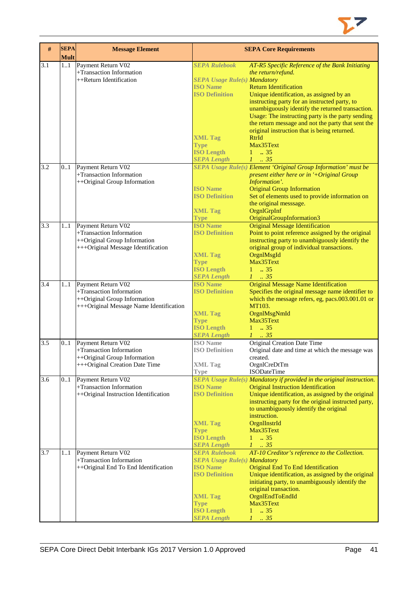

| $\#$ | <b>SEPA</b><br><b>Mult</b> | <b>Message Element</b>                                                                                                    |                                                                                                                                                                                     | <b>SEPA Core Requirements</b>                                                                                                                                                                                                                                                                                                                                                                                                                                             |
|------|----------------------------|---------------------------------------------------------------------------------------------------------------------------|-------------------------------------------------------------------------------------------------------------------------------------------------------------------------------------|---------------------------------------------------------------------------------------------------------------------------------------------------------------------------------------------------------------------------------------------------------------------------------------------------------------------------------------------------------------------------------------------------------------------------------------------------------------------------|
| 3.1  | 11                         | Payment Return V02<br>+Transaction Information<br>++Return Identification                                                 | <b>SEPA Rulebook</b><br><b>SEPA Usage Rule(s) Mandatory</b><br><b>ISO Name</b><br><b>ISO Definition</b><br><b>XML Tag</b><br><b>Type</b><br><b>ISO Length</b><br><b>SEPA Length</b> | AT-R5 Specific Reference of the Bank Initiating<br>the return/refund.<br><b>Return Identification</b><br>Unique identification, as assigned by an<br>instructing party for an instructed party, to<br>unambiguously identify the returned transaction.<br>Usage: The instructing party is the party sending<br>the return message and not the party that sent the<br>original instruction that is being returned.<br><b>RtrId</b><br>Max35Text<br>$1 \t . 35$<br>$1 \t35$ |
| 3.2  | 0.1                        | Payment Return V02<br>+Transaction Information<br>++Original Group Information                                            | <b>ISO Name</b><br><b>ISO Definition</b><br><b>XML Tag</b><br><b>Type</b>                                                                                                           | <b>SEPA Usage Rule(s) Element 'Original Group Information' must be</b><br>present either here or in '+Original Group<br>Information'.<br><b>Original Group Information</b><br>Set of elements used to provide information on<br>the original messsage.<br>OrgnlGrpInf<br>OriginalGroupInformation3                                                                                                                                                                        |
| 3.3  | 11                         | Payment Return V02<br>+Transaction Information<br>++Original Group Information<br>+++Original Message Identification      | <b>ISO Name</b><br><b>ISO Definition</b><br><b>XML Tag</b><br><b>Type</b><br><b>ISO Length</b><br><b>SEPA Length</b>                                                                | <b>Original Message Identification</b><br>Point to point reference assigned by the original<br>instructing party to unambiguously identify the<br>original group of individual transactions.<br>OrgnlMsgId<br>Max35Text<br>$1 \t . 35$<br>$1 \t35$                                                                                                                                                                                                                        |
| 3.4  | 11                         | Payment Return V02<br>+Transaction Information<br>++Original Group Information<br>+++Original Message Name Identification | <b>ISO Name</b><br><b>ISO Definition</b><br><b>XML Tag</b><br><b>Type</b><br><b>ISO Length</b><br><b>SEPA Length</b>                                                                | <b>Original Message Name Identification</b><br>Specifies the original message name identifier to<br>which the message refers, eg, pacs.003.001.01 or<br>MT103.<br>OrgnlMsgNmId<br>Max35Text<br>$1 \t . 35$<br>$1 \t35$                                                                                                                                                                                                                                                    |
| 3.5  | 0.1                        | Payment Return V02<br>+Transaction Information<br>++Original Group Information<br>+++Original Creation Date Time          | <b>ISO</b> Name<br><b>ISO Definition</b><br><b>XML Tag</b><br><b>Type</b>                                                                                                           | <b>Original Creation Date Time</b><br>Original date and time at which the message was<br>created.<br>OrgnlCreDtTm<br><b>ISODateTime</b>                                                                                                                                                                                                                                                                                                                                   |
| 3.6  | 0.1                        | Payment Return V02<br>+Transaction Information<br>++Original Instruction Identification                                   | <b>ISO Name</b><br><b>ISO Definition</b><br><b>XML Tag</b><br><b>Type</b><br><b>ISO Length</b><br><b>SEPA Length</b>                                                                | SEPA Usage Rule(s) Mandatory if provided in the original instruction.<br><b>Original Instruction Identification</b><br>Unique identification, as assigned by the original<br>instructing party for the original instructed party,<br>to unambiguously identify the original<br>instruction.<br>OrgnIInstrId<br>Max35Text<br>$1 - .35$<br>$1 \t35$                                                                                                                         |
| 3.7  | 11                         | Payment Return V02<br>+Transaction Information<br>++Original End To End Identification                                    | <b>SEPA Rulebook</b><br><b>SEPA Usage Rule(s) Mandatory</b><br><b>ISO Name</b><br><b>ISO Definition</b><br><b>XML Tag</b><br><b>Type</b><br><b>ISO Length</b><br><b>SEPA Length</b> | AT-10 Creditor's reference to the Collection.<br>Original End To End Identification<br>Unique identification, as assigned by the original<br>initiating party, to unambiguously identify the<br>original transaction.<br>OrgnlEndToEndId<br>Max35Text<br>$1 \t . 35$<br>$1 \t 35$                                                                                                                                                                                         |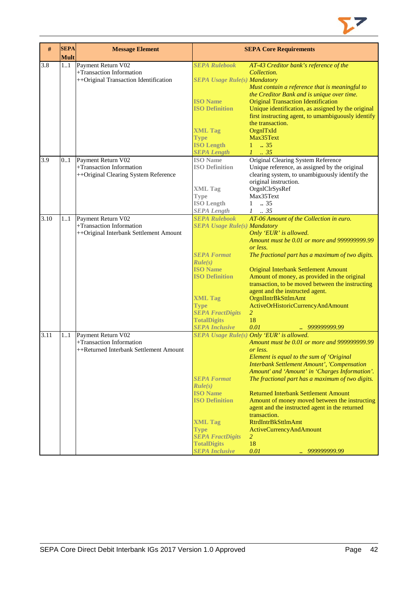

| #    | <b>SEPA</b><br><b>Mult</b> | <b>Message Element</b>                                                                   |                                                                                                                                                                                                                                                     | <b>SEPA Core Requirements</b>                                                                                                                                                                                                                                                                                                                                                                                                                                                                                                                                                                  |
|------|----------------------------|------------------------------------------------------------------------------------------|-----------------------------------------------------------------------------------------------------------------------------------------------------------------------------------------------------------------------------------------------------|------------------------------------------------------------------------------------------------------------------------------------------------------------------------------------------------------------------------------------------------------------------------------------------------------------------------------------------------------------------------------------------------------------------------------------------------------------------------------------------------------------------------------------------------------------------------------------------------|
| 3.8  | 1.1                        | Payment Return V02<br>+Transaction Information<br>++Original Transaction Identification  | <b>SEPA Rulebook</b><br><b>SEPA Usage Rule(s) Mandatory</b><br><b>ISO Name</b><br><b>ISO Definition</b><br><b>XML Tag</b><br><b>Type</b><br><b>ISO Length</b><br><b>SEPA Length</b>                                                                 | AT-43 Creditor bank's reference of the<br>Collection.<br>Must contain a reference that is meaningful to<br>the Creditor Bank and is unique over time.<br><b>Original Transaction Identification</b><br>Unique identification, as assigned by the original<br>first instructing agent, to umambiguously identify<br>the transaction.<br>OrgnlTxId<br>Max35Text<br>$1 \t . 35$<br>$1 \cdot .35$                                                                                                                                                                                                  |
| 3.9  | 01                         | Payment Return V02<br>+Transaction Information<br>++Original Clearing System Reference   | <b>ISO</b> Name<br><b>ISO Definition</b><br><b>XML Tag</b><br><b>Type</b><br><b>ISO Length</b><br><b>SEPA Length</b>                                                                                                                                | Original Clearing System Reference<br>Unique reference, as assigned by the original<br>clearing system, to unambiguously identify the<br>original instruction.<br>OrgnlClrSysRef<br>Max35Text<br>$1 \t . 35$<br>$1-.35$                                                                                                                                                                                                                                                                                                                                                                        |
| 3.10 | 11                         | Payment Return V02<br>+Transaction Information<br>++Original Interbank Settlement Amount | <b>SEPA Rulebook</b><br><b>SEPA Usage Rule(s) Mandatory</b><br><b>SEPA Format</b><br>Rule(s)<br><b>ISO Name</b><br><b>ISO Definition</b><br><b>XML Tag</b><br><b>Type</b><br><b>SEPA FractDigits</b><br><b>TotalDigits</b><br><b>SEPA Inclusive</b> | AT-06 Amount of the Collection in euro.<br>Only 'EUR' is allowed.<br>Amount must be 0.01 or more and 9999999999.99<br>or less.<br>The fractional part has a maximum of two digits.<br><b>Original Interbank Settlement Amount</b><br>Amount of money, as provided in the original<br>transaction, to be moved between the instructing<br>agent and the instructed agent.<br>OrgnIIntrBkSttlmAmt<br>ActiveOrHistoricCurrencyAndAmount<br>$\overline{2}$<br>18<br>0.01<br>999999999.99                                                                                                           |
| 3.11 | 11                         | Payment Return V02<br>+Transaction Information<br>++Returned Interbank Settlement Amount | <b>SEPA Format</b><br>Rule(s)<br><b>ISO Name</b><br><b>ISO Definition</b><br><b>XML Tag</b><br><b>Type</b><br><b>SEPA FractDigits</b><br><b>TotalDigits</b><br><b>SEPA Inclusive</b>                                                                | <b>SEPA Usage Rule(s) Only 'EUR' is allowed.</b><br>Amount must be 0.01 or more and 999999999.99<br>or less.<br>Element is equal to the sum of 'Original<br><b>Interbank Settlement Amount', 'Compensation</b><br>Amount' and 'Amount' in 'Charges Information'.<br>The fractional part has a maximum of two digits.<br><b>Returned Interbank Settlement Amount</b><br>Amount of money moved between the instructing<br>agent and the instructed agent in the returned<br>transaction.<br><b>RtrdIntrBkSttlmAmt</b><br>ActiveCurrencyAndAmount<br>$\overline{2}$<br>18<br>0.01<br>999999999.99 |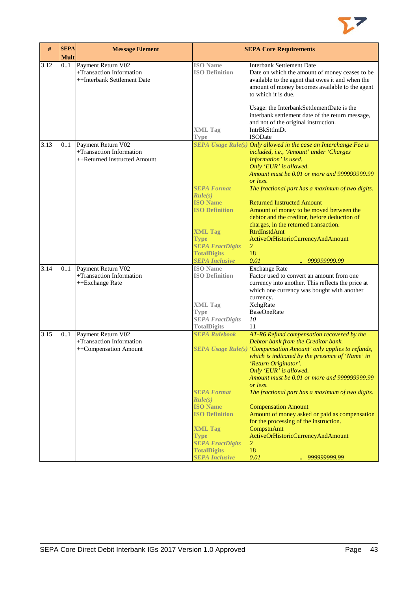

| #    | <b>SEPA</b><br><b>Mult</b> | <b>Message Element</b>                                                         |                                                                                                                                                               | <b>SEPA Core Requirements</b>                                                                                                                                                                                                                                                                                                                                                                                                                                                                                                                                              |
|------|----------------------------|--------------------------------------------------------------------------------|---------------------------------------------------------------------------------------------------------------------------------------------------------------|----------------------------------------------------------------------------------------------------------------------------------------------------------------------------------------------------------------------------------------------------------------------------------------------------------------------------------------------------------------------------------------------------------------------------------------------------------------------------------------------------------------------------------------------------------------------------|
| 3.12 | 0.1                        | Payment Return V02<br>+Transaction Information<br>++Interbank Settlement Date  | <b>ISO</b> Name<br><b>ISO Definition</b>                                                                                                                      | <b>Interbank Settlement Date</b><br>Date on which the amount of money ceases to be<br>available to the agent that owes it and when the<br>amount of money becomes available to the agent<br>to which it is due.<br>Usage: the InterbankSettlementDate is the<br>interbank settlement date of the return message,                                                                                                                                                                                                                                                           |
|      |                            |                                                                                | <b>XML Tag</b><br><b>Type</b>                                                                                                                                 | and not of the original instruction.<br>IntrBkSttlmDt<br><b>ISODate</b>                                                                                                                                                                                                                                                                                                                                                                                                                                                                                                    |
| 3.13 | 0.1                        | Payment Return V02<br>+Transaction Information<br>++Returned Instructed Amount | <b>SEPA Format</b><br>Rule(s)<br><b>ISO</b> Name                                                                                                              | $SEPA$ Usage Rule(s) Only allowed in the case an Interchange Fee is<br>included, i.e., 'Amount' under 'Charges<br>Information' is used.<br>Only 'EUR' is allowed.<br>Amount must be 0.01 or more and 9999999999.99<br>or less.<br>The fractional part has a maximum of two digits.<br><b>Returned Instructed Amount</b>                                                                                                                                                                                                                                                    |
|      |                            |                                                                                | <b>ISO Definition</b><br><b>XML Tag</b><br><b>Type</b><br><b>SEPA FractDigits</b><br><b>TotalDigits</b>                                                       | Amount of money to be moved between the<br>debtor and the creditor, before deduction of<br>charges, in the returned transaction.<br><b>RtrdInstdAmt</b><br>ActiveOrHistoricCurrencyAndAmount<br>$\overline{2}$<br>18                                                                                                                                                                                                                                                                                                                                                       |
| 3.14 | 0.1                        | Payment Return V02<br>+Transaction Information<br>++Exchange Rate              | <b>SEPA Inclusive</b><br><b>ISO</b> Name<br><b>ISO Definition</b><br><b>XML Tag</b><br><b>Type</b>                                                            | 0.01<br><i>999999999.99</i><br><b>Exchange Rate</b><br>Factor used to convert an amount from one<br>currency into another. This reflects the price at<br>which one currency was bought with another<br>currency.<br><b>XchgRate</b><br><b>BaseOneRate</b>                                                                                                                                                                                                                                                                                                                  |
|      |                            |                                                                                | <b>SEPA FractDigits</b><br><b>TotalDigits</b>                                                                                                                 | 10<br>11                                                                                                                                                                                                                                                                                                                                                                                                                                                                                                                                                                   |
| 3.15 | 0.1                        | Payment Return V02<br>+Transaction Information<br>++Compensation Amount        | <b>SEPA Rulebook</b><br><b>SEPA Format</b><br>Rule(s)<br><b>ISO Name</b><br><b>ISO Definition</b><br><b>XML Tag</b><br><b>Type</b><br><b>SEPA FractDigits</b> | AT-R6 Refund compensation recovered by the<br>Debtor bank from the Creditor bank.<br>SEPA Usage Rule(s) 'Compensation Amount' only applies to refunds,<br>which is indicated by the presence of 'Name' in<br>'Return Originator'.<br>Only 'EUR' is allowed.<br>Amount must be 0.01 or more and 9999999999.99<br>or less.<br>The fractional part has a maximum of two digits.<br><b>Compensation Amount</b><br>Amount of money asked or paid as compensation<br>for the processing of the instruction.<br>CompstnAmt<br>ActiveOrHistoricCurrencyAndAmount<br>$\overline{2}$ |
|      |                            |                                                                                | <b>TotalDigits</b><br><b>SEPA Inclusive</b>                                                                                                                   | 18<br>0.01<br>999999999.99                                                                                                                                                                                                                                                                                                                                                                                                                                                                                                                                                 |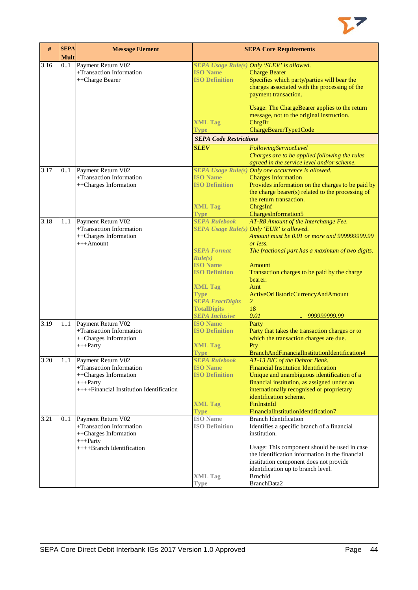

| #    | <b>SEPA</b><br><b>Mult</b> | <b>Message Element</b>                   |                               | <b>SEPA Core Requirements</b>                      |
|------|----------------------------|------------------------------------------|-------------------------------|----------------------------------------------------|
| 3.16 | 0.1                        | Payment Return V02                       |                               | SEPA Usage Rule(s) Only 'SLEV' is allowed.         |
|      |                            | +Transaction Information                 | <b>ISO Name</b>               | <b>Charge Bearer</b>                               |
|      |                            | ++Charge Bearer                          | <b>ISO Definition</b>         | Specifies which party/parties will bear the        |
|      |                            |                                          |                               | charges associated with the processing of the      |
|      |                            |                                          |                               | payment transaction.                               |
|      |                            |                                          |                               | Usage: The ChargeBearer applies to the return      |
|      |                            |                                          |                               | message, not to the original instruction.          |
|      |                            |                                          | <b>XML Tag</b>                | ChrgBr                                             |
|      |                            |                                          | <b>Type</b>                   | ChargeBearerType1Code                              |
|      |                            |                                          | <b>SEPA Code Restrictions</b> |                                                    |
|      |                            |                                          | <b>SLEV</b>                   | FollowingServiceLevel                              |
|      |                            |                                          |                               | Charges are to be applied following the rules      |
|      |                            |                                          |                               | agreed in the service level and/or scheme.         |
| 3.17 | 0.1                        | Payment Return V02                       |                               | SEPA Usage Rule(s) Only one occurrence is allowed. |
|      |                            | +Transaction Information                 | <b>ISO Name</b>               | <b>Charges Information</b>                         |
|      |                            | ++Charges Information                    | <b>ISO Definition</b>         | Provides information on the charges to be paid by  |
|      |                            |                                          |                               | the charge bearer(s) related to the processing of  |
|      |                            |                                          |                               | the return transaction.                            |
|      |                            |                                          | <b>XML Tag</b>                | ChrgsInf                                           |
|      |                            |                                          | <b>Type</b>                   | ChargesInformation5                                |
| 3.18 | 11                         | Payment Return V02                       | <b>SEPA Rulebook</b>          | AT-R8 Amount of the Interchange Fee.               |
|      |                            | +Transaction Information                 |                               | SEPA Usage Rule(s) Only 'EUR' is allowed.          |
|      |                            | ++Charges Information                    |                               | Amount must be 0.01 or more and 999999999.99       |
|      |                            | $+++A$ mount                             |                               | or less.                                           |
|      |                            |                                          | <b>SEPA Format</b><br>Rule(s) | The fractional part has a maximum of two digits.   |
|      |                            |                                          | <b>ISO</b> Name               | <b>Amount</b>                                      |
|      |                            |                                          | <b>ISO Definition</b>         | Transaction charges to be paid by the charge       |
|      |                            |                                          |                               | bearer.                                            |
|      |                            |                                          | <b>XML Tag</b>                | Amt                                                |
|      |                            |                                          | <b>Type</b>                   | ActiveOrHistoricCurrencyAndAmount                  |
|      |                            |                                          | <b>SEPA FractDigits</b>       | $\overline{2}$                                     |
|      |                            |                                          | <b>TotalDigits</b>            | 18                                                 |
|      |                            |                                          | <b>SEPA Inclusive</b>         | 0.01<br>999999999.99                               |
| 3.19 | 11                         | Payment Return V02                       | <b>ISO Name</b>               | Party                                              |
|      |                            | +Transaction Information                 | <b>ISO Definition</b>         | Party that takes the transaction charges or to     |
|      |                            | ++Charges Information<br>$+++$ Party     |                               | which the transaction charges are due.<br>Pty      |
|      |                            |                                          | <b>XML Tag</b><br><b>Type</b> | BranchAndFinancialInstitutionIdentification4       |
| 3.20 | 11                         | Payment Return V02                       | <b>SEPA Rulebook</b>          | AT-13 BIC of the Debtor Bank.                      |
|      |                            | +Transaction Information                 | <b>ISO Name</b>               | <b>Financial Institution Identification</b>        |
|      |                            | ++Charges Information                    | <b>ISO Definition</b>         | Unique and unambiguous identification of a         |
|      |                            | $+++$ Party                              |                               | financial institution, as assigned under an        |
|      |                            | ++++Financial Institution Identification |                               | internationally recognised or proprietary          |
|      |                            |                                          |                               | identification scheme.                             |
|      |                            |                                          | <b>XML Tag</b>                | FinInstnId                                         |
|      |                            |                                          | <b>Type</b>                   | FinancialInstitutionIdentification7                |
| 3.21 | 0.1                        | Payment Return V02                       | <b>ISO</b> Name               | <b>Branch Identification</b>                       |
|      |                            | +Transaction Information                 | <b>ISO Definition</b>         | Identifies a specific branch of a financial        |
|      |                            | ++Charges Information                    |                               | institution.                                       |
|      |                            | $+++$ Party                              |                               |                                                    |
|      |                            | ++++Branch Identification                |                               | Usage: This component should be used in case       |
|      |                            |                                          |                               | the identification information in the financial    |
|      |                            |                                          |                               | institution component does not provide             |
|      |                            |                                          |                               | identification up to branch level.                 |
|      |                            |                                          | <b>XML Tag</b>                | <b>BrnchId</b>                                     |
|      |                            |                                          | <b>Type</b>                   | BranchData2                                        |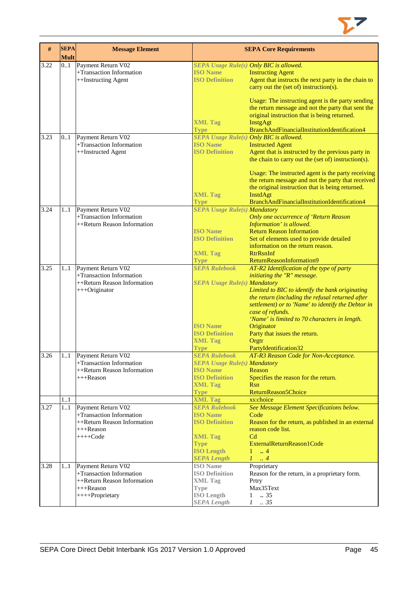

| #    | <b>SEPA</b><br><b>Mult</b> | <b>Message Element</b>                         |                                                | <b>SEPA Core Requirements</b>                                                                            |
|------|----------------------------|------------------------------------------------|------------------------------------------------|----------------------------------------------------------------------------------------------------------|
| 3.22 | 0.1                        | Payment Return V02                             | SEPA Usage Rule(s) Only BIC is allowed.        |                                                                                                          |
|      |                            | +Transaction Information                       | <b>ISO Name</b>                                | <b>Instructing Agent</b>                                                                                 |
|      |                            | ++Instructing Agent                            | <b>ISO Definition</b>                          | Agent that instructs the next party in the chain to                                                      |
|      |                            |                                                |                                                | carry out the (set of) instruction(s).                                                                   |
|      |                            |                                                |                                                | Usage: The instructing agent is the party sending<br>the return message and not the party that sent the  |
|      |                            |                                                |                                                | original instruction that is being returned.                                                             |
|      |                            |                                                | <b>XML Tag</b>                                 | InstgAgt                                                                                                 |
|      |                            |                                                | <b>Type</b>                                    | BranchAndFinancialInstitutionIdentification4                                                             |
| 3.23 | 0.1                        | Payment Return V02                             | <b>SEPA Usage Rule(s) Only BIC is allowed.</b> |                                                                                                          |
|      |                            | +Transaction Information                       | <b>ISO Name</b>                                | <b>Instructed Agent</b>                                                                                  |
|      |                            | ++Instructed Agent                             | <b>ISO Definition</b>                          | Agent that is instructed by the previous party in<br>the chain to carry out the (set of) instruction(s). |
|      |                            |                                                |                                                | Usage: The instructed agent is the party receiving                                                       |
|      |                            |                                                |                                                | the return message and not the party that received                                                       |
|      |                            |                                                |                                                | the original instruction that is being returned.                                                         |
|      |                            |                                                | <b>XML Tag</b>                                 | InstdAgt<br>BranchAndFinancialInstitutionIdentification4                                                 |
|      |                            |                                                | <b>Type</b>                                    |                                                                                                          |
| 3.24 | 11                         | Payment Return V02<br>+Transaction Information | <b>SEPA Usage Rule(s) Mandatory</b>            |                                                                                                          |
|      |                            | ++Return Reason Information                    |                                                | Only one occurrence of 'Return Reason                                                                    |
|      |                            |                                                | <b>ISO Name</b>                                | Information' is allowed.<br><b>Return Reason Information</b>                                             |
|      |                            |                                                | <b>ISO Definition</b>                          |                                                                                                          |
|      |                            |                                                |                                                | Set of elements used to provide detailed<br>information on the return reason.                            |
|      |                            |                                                |                                                | <b>RtrRsnInf</b>                                                                                         |
|      |                            |                                                | <b>XML Tag</b>                                 |                                                                                                          |
| 3.25 | 11                         | Payment Return V02                             | <b>Type</b><br><b>SEPA Rulebook</b>            | ReturnReasonInformation9<br>AT-R2 Identification of the type of party                                    |
|      |                            | +Transaction Information                       |                                                | initiating the "R" message.                                                                              |
|      |                            | ++Return Reason Information                    | <b>SEPA Usage Rule(s) Mandatory</b>            |                                                                                                          |
|      |                            | +++Originator                                  |                                                | Limited to BIC to identify the bank originating                                                          |
|      |                            |                                                |                                                | the return (including the refusal returned after                                                         |
|      |                            |                                                |                                                | settlement) or to 'Name' to identify the Debtor in                                                       |
|      |                            |                                                |                                                | case of refunds.                                                                                         |
|      |                            |                                                |                                                | 'Name' is limited to 70 characters in length.                                                            |
|      |                            |                                                | <b>ISO Name</b>                                | Originator                                                                                               |
|      |                            |                                                | <b>ISO Definition</b>                          | Party that issues the return.                                                                            |
|      |                            |                                                | <b>XML Tag</b>                                 | Orgtr                                                                                                    |
|      |                            |                                                | <b>Type</b>                                    | PartyIdentification32                                                                                    |
| 3.26 |                            | 11 Payment Return V02                          |                                                | <b>SEPA Rulebook</b> AT-R3 Reason Code for Non-Acceptance.                                               |
|      |                            | +Transaction Information                       | <b>SEPA Usage Rule(s) Mandatory</b>            |                                                                                                          |
|      |                            | ++Return Reason Information                    | <b>ISO Name</b>                                | Reason                                                                                                   |
|      |                            | +++Reason                                      | <b>ISO Definition</b>                          | Specifies the reason for the return.                                                                     |
|      |                            |                                                | <b>XML Tag</b>                                 | <b>Rsn</b>                                                                                               |
|      |                            |                                                | <b>Type</b>                                    | ReturnReason5Choice                                                                                      |
|      | 11                         |                                                | <b>XML Tag</b>                                 | xs:choice                                                                                                |
| 3.27 | 11                         | Payment Return V02                             | <b>SEPA Rulebook</b>                           | See Message Element Specifications below.                                                                |
|      |                            | +Transaction Information                       | <b>ISO Name</b>                                | Code                                                                                                     |
|      |                            | ++Return Reason Information                    | <b>ISO Definition</b>                          | Reason for the return, as published in an external                                                       |
|      |                            | +++Reason                                      |                                                | reason code list.                                                                                        |
|      |                            | $+++Code$                                      | <b>XML Tag</b>                                 | C <sub>d</sub>                                                                                           |
|      |                            |                                                | <b>Type</b>                                    | ExternalReturnReason1Code                                                                                |
|      |                            |                                                | <b>ISO Length</b>                              | $1 \dots 4$                                                                                              |
|      |                            |                                                | <b>SEPA Length</b>                             | $1 \dots 4$                                                                                              |
| 3.28 | 11                         | Payment Return V02                             | <b>ISO</b> Name                                | Proprietary                                                                                              |
|      |                            | +Transaction Information                       | <b>ISO Definition</b>                          | Reason for the return, in a proprietary form.                                                            |
|      |                            | ++Return Reason Information                    | <b>XML</b> Tag                                 | Prtry                                                                                                    |
|      |                            | +++Reason                                      | <b>Type</b>                                    | Max35Text                                                                                                |
|      |                            | ++++Proprietary                                | <b>ISO Length</b>                              | .35<br>1                                                                                                 |
|      |                            |                                                | <b>SEPA Length</b>                             | $1 \t . 35$                                                                                              |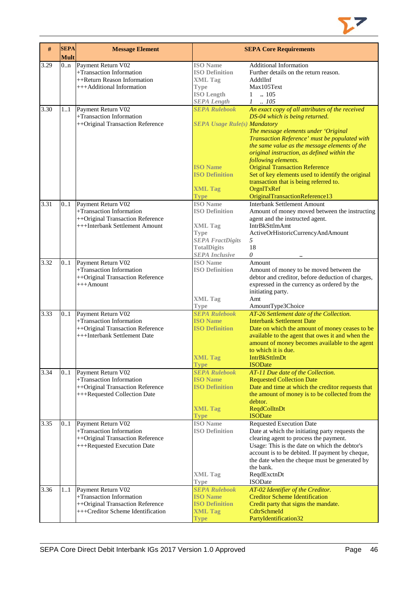

| $\#$ | <b>SEPA</b><br><b>Mult</b> | <b>Message Element</b>                                                                                                  |                                                                                                                                                     | <b>SEPA Core Requirements</b>                                                                                                                                                                                                                                                                                                                                                                                                                                                             |
|------|----------------------------|-------------------------------------------------------------------------------------------------------------------------|-----------------------------------------------------------------------------------------------------------------------------------------------------|-------------------------------------------------------------------------------------------------------------------------------------------------------------------------------------------------------------------------------------------------------------------------------------------------------------------------------------------------------------------------------------------------------------------------------------------------------------------------------------------|
| 3.29 | 0.n                        | Payment Return V02<br>+Transaction Information<br>++Return Reason Information<br>+++Additional Information              | <b>ISO</b> Name<br><b>ISO Definition</b><br><b>XML Tag</b><br><b>Type</b><br><b>ISO Length</b><br><b>SEPA</b> Length                                | <b>Additional Information</b><br>Further details on the return reason.<br>AddtlInf<br>Max105Text<br>$1 \quad .105$<br>$1 \quad .105$                                                                                                                                                                                                                                                                                                                                                      |
| 3.30 | 11                         | Payment Return V02<br>+Transaction Information<br>++Original Transaction Reference                                      | <b>SEPA Rulebook</b><br><b>SEPA Usage Rule(s) Mandatory</b><br><b>ISO Name</b><br><b>ISO Definition</b><br><b>XML Tag</b><br>Type                   | An exact copy of all attributes of the received<br>DS-04 which is being returned.<br>The message elements under 'Original<br>Transaction Reference' must be populated with<br>the same value as the message elements of the<br>original instruction, as defined within the<br>following elements.<br><b>Original Transaction Reference</b><br>Set of key elements used to identify the original<br>transaction that is being referred to.<br>OrgnITxRef<br>OriginalTransactionReference13 |
| 3.31 | 0.1                        | Payment Return V02<br>+Transaction Information<br>++Original Transaction Reference<br>+++Interbank Settlement Amount    | <b>ISO</b> Name<br><b>ISO Definition</b><br><b>XML Tag</b><br><b>Type</b><br><b>SEPA FractDigits</b><br><b>TotalDigits</b><br><b>SEPA</b> Inclusive | <b>Interbank Settlement Amount</b><br>Amount of money moved between the instructing<br>agent and the instructed agent.<br><b>IntrBkSttlmAmt</b><br>ActiveOrHistoricCurrencyAndAmount<br>5<br>18<br>0                                                                                                                                                                                                                                                                                      |
| 3.32 | 0.1                        | Payment Return V02<br>+Transaction Information<br>++Original Transaction Reference<br>$+++$ Amount                      | <b>ISO</b> Name<br><b>ISO Definition</b><br><b>XML Tag</b><br>Type                                                                                  | Amount<br>Amount of money to be moved between the<br>debtor and creditor, before deduction of charges,<br>expressed in the currency as ordered by the<br>initiating party.<br>Amt<br>AmountType3Choice                                                                                                                                                                                                                                                                                    |
| 3.33 | 0.1                        | Payment Return V02<br>+Transaction Information<br>++Original Transaction Reference<br>+++Interbank Settlement Date      | <b>SEPA Rulebook</b><br><b>ISO</b> Name<br><b>ISO Definition</b><br><b>XML Tag</b><br><b>Type</b>                                                   | AT-26 Settlement date of the Collection.<br><b>Interbank Settlement Date</b><br>Date on which the amount of money ceases to be<br>available to the agent that owes it and when the<br>amount of money becomes available to the agent<br>to which it is due.<br><b>IntrBkSttlmDt</b><br><b>ISODate</b>                                                                                                                                                                                     |
| 3.34 | 01                         | Payment Return V02<br>+Transaction Information<br>++Original Transaction Reference<br>+++Requested Collection Date      | <b>SEPA Rulebook</b><br><b>ISO Name</b><br><b>ISO Definition</b><br><b>XML Tag</b><br><b>Type</b>                                                   | AT-11 Due date of the Collection.<br><b>Requested Collection Date</b><br>Date and time at which the creditor requests that<br>the amount of money is to be collected from the<br>debtor.<br>ReqdColltnDt<br><b>ISODate</b>                                                                                                                                                                                                                                                                |
| 3.35 | 01                         | Payment Return V02<br>+Transaction Information<br>++Original Transaction Reference<br>+++Requested Execution Date       | <b>ISO</b> Name<br><b>ISO Definition</b><br><b>XML Tag</b><br>Type                                                                                  | <b>Requested Execution Date</b><br>Date at which the initiating party requests the<br>clearing agent to process the payment.<br>Usage: This is the date on which the debtor's<br>account is to be debited. If payment by cheque,<br>the date when the cheque must be generated by<br>the bank.<br>ReqdExctnDt<br><b>ISODate</b>                                                                                                                                                           |
| 3.36 | 11                         | Payment Return V02<br>+Transaction Information<br>++Original Transaction Reference<br>+++Creditor Scheme Identification | <b>SEPA Rulebook</b><br><b>ISO Name</b><br><b>ISO Definition</b><br><b>XML Tag</b><br><b>Type</b>                                                   | AT-02 Identifier of the Creditor.<br><b>Creditor Scheme Identification</b><br>Credit party that signs the mandate.<br>CdtrSchmeId<br>PartyIdentification32                                                                                                                                                                                                                                                                                                                                |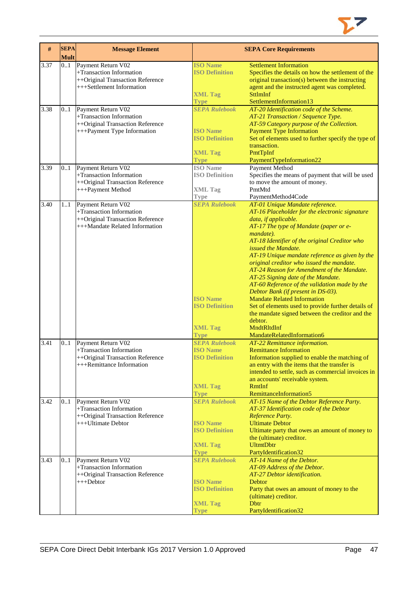

| #    | <b>SEPA</b><br><b>Mult</b> | <b>Message Element</b>                                                                                               |                                                                                                   | <b>SEPA Core Requirements</b>                                                                                                                                                                                                                                                                                                                                                                                                                                                                                                                                                                                                                                                                                             |
|------|----------------------------|----------------------------------------------------------------------------------------------------------------------|---------------------------------------------------------------------------------------------------|---------------------------------------------------------------------------------------------------------------------------------------------------------------------------------------------------------------------------------------------------------------------------------------------------------------------------------------------------------------------------------------------------------------------------------------------------------------------------------------------------------------------------------------------------------------------------------------------------------------------------------------------------------------------------------------------------------------------------|
| 3.37 | 0.1                        | Payment Return V02<br>+Transaction Information<br>++Original Transaction Reference<br>+++Settlement Information      | <b>ISO Name</b><br><b>ISO Definition</b><br><b>XML Tag</b>                                        | <b>Settlement Information</b><br>Specifies the details on how the settlement of the<br>original transaction(s) between the instructing<br>agent and the instructed agent was completed.<br>SttlmInf                                                                                                                                                                                                                                                                                                                                                                                                                                                                                                                       |
| 3.38 | 01                         | Payment Return V02<br>+Transaction Information<br>++Original Transaction Reference<br>+++Payment Type Information    | <b>Type</b><br><b>SEPA Rulebook</b><br><b>ISO Name</b><br><b>ISO Definition</b><br><b>XML Tag</b> | SettlementInformation13<br>AT-20 Identification code of the Scheme.<br>AT-21 Transaction / Sequence Type.<br>AT-59 Category purpose of the Collection.<br><b>Payment Type Information</b><br>Set of elements used to further specify the type of<br>transaction.<br>PmtTpInf                                                                                                                                                                                                                                                                                                                                                                                                                                              |
| 3.39 | 0.1                        | Payment Return V02<br>+Transaction Information<br>++Original Transaction Reference<br>+++Payment Method              | <b>Type</b><br><b>ISO</b> Name<br><b>ISO Definition</b><br><b>XML Tag</b><br><b>Type</b>          | PaymentTypeInformation22<br>Payment Method<br>Specifies the means of payment that will be used<br>to move the amount of money.<br>PmtMtd<br>PaymentMethod4Code                                                                                                                                                                                                                                                                                                                                                                                                                                                                                                                                                            |
| 3.40 | 11                         | Payment Return V02<br>+Transaction Information<br>++Original Transaction Reference<br>+++Mandate Related Information | <b>SEPA Rulebook</b><br><b>ISO Name</b><br><b>ISO Definition</b><br><b>XML Tag</b><br><b>Type</b> | AT-01 Unique Mandate reference.<br>AT-16 Placeholder for the electronic signature<br>data, if applicable.<br>AT-17 The type of Mandate (paper or e-<br>mandate).<br>AT-18 Identifier of the original Creditor who<br>issued the Mandate.<br>AT-19 Unique mandate reference as given by the<br>original creditor who issued the mandate.<br>AT-24 Reason for Amendment of the Mandate.<br>AT-25 Signing date of the Mandate.<br>AT-60 Reference of the validation made by the<br>Debtor Bank (if present in DS-03).<br><b>Mandate Related Information</b><br>Set of elements used to provide further details of<br>the mandate signed between the creditor and the<br>debtor.<br>MndtRltdInf<br>MandateRelatedInformation6 |
| 3.41 | 0.1                        | Payment Return V02<br>+Transaction Information<br>++Original Transaction Reference<br>+++Remittance Information      | <b>SEPA Rulebook</b><br><b>ISO Name</b><br><b>ISO Definition</b><br><b>XML Tag</b><br><b>Type</b> | AT-22 Remittance information.<br><b>Remittance Information</b><br>Information supplied to enable the matching of<br>an entry with the items that the transfer is<br>intended to settle, such as commercial invoices in<br>an accounts' receivable system.<br>RmtInf<br>RemittanceInformation5                                                                                                                                                                                                                                                                                                                                                                                                                             |
| 3.42 | 0.1                        | Payment Return V02<br>+Transaction Information<br>++Original Transaction Reference<br>+++Ultimate Debtor             | <b>SEPA Rulebook</b><br><b>ISO Name</b><br><b>ISO Definition</b><br><b>XML Tag</b><br><b>Type</b> | AT-15 Name of the Debtor Reference Party.<br>AT-37 Identification code of the Debtor<br>Reference Party.<br><b>Ultimate Debtor</b><br>Ultimate party that owes an amount of money to<br>the (ultimate) creditor.<br><b>UltmtDbtr</b><br>PartyIdentification32                                                                                                                                                                                                                                                                                                                                                                                                                                                             |
| 3.43 | 0.1                        | Payment Return V02<br>+Transaction Information<br>++Original Transaction Reference<br>$+++Dektor$                    | <b>SEPA Rulebook</b><br><b>ISO Name</b><br><b>ISO Definition</b><br><b>XML Tag</b><br><b>Type</b> | AT-14 Name of the Debtor.<br>AT-09 Address of the Debtor.<br>AT-27 Debtor identification.<br><b>Debtor</b><br>Party that owes an amount of money to the<br>(ultimate) creditor.<br><b>Dbtr</b><br>PartyIdentification32                                                                                                                                                                                                                                                                                                                                                                                                                                                                                                   |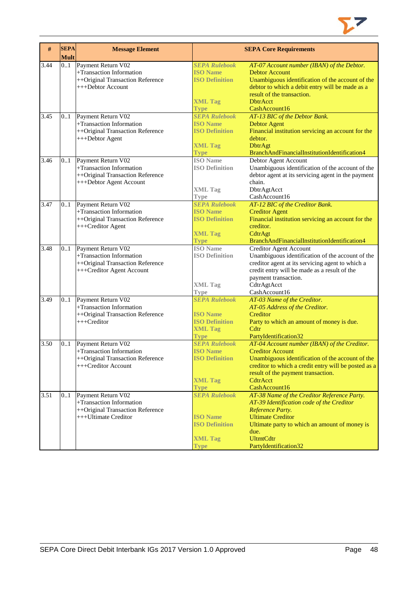

| $\#$ | <b>SEPA</b><br><b>Mult</b> | <b>Message Element</b>                                                                                          |                                                                                                   | <b>SEPA Core Requirements</b>                                                                                                                                                                                                                          |
|------|----------------------------|-----------------------------------------------------------------------------------------------------------------|---------------------------------------------------------------------------------------------------|--------------------------------------------------------------------------------------------------------------------------------------------------------------------------------------------------------------------------------------------------------|
| 3.44 | 0.1                        | Payment Return V02<br>+Transaction Information<br>++Original Transaction Reference<br>+++Debtor Account         | <b>SEPA Rulebook</b><br><b>ISO Name</b><br><b>ISO Definition</b><br><b>XML Tag</b><br>Type        | AT-07 Account number (IBAN) of the Debtor.<br><b>Debtor Account</b><br>Unambiguous identification of the account of the<br>debtor to which a debit entry will be made as a<br>result of the transaction.<br><b>DbtrAcct</b><br>CashAccount16           |
| 3.45 | 0.1                        | Payment Return V02<br>+Transaction Information<br>++Original Transaction Reference<br>+++Debtor Agent           | <b>SEPA Rulebook</b><br><b>ISO Name</b><br><b>ISO Definition</b><br><b>XML Tag</b><br><b>Type</b> | AT-13 BIC of the Debtor Bank.<br><b>Debtor Agent</b><br>Financial institution servicing an account for the<br>debtor.<br>DbtrAgt<br>BranchAndFinancialInstitutionIdentification4                                                                       |
| 3.46 | 01                         | Payment Return V02<br>+Transaction Information<br>++Original Transaction Reference<br>+++Debtor Agent Account   | <b>ISO</b> Name<br><b>ISO Definition</b><br><b>XML Tag</b><br>Type                                | Debtor Agent Account<br>Unambiguous identification of the account of the<br>debtor agent at its servicing agent in the payment<br>chain.<br>DbtrAgtAcct<br>CashAccount16                                                                               |
| 3.47 | 0.1                        | Payment Return V02<br>+Transaction Information<br>++Original Transaction Reference<br>+++Creditor Agent         | <b>SEPA Rulebook</b><br><b>ISO Name</b><br><b>ISO Definition</b><br><b>XML Tag</b><br><b>Type</b> | AT-12 BIC of the Creditor Bank.<br><b>Creditor Agent</b><br>Financial institution servicing an account for the<br>creditor.<br>CdtrAgt<br>BranchAndFinancialInstitutionIdentification4                                                                 |
| 3.48 | 0.1                        | Payment Return V02<br>+Transaction Information<br>++Original Transaction Reference<br>+++Creditor Agent Account | <b>ISO</b> Name<br><b>ISO Definition</b><br><b>XML Tag</b><br><b>Type</b>                         | <b>Creditor Agent Account</b><br>Unambiguous identification of the account of the<br>creditor agent at its servicing agent to which a<br>credit entry will be made as a result of the<br>payment transaction.<br>CdtrAgtAcct<br>CashAccount16          |
| 3.49 | 0.1                        | Payment Return V02<br>+Transaction Information<br>++Original Transaction Reference<br>$++$ Creditor             | <b>SEPA Rulebook</b><br><b>ISO Name</b><br><b>ISO Definition</b><br><b>XML Tag</b><br><b>Type</b> | AT-03 Name of the Creditor.<br>AT-05 Address of the Creditor.<br>Creditor<br>Party to which an amount of money is due.<br>Cdtr<br>PartyIdentification32                                                                                                |
| 3.50 | 0.1                        | Payment Return V02<br>+Transaction Information<br>++Original Transaction Reference<br>+++Creditor Account       | <b>SEPA Rulebook</b><br><b>ISO Name</b><br><b>ISO Definition</b><br><b>XML Tag</b><br><b>Type</b> | AT-04 Account number (IBAN) of the Creditor.<br><b>Creditor Account</b><br>Unambiguous identification of the account of the<br>creditor to which a credit entry will be posted as a<br>result of the payment transaction.<br>CdtrAcct<br>CashAccount16 |
| 3.51 | 0.1                        | Payment Return V02<br>+Transaction Information<br>++Original Transaction Reference<br>+++Ultimate Creditor      | <b>SEPA Rulebook</b><br><b>ISO Name</b><br><b>ISO Definition</b><br><b>XML Tag</b><br><b>Type</b> | AT-38 Name of the Creditor Reference Party.<br>AT-39 Identification code of the Creditor<br>Reference Party.<br><b>Ultimate Creditor</b><br>Ultimate party to which an amount of money is<br>due.<br><b>UltmtCdtr</b><br>PartyIdentification32         |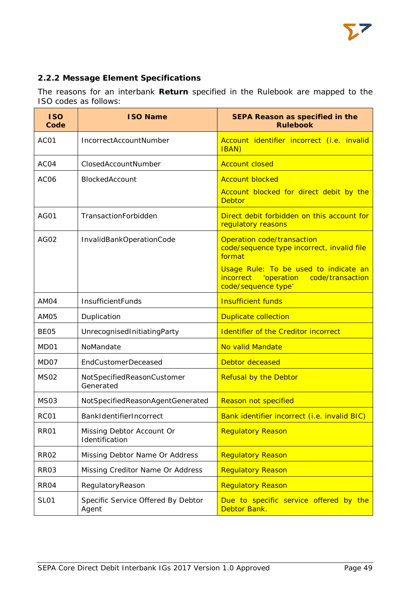

# **2.2.2 Message Element Specifications**

The reasons for an interbank **Return** specified in the Rulebook are mapped to the ISO codes as follows:

| <b>ISO</b><br>Code | <b>ISO Name</b>                             | SEPA Reason as specified in the<br><b>Rulebook</b>                                                          |
|--------------------|---------------------------------------------|-------------------------------------------------------------------------------------------------------------|
| AC01               | IncorrectAccountNumber                      | Account identifier incorrect (i.e. invalid<br><b>IBAN</b> )                                                 |
| ACO4               | ClosedAccountNumber                         | <b>Account closed</b>                                                                                       |
| AC <sub>06</sub>   | BlockedAccount                              | <b>Account blocked</b>                                                                                      |
|                    |                                             | Account blocked for direct debit by the<br><b>Debtor</b>                                                    |
| AG01               | TransactionForbidden                        | Direct debit forbidden on this account for<br>regulatory reasons                                            |
| AG02               | InvalidBankOperationCode                    | Operation code/transaction<br>code/sequence type incorrect, invalid file<br>format                          |
|                    |                                             | Usage Rule: To be used to indicate an<br>incorrect<br>'operation<br>code/transaction<br>code/sequence type' |
| AM04               | InsufficientFunds                           | <b>Insufficient funds</b>                                                                                   |
| AM05               | Duplication                                 | <b>Duplicate collection</b>                                                                                 |
| BE <sub>05</sub>   | UnrecognisedInitiatingParty                 | <b>Identifier of the Creditor incorrect</b>                                                                 |
| MD <sub>01</sub>   | NoMandate                                   | No valid Mandate                                                                                            |
| MD07               | <b>EndCustomerDeceased</b>                  | <b>Debtor deceased</b>                                                                                      |
| <b>MS02</b>        | NotSpecifiedReasonCustomer<br>Generated     | <b>Refusal by the Debtor</b>                                                                                |
| <b>MS03</b>        | NotSpecifiedReasonAgentGenerated            | Reason not specified                                                                                        |
| RC <sub>01</sub>   | BankIdentifierIncorrect                     | Bank identifier incorrect (i.e. invalid BIC)                                                                |
| <b>RR01</b>        | Missing Debtor Account Or<br>Identification | <b>Regulatory Reason</b>                                                                                    |
| <b>RR02</b>        | Missing Debtor Name Or Address              | <b>Regulatory Reason</b>                                                                                    |
| RR <sub>03</sub>   | Missing Creditor Name Or Address            | <b>Regulatory Reason</b>                                                                                    |
| RR <sub>04</sub>   | RegulatoryReason                            | <b>Regulatory Reason</b>                                                                                    |
| <b>SL01</b>        | Specific Service Offered By Debtor<br>Agent | Due to specific service offered by the<br>Debtor Bank.                                                      |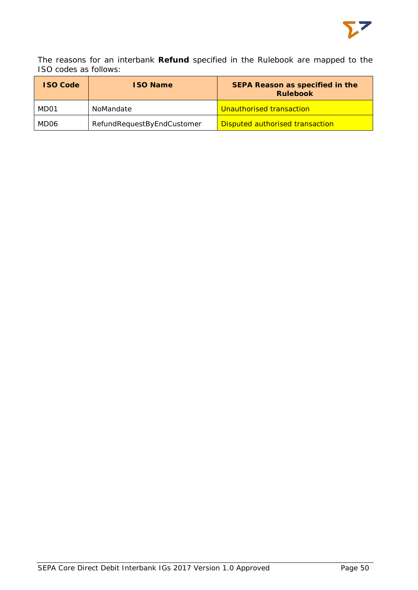

The reasons for an interbank **Refund** specified in the Rulebook are mapped to the ISO codes as follows:

| <b>ISO Code</b> | <b>ISO Name</b>            | <b>SEPA Reason as specified in the</b><br><b>Rulebook</b> |  |
|-----------------|----------------------------|-----------------------------------------------------------|--|
| MD01            | NoMandate                  | Unauthorised transaction                                  |  |
| MD06            | RefundRequestByEndCustomer | <b>Disputed authorised transaction</b>                    |  |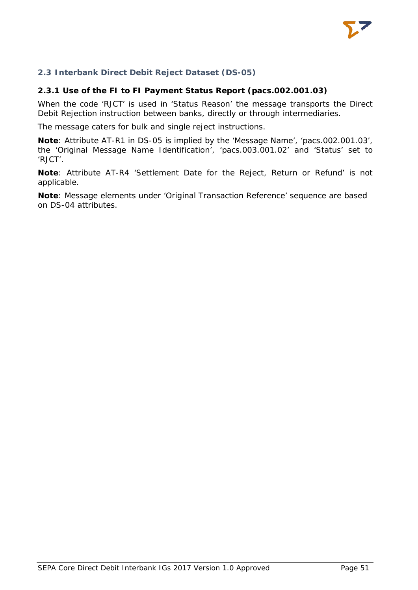

# **2.3 Interbank Direct Debit Reject Dataset (DS-05)**

## **2.3.1 Use of the FI to FI Payment Status Report (pacs.002.001.03)**

When the code 'RJCT' is used in 'Status Reason' the message transports the Direct Debit Rejection instruction between banks, directly or through intermediaries.

The message caters for bulk and single reject instructions.

**Note**: Attribute AT-R1 in DS-05 is implied by the 'Message Name', 'pacs.002.001.03', the 'Original Message Name Identification', 'pacs.003.001.02' and 'Status' set to 'RJCT'.

**Note**: Attribute AT-R4 'Settlement Date for the Reject, Return or Refund' is not applicable.

**Note**: Message elements under 'Original Transaction Reference' sequence are based on DS-04 attributes.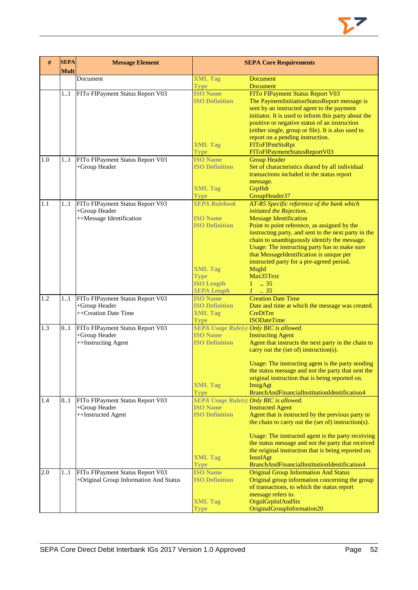

| Document<br><b>XML Tag</b><br>Document<br><b>Document</b><br><b>Type</b><br>FITo FIPayment Status Report V03<br><b>ISO Name</b><br>FITo FIPayment Status Report V03<br>11<br><b>ISO Definition</b><br>The PaymentInitiationStatusReport message is<br>sent by an instructed agent to the payment<br>initiator. It is used to inform this party about the<br>positive or negative status of an instruction<br>(either single, group or file). It is also used to<br>report on a pending instruction.<br><b>FIToFIPmtStsRpt</b><br><b>XML Tag</b><br>FIToFIPaymentStatusReportV03<br><b>Type</b><br><b>ISO Name</b><br>FITo FIPayment Status Report V03<br><b>Group Header</b><br>1.0<br>11<br><b>ISO Definition</b><br>Set of characteristics shared by all individual<br>+Group Header<br>transactions included in the status report<br>message.<br><b>XML Tag</b><br>GrpHdr<br>GroupHeader37<br><b>Type</b><br><b>SEPA Rulebook</b><br>AT-R5 Specific reference of the bank which<br>1.1<br>FITo FIPayment Status Report V03<br>11<br>+Group Header<br>initiated the Rejection.<br>++Message Identification<br><b>ISO Name</b><br><b>Message Identification</b><br><b>ISO Definition</b><br>Point to point reference, as assigned by the<br>instructing party, and sent to the next party in the<br>chain to unambiguously identify the message.<br>Usage: The instructing party has to make sure<br>that MessageIdentification is unique per<br>instructed party for a pre-agreed period.<br><b>XML Tag</b><br>MsgId<br>Max35Text<br><b>Type</b><br><b>ISO Length</b><br>$1 \t . 35$<br>$1-.35$<br><b>SEPA Length</b><br><b>Creation Date Time</b><br><b>ISO Name</b><br>1.2<br>FITo FIPayment Status Report V03<br>11<br>+Group Header<br><b>ISO Definition</b><br>Date and time at which the message was created.<br>++Creation Date Time<br><b>XML Tag</b><br>CreDtTm<br><b>ISODateTime</b><br><b>Type</b><br><b>SEPA Usage Rule(s) Only BIC is allowed.</b><br>0.1<br>FITo FIPayment Status Report V03<br><b>ISO Name</b><br>+Group Header<br><b>Instructing Agent</b><br>++Instructing Agent<br><b>ISO Definition</b><br>Agent that instructs the next party in the chain to<br>carry out the (set of) instruction(s).<br>Usage: The instructing agent is the party sending<br>the status message and not the party that sent the<br>original instruction that is being reported on.<br><b>XML Tag</b><br>InstgAgt<br>BranchAndFinancialInstitutionIdentification4<br><b>Type</b><br><b>SEPA Usage Rule(s) Only BIC is allowed.</b><br>FITo FIPayment Status Report V03<br>1.4<br>0.1<br><b>ISO Name</b><br>+Group Header<br><b>Instructed Agent</b><br><b>ISO Definition</b><br>++Instructed Agent<br>Agent that is instructed by the previous party in<br>the chain to carry out the (set of) instruction(s).<br>Usage: The instructed agent is the party receiving<br>the status message and not the party that received<br>the original instruction that is being reported on.<br><b>XML Tag</b><br><b>InstdAgt</b><br>BranchAndFinancialInstitutionIdentification4<br><b>Type</b> | #   | <b>SEPA</b><br><b>Mult</b> | <b>Message Element</b>           |                 | <b>SEPA Core Requirements</b>                |
|-----------------------------------------------------------------------------------------------------------------------------------------------------------------------------------------------------------------------------------------------------------------------------------------------------------------------------------------------------------------------------------------------------------------------------------------------------------------------------------------------------------------------------------------------------------------------------------------------------------------------------------------------------------------------------------------------------------------------------------------------------------------------------------------------------------------------------------------------------------------------------------------------------------------------------------------------------------------------------------------------------------------------------------------------------------------------------------------------------------------------------------------------------------------------------------------------------------------------------------------------------------------------------------------------------------------------------------------------------------------------------------------------------------------------------------------------------------------------------------------------------------------------------------------------------------------------------------------------------------------------------------------------------------------------------------------------------------------------------------------------------------------------------------------------------------------------------------------------------------------------------------------------------------------------------------------------------------------------------------------------------------------------------------------------------------------------------------------------------------------------------------------------------------------------------------------------------------------------------------------------------------------------------------------------------------------------------------------------------------------------------------------------------------------------------------------------------------------------------------------------------------------------------------------------------------------------------------------------------------------------------------------------------------------------------------------------------------------------------------------------------------------------------------------------------------------------------------------------------------------------------------------------------------------------------------------------------------------------------------------------------------------------------------------------------------------------------------------------|-----|----------------------------|----------------------------------|-----------------|----------------------------------------------|
|                                                                                                                                                                                                                                                                                                                                                                                                                                                                                                                                                                                                                                                                                                                                                                                                                                                                                                                                                                                                                                                                                                                                                                                                                                                                                                                                                                                                                                                                                                                                                                                                                                                                                                                                                                                                                                                                                                                                                                                                                                                                                                                                                                                                                                                                                                                                                                                                                                                                                                                                                                                                                                                                                                                                                                                                                                                                                                                                                                                                                                                                                               |     |                            |                                  |                 |                                              |
|                                                                                                                                                                                                                                                                                                                                                                                                                                                                                                                                                                                                                                                                                                                                                                                                                                                                                                                                                                                                                                                                                                                                                                                                                                                                                                                                                                                                                                                                                                                                                                                                                                                                                                                                                                                                                                                                                                                                                                                                                                                                                                                                                                                                                                                                                                                                                                                                                                                                                                                                                                                                                                                                                                                                                                                                                                                                                                                                                                                                                                                                                               |     |                            |                                  |                 |                                              |
|                                                                                                                                                                                                                                                                                                                                                                                                                                                                                                                                                                                                                                                                                                                                                                                                                                                                                                                                                                                                                                                                                                                                                                                                                                                                                                                                                                                                                                                                                                                                                                                                                                                                                                                                                                                                                                                                                                                                                                                                                                                                                                                                                                                                                                                                                                                                                                                                                                                                                                                                                                                                                                                                                                                                                                                                                                                                                                                                                                                                                                                                                               |     |                            |                                  |                 |                                              |
|                                                                                                                                                                                                                                                                                                                                                                                                                                                                                                                                                                                                                                                                                                                                                                                                                                                                                                                                                                                                                                                                                                                                                                                                                                                                                                                                                                                                                                                                                                                                                                                                                                                                                                                                                                                                                                                                                                                                                                                                                                                                                                                                                                                                                                                                                                                                                                                                                                                                                                                                                                                                                                                                                                                                                                                                                                                                                                                                                                                                                                                                                               |     |                            |                                  |                 |                                              |
|                                                                                                                                                                                                                                                                                                                                                                                                                                                                                                                                                                                                                                                                                                                                                                                                                                                                                                                                                                                                                                                                                                                                                                                                                                                                                                                                                                                                                                                                                                                                                                                                                                                                                                                                                                                                                                                                                                                                                                                                                                                                                                                                                                                                                                                                                                                                                                                                                                                                                                                                                                                                                                                                                                                                                                                                                                                                                                                                                                                                                                                                                               |     |                            |                                  |                 |                                              |
|                                                                                                                                                                                                                                                                                                                                                                                                                                                                                                                                                                                                                                                                                                                                                                                                                                                                                                                                                                                                                                                                                                                                                                                                                                                                                                                                                                                                                                                                                                                                                                                                                                                                                                                                                                                                                                                                                                                                                                                                                                                                                                                                                                                                                                                                                                                                                                                                                                                                                                                                                                                                                                                                                                                                                                                                                                                                                                                                                                                                                                                                                               |     |                            |                                  |                 |                                              |
|                                                                                                                                                                                                                                                                                                                                                                                                                                                                                                                                                                                                                                                                                                                                                                                                                                                                                                                                                                                                                                                                                                                                                                                                                                                                                                                                                                                                                                                                                                                                                                                                                                                                                                                                                                                                                                                                                                                                                                                                                                                                                                                                                                                                                                                                                                                                                                                                                                                                                                                                                                                                                                                                                                                                                                                                                                                                                                                                                                                                                                                                                               |     |                            |                                  |                 |                                              |
|                                                                                                                                                                                                                                                                                                                                                                                                                                                                                                                                                                                                                                                                                                                                                                                                                                                                                                                                                                                                                                                                                                                                                                                                                                                                                                                                                                                                                                                                                                                                                                                                                                                                                                                                                                                                                                                                                                                                                                                                                                                                                                                                                                                                                                                                                                                                                                                                                                                                                                                                                                                                                                                                                                                                                                                                                                                                                                                                                                                                                                                                                               |     |                            |                                  |                 |                                              |
|                                                                                                                                                                                                                                                                                                                                                                                                                                                                                                                                                                                                                                                                                                                                                                                                                                                                                                                                                                                                                                                                                                                                                                                                                                                                                                                                                                                                                                                                                                                                                                                                                                                                                                                                                                                                                                                                                                                                                                                                                                                                                                                                                                                                                                                                                                                                                                                                                                                                                                                                                                                                                                                                                                                                                                                                                                                                                                                                                                                                                                                                                               |     |                            |                                  |                 |                                              |
|                                                                                                                                                                                                                                                                                                                                                                                                                                                                                                                                                                                                                                                                                                                                                                                                                                                                                                                                                                                                                                                                                                                                                                                                                                                                                                                                                                                                                                                                                                                                                                                                                                                                                                                                                                                                                                                                                                                                                                                                                                                                                                                                                                                                                                                                                                                                                                                                                                                                                                                                                                                                                                                                                                                                                                                                                                                                                                                                                                                                                                                                                               |     |                            |                                  |                 |                                              |
|                                                                                                                                                                                                                                                                                                                                                                                                                                                                                                                                                                                                                                                                                                                                                                                                                                                                                                                                                                                                                                                                                                                                                                                                                                                                                                                                                                                                                                                                                                                                                                                                                                                                                                                                                                                                                                                                                                                                                                                                                                                                                                                                                                                                                                                                                                                                                                                                                                                                                                                                                                                                                                                                                                                                                                                                                                                                                                                                                                                                                                                                                               |     |                            |                                  |                 |                                              |
|                                                                                                                                                                                                                                                                                                                                                                                                                                                                                                                                                                                                                                                                                                                                                                                                                                                                                                                                                                                                                                                                                                                                                                                                                                                                                                                                                                                                                                                                                                                                                                                                                                                                                                                                                                                                                                                                                                                                                                                                                                                                                                                                                                                                                                                                                                                                                                                                                                                                                                                                                                                                                                                                                                                                                                                                                                                                                                                                                                                                                                                                                               |     |                            |                                  |                 |                                              |
|                                                                                                                                                                                                                                                                                                                                                                                                                                                                                                                                                                                                                                                                                                                                                                                                                                                                                                                                                                                                                                                                                                                                                                                                                                                                                                                                                                                                                                                                                                                                                                                                                                                                                                                                                                                                                                                                                                                                                                                                                                                                                                                                                                                                                                                                                                                                                                                                                                                                                                                                                                                                                                                                                                                                                                                                                                                                                                                                                                                                                                                                                               |     |                            |                                  |                 |                                              |
|                                                                                                                                                                                                                                                                                                                                                                                                                                                                                                                                                                                                                                                                                                                                                                                                                                                                                                                                                                                                                                                                                                                                                                                                                                                                                                                                                                                                                                                                                                                                                                                                                                                                                                                                                                                                                                                                                                                                                                                                                                                                                                                                                                                                                                                                                                                                                                                                                                                                                                                                                                                                                                                                                                                                                                                                                                                                                                                                                                                                                                                                                               |     |                            |                                  |                 |                                              |
|                                                                                                                                                                                                                                                                                                                                                                                                                                                                                                                                                                                                                                                                                                                                                                                                                                                                                                                                                                                                                                                                                                                                                                                                                                                                                                                                                                                                                                                                                                                                                                                                                                                                                                                                                                                                                                                                                                                                                                                                                                                                                                                                                                                                                                                                                                                                                                                                                                                                                                                                                                                                                                                                                                                                                                                                                                                                                                                                                                                                                                                                                               |     |                            |                                  |                 |                                              |
|                                                                                                                                                                                                                                                                                                                                                                                                                                                                                                                                                                                                                                                                                                                                                                                                                                                                                                                                                                                                                                                                                                                                                                                                                                                                                                                                                                                                                                                                                                                                                                                                                                                                                                                                                                                                                                                                                                                                                                                                                                                                                                                                                                                                                                                                                                                                                                                                                                                                                                                                                                                                                                                                                                                                                                                                                                                                                                                                                                                                                                                                                               |     |                            |                                  |                 |                                              |
|                                                                                                                                                                                                                                                                                                                                                                                                                                                                                                                                                                                                                                                                                                                                                                                                                                                                                                                                                                                                                                                                                                                                                                                                                                                                                                                                                                                                                                                                                                                                                                                                                                                                                                                                                                                                                                                                                                                                                                                                                                                                                                                                                                                                                                                                                                                                                                                                                                                                                                                                                                                                                                                                                                                                                                                                                                                                                                                                                                                                                                                                                               |     |                            |                                  |                 |                                              |
|                                                                                                                                                                                                                                                                                                                                                                                                                                                                                                                                                                                                                                                                                                                                                                                                                                                                                                                                                                                                                                                                                                                                                                                                                                                                                                                                                                                                                                                                                                                                                                                                                                                                                                                                                                                                                                                                                                                                                                                                                                                                                                                                                                                                                                                                                                                                                                                                                                                                                                                                                                                                                                                                                                                                                                                                                                                                                                                                                                                                                                                                                               |     |                            |                                  |                 |                                              |
|                                                                                                                                                                                                                                                                                                                                                                                                                                                                                                                                                                                                                                                                                                                                                                                                                                                                                                                                                                                                                                                                                                                                                                                                                                                                                                                                                                                                                                                                                                                                                                                                                                                                                                                                                                                                                                                                                                                                                                                                                                                                                                                                                                                                                                                                                                                                                                                                                                                                                                                                                                                                                                                                                                                                                                                                                                                                                                                                                                                                                                                                                               |     |                            |                                  |                 |                                              |
|                                                                                                                                                                                                                                                                                                                                                                                                                                                                                                                                                                                                                                                                                                                                                                                                                                                                                                                                                                                                                                                                                                                                                                                                                                                                                                                                                                                                                                                                                                                                                                                                                                                                                                                                                                                                                                                                                                                                                                                                                                                                                                                                                                                                                                                                                                                                                                                                                                                                                                                                                                                                                                                                                                                                                                                                                                                                                                                                                                                                                                                                                               |     |                            |                                  |                 |                                              |
|                                                                                                                                                                                                                                                                                                                                                                                                                                                                                                                                                                                                                                                                                                                                                                                                                                                                                                                                                                                                                                                                                                                                                                                                                                                                                                                                                                                                                                                                                                                                                                                                                                                                                                                                                                                                                                                                                                                                                                                                                                                                                                                                                                                                                                                                                                                                                                                                                                                                                                                                                                                                                                                                                                                                                                                                                                                                                                                                                                                                                                                                                               |     |                            |                                  |                 |                                              |
|                                                                                                                                                                                                                                                                                                                                                                                                                                                                                                                                                                                                                                                                                                                                                                                                                                                                                                                                                                                                                                                                                                                                                                                                                                                                                                                                                                                                                                                                                                                                                                                                                                                                                                                                                                                                                                                                                                                                                                                                                                                                                                                                                                                                                                                                                                                                                                                                                                                                                                                                                                                                                                                                                                                                                                                                                                                                                                                                                                                                                                                                                               |     |                            |                                  |                 |                                              |
|                                                                                                                                                                                                                                                                                                                                                                                                                                                                                                                                                                                                                                                                                                                                                                                                                                                                                                                                                                                                                                                                                                                                                                                                                                                                                                                                                                                                                                                                                                                                                                                                                                                                                                                                                                                                                                                                                                                                                                                                                                                                                                                                                                                                                                                                                                                                                                                                                                                                                                                                                                                                                                                                                                                                                                                                                                                                                                                                                                                                                                                                                               |     |                            |                                  |                 |                                              |
|                                                                                                                                                                                                                                                                                                                                                                                                                                                                                                                                                                                                                                                                                                                                                                                                                                                                                                                                                                                                                                                                                                                                                                                                                                                                                                                                                                                                                                                                                                                                                                                                                                                                                                                                                                                                                                                                                                                                                                                                                                                                                                                                                                                                                                                                                                                                                                                                                                                                                                                                                                                                                                                                                                                                                                                                                                                                                                                                                                                                                                                                                               |     |                            |                                  |                 |                                              |
|                                                                                                                                                                                                                                                                                                                                                                                                                                                                                                                                                                                                                                                                                                                                                                                                                                                                                                                                                                                                                                                                                                                                                                                                                                                                                                                                                                                                                                                                                                                                                                                                                                                                                                                                                                                                                                                                                                                                                                                                                                                                                                                                                                                                                                                                                                                                                                                                                                                                                                                                                                                                                                                                                                                                                                                                                                                                                                                                                                                                                                                                                               |     |                            |                                  |                 |                                              |
|                                                                                                                                                                                                                                                                                                                                                                                                                                                                                                                                                                                                                                                                                                                                                                                                                                                                                                                                                                                                                                                                                                                                                                                                                                                                                                                                                                                                                                                                                                                                                                                                                                                                                                                                                                                                                                                                                                                                                                                                                                                                                                                                                                                                                                                                                                                                                                                                                                                                                                                                                                                                                                                                                                                                                                                                                                                                                                                                                                                                                                                                                               |     |                            |                                  |                 |                                              |
|                                                                                                                                                                                                                                                                                                                                                                                                                                                                                                                                                                                                                                                                                                                                                                                                                                                                                                                                                                                                                                                                                                                                                                                                                                                                                                                                                                                                                                                                                                                                                                                                                                                                                                                                                                                                                                                                                                                                                                                                                                                                                                                                                                                                                                                                                                                                                                                                                                                                                                                                                                                                                                                                                                                                                                                                                                                                                                                                                                                                                                                                                               |     |                            |                                  |                 |                                              |
|                                                                                                                                                                                                                                                                                                                                                                                                                                                                                                                                                                                                                                                                                                                                                                                                                                                                                                                                                                                                                                                                                                                                                                                                                                                                                                                                                                                                                                                                                                                                                                                                                                                                                                                                                                                                                                                                                                                                                                                                                                                                                                                                                                                                                                                                                                                                                                                                                                                                                                                                                                                                                                                                                                                                                                                                                                                                                                                                                                                                                                                                                               |     |                            |                                  |                 |                                              |
|                                                                                                                                                                                                                                                                                                                                                                                                                                                                                                                                                                                                                                                                                                                                                                                                                                                                                                                                                                                                                                                                                                                                                                                                                                                                                                                                                                                                                                                                                                                                                                                                                                                                                                                                                                                                                                                                                                                                                                                                                                                                                                                                                                                                                                                                                                                                                                                                                                                                                                                                                                                                                                                                                                                                                                                                                                                                                                                                                                                                                                                                                               |     |                            |                                  |                 |                                              |
|                                                                                                                                                                                                                                                                                                                                                                                                                                                                                                                                                                                                                                                                                                                                                                                                                                                                                                                                                                                                                                                                                                                                                                                                                                                                                                                                                                                                                                                                                                                                                                                                                                                                                                                                                                                                                                                                                                                                                                                                                                                                                                                                                                                                                                                                                                                                                                                                                                                                                                                                                                                                                                                                                                                                                                                                                                                                                                                                                                                                                                                                                               | 1.3 |                            |                                  |                 |                                              |
|                                                                                                                                                                                                                                                                                                                                                                                                                                                                                                                                                                                                                                                                                                                                                                                                                                                                                                                                                                                                                                                                                                                                                                                                                                                                                                                                                                                                                                                                                                                                                                                                                                                                                                                                                                                                                                                                                                                                                                                                                                                                                                                                                                                                                                                                                                                                                                                                                                                                                                                                                                                                                                                                                                                                                                                                                                                                                                                                                                                                                                                                                               |     |                            |                                  |                 |                                              |
|                                                                                                                                                                                                                                                                                                                                                                                                                                                                                                                                                                                                                                                                                                                                                                                                                                                                                                                                                                                                                                                                                                                                                                                                                                                                                                                                                                                                                                                                                                                                                                                                                                                                                                                                                                                                                                                                                                                                                                                                                                                                                                                                                                                                                                                                                                                                                                                                                                                                                                                                                                                                                                                                                                                                                                                                                                                                                                                                                                                                                                                                                               |     |                            |                                  |                 |                                              |
|                                                                                                                                                                                                                                                                                                                                                                                                                                                                                                                                                                                                                                                                                                                                                                                                                                                                                                                                                                                                                                                                                                                                                                                                                                                                                                                                                                                                                                                                                                                                                                                                                                                                                                                                                                                                                                                                                                                                                                                                                                                                                                                                                                                                                                                                                                                                                                                                                                                                                                                                                                                                                                                                                                                                                                                                                                                                                                                                                                                                                                                                                               |     |                            |                                  |                 |                                              |
|                                                                                                                                                                                                                                                                                                                                                                                                                                                                                                                                                                                                                                                                                                                                                                                                                                                                                                                                                                                                                                                                                                                                                                                                                                                                                                                                                                                                                                                                                                                                                                                                                                                                                                                                                                                                                                                                                                                                                                                                                                                                                                                                                                                                                                                                                                                                                                                                                                                                                                                                                                                                                                                                                                                                                                                                                                                                                                                                                                                                                                                                                               |     |                            |                                  |                 |                                              |
|                                                                                                                                                                                                                                                                                                                                                                                                                                                                                                                                                                                                                                                                                                                                                                                                                                                                                                                                                                                                                                                                                                                                                                                                                                                                                                                                                                                                                                                                                                                                                                                                                                                                                                                                                                                                                                                                                                                                                                                                                                                                                                                                                                                                                                                                                                                                                                                                                                                                                                                                                                                                                                                                                                                                                                                                                                                                                                                                                                                                                                                                                               |     |                            |                                  |                 |                                              |
|                                                                                                                                                                                                                                                                                                                                                                                                                                                                                                                                                                                                                                                                                                                                                                                                                                                                                                                                                                                                                                                                                                                                                                                                                                                                                                                                                                                                                                                                                                                                                                                                                                                                                                                                                                                                                                                                                                                                                                                                                                                                                                                                                                                                                                                                                                                                                                                                                                                                                                                                                                                                                                                                                                                                                                                                                                                                                                                                                                                                                                                                                               |     |                            |                                  |                 |                                              |
|                                                                                                                                                                                                                                                                                                                                                                                                                                                                                                                                                                                                                                                                                                                                                                                                                                                                                                                                                                                                                                                                                                                                                                                                                                                                                                                                                                                                                                                                                                                                                                                                                                                                                                                                                                                                                                                                                                                                                                                                                                                                                                                                                                                                                                                                                                                                                                                                                                                                                                                                                                                                                                                                                                                                                                                                                                                                                                                                                                                                                                                                                               |     |                            |                                  |                 |                                              |
|                                                                                                                                                                                                                                                                                                                                                                                                                                                                                                                                                                                                                                                                                                                                                                                                                                                                                                                                                                                                                                                                                                                                                                                                                                                                                                                                                                                                                                                                                                                                                                                                                                                                                                                                                                                                                                                                                                                                                                                                                                                                                                                                                                                                                                                                                                                                                                                                                                                                                                                                                                                                                                                                                                                                                                                                                                                                                                                                                                                                                                                                                               |     |                            |                                  |                 |                                              |
|                                                                                                                                                                                                                                                                                                                                                                                                                                                                                                                                                                                                                                                                                                                                                                                                                                                                                                                                                                                                                                                                                                                                                                                                                                                                                                                                                                                                                                                                                                                                                                                                                                                                                                                                                                                                                                                                                                                                                                                                                                                                                                                                                                                                                                                                                                                                                                                                                                                                                                                                                                                                                                                                                                                                                                                                                                                                                                                                                                                                                                                                                               |     |                            |                                  |                 |                                              |
|                                                                                                                                                                                                                                                                                                                                                                                                                                                                                                                                                                                                                                                                                                                                                                                                                                                                                                                                                                                                                                                                                                                                                                                                                                                                                                                                                                                                                                                                                                                                                                                                                                                                                                                                                                                                                                                                                                                                                                                                                                                                                                                                                                                                                                                                                                                                                                                                                                                                                                                                                                                                                                                                                                                                                                                                                                                                                                                                                                                                                                                                                               |     |                            |                                  |                 |                                              |
|                                                                                                                                                                                                                                                                                                                                                                                                                                                                                                                                                                                                                                                                                                                                                                                                                                                                                                                                                                                                                                                                                                                                                                                                                                                                                                                                                                                                                                                                                                                                                                                                                                                                                                                                                                                                                                                                                                                                                                                                                                                                                                                                                                                                                                                                                                                                                                                                                                                                                                                                                                                                                                                                                                                                                                                                                                                                                                                                                                                                                                                                                               |     |                            |                                  |                 |                                              |
|                                                                                                                                                                                                                                                                                                                                                                                                                                                                                                                                                                                                                                                                                                                                                                                                                                                                                                                                                                                                                                                                                                                                                                                                                                                                                                                                                                                                                                                                                                                                                                                                                                                                                                                                                                                                                                                                                                                                                                                                                                                                                                                                                                                                                                                                                                                                                                                                                                                                                                                                                                                                                                                                                                                                                                                                                                                                                                                                                                                                                                                                                               |     |                            |                                  |                 |                                              |
|                                                                                                                                                                                                                                                                                                                                                                                                                                                                                                                                                                                                                                                                                                                                                                                                                                                                                                                                                                                                                                                                                                                                                                                                                                                                                                                                                                                                                                                                                                                                                                                                                                                                                                                                                                                                                                                                                                                                                                                                                                                                                                                                                                                                                                                                                                                                                                                                                                                                                                                                                                                                                                                                                                                                                                                                                                                                                                                                                                                                                                                                                               |     |                            |                                  |                 |                                              |
|                                                                                                                                                                                                                                                                                                                                                                                                                                                                                                                                                                                                                                                                                                                                                                                                                                                                                                                                                                                                                                                                                                                                                                                                                                                                                                                                                                                                                                                                                                                                                                                                                                                                                                                                                                                                                                                                                                                                                                                                                                                                                                                                                                                                                                                                                                                                                                                                                                                                                                                                                                                                                                                                                                                                                                                                                                                                                                                                                                                                                                                                                               |     |                            |                                  |                 |                                              |
|                                                                                                                                                                                                                                                                                                                                                                                                                                                                                                                                                                                                                                                                                                                                                                                                                                                                                                                                                                                                                                                                                                                                                                                                                                                                                                                                                                                                                                                                                                                                                                                                                                                                                                                                                                                                                                                                                                                                                                                                                                                                                                                                                                                                                                                                                                                                                                                                                                                                                                                                                                                                                                                                                                                                                                                                                                                                                                                                                                                                                                                                                               |     |                            |                                  |                 |                                              |
|                                                                                                                                                                                                                                                                                                                                                                                                                                                                                                                                                                                                                                                                                                                                                                                                                                                                                                                                                                                                                                                                                                                                                                                                                                                                                                                                                                                                                                                                                                                                                                                                                                                                                                                                                                                                                                                                                                                                                                                                                                                                                                                                                                                                                                                                                                                                                                                                                                                                                                                                                                                                                                                                                                                                                                                                                                                                                                                                                                                                                                                                                               |     |                            |                                  |                 |                                              |
|                                                                                                                                                                                                                                                                                                                                                                                                                                                                                                                                                                                                                                                                                                                                                                                                                                                                                                                                                                                                                                                                                                                                                                                                                                                                                                                                                                                                                                                                                                                                                                                                                                                                                                                                                                                                                                                                                                                                                                                                                                                                                                                                                                                                                                                                                                                                                                                                                                                                                                                                                                                                                                                                                                                                                                                                                                                                                                                                                                                                                                                                                               | 2.0 | 11                         | FITo FIPayment Status Report V03 | <b>ISO Name</b> | <b>Original Group Information And Status</b> |
| +Original Group Information And Status<br><b>ISO Definition</b><br>Original group information concerning the group                                                                                                                                                                                                                                                                                                                                                                                                                                                                                                                                                                                                                                                                                                                                                                                                                                                                                                                                                                                                                                                                                                                                                                                                                                                                                                                                                                                                                                                                                                                                                                                                                                                                                                                                                                                                                                                                                                                                                                                                                                                                                                                                                                                                                                                                                                                                                                                                                                                                                                                                                                                                                                                                                                                                                                                                                                                                                                                                                                            |     |                            |                                  |                 |                                              |
| of transactions, to which the status report                                                                                                                                                                                                                                                                                                                                                                                                                                                                                                                                                                                                                                                                                                                                                                                                                                                                                                                                                                                                                                                                                                                                                                                                                                                                                                                                                                                                                                                                                                                                                                                                                                                                                                                                                                                                                                                                                                                                                                                                                                                                                                                                                                                                                                                                                                                                                                                                                                                                                                                                                                                                                                                                                                                                                                                                                                                                                                                                                                                                                                                   |     |                            |                                  |                 |                                              |
| message refers to.<br>OrgnlGrpInfAndSts<br><b>XML Tag</b>                                                                                                                                                                                                                                                                                                                                                                                                                                                                                                                                                                                                                                                                                                                                                                                                                                                                                                                                                                                                                                                                                                                                                                                                                                                                                                                                                                                                                                                                                                                                                                                                                                                                                                                                                                                                                                                                                                                                                                                                                                                                                                                                                                                                                                                                                                                                                                                                                                                                                                                                                                                                                                                                                                                                                                                                                                                                                                                                                                                                                                     |     |                            |                                  |                 |                                              |
| OriginalGroupInformation20<br><b>Type</b>                                                                                                                                                                                                                                                                                                                                                                                                                                                                                                                                                                                                                                                                                                                                                                                                                                                                                                                                                                                                                                                                                                                                                                                                                                                                                                                                                                                                                                                                                                                                                                                                                                                                                                                                                                                                                                                                                                                                                                                                                                                                                                                                                                                                                                                                                                                                                                                                                                                                                                                                                                                                                                                                                                                                                                                                                                                                                                                                                                                                                                                     |     |                            |                                  |                 |                                              |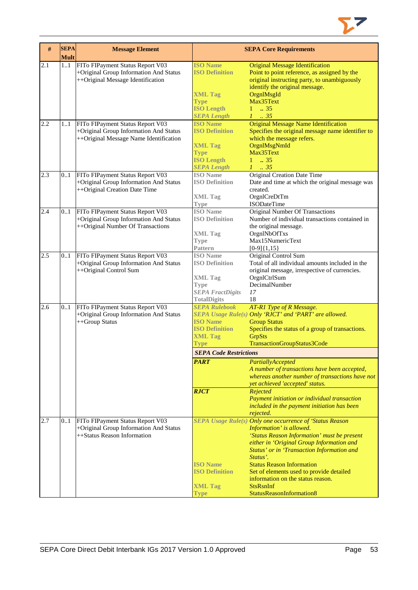

| #   | <b>SEPA</b><br><b>Mult</b> | <b>Message Element</b>                                                                                               |                                                                                                                            | <b>SEPA Core Requirements</b>                                                                                                                                                                                                                                                                                                                                                                                   |
|-----|----------------------------|----------------------------------------------------------------------------------------------------------------------|----------------------------------------------------------------------------------------------------------------------------|-----------------------------------------------------------------------------------------------------------------------------------------------------------------------------------------------------------------------------------------------------------------------------------------------------------------------------------------------------------------------------------------------------------------|
| 2.1 | 11                         | FITo FIPayment Status Report V03<br>+Original Group Information And Status<br>++Original Message Identification      | <b>ISO Name</b><br><b>ISO Definition</b>                                                                                   | <b>Original Message Identification</b><br>Point to point reference, as assigned by the<br>original instructing party, to unambiguously<br>identify the original message.                                                                                                                                                                                                                                        |
|     |                            |                                                                                                                      | <b>XML Tag</b><br><b>Type</b><br><b>ISO Length</b><br><b>SEPA Length</b>                                                   | OrgnlMsgId<br>Max35Text<br>$1 \t . 35$<br>$1-.35$                                                                                                                                                                                                                                                                                                                                                               |
| 2.2 | 11                         | FITo FIPayment Status Report V03<br>+Original Group Information And Status<br>++Original Message Name Identification | <b>ISO Name</b><br><b>ISO Definition</b><br><b>XML Tag</b><br><b>Type</b><br><b>ISO Length</b>                             | <b>Original Message Name Identification</b><br>Specifies the original message name identifier to<br>which the message refers.<br>OrgnlMsgNmId<br>Max35Text<br>$1 \t . 35$                                                                                                                                                                                                                                       |
| 2.3 | 0.1                        | FITo FIPayment Status Report V03<br>+Original Group Information And Status<br>++Original Creation Date Time          | <b>SEPA Length</b><br><b>ISO</b> Name<br><b>ISO Definition</b><br><b>XML Tag</b><br>Type                                   | $1 \t . 35$<br><b>Original Creation Date Time</b><br>Date and time at which the original message was<br>created.<br>OrgnlCreDtTm<br><b>ISODateTime</b>                                                                                                                                                                                                                                                          |
| 2.4 | 0.1                        | FITo FIPayment Status Report V03<br>+Original Group Information And Status<br>++Original Number Of Transactions      | <b>ISO</b> Name<br><b>ISO Definition</b><br><b>XML Tag</b><br><b>Type</b><br><b>Pattern</b>                                | <b>Original Number Of Transactions</b><br>Number of individual transactions contained in<br>the original message.<br>OrgnlNbOfTxs<br>Max15NumericText<br>$[0-9]{1,15}$                                                                                                                                                                                                                                          |
| 2.5 | 0.1                        | FITo FIPayment Status Report V03<br>+Original Group Information And Status<br>++Original Control Sum                 | <b>ISO</b> Name<br><b>ISO Definition</b><br><b>XML Tag</b><br><b>Type</b><br><b>SEPA FractDigits</b><br><b>TotalDigits</b> | Original Control Sum<br>Total of all individual amounts included in the<br>original message, irrespective of currencies.<br>OrgnlCtrlSum<br>DecimalNumber<br>17<br>18                                                                                                                                                                                                                                           |
| 2.6 | 0.1                        | FITo FIPayment Status Report V03<br>+Original Group Information And Status<br>++Group Status                         | <b>SEPA Rulebook</b><br><b>ISO Name</b><br><b>ISO Definition</b><br><b>XML Tag</b><br>Type                                 | AT-R1 Type of R Message.<br>SEPA Usage Rule(s) Only 'RJCT' and 'PART' are allowed.<br><b>Group Status</b><br>Specifies the status of a group of transactions.<br>GrpSts<br>TransactionGroupStatus3Code                                                                                                                                                                                                          |
|     |                            |                                                                                                                      | <b>SEPA Code Restrictions</b><br><b>PART</b><br><b>RJCT</b>                                                                | PartiallyAccepted<br>A number of transactions have been accepted,<br>whereas another number of transactions have not<br>yet achieved 'accepted' status.<br>Rejected<br>Payment initiation or individual transaction<br>included in the payment initiation has been<br>rejected.                                                                                                                                 |
| 2.7 | 0.1                        | FITo FIPayment Status Report V03<br>+Original Group Information And Status<br>++Status Reason Information            | <b>ISO</b> Name<br><b>ISO Definition</b><br><b>XML Tag</b><br><b>Type</b>                                                  | SEPA Usage Rule(s) Only one occurrence of 'Status Reason<br>Information' is allowed.<br>'Status Reason Information' must be present<br>either in 'Original Group Information and<br>Status' or in 'Transaction Information and<br>Status'.<br><b>Status Reason Information</b><br>Set of elements used to provide detailed<br>information on the status reason.<br><b>StsRsnInf</b><br>StatusReasonInformation8 |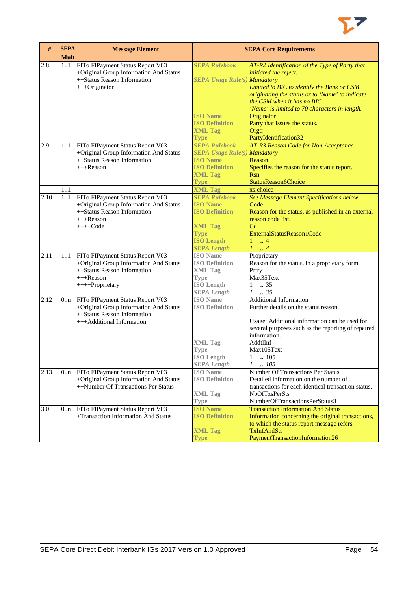

| #    | <b>SEPA</b><br><b>Mult</b> | <b>Message Element</b>                                                     |                                                        | <b>SEPA Core Requirements</b>                                               |
|------|----------------------------|----------------------------------------------------------------------------|--------------------------------------------------------|-----------------------------------------------------------------------------|
| 2.8  | 11                         | FITo FIPayment Status Report V03                                           | <b>SEPA Rulebook</b>                                   | AT-R2 Identification of the Type of Party that                              |
|      |                            | +Original Group Information And Status                                     |                                                        | initiated the reject.                                                       |
|      |                            | ++Status Reason Information                                                | <b>SEPA Usage Rule(s) Mandatory</b>                    |                                                                             |
|      |                            | +++Originator                                                              |                                                        | Limited to BIC to identify the Bank or CSM                                  |
|      |                            |                                                                            |                                                        | originating the status or to 'Name' to indicate                             |
|      |                            |                                                                            |                                                        | the CSM when it has no BIC.                                                 |
|      |                            |                                                                            |                                                        | 'Name' is limited to 70 characters in length.                               |
|      |                            |                                                                            | <b>ISO Name</b>                                        | Originator                                                                  |
|      |                            |                                                                            | <b>ISO Definition</b>                                  | Party that issues the status.                                               |
|      |                            |                                                                            | <b>XML Tag</b><br><b>Type</b>                          | Orgtr                                                                       |
| 2.9  |                            |                                                                            | <b>SEPA Rulebook</b>                                   | PartyIdentification32                                                       |
|      | 11                         | FITo FIPayment Status Report V03<br>+Original Group Information And Status |                                                        | AT-R3 Reason Code for Non-Acceptance.                                       |
|      |                            | ++Status Reason Information                                                | <b>SEPA Usage Rule(s) Mandatory</b><br><b>ISO Name</b> | Reason                                                                      |
|      |                            | $+++$ Reason                                                               | <b>ISO Definition</b>                                  | Specifies the reason for the status report.                                 |
|      |                            |                                                                            | <b>XML Tag</b>                                         | <b>Rsn</b>                                                                  |
|      |                            |                                                                            | <b>Type</b>                                            | StatusReason6Choice                                                         |
|      | 11                         |                                                                            | <b>XML Tag</b>                                         | xs:choice                                                                   |
| 2.10 | 1.1                        | FITo FIPayment Status Report V03                                           | <b>SEPA Rulebook</b>                                   | See Message Element Specifications below.                                   |
|      |                            | +Original Group Information And Status                                     | <b>ISO Name</b>                                        | Code                                                                        |
|      |                            | ++Status Reason Information                                                | <b>ISO Definition</b>                                  | Reason for the status, as published in an external                          |
|      |                            | $+++$ Reason                                                               |                                                        | reason code list.                                                           |
|      |                            | $++++Code$                                                                 | <b>XML Tag</b>                                         | C <sub>d</sub>                                                              |
|      |                            |                                                                            | <b>Type</b>                                            | ExternalStatusReason1Code                                                   |
|      |                            |                                                                            | <b>ISO Length</b>                                      | $\mathbf{1}$<br>$\,$ . 4                                                    |
|      |                            |                                                                            | <b>SEPA Length</b>                                     | $1 \dots 4$                                                                 |
| 2.11 | 11                         | FITo FIPayment Status Report V03                                           | <b>ISO</b> Name                                        | Proprietary                                                                 |
|      |                            | +Original Group Information And Status                                     | <b>ISO Definition</b>                                  | Reason for the status, in a proprietary form.                               |
|      |                            | ++Status Reason Information                                                | <b>XML Tag</b>                                         | Prtry<br>Max35Text                                                          |
|      |                            | +++Reason                                                                  | <b>Type</b><br><b>ISO Length</b>                       | .35<br>$\mathbf{1}$                                                         |
|      |                            | ++++Proprietary                                                            | <b>SEPA Length</b>                                     | $1 \t . 35$                                                                 |
| 2.12 | 0n                         | FITo FIPayment Status Report V03                                           | <b>ISO</b> Name                                        | <b>Additional Information</b>                                               |
|      |                            | +Original Group Information And Status                                     | <b>ISO Definition</b>                                  | Further details on the status reason.                                       |
|      |                            | ++Status Reason Information                                                |                                                        |                                                                             |
|      |                            | +++Additional Information                                                  |                                                        | Usage: Additional information can be used for                               |
|      |                            |                                                                            |                                                        | several purposes such as the reporting of repaired                          |
|      |                            |                                                                            |                                                        | information.                                                                |
|      |                            |                                                                            | <b>XML</b> Tag                                         | AddtlInf                                                                    |
|      |                            |                                                                            | <b>Type</b>                                            | Max105Text                                                                  |
|      |                            |                                                                            | <b>ISO</b> Length                                      | 1<br>105                                                                    |
|      |                            |                                                                            | <b>SEPA Length</b>                                     | $\mathcal{I}$<br>.105                                                       |
| 2.13 | 0 <sub>nn</sub>            | FITo FIPayment Status Report V03                                           | <b>ISO</b> Name                                        | Number Of Transactions Per Status                                           |
|      |                            | +Original Group Information And Status                                     | <b>ISO Definition</b>                                  | Detailed information on the number of                                       |
|      |                            | ++Number Of Transactions Per Status                                        |                                                        | transactions for each identical transaction status.                         |
|      |                            |                                                                            | <b>XML Tag</b>                                         | <b>NbOfTxsPerSts</b>                                                        |
| 3.0  |                            | FITo FIPayment Status Report V03                                           | <b>Type</b><br><b>ISO Name</b>                         | NumberOfTransactionsPerStatus3<br><b>Transaction Information And Status</b> |
|      | 0 <sub>nn</sub>            | +Transaction Information And Status                                        | <b>ISO Definition</b>                                  | Information concerning the original transactions,                           |
|      |                            |                                                                            |                                                        | to which the status report message refers.                                  |
|      |                            |                                                                            | <b>XML Tag</b>                                         | <b>TxInfAndSts</b>                                                          |
|      |                            |                                                                            | <b>Type</b>                                            | PaymentTransactionInformation26                                             |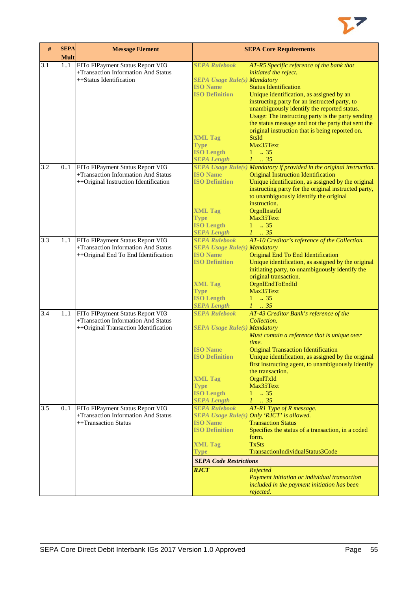

| #   | <b>SEPA</b><br><b>Mult</b> | <b>Message Element</b>                |                                     | <b>SEPA Core Requirements</b>                                         |
|-----|----------------------------|---------------------------------------|-------------------------------------|-----------------------------------------------------------------------|
| 3.1 | 1.1                        | FITo FIPayment Status Report V03      | <b>SEPA Rulebook</b>                | AT-R5 Specific reference of the bank that                             |
|     |                            | +Transaction Information And Status   |                                     | initiated the reject.                                                 |
|     |                            | ++Status Identification               | <b>SEPA Usage Rule(s) Mandatory</b> |                                                                       |
|     |                            |                                       | <b>ISO Name</b>                     | <b>Status Identification</b>                                          |
|     |                            |                                       | <b>ISO Definition</b>               | Unique identification, as assigned by an                              |
|     |                            |                                       |                                     | instructing party for an instructed party, to                         |
|     |                            |                                       |                                     | unambiguously identify the reported status.                           |
|     |                            |                                       |                                     | Usage: The instructing party is the party sending                     |
|     |                            |                                       |                                     | the status message and not the party that sent the                    |
|     |                            |                                       |                                     | original instruction that is being reported on.                       |
|     |                            |                                       | <b>XML Tag</b>                      | <b>StsId</b>                                                          |
|     |                            |                                       | <b>Type</b>                         | Max35Text                                                             |
|     |                            |                                       | <b>ISO Length</b>                   | $1 - .35$                                                             |
|     |                            |                                       | <b>SEPA Length</b>                  | $1-.35$                                                               |
| 3.2 | 01                         | FITo FIPayment Status Report V03      |                                     | SEPA Usage Rule(s) Mandatory if provided in the original instruction. |
|     |                            | +Transaction Information And Status   | <b>ISO Name</b>                     | <b>Original Instruction Identification</b>                            |
|     |                            | ++Original Instruction Identification | <b>ISO Definition</b>               | Unique identification, as assigned by the original                    |
|     |                            |                                       |                                     | instructing party for the original instructed party,                  |
|     |                            |                                       |                                     | to unambiguously identify the original                                |
|     |                            |                                       |                                     | instruction.                                                          |
|     |                            |                                       | <b>XML Tag</b>                      | OrgnIInstrId                                                          |
|     |                            |                                       | <b>Type</b>                         | Max35Text                                                             |
|     |                            |                                       | <b>ISO Length</b>                   | 135                                                                   |
|     |                            |                                       | <b>SEPA Length</b>                  | $1-.35$                                                               |
| 3.3 | 11                         | FITo FIPayment Status Report V03      | <b>SEPA Rulebook</b>                | AT-10 Creditor's reference of the Collection.                         |
|     |                            | +Transaction Information And Status   | <b>SEPA Usage Rule(s) Mandatory</b> |                                                                       |
|     |                            | ++Original End To End Identification  | <b>ISO Name</b>                     | Original End To End Identification                                    |
|     |                            |                                       | <b>ISO Definition</b>               | Unique identification, as assigned by the original                    |
|     |                            |                                       |                                     | initiating party, to unambiguously identify the                       |
|     |                            |                                       |                                     | original transaction.                                                 |
|     |                            |                                       | <b>XML Tag</b>                      | OrgnlEndToEndId                                                       |
|     |                            |                                       | <b>Type</b>                         | Max35Text                                                             |
|     |                            |                                       | <b>ISO Length</b>                   | $1 \t . 35$                                                           |
|     |                            |                                       | <b>SEPA Length</b>                  | $1-.35$                                                               |
| 3.4 | 1.1                        | FITo FIPayment Status Report V03      | <b>SEPA Rulebook</b>                | AT-43 Creditor Bank's reference of the                                |
|     |                            | +Transaction Information And Status   |                                     | Collection.                                                           |
|     |                            | ++Original Transaction Identification | <b>SEPA Usage Rule(s) Mandatory</b> |                                                                       |
|     |                            |                                       |                                     | Must contain a reference that is unique over                          |
|     |                            |                                       |                                     | time.                                                                 |
|     |                            |                                       | <b>ISO Name</b>                     | <b>Original Transaction Identification</b>                            |
|     |                            |                                       | <b>ISO Definition</b>               | Unique identification, as assigned by the original                    |
|     |                            |                                       |                                     | first instructing agent, to unambiguously identify                    |
|     |                            |                                       |                                     | the transaction.                                                      |
|     |                            |                                       | <b>XML Tag</b>                      | OrgnITxId                                                             |
|     |                            |                                       | <b>Type</b>                         | Max35Text                                                             |
|     |                            |                                       | <b>ISO Length</b>                   | $1 \t . 35$                                                           |
|     |                            |                                       | <b>SEPA Length</b>                  | $1 \t35$                                                              |
| 3.5 | 01                         | FITo FIPayment Status Report V03      | <b>SEPA Rulebook</b>                | AT-R1 Type of R message.                                              |
|     |                            | +Transaction Information And Status   |                                     | SEPA Usage Rule(s) Only 'RJCT' is allowed.                            |
|     |                            | ++Transaction Status                  | <b>ISO Name</b>                     | <b>Transaction Status</b>                                             |
|     |                            |                                       | <b>ISO Definition</b>               | Specifies the status of a transaction, in a coded                     |
|     |                            |                                       |                                     | form.                                                                 |
|     |                            |                                       | <b>XML Tag</b>                      | <b>TxSts</b>                                                          |
|     |                            |                                       | <b>Type</b>                         | TransactionIndividualStatus3Code                                      |
|     |                            |                                       | <b>SEPA Code Restrictions</b>       |                                                                       |
|     |                            |                                       |                                     |                                                                       |
|     |                            |                                       | <b>RJCT</b>                         | Rejected                                                              |
|     |                            |                                       |                                     | Payment initiation or individual transaction                          |
|     |                            |                                       |                                     | included in the payment initiation has been                           |
|     |                            |                                       |                                     | rejected.                                                             |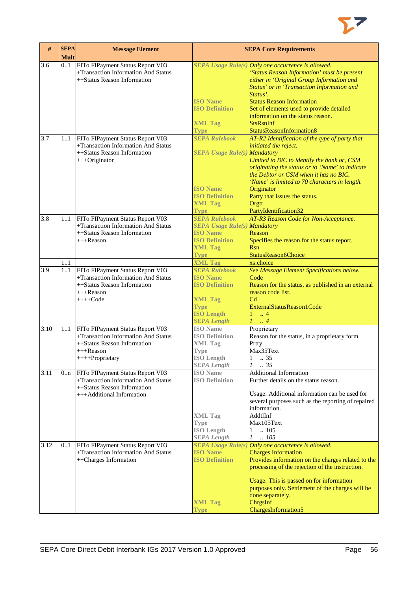

| #    | <b>SEPA</b><br><b>Mult</b> | <b>Message Element</b>                                                                                                                    |                                                                                                                                                                | <b>SEPA Core Requirements</b>                                                                                                                                                                                                                                                                                                                                                 |
|------|----------------------------|-------------------------------------------------------------------------------------------------------------------------------------------|----------------------------------------------------------------------------------------------------------------------------------------------------------------|-------------------------------------------------------------------------------------------------------------------------------------------------------------------------------------------------------------------------------------------------------------------------------------------------------------------------------------------------------------------------------|
| 3.6  | 0.1                        | FITo FIPayment Status Report V03<br>+Transaction Information And Status<br>++Status Reason Information                                    | <b>ISO</b> Name<br><b>ISO Definition</b><br><b>XML Tag</b><br><b>Type</b>                                                                                      | SEPA Usage Rule(s) Only one occurrence is allowed.<br>'Status Reason Information' must be present<br>either in 'Original Group Information and<br>Status' or in 'Transaction Information and<br>Status'.<br><b>Status Reason Information</b><br>Set of elements used to provide detailed<br>information on the status reason.<br><b>StsRsnInf</b><br>StatusReasonInformation8 |
| 3.7  | 1.1                        | FITo FIPayment Status Report V03<br>+Transaction Information And Status<br>++Status Reason Information<br>+++Originator                   | <b>SEPA Rulebook</b><br><b>SEPA Usage Rule(s) Mandatory</b><br><b>ISO Name</b><br><b>ISO Definition</b><br><b>XML Tag</b><br><b>Type</b>                       | AT-R2 Identification of the type of party that<br>initiated the reject.<br>Limited to BIC to identify the bank or, CSM<br>originating the status or to 'Name' to indicate<br>the Debtor or CSM when it has no BIC.<br>'Name' is limited to 70 characters in length.<br>Originator<br>Party that issues the status.<br>Orgtr<br>PartyIdentification32                          |
| 3.8  | 11                         | FITo FIPayment Status Report V03<br>+Transaction Information And Status<br>++Status Reason Information<br>$+++$ Reason                    | <b>SEPA Rulebook</b><br><b>SEPA Usage Rule(s) Mandatory</b><br><b>ISO Name</b><br><b>ISO Definition</b><br><b>XML Tag</b><br><b>Type</b>                       | AT-R3 Reason Code for Non-Acceptance.<br>Reason<br>Specifies the reason for the status report.<br>Rsn<br>StatusReason6Choice                                                                                                                                                                                                                                                  |
| 3.9  | 1.1<br>11                  | FITo FIPayment Status Report V03<br>+Transaction Information And Status<br>++Status Reason Information<br>$+++$ Reason<br>$+++Code$       | <b>XML Tag</b><br><b>SEPA Rulebook</b><br><b>ISO Name</b><br><b>ISO Definition</b><br><b>XML Tag</b><br><b>Type</b><br><b>ISO Length</b><br><b>SEPA Length</b> | xs:choice<br>See Message Element Specifications below.<br>Code<br>Reason for the status, as published in an external<br>reason code list.<br>C <sub>d</sub><br>ExternalStatusReason1Code<br>$1 \t  4$<br>$1 \ldots 4$                                                                                                                                                         |
| 3.10 | 11                         | FITo FIPayment Status Report V03<br>+Transaction Information And Status<br>++Status Reason Information<br>$+++$ Reason<br>++++Proprietary | <b>ISO</b> Name<br><b>ISO Definition</b><br><b>XML Tag</b><br><b>Type</b><br><b>ISO</b> Length<br><b>SEPA Length</b>                                           | Proprietary<br>Reason for the status, in a proprietary form.<br>Prtry<br>Max35Text<br>1<br>.35<br>.35<br>1                                                                                                                                                                                                                                                                    |
| 3.11 | 0.n                        | FITo FIPayment Status Report V03<br>+Transaction Information And Status<br>++Status Reason Information<br>+++Additional Information       | <b>ISO</b> Name<br><b>ISO Definition</b><br><b>XML</b> Tag<br><b>Type</b><br><b>ISO Length</b><br><b>SEPA Length</b>                                           | <b>Additional Information</b><br>Further details on the status reason.<br>Usage: Additional information can be used for<br>several purposes such as the reporting of repaired<br>information.<br>AddtlInf<br>Max105Text<br>.105<br>$\mathbf{1}$<br>$\mathcal{I}$<br>.105                                                                                                      |
| 3.12 | 01                         | FITo FIPayment Status Report V03<br>+Transaction Information And Status<br>++Charges Information                                          | <b>ISO Name</b><br><b>ISO Definition</b><br><b>XML Tag</b><br><b>Type</b>                                                                                      | SEPA Usage Rule(s) Only one occurrence is allowed.<br><b>Charges Information</b><br>Provides information on the charges related to the<br>processing of the rejection of the instruction.<br>Usage: This is passed on for information<br>purposes only. Settlement of the charges will be<br>done separately.<br>ChrgsInf<br>ChargesInformation5                              |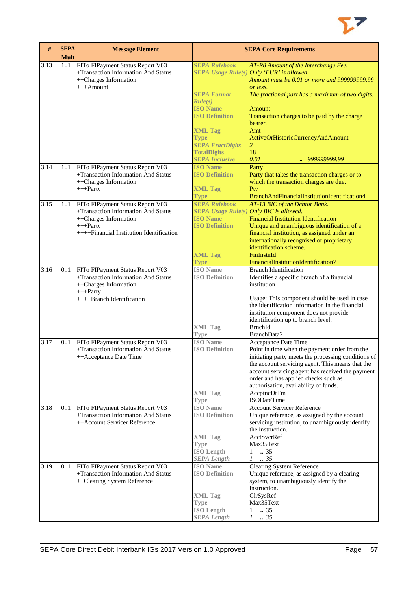

| $\#$ | <b>SEPA</b><br><b>Mult</b> | <b>Message Element</b>                                                                                                                                      |                                                                                                                                                               | <b>SEPA Core Requirements</b>                                                                                                                                                                                                                                                                                                                              |
|------|----------------------------|-------------------------------------------------------------------------------------------------------------------------------------------------------------|---------------------------------------------------------------------------------------------------------------------------------------------------------------|------------------------------------------------------------------------------------------------------------------------------------------------------------------------------------------------------------------------------------------------------------------------------------------------------------------------------------------------------------|
| 3.13 | 11                         | FITo FIPayment Status Report V03<br>+Transaction Information And Status<br>++Charges Information<br>$+++A$ mount                                            | <b>SEPA Rulebook</b><br><b>SEPA Format</b><br>Rule(s)<br><b>ISO Name</b><br><b>ISO Definition</b><br><b>XML Tag</b><br><b>Type</b><br><b>SEPA FractDigits</b> | AT-R8 Amount of the Interchange Fee.<br>SEPA Usage Rule(s) Only 'EUR' is allowed.<br>Amount must be 0.01 or more and 999999999.99<br>or less.<br>The fractional part has a maximum of two digits.<br>Amount<br>Transaction charges to be paid by the charge<br>bearer.<br>Amt<br>ActiveOrHistoricCurrencyAndAmount<br>$\overline{2}$                       |
|      |                            |                                                                                                                                                             | <b>TotalDigits</b><br><b>SEPA Inclusive</b>                                                                                                                   | 18<br>0.01<br>., 999999999.99                                                                                                                                                                                                                                                                                                                              |
| 3.14 | 11                         | FITo FIPayment Status Report V03<br>+Transaction Information And Status<br>++Charges Information<br>$++$ Party                                              | <b>ISO Name</b><br><b>ISO Definition</b><br><b>XML Tag</b>                                                                                                    | Party<br>Party that takes the transaction charges or to<br>which the transaction charges are due.<br>Pty                                                                                                                                                                                                                                                   |
| 3.15 | 1.1                        | FITo FIPayment Status Report V03<br>+Transaction Information And Status<br>++Charges Information<br>$+++$ Party<br>++++Financial Institution Identification | <b>Type</b><br><b>SEPA Rulebook</b><br>SEPA Usage Rule(s) Only BIC is allowed.<br><b>ISO</b> Name<br><b>ISO Definition</b><br><b>XML Tag</b><br><b>Type</b>   | BranchAndFinancialInstitutionIdentification4<br>AT-13 BIC of the Debtor Bank.<br><b>Financial Institution Identification</b><br>Unique and unambiguous identification of a<br>financial institution, as assigned under an<br>internationally recognised or proprietary<br>identification scheme.<br>FinInstnId<br>FinancialInstitutionIdentification7      |
| 3.16 | 0.1                        | FITo FIPayment Status Report V03<br>+Transaction Information And Status<br>++Charges Information<br>$+++$ Party<br>++++Branch Identification                | <b>ISO</b> Name<br><b>ISO Definition</b><br><b>XML Tag</b><br><b>Type</b>                                                                                     | <b>Branch Identification</b><br>Identifies a specific branch of a financial<br>institution.<br>Usage: This component should be used in case<br>the identification information in the financial<br>institution component does not provide<br>identification up to branch level.<br><b>BrnchId</b><br>BranchData2                                            |
| 3.17 | 0.1                        | FITo FIPayment Status Report V03<br>+Transaction Information And Status<br>++Acceptance Date Time                                                           | <b>ISO</b> Name<br><b>ISO Definition</b><br><b>XML</b> Tag<br>Type                                                                                            | Acceptance Date Time<br>Point in time when the payment order from the<br>initiating party meets the processing conditions of<br>the account servicing agent. This means that the<br>account servicing agent has received the payment<br>order and has applied checks such as<br>authorisation, availability of funds.<br>AccptncDtTm<br><b>ISODateTime</b> |
| 3.18 | 01                         | FITo FIPayment Status Report V03<br>+Transaction Information And Status<br>++Account Servicer Reference                                                     | <b>ISO</b> Name<br><b>ISO Definition</b><br><b>XML Tag</b><br><b>Type</b><br><b>ISO Length</b><br><b>SEPA</b> Length                                          | <b>Account Servicer Reference</b><br>Unique reference, as assigned by the account<br>servicing institution, to unambiguously identify<br>the instruction.<br>AcctSvcrRef<br>Max35Text<br>$1 \t . 35$<br>$1-.35$                                                                                                                                            |
| 3.19 | 01                         | FITo FIPayment Status Report V03<br>+Transaction Information And Status<br>++Clearing System Reference                                                      | <b>ISO</b> Name<br><b>ISO Definition</b><br><b>XML Tag</b><br>Type<br><b>ISO Length</b><br><b>SEPA</b> Length                                                 | Clearing System Reference<br>Unique reference, as assigned by a clearing<br>system, to unambiguously identify the<br>instruction.<br>ClrSysRef<br>Max35Text<br>$\ldots$ 35<br>$\mathbf{1}$<br>.35<br>$\mathcal{I}$                                                                                                                                         |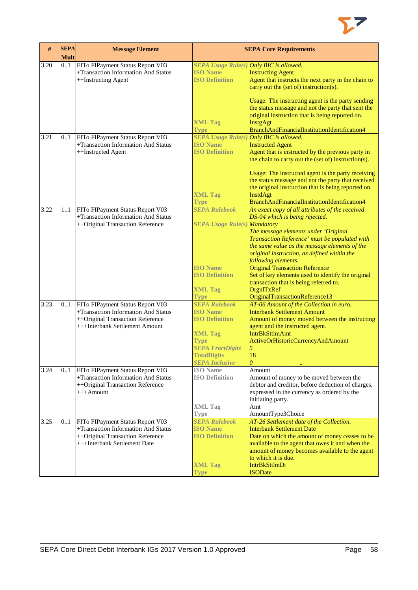

| #    | <b>SEPA</b><br><b>Mult</b> | <b>Message Element</b>                                                  |                                          | <b>SEPA Core Requirements</b>                                                                |
|------|----------------------------|-------------------------------------------------------------------------|------------------------------------------|----------------------------------------------------------------------------------------------|
| 3.20 | 01                         | FITo FIPayment Status Report V03                                        | SEPA Usage Rule(s) Only BIC is allowed.  |                                                                                              |
|      |                            | +Transaction Information And Status                                     | <b>ISO Name</b>                          | <b>Instructing Agent</b>                                                                     |
|      |                            | ++Instructing Agent                                                     | <b>ISO Definition</b>                    | Agent that instructs the next party in the chain to                                          |
|      |                            |                                                                         |                                          | carry out the (set of) instruction(s).                                                       |
|      |                            |                                                                         |                                          | Usage: The instructing agent is the party sending                                            |
|      |                            |                                                                         |                                          | the status message and not the party that sent the                                           |
|      |                            |                                                                         |                                          | original instruction that is being reported on.                                              |
|      |                            |                                                                         | <b>XML Tag</b>                           | <b>InstgAgt</b>                                                                              |
|      |                            |                                                                         | <b>Type</b>                              | BranchAndFinancialInstitutionIdentification4                                                 |
| 3.21 | 0.1                        | FITo FIPayment Status Report V03                                        |                                          | <b>SEPA Usage Rule(s) Only BIC is allowed.</b>                                               |
|      |                            | +Transaction Information And Status                                     | <b>ISO Name</b>                          | <b>Instructed Agent</b>                                                                      |
|      |                            | ++Instructed Agent                                                      | <b>ISO Definition</b>                    | Agent that is instructed by the previous party in                                            |
|      |                            |                                                                         |                                          | the chain to carry out the (set of) instruction(s).                                          |
|      |                            |                                                                         |                                          | Usage: The instructed agent is the party receiving                                           |
|      |                            |                                                                         |                                          | the status message and not the party that received                                           |
|      |                            |                                                                         |                                          | the original instruction that is being reported on.                                          |
|      |                            |                                                                         | <b>XML Tag</b>                           | <b>InstdAgt</b>                                                                              |
|      |                            |                                                                         | <b>Type</b>                              | BranchAndFinancialInstitutionIdentification4                                                 |
| 3.22 | 11                         | FITo FIPayment Status Report V03                                        | <b>SEPA Rulebook</b>                     | An exact copy of all attributes of the received                                              |
|      |                            | +Transaction Information And Status                                     |                                          | DS-04 which is being rejected.                                                               |
|      |                            | ++Original Transaction Reference                                        | <b>SEPA Usage Rule(s) Mandatory</b>      |                                                                                              |
|      |                            |                                                                         |                                          | The message elements under 'Original                                                         |
|      |                            |                                                                         |                                          | Transaction Reference' must be populated with                                                |
|      |                            |                                                                         |                                          | the same value as the message elements of the                                                |
|      |                            |                                                                         |                                          | original instruction, as defined within the                                                  |
|      |                            |                                                                         | <b>ISO Name</b>                          | following elements.<br><b>Original Transaction Reference</b>                                 |
|      |                            |                                                                         | <b>ISO Definition</b>                    | Set of key elements used to identify the original                                            |
|      |                            |                                                                         |                                          | transaction that is being referred to.                                                       |
|      |                            |                                                                         | <b>XML Tag</b>                           | OrgnITxRef                                                                                   |
|      |                            |                                                                         | <b>Type</b>                              | OriginalTransactionReference13                                                               |
| 3.23 | 0.1                        | FITo FIPayment Status Report V03                                        | <b>SEPA Rulebook</b>                     | AT-06 Amount of the Collection in euro.                                                      |
|      |                            | +Transaction Information And Status                                     | <b>ISO Name</b>                          | <b>Interbank Settlement Amount</b>                                                           |
|      |                            | ++Original Transaction Reference                                        | <b>ISO Definition</b>                    | Amount of money moved between the instructing                                                |
|      |                            | +++Interbank Settlement Amount                                          |                                          | agent and the instructed agent.                                                              |
|      |                            |                                                                         | <b>XML Tag</b>                           | <b>IntrBkSttlmAmt</b>                                                                        |
|      |                            |                                                                         | <b>Type</b>                              | ActiveOrHistoricCurrencyAndAmount                                                            |
|      |                            |                                                                         | <b>SEPA FractDigits</b>                  | 5                                                                                            |
|      |                            |                                                                         | <b>TotalDigits</b>                       | 18                                                                                           |
|      |                            |                                                                         | <b>SEPA Inclusive</b>                    | 0                                                                                            |
| 3.24 | 0.1                        | FITo FIPayment Status Report V03<br>+Transaction Information And Status | <b>ISO</b> Name<br><b>ISO Definition</b> | Amount                                                                                       |
|      |                            | ++Original Transaction Reference                                        |                                          | Amount of money to be moved between the<br>debtor and creditor, before deduction of charges, |
|      |                            | $+++A$ mount                                                            |                                          | expressed in the currency as ordered by the                                                  |
|      |                            |                                                                         |                                          | initiating party.                                                                            |
|      |                            |                                                                         | <b>XML Tag</b>                           | Amt                                                                                          |
|      |                            |                                                                         | <b>Type</b>                              | AmountType3Choice                                                                            |
| 3.25 | 0.1                        | FITo FIPayment Status Report V03                                        | <b>SEPA Rulebook</b>                     | AT-26 Settlement date of the Collection.                                                     |
|      |                            | +Transaction Information And Status                                     | <b>ISO Name</b>                          | <b>Interbank Settlement Date</b>                                                             |
|      |                            | ++Original Transaction Reference                                        | <b>ISO Definition</b>                    | Date on which the amount of money ceases to be                                               |
|      |                            | +++Interbank Settlement Date                                            |                                          | available to the agent that owes it and when the                                             |
|      |                            |                                                                         |                                          | amount of money becomes available to the agent                                               |
|      |                            |                                                                         |                                          | to which it is due.                                                                          |
|      |                            |                                                                         | <b>XML Tag</b>                           | IntrBkSttlmDt                                                                                |
|      |                            |                                                                         | <b>Type</b>                              | <b>ISODate</b>                                                                               |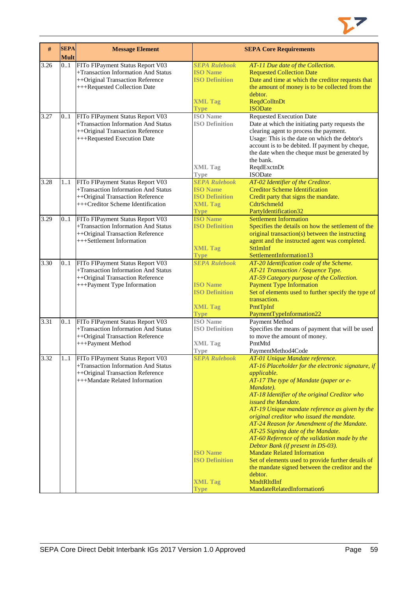

| $\#$ | <b>SEPA</b><br><b>Mult</b> | <b>Message Element</b>                                                                                                                           |                                                                                                   | <b>SEPA Core Requirements</b>                                                                                                                                                                                                                                                                                                                                                                                                                                                                                                                                                                                                                                                                                        |
|------|----------------------------|--------------------------------------------------------------------------------------------------------------------------------------------------|---------------------------------------------------------------------------------------------------|----------------------------------------------------------------------------------------------------------------------------------------------------------------------------------------------------------------------------------------------------------------------------------------------------------------------------------------------------------------------------------------------------------------------------------------------------------------------------------------------------------------------------------------------------------------------------------------------------------------------------------------------------------------------------------------------------------------------|
| 3.26 | 0.1                        | FITo FIPayment Status Report V03<br>+Transaction Information And Status<br>++Original Transaction Reference<br>+++Requested Collection Date      | <b>SEPA Rulebook</b><br><b>ISO Name</b><br><b>ISO Definition</b><br><b>XML Tag</b><br><b>Type</b> | AT-11 Due date of the Collection.<br><b>Requested Collection Date</b><br>Date and time at which the creditor requests that<br>the amount of money is to be collected from the<br>debtor.<br>ReqdColltnDt<br><b>ISODate</b>                                                                                                                                                                                                                                                                                                                                                                                                                                                                                           |
| 3.27 | 01                         | FITo FIPayment Status Report V03<br>+Transaction Information And Status<br>++Original Transaction Reference<br>+++Requested Execution Date       | <b>ISO</b> Name<br><b>ISO Definition</b><br><b>XML Tag</b><br><b>Type</b>                         | <b>Requested Execution Date</b><br>Date at which the initiating party requests the<br>clearing agent to process the payment.<br>Usage: This is the date on which the debtor's<br>account is to be debited. If payment by cheque,<br>the date when the cheque must be generated by<br>the bank.<br>ReqdExctnDt<br><b>ISODate</b>                                                                                                                                                                                                                                                                                                                                                                                      |
| 3.28 | 11                         | FITo FIPayment Status Report V03<br>+Transaction Information And Status<br>++Original Transaction Reference<br>+++Creditor Scheme Identification | <b>SEPA Rulebook</b><br><b>ISO Name</b><br><b>ISO Definition</b><br><b>XML Tag</b><br><b>Type</b> | AT-02 Identifier of the Creditor.<br><b>Creditor Scheme Identification</b><br>Credit party that signs the mandate.<br>CdtrSchmeId<br>PartyIdentification32                                                                                                                                                                                                                                                                                                                                                                                                                                                                                                                                                           |
| 3.29 | 0.1                        | FITo FIPayment Status Report V03<br>+Transaction Information And Status<br>++Original Transaction Reference<br>+++Settlement Information         | <b>ISO Name</b><br><b>ISO Definition</b><br><b>XML Tag</b><br><b>Type</b>                         | <b>Settlement Information</b><br>Specifies the details on how the settlement of the<br>original transaction(s) between the instructing<br>agent and the instructed agent was completed.<br><b>SttlmInf</b><br>SettlementInformation13                                                                                                                                                                                                                                                                                                                                                                                                                                                                                |
| 3.30 | 0.1                        | FITo FIPayment Status Report V03<br>+Transaction Information And Status<br>++Original Transaction Reference<br>+++Payment Type Information       | <b>SEPA Rulebook</b><br><b>ISO Name</b><br><b>ISO Definition</b><br><b>XML Tag</b><br><b>Type</b> | AT-20 Identification code of the Scheme.<br>AT-21 Transaction / Sequence Type.<br>AT-59 Category purpose of the Collection.<br><b>Payment Type Information</b><br>Set of elements used to further specify the type of<br>transaction.<br>PmtTpInf<br>PaymentTypeInformation22                                                                                                                                                                                                                                                                                                                                                                                                                                        |
| 3.31 | 0.1                        | FITo FIPayment Status Report V03<br>+Transaction Information And Status<br>++Original Transaction Reference<br>+++Payment Method                 | <b>ISO</b> Name<br><b>ISO Definition</b><br><b>XML Tag</b><br><b>Type</b>                         | Payment Method<br>Specifies the means of payment that will be used<br>to move the amount of money.<br>PmtMtd<br>PaymentMethod4Code                                                                                                                                                                                                                                                                                                                                                                                                                                                                                                                                                                                   |
| 3.32 | 11                         | FITo FIPayment Status Report V03<br>+Transaction Information And Status<br>++Original Transaction Reference<br>+++Mandate Related Information    | <b>SEPA Rulebook</b><br><b>ISO Name</b><br><b>ISO Definition</b><br><b>XML Tag</b><br><b>Type</b> | AT-01 Unique Mandate reference.<br>AT-16 Placeholder for the electronic signature, if<br>applicable.<br>AT-17 The type of Mandate (paper or e-<br>Mandate).<br>AT-18 Identifier of the original Creditor who<br>issued the Mandate.<br>AT-19 Unique mandate reference as given by the<br>original creditor who issued the mandate.<br>AT-24 Reason for Amendment of the Mandate.<br>AT-25 Signing date of the Mandate.<br>AT-60 Reference of the validation made by the<br>Debtor Bank (if present in DS-03).<br><b>Mandate Related Information</b><br>Set of elements used to provide further details of<br>the mandate signed between the creditor and the<br>debtor.<br>MndtRltdInf<br>MandateRelatedInformation6 |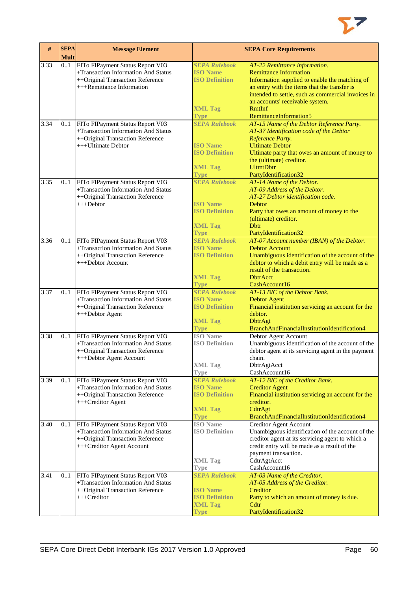

| #    | <b>SEPA</b><br><b>Mult</b> | <b>Message Element</b>                                                                                                                   |                                                                                                   | <b>SEPA Core Requirements</b>                                                                                                                                                                                                                                                                 |
|------|----------------------------|------------------------------------------------------------------------------------------------------------------------------------------|---------------------------------------------------------------------------------------------------|-----------------------------------------------------------------------------------------------------------------------------------------------------------------------------------------------------------------------------------------------------------------------------------------------|
| 3.33 | 0.1                        | FITo FIPayment Status Report V03<br>+Transaction Information And Status<br>++Original Transaction Reference<br>+++Remittance Information | <b>SEPA Rulebook</b><br><b>ISO Name</b><br><b>ISO Definition</b><br><b>XML Tag</b><br><b>Type</b> | AT-22 Remittance information.<br><b>Remittance Information</b><br>Information supplied to enable the matching of<br>an entry with the items that the transfer is<br>intended to settle, such as commercial invoices in<br>an accounts' receivable system.<br>RmtInf<br>RemittanceInformation5 |
| 3.34 | 0.1                        | FITo FIPayment Status Report V03<br>+Transaction Information And Status<br>++Original Transaction Reference<br>+++Ultimate Debtor        | <b>SEPA Rulebook</b><br><b>ISO Name</b><br><b>ISO Definition</b><br><b>XML Tag</b><br><b>Type</b> | AT-15 Name of the Debtor Reference Party.<br>AT-37 Identification code of the Debtor<br>Reference Party.<br><b>Ultimate Debtor</b><br>Ultimate party that owes an amount of money to<br>the (ultimate) creditor.<br><b>UltmtDbtr</b><br>PartyIdentification32                                 |
| 3.35 | 0.1                        | FITo FIPayment Status Report V03<br>+Transaction Information And Status<br>++Original Transaction Reference<br>$+++Dektor$               | <b>SEPA Rulebook</b><br><b>ISO Name</b><br><b>ISO Definition</b><br><b>XML Tag</b><br><b>Type</b> | AT-14 Name of the Debtor.<br>AT-09 Address of the Debtor.<br>AT-27 Debtor identification code.<br>Debtor<br>Party that owes an amount of money to the<br>(ultimate) creditor.<br><b>D</b> btr<br>PartyIdentification32                                                                        |
| 3.36 | 0.1                        | FITo FIPayment Status Report V03<br>+Transaction Information And Status<br>++Original Transaction Reference<br>+++Debtor Account         | <b>SEPA Rulebook</b><br><b>ISO Name</b><br><b>ISO Definition</b><br><b>XML Tag</b><br><b>Type</b> | AT-07 Account number (IBAN) of the Debtor.<br><b>Debtor Account</b><br>Unambiguous identification of the account of the<br>debtor to which a debit entry will be made as a<br>result of the transaction.<br><b>DbtrAcct</b><br>CashAccount16                                                  |
| 3.37 | 0.1                        | FITo FIPayment Status Report V03<br>+Transaction Information And Status<br>++Original Transaction Reference<br>+++Debtor Agent           | <b>SEPA Rulebook</b><br><b>ISO Name</b><br><b>ISO Definition</b><br><b>XML Tag</b><br><b>Type</b> | AT-13 BIC of the Debtor Bank.<br><b>Debtor Agent</b><br>Financial institution servicing an account for the<br>debtor.<br><b>DbtrAgt</b><br>BranchAndFinancialInstitutionIdentification4                                                                                                       |
| 3.38 | 0.1                        | FITo FIPayment Status Report V03<br>+Transaction Information And Status<br>++Original Transaction Reference<br>+++Debtor Agent Account   | <b>ISO</b> Name<br><b>ISO Definition</b><br><b>XML Tag</b><br>Type                                | Debtor Agent Account<br>Unambiguous identification of the account of the<br>debtor agent at its servicing agent in the payment<br>chain.<br>DbtrAgtAcct<br>CashAccount16                                                                                                                      |
| 3.39 | 0.1                        | FITo FIPayment Status Report V03<br>+Transaction Information And Status<br>++Original Transaction Reference<br>+++Creditor Agent         | <b>SEPA Rulebook</b><br><b>ISO</b> Name<br><b>ISO Definition</b><br><b>XML Tag</b><br><b>Type</b> | AT-12 BIC of the Creditor Bank.<br><b>Creditor Agent</b><br>Financial institution servicing an account for the<br>creditor.<br>CdtrAgt<br>BranchAndFinancialInstitutionIdentification4                                                                                                        |
| 3.40 | 01                         | FITo FIPayment Status Report V03<br>+Transaction Information And Status<br>++Original Transaction Reference<br>+++Creditor Agent Account | <b>ISO</b> Name<br><b>ISO Definition</b><br><b>XML Tag</b><br><b>Type</b>                         | <b>Creditor Agent Account</b><br>Unambiguous identification of the account of the<br>creditor agent at its servicing agent to which a<br>credit entry will be made as a result of the<br>payment transaction.<br>CdtrAgtAcct<br>CashAccount16                                                 |
| 3.41 | 01                         | FITo FIPayment Status Report V03<br>+Transaction Information And Status<br>++Original Transaction Reference<br>$+++Creditor$             | <b>SEPA Rulebook</b><br><b>ISO Name</b><br><b>ISO Definition</b><br><b>XML Tag</b><br>Type        | AT-03 Name of the Creditor.<br>AT-05 Address of the Creditor.<br>Creditor<br>Party to which an amount of money is due.<br>Cdtr<br>PartyIdentification32                                                                                                                                       |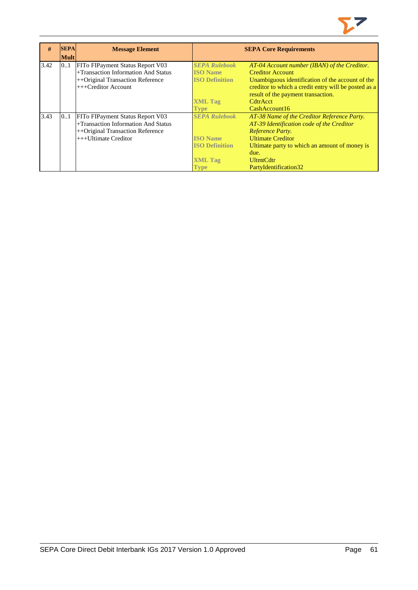

| #    | <b>SEPA</b> | <b>Message Element</b>              |                       | <b>SEPA Core Requirements</b>                        |
|------|-------------|-------------------------------------|-----------------------|------------------------------------------------------|
|      | <b>Mult</b> |                                     |                       |                                                      |
| 3.42 | 0.1         | FITo FIPayment Status Report V03    | <b>SEPA Rulebook</b>  | AT-04 Account number (IBAN) of the Creditor.         |
|      |             | +Transaction Information And Status | <b>ISO Name</b>       | <b>Creditor Account</b>                              |
|      |             | ++Original Transaction Reference    | <b>ISO Definition</b> | Unambiguous identification of the account of the     |
|      |             | $++$ Creditor Account               |                       | creditor to which a credit entry will be posted as a |
|      |             |                                     |                       | result of the payment transaction.                   |
|      |             |                                     | <b>XML Tag</b>        | <b>CdtrAcct</b>                                      |
|      |             |                                     | <b>Type</b>           | CashAccount16                                        |
| 3.43 | 0.1         | FITo FIP ayment Status Report V03   | <b>SEPA Rulebook</b>  | AT-38 Name of the Creditor Reference Party.          |
|      |             | +Transaction Information And Status |                       | AT-39 Identification code of the Creditor            |
|      |             | ++Original Transaction Reference    |                       | Reference Party.                                     |
|      |             | $+++$ Ultimate Creditor             | <b>ISO Name</b>       | <b>Ultimate Creditor</b>                             |
|      |             |                                     | <b>ISO Definition</b> | Ultimate party to which an amount of money is        |
|      |             |                                     |                       | due.                                                 |
|      |             |                                     | <b>XML Tag</b>        | <b>UltmtCdtr</b>                                     |
|      |             |                                     | <b>Type</b>           | PartyIdentification32                                |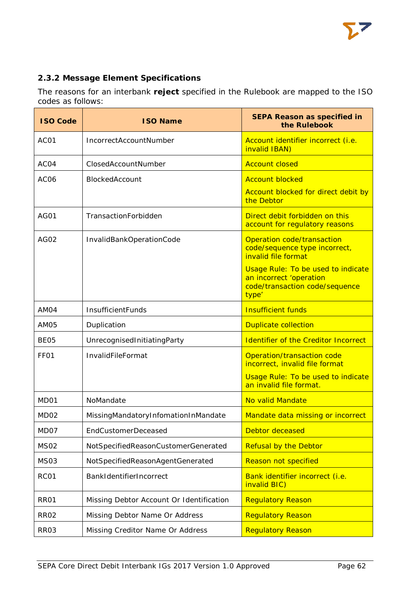# **2.3.2 Message Element Specifications**

The reasons for an interbank **reject** specified in the Rulebook are mapped to the ISO codes as follows:

| <b>ISO Code</b>  | <b>ISO Name</b>                          | <b>SEPA Reason as specified in</b><br>the Rulebook                                                              |
|------------------|------------------------------------------|-----------------------------------------------------------------------------------------------------------------|
| AC <sub>01</sub> | IncorrectAccountNumber                   | Account identifier incorrect (i.e.<br>invalid IBAN)                                                             |
| AC <sub>04</sub> | ClosedAccountNumber                      | <b>Account closed</b>                                                                                           |
| AC <sub>06</sub> | BlockedAccount                           | <b>Account blocked</b>                                                                                          |
|                  |                                          | Account blocked for direct debit by<br>the Debtor                                                               |
| AG01             | TransactionForbidden                     | Direct debit forbidden on this<br>account for regulatory reasons                                                |
| AG02             | InvalidBankOperationCode                 | Operation code/transaction<br>code/sequence type incorrect,<br>invalid file format                              |
|                  |                                          | <b>Usage Rule: To be used to indicate</b><br>an incorrect 'operation<br>code/transaction code/sequence<br>type' |
| AM04             | InsufficientFunds                        | <b>Insufficient funds</b>                                                                                       |
| AM05             | Duplication                              | <b>Duplicate collection</b>                                                                                     |
| BE <sub>05</sub> | UnrecognisedInitiatingParty              | <b>Identifier of the Creditor Incorrect</b>                                                                     |
| FF <sub>01</sub> | InvalidFileFormat                        | Operation/transaction code<br>incorrect, invalid file format                                                    |
|                  |                                          | <b>Usage Rule: To be used to indicate</b><br>an invalid file format.                                            |
| MD01             | NoMandate                                | No valid Mandate                                                                                                |
| MD <sub>02</sub> | MissingMandatoryInfomationInMandate      | Mandate data missing or incorrect                                                                               |
| MD07             | <b>EndCustomerDeceased</b>               | Debtor deceased                                                                                                 |
| MS <sub>02</sub> | NotSpecifiedReasonCustomerGenerated      | <b>Refusal by the Debtor</b>                                                                                    |
| MS03             | NotSpecifiedReasonAgentGenerated         | <b>Reason not specified</b>                                                                                     |
| RC01             | BankIdentifierIncorrect                  | Bank identifier incorrect (i.e.<br>invalid BIC)                                                                 |
| <b>RR01</b>      | Missing Debtor Account Or Identification | <b>Regulatory Reason</b>                                                                                        |
| <b>RR02</b>      | Missing Debtor Name Or Address           | Regulatory Reason                                                                                               |
| RR03             | Missing Creditor Name Or Address         | <b>Regulatory Reason</b>                                                                                        |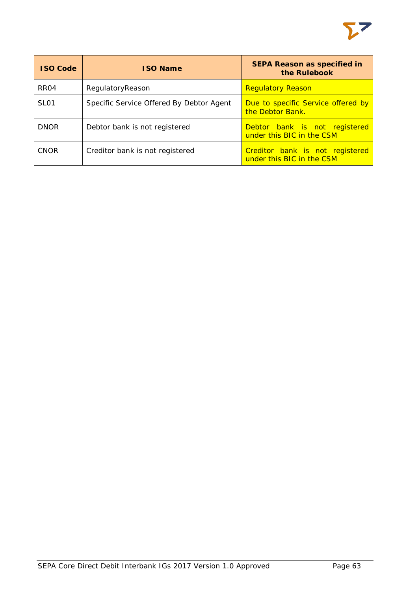

| <b>ISO Code</b>  | <b>ISO Name</b>                          | <b>SEPA Reason as specified in</b><br>the Rulebook           |
|------------------|------------------------------------------|--------------------------------------------------------------|
| RR <sub>04</sub> | RegulatoryReason                         | <b>Regulatory Reason</b>                                     |
| SL <sub>01</sub> | Specific Service Offered By Debtor Agent | Due to specific Service offered by<br>the Debtor Bank.       |
| <b>DNOR</b>      | Debtor bank is not registered            | Debtor bank is not registered<br>under this BIC in the CSM   |
| <b>CNOR</b>      | Creditor bank is not registered          | Creditor bank is not registered<br>under this BIC in the CSM |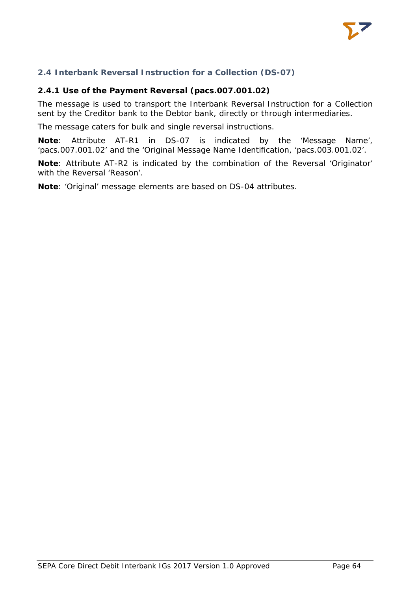

## **2.4 Interbank Reversal Instruction for a Collection (DS-07)**

### **2.4.1 Use of the Payment Reversal (pacs.007.001.02)**

The message is used to transport the Interbank Reversal Instruction for a Collection sent by the Creditor bank to the Debtor bank, directly or through intermediaries.

The message caters for bulk and single reversal instructions.

**Note**: Attribute AT-R1 in DS-07 is indicated by the 'Message Name', 'pacs.007.001.02' and the 'Original Message Name Identification, 'pacs.003.001.02'.

**Note**: Attribute AT-R2 is indicated by the combination of the Reversal 'Originator' with the Reversal 'Reason'.

**Note**: 'Original' message elements are based on DS-04 attributes.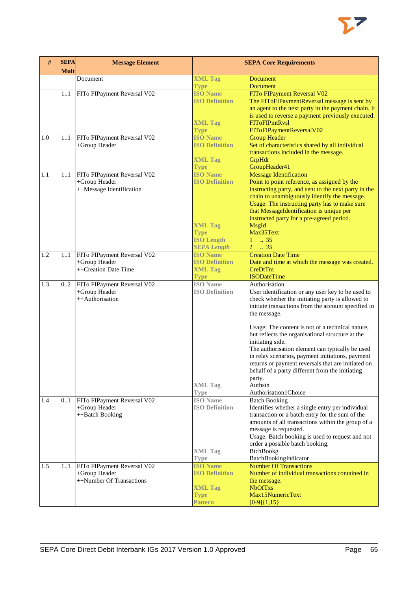| #   | <b>SEPA</b><br><b>Mult</b> | <b>Message Element</b>                    | <b>SEPA Core Requirements</b>            |                                                                                          |
|-----|----------------------------|-------------------------------------------|------------------------------------------|------------------------------------------------------------------------------------------|
|     |                            | Document                                  | <b>XML Tag</b>                           | Document                                                                                 |
|     |                            |                                           | <b>Type</b>                              | <b>Document</b>                                                                          |
|     | 1.1                        | FITo FIPayment Reversal V02               | <b>ISO Name</b>                          | FITo FIPayment Reversal V02                                                              |
|     |                            |                                           | <b>ISO Definition</b>                    | The FIToFIPaymentReversal message is sent by                                             |
|     |                            |                                           |                                          | an agent to the next party in the payment chain. It                                      |
|     |                            |                                           |                                          | is used to reverse a payment previously executed.                                        |
|     |                            |                                           | <b>XML Tag</b>                           | <b>FIToFIPmtRvsl</b>                                                                     |
|     |                            |                                           | <b>Type</b>                              | FIToFIPaymentReversalV02                                                                 |
| 1.0 | 1.1                        | FITo FIPayment Reversal V02               | <b>ISO Name</b><br><b>ISO Definition</b> | <b>Group Header</b>                                                                      |
|     |                            | +Group Header                             |                                          | Set of characteristics shared by all individual<br>transactions included in the message. |
|     |                            |                                           | <b>XML Tag</b>                           | GrpHdr                                                                                   |
|     |                            |                                           | <b>Type</b>                              | GroupHeader41                                                                            |
| 1.1 | 11                         | FITo FIPayment Reversal V02               | <b>ISO Name</b>                          | <b>Message Identification</b>                                                            |
|     |                            | +Group Header                             | <b>ISO Definition</b>                    | Point to point reference, as assigned by the                                             |
|     |                            | ++Message Identification                  |                                          | instructing party, and sent to the next party in the                                     |
|     |                            |                                           |                                          | chain to unambiguously identify the message.                                             |
|     |                            |                                           |                                          | Usage: The instructing party has to make sure                                            |
|     |                            |                                           |                                          | that MessageIdentification is unique per                                                 |
|     |                            |                                           |                                          | instructed party for a pre-agreed period.                                                |
|     |                            |                                           | <b>XML Tag</b>                           | MsgId                                                                                    |
|     |                            |                                           | <b>Type</b>                              | Max35Text                                                                                |
|     |                            |                                           | <b>ISO Length</b>                        | $1 \t . 35$                                                                              |
|     |                            |                                           | <b>SEPA Length</b>                       | $1 \t35$                                                                                 |
| 1.2 | 11                         | FITo FIPayment Reversal V02               | <b>ISO Name</b>                          | <b>Creation Date Time</b>                                                                |
|     |                            | +Group Header                             | <b>ISO Definition</b>                    | Date and time at which the message was created.                                          |
|     |                            | ++Creation Date Time                      | <b>XML Tag</b>                           | CreDtTm<br><b>ISODateTime</b>                                                            |
| 1.3 | 0.2                        | FITo FIPayment Reversal V02               | <b>Type</b><br><b>ISO</b> Name           | Authorisation                                                                            |
|     |                            | +Group Header                             | <b>ISO Definition</b>                    | User identification or any user key to be used to                                        |
|     |                            | ++Authorisation                           |                                          | check whether the initiating party is allowed to                                         |
|     |                            |                                           |                                          | initiate transactions from the account specified in                                      |
|     |                            |                                           |                                          | the message.                                                                             |
|     |                            |                                           |                                          | Usage: The content is not of a technical nature,                                         |
|     |                            |                                           |                                          | but reflects the organisational structure at the                                         |
|     |                            |                                           |                                          | initiating side.                                                                         |
|     |                            |                                           |                                          | The authorisation element can typically be used                                          |
|     |                            |                                           |                                          | in relay scenarios, payment initiations, payment                                         |
|     |                            |                                           |                                          | returns or payment reversals that are initiated on                                       |
|     |                            |                                           |                                          | behalf of a party different from the initiating                                          |
|     |                            |                                           | <b>XML Tag</b>                           | party.<br>Authstn                                                                        |
|     |                            |                                           | <b>Type</b>                              | Authorisation1Choice                                                                     |
| 1.4 | 0.1                        | FITo FIPayment Reversal V02               | <b>ISO</b> Name                          | <b>Batch Booking</b>                                                                     |
|     |                            | +Group Header                             | <b>ISO Definition</b>                    | Identifies whether a single entry per individual                                         |
|     |                            | ++Batch Booking                           |                                          | transaction or a batch entry for the sum of the                                          |
|     |                            |                                           |                                          | amounts of all transactions within the group of a                                        |
|     |                            |                                           |                                          | message is requested.                                                                    |
|     |                            |                                           |                                          | Usage: Batch booking is used to request and not                                          |
|     |                            |                                           |                                          | order a possible batch booking.                                                          |
|     |                            |                                           | <b>XML Tag</b>                           | <b>BtchBookg</b>                                                                         |
|     |                            |                                           | <b>Type</b>                              | BatchBookingIndicator                                                                    |
| 1.5 | 11                         | FITo FIPayment Reversal V02               | <b>ISO Name</b><br><b>ISO Definition</b> | <b>Number Of Transactions</b><br>Number of individual transactions contained in          |
|     |                            | +Group Header<br>++Number Of Transactions |                                          |                                                                                          |
|     |                            |                                           | <b>XML Tag</b>                           | the message.<br><b>NbOfTxs</b>                                                           |
|     |                            |                                           | <b>Type</b>                              | Max15NumericText                                                                         |
|     |                            |                                           | Pattern                                  | $[0-9]{1,15}$                                                                            |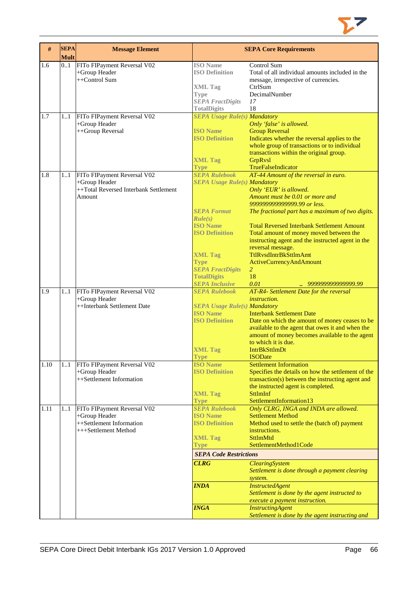

| $\#$ | <b>SEPA</b><br><b>Mult</b> | <b>Message Element</b>                |                                     | <b>SEPA Core Requirements</b>                      |
|------|----------------------------|---------------------------------------|-------------------------------------|----------------------------------------------------|
| 1.6  | 0.1                        | FITo FIPayment Reversal V02           | <b>ISO</b> Name                     | Control Sum                                        |
|      |                            | +Group Header                         | <b>ISO Definition</b>               | Total of all individual amounts included in the    |
|      |                            | $++Control Sum$                       |                                     | message, irrespective of currencies.               |
|      |                            |                                       | <b>XML Tag</b>                      | CtrlSum                                            |
|      |                            |                                       | Type                                | DecimalNumber                                      |
|      |                            |                                       | <b>SEPA FractDigits</b>             | 17                                                 |
|      |                            |                                       | <b>TotalDigits</b>                  | 18                                                 |
| 1.7  | 11                         | FITo FIPayment Reversal V02           | <b>SEPA Usage Rule(s) Mandatory</b> |                                                    |
|      |                            | +Group Header                         |                                     | Only 'false' is allowed.                           |
|      |                            | ++Group Reversal                      | <b>ISO Name</b>                     | <b>Group Reversal</b>                              |
|      |                            |                                       | <b>ISO Definition</b>               | Indicates whether the reversal applies to the      |
|      |                            |                                       |                                     | whole group of transactions or to individual       |
|      |                            |                                       |                                     | transactions within the original group.            |
|      |                            |                                       | <b>XML Tag</b>                      | <b>GrpRvsl</b>                                     |
|      |                            |                                       | <b>Type</b>                         | TrueFalseIndicator                                 |
| 1.8  | 11                         | FITo FIPayment Reversal V02           | <b>SEPA Rulebook</b>                | AT-44 Amount of the reversal in euro.              |
|      |                            | +Group Header                         | <b>SEPA Usage Rule(s) Mandatory</b> |                                                    |
|      |                            | ++Total Reversed Interbank Settlement |                                     | Only 'EUR' is allowed.                             |
|      |                            | Amount                                |                                     | Amount must be 0.01 or more and                    |
|      |                            |                                       |                                     | 999999999999999.99 or less.                        |
|      |                            |                                       | <b>SEPA Format</b>                  | The fractional part has a maximum of two digits.   |
|      |                            |                                       | Rule(s)                             |                                                    |
|      |                            |                                       | <b>ISO Name</b>                     | <b>Total Reversed Interbank Settlement Amount</b>  |
|      |                            |                                       | <b>ISO Definition</b>               | Total amount of money moved between the            |
|      |                            |                                       |                                     | instructing agent and the instructed agent in the  |
|      |                            |                                       |                                     | reversal message.                                  |
|      |                            |                                       | <b>XML Tag</b>                      | TtlRvsdIntrBkSttlmAmt                              |
|      |                            |                                       | <b>Type</b>                         | <b>ActiveCurrencyAndAmount</b>                     |
|      |                            |                                       | <b>SEPA FractDigits</b>             | 2                                                  |
|      |                            |                                       | <b>TotalDigits</b>                  | 18                                                 |
|      |                            |                                       | <b>SEPA Inclusive</b>               | 0.01<br>999999999999999.99                         |
| 1.9  | 11                         | FITo FIPayment Reversal V02           | <b>SEPA Rulebook</b>                | AT-R4- Settlement Date for the reversal            |
|      |                            | +Group Header                         |                                     | <i>instruction.</i>                                |
|      |                            | ++Interbank Settlement Date           | <b>SEPA Usage Rule(s) Mandatory</b> |                                                    |
|      |                            |                                       | <b>ISO Name</b>                     | <b>Interbank Settlement Date</b>                   |
|      |                            |                                       | <b>ISO Definition</b>               | Date on which the amount of money ceases to be     |
|      |                            |                                       |                                     | available to the agent that owes it and when the   |
|      |                            |                                       |                                     | amount of money becomes available to the agent     |
|      |                            |                                       |                                     | to which it is due.                                |
|      |                            |                                       | <b>XML Tag</b>                      | <b>IntrBkSttlmDt</b>                               |
|      |                            |                                       | <b>Type</b>                         | <b>ISODate</b>                                     |
| 1.10 | 11                         | FITo FIPayment Reversal V02           | <b>ISO</b> Name                     | <b>Settlement Information</b>                      |
|      |                            | +Group Header                         | <b>ISO Definition</b>               | Specifies the details on how the settlement of the |
|      |                            | ++Settlement Information              |                                     | transaction(s) between the instructing agent and   |
|      |                            |                                       |                                     | the instructed agent is completed.                 |
|      |                            |                                       | <b>XML Tag</b>                      | <b>SttlmInf</b>                                    |
|      |                            |                                       | <b>Type</b>                         | SettlementInformation13                            |
| 1.11 | 1.1                        | FITo FIPayment Reversal V02           | <b>SEPA Rulebook</b>                | Only CLRG, INGA and INDA are allowed.              |
|      |                            | +Group Header                         | <b>ISO Name</b>                     | <b>Settlement Method</b>                           |
|      |                            | ++Settlement Information              | <b>ISO Definition</b>               | Method used to settle the (batch of) payment       |
|      |                            | +++Settlement Method                  |                                     | instructions.                                      |
|      |                            |                                       | <b>XML Tag</b>                      | <b>SttlmMtd</b>                                    |
|      |                            |                                       | <b>Type</b>                         | SettlementMethod1Code                              |
|      |                            |                                       | <b>SEPA Code Restrictions</b>       |                                                    |
|      |                            |                                       | <b>CLRG</b>                         | ClearingSystem                                     |
|      |                            |                                       |                                     | Settlement is done through a payment clearing      |
|      |                            |                                       |                                     | system.                                            |
|      |                            |                                       | <b>INDA</b>                         | <b>InstructedAgent</b>                             |
|      |                            |                                       |                                     | Settlement is done by the agent instructed to      |
|      |                            |                                       |                                     |                                                    |
|      |                            |                                       |                                     | execute a payment instruction.                     |
|      |                            |                                       | <b>INGA</b>                         | <b>InstructingAgent</b>                            |
|      |                            |                                       |                                     | Settlement is done by the agent instructing and    |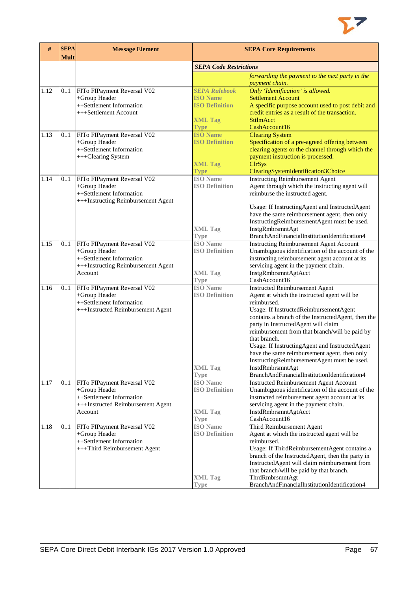

| #    | <b>SEPA</b><br><b>Mult</b> | <b>Message Element</b>                       | <b>SEPA Core Requirements</b>  |                                                                                                |  |  |
|------|----------------------------|----------------------------------------------|--------------------------------|------------------------------------------------------------------------------------------------|--|--|
|      |                            |                                              |                                | <b>SEPA Code Restrictions</b>                                                                  |  |  |
|      |                            |                                              |                                | forwarding the payment to the next party in the                                                |  |  |
|      |                            |                                              |                                | payment chain.                                                                                 |  |  |
| 1.12 | 01                         | FITo FIPayment Reversal V02                  | <b>SEPA Rulebook</b>           | Only 'Identification' is allowed.                                                              |  |  |
|      |                            | +Group Header                                | <b>ISO Name</b>                | <b>Settlement Account</b>                                                                      |  |  |
|      |                            | ++Settlement Information                     | <b>ISO Definition</b>          | A specific purpose account used to post debit and                                              |  |  |
|      |                            | +++Settlement Account                        |                                | credit entries as a result of the transaction.                                                 |  |  |
|      |                            |                                              | <b>XML Tag</b>                 | <b>SttlmAcct</b>                                                                               |  |  |
|      |                            |                                              | <b>Type</b>                    | CashAccount16                                                                                  |  |  |
| 1.13 | 0.1                        | FITo FIPayment Reversal V02                  | <b>ISO Name</b>                | <b>Clearing System</b>                                                                         |  |  |
|      |                            | +Group Header                                | <b>ISO Definition</b>          | Specification of a pre-agreed offering between                                                 |  |  |
|      |                            | ++Settlement Information                     |                                | clearing agents or the channel through which the                                               |  |  |
|      |                            | +++Clearing System                           |                                | payment instruction is processed.                                                              |  |  |
|      |                            |                                              | <b>XML Tag</b>                 | <b>ClrSys</b>                                                                                  |  |  |
|      |                            |                                              | <b>Type</b>                    | ClearingSystemIdentification3Choice                                                            |  |  |
| 1.14 | 0.1                        | FITo FIPayment Reversal V02                  | <b>ISO</b> Name                | <b>Instructing Reimbursement Agent</b>                                                         |  |  |
|      |                            | +Group Header                                | <b>ISO Definition</b>          | Agent through which the instructing agent will                                                 |  |  |
|      |                            | ++Settlement Information                     |                                | reimburse the instructed agent.                                                                |  |  |
|      |                            | +++Instructing Reimbursement Agent           |                                |                                                                                                |  |  |
|      |                            |                                              |                                | Usage: If InstructingAgent and InstructedAgent<br>have the same reimbursement agent, then only |  |  |
|      |                            |                                              |                                | InstructingReimbursementAgent must be used.                                                    |  |  |
|      |                            |                                              | <b>XML Tag</b>                 | InstgRmbrsmntAgt                                                                               |  |  |
|      |                            |                                              | <b>Type</b>                    | BranchAndFinancialInstitutionIdentification4                                                   |  |  |
| 1.15 | 0.1                        | FITo FIPayment Reversal V02                  | <b>ISO</b> Name                | <b>Instructing Reimbursement Agent Account</b>                                                 |  |  |
|      |                            | +Group Header                                | <b>ISO Definition</b>          | Unambiguous identification of the account of the                                               |  |  |
|      |                            | ++Settlement Information                     |                                | instructing reimbursement agent account at its                                                 |  |  |
|      |                            | +++Instructing Reimbursement Agent           |                                | servicing agent in the payment chain.                                                          |  |  |
|      |                            | Account                                      | <b>XML Tag</b>                 | InstgRmbrsmntAgtAcct                                                                           |  |  |
|      |                            |                                              | <b>Type</b>                    | CashAccount16                                                                                  |  |  |
| 1.16 | 01                         | FITo FIPayment Reversal V02                  | <b>ISO</b> Name                | <b>Instructed Reimbursement Agent</b>                                                          |  |  |
|      |                            | +Group Header                                | <b>ISO Definition</b>          | Agent at which the instructed agent will be                                                    |  |  |
|      |                            | ++Settlement Information                     |                                | reimbursed.                                                                                    |  |  |
|      |                            | +++Instructed Reimbursement Agent            |                                | Usage: If InstructedReimbursementAgent                                                         |  |  |
|      |                            |                                              |                                | contains a branch of the InstructedAgent, then the                                             |  |  |
|      |                            |                                              |                                | party in InstructedAgent will claim                                                            |  |  |
|      |                            |                                              |                                | reimbursement from that branch/will be paid by                                                 |  |  |
|      |                            |                                              |                                | that branch.                                                                                   |  |  |
|      |                            |                                              |                                | Usage: If InstructingAgent and InstructedAgent                                                 |  |  |
|      |                            |                                              |                                | have the same reimbursement agent, then only                                                   |  |  |
|      |                            |                                              |                                | InstructingReimbursementAgent must be used.                                                    |  |  |
|      |                            |                                              | <b>XML</b> Tag                 | InstdRmbrsmntAgt                                                                               |  |  |
| 1.17 | 0.1                        |                                              | <b>Type</b><br><b>ISO</b> Name | BranchAndFinancialInstitutionIdentification4                                                   |  |  |
|      |                            | FITo FIPayment Reversal V02<br>+Group Header | <b>ISO Definition</b>          | Instructed Reimbursement Agent Account<br>Unambiguous identification of the account of the     |  |  |
|      |                            | ++Settlement Information                     |                                | instructed reimbursement agent account at its                                                  |  |  |
|      |                            | +++Instructed Reimbursement Agent            |                                | servicing agent in the payment chain.                                                          |  |  |
|      |                            | Account                                      | <b>XML Tag</b>                 | InstdRmbrsmntAgtAcct                                                                           |  |  |
|      |                            |                                              | Type                           | CashAccount16                                                                                  |  |  |
| 1.18 | 0.1                        | FITo FIPayment Reversal V02                  | <b>ISO</b> Name                | Third Reimbursement Agent                                                                      |  |  |
|      |                            | +Group Header                                | <b>ISO Definition</b>          | Agent at which the instructed agent will be                                                    |  |  |
|      |                            | ++Settlement Information                     |                                | reimbursed.                                                                                    |  |  |
|      |                            | +++Third Reimbursement Agent                 |                                | Usage: If ThirdReimbursementAgent contains a                                                   |  |  |
|      |                            |                                              |                                | branch of the InstructedAgent, then the party in                                               |  |  |
|      |                            |                                              |                                | InstructedAgent will claim reimbursement from                                                  |  |  |
|      |                            |                                              |                                | that branch/will be paid by that branch.                                                       |  |  |
|      |                            |                                              | <b>XML Tag</b>                 | ThrdRmbrsmntAgt                                                                                |  |  |
|      |                            |                                              | <b>Type</b>                    | BranchAndFinancialInstitutionIdentification4                                                   |  |  |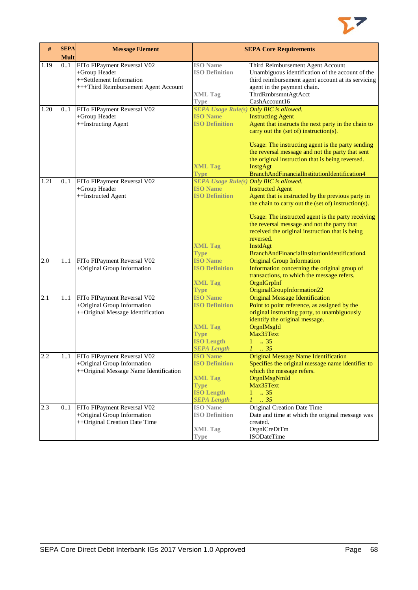

| #    | <b>SEPA</b><br><b>Mult</b> | <b>Message Element</b>                                                                                           | <b>SEPA Core Requirements</b>                                                                                        |                                                                                                                                                                                                                                                                                                                                                                      |
|------|----------------------------|------------------------------------------------------------------------------------------------------------------|----------------------------------------------------------------------------------------------------------------------|----------------------------------------------------------------------------------------------------------------------------------------------------------------------------------------------------------------------------------------------------------------------------------------------------------------------------------------------------------------------|
| 1.19 | 0.1                        | FITo FIPayment Reversal V02<br>+Group Header<br>++Settlement Information<br>+++Third Reimbursement Agent Account | <b>ISO</b> Name<br><b>ISO Definition</b><br><b>XML Tag</b><br><b>Type</b>                                            | Third Reimbursement Agent Account<br>Unambiguous identification of the account of the<br>third reimbursement agent account at its servicing<br>agent in the payment chain.<br>ThrdRmbrsmntAgtAcct<br>CashAccount16                                                                                                                                                   |
| 1.20 | 0.1                        | FITo FIPayment Reversal V02<br>+Group Header<br>++Instructing Agent                                              | SEPA Usage Rule(s) Only BIC is allowed.<br><b>ISO Name</b><br><b>ISO Definition</b><br><b>XML Tag</b><br><b>Type</b> | <b>Instructing Agent</b><br>Agent that instructs the next party in the chain to<br>carry out the (set of) instruction(s).<br>Usage: The instructing agent is the party sending<br>the reversal message and not the party that sent<br>the original instruction that is being reversed.<br>InstgAgt<br>BranchAndFinancialInstitutionIdentification4                   |
| 1.21 | 0.1                        | FITo FIPayment Reversal V02<br>+Group Header<br>++Instructed Agent                                               | SEPA Usage Rule(s) Only BIC is allowed.<br><b>ISO Name</b><br><b>ISO Definition</b><br><b>XML Tag</b><br><b>Type</b> | <b>Instructed Agent</b><br>Agent that is instructed by the previous party in<br>the chain to carry out the (set of) instruction(s).<br>Usage: The instructed agent is the party receiving<br>the reversal message and not the party that<br>received the original instruction that is being<br>reversed.<br>InstdAgt<br>BranchAndFinancialInstitutionIdentification4 |
| 2.0  | 11                         | FITo FIPayment Reversal V02<br>+Original Group Information                                                       | <b>ISO Name</b><br><b>ISO Definition</b><br><b>XML Tag</b><br><b>Type</b>                                            | <b>Original Group Information</b><br>Information concerning the original group of<br>transactions, to which the message refers.<br>OrgnlGrpInf<br>OriginalGroupInformation22                                                                                                                                                                                         |
| 2.1  | 11                         | FITo FIPayment Reversal V02<br>+Original Group Information<br>++Original Message Identification                  | <b>ISO</b> Name<br><b>ISO Definition</b><br><b>XML Tag</b><br><b>Type</b><br><b>ISO Length</b><br><b>SEPA Length</b> | <b>Original Message Identification</b><br>Point to point reference, as assigned by the<br>original instructing party, to unambiguously<br>identify the original message.<br>OrgnlMsgId<br>Max35Text<br>$1 \t . 35$<br>$1 \t35$                                                                                                                                       |
| 2.2  |                            | 11 FITo FIPayment Reversal V02<br>+Original Group Information<br>++Original Message Name Identification          | <b>ISO Name</b><br><b>ISO Definition</b><br><b>XML Tag</b><br><b>Type</b><br><b>ISO Length</b><br><b>SEPA Length</b> | <b>Original Message Name Identification</b><br>Specifies the original message name identifier to<br>which the message refers.<br>OrgnlMsgNmId<br>Max35Text<br>$1 \t . 35$<br>$1 \cdot .35$                                                                                                                                                                           |
| 2.3  | 01                         | FITo FIPayment Reversal V02<br>+Original Group Information<br>++Original Creation Date Time                      | <b>ISO</b> Name<br><b>ISO Definition</b><br><b>XML Tag</b><br>Type                                                   | Original Creation Date Time<br>Date and time at which the original message was<br>created.<br>OrgnlCreDtTm<br><b>ISODateTime</b>                                                                                                                                                                                                                                     |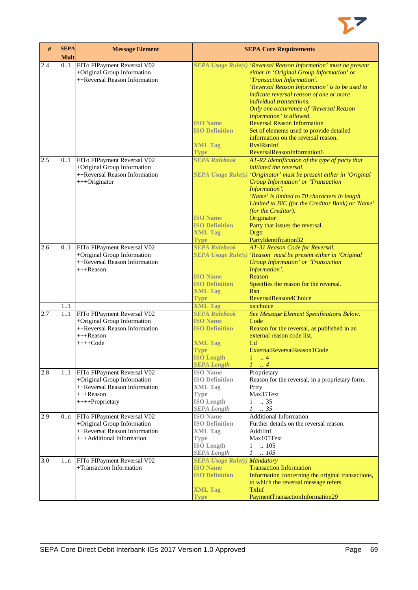

| $\#$             | <b>SEPA</b><br><b>Mult</b> | <b>Message Element</b>                                                                                                                                                                 | <b>SEPA Core Requirements</b>                                                                                                                                                                              |                                                                                                                                                                                                                                                                                                                                                                                                                                                                                                                                |  |
|------------------|----------------------------|----------------------------------------------------------------------------------------------------------------------------------------------------------------------------------------|------------------------------------------------------------------------------------------------------------------------------------------------------------------------------------------------------------|--------------------------------------------------------------------------------------------------------------------------------------------------------------------------------------------------------------------------------------------------------------------------------------------------------------------------------------------------------------------------------------------------------------------------------------------------------------------------------------------------------------------------------|--|
| 2.4              | 0.1                        | FITo FIPayment Reversal V02<br>+Original Group Information<br>++Reversal Reason Information                                                                                            | <b>ISO</b> Name<br><b>ISO Definition</b><br><b>XML Tag</b><br><b>Type</b>                                                                                                                                  | SEPA Usage Rule(s) 'Reversal Reason Information' must be present<br>either in 'Original Group Information' or<br>'Transaction Information'.<br>'Reversal Reason Information' is to be used to<br>indicate reversal reason of one or more<br><i>individual transactions.</i><br>Only one occurrence of 'Reversal Reason<br>Information' is allowed.<br><b>Reversal Reason Information</b><br>Set of elements used to provide detailed<br>information on the reversal reason.<br><b>RyslRsnInf</b><br>ReversalReasonInformation6 |  |
| 2.5              | 0.1                        | FITo FIPayment Reversal V02<br>+Original Group Information<br>++Reversal Reason Information<br>+++Originator                                                                           | <b>SEPA Rulebook</b><br><b>ISO Name</b><br><b>ISO Definition</b><br><b>XML Tag</b><br><b>Type</b>                                                                                                          | AT-R2 Identification of the type of party that<br><i>initiated the reversal.</i><br>SEPA Usage Rule(s) 'Originator' must be present either in 'Original<br>Group Information' or 'Transaction<br>Information'.<br>'Name' is limited to 70 characters in length.<br>Limited to BIC (for the Creditor Bank) or 'Name'<br>(for the Creditor).<br>Originator<br>Party that issues the reversal.<br>Orgtr<br>PartyIdentification32                                                                                                  |  |
| 2.6              | 0.1                        | FITo FIPayment Reversal V02<br>+Original Group Information<br>++Reversal Reason Information<br>+++Reason                                                                               | <b>SEPA Rulebook</b><br><b>ISO Name</b><br><b>ISO Definition</b><br><b>XML Tag</b><br><b>Type</b>                                                                                                          | AT-31 Reason Code for Reversal.<br>SEPA Usage Rule(s) 'Reason' must be present either in 'Original<br>Group Information' or 'Transaction<br>Information'.<br>Reason<br>Specifies the reason for the reversal.<br><b>R</b> sn<br>ReversalReason4Choice                                                                                                                                                                                                                                                                          |  |
| 2.7<br>2.8       | 11<br>11<br>11             | FITo FIPayment Reversal V02<br>+Original Group Information<br>++Reversal Reason Information<br>$+++$ Reason<br>$+++Code$<br>FITo FIPayment Reversal V02<br>+Original Group Information | <b>XML Tag</b><br><b>SEPA Rulebook</b><br><b>ISO Name</b><br><b>ISO Definition</b><br><b>XML Tag</b><br><b>Type</b><br><b>ISO Length</b><br><b>SEPA Length</b><br><b>ISO</b> Name<br><b>ISO Definition</b> | xs:choice<br>See Message Element Specifications Below.<br>Code<br>Reason for the reversal, as published in an<br>external reason code list.<br>C <sub>d</sub><br>ExternalReversalReason1Code<br>4<br>$1 \ldots 4$<br>Proprietary<br>Reason for the reversal, in a proprietary form.                                                                                                                                                                                                                                            |  |
|                  |                            | ++Reversal Reason Information<br>$+++$ Reason<br>++++Proprietary                                                                                                                       | <b>XML</b> Tag<br><b>Type</b><br><b>ISO Length</b><br><b>SEPA Length</b>                                                                                                                                   | Prtry<br>Max35Text<br>.35<br>$\mathbf{1}$<br>.35<br>$\mathcal{I}$                                                                                                                                                                                                                                                                                                                                                                                                                                                              |  |
| 2.9              | 0n                         | FITo FIPayment Reversal V02<br>+Original Group Information<br>++Reversal Reason Information<br>+++Additional Information                                                               | <b>ISO</b> Name<br><b>ISO Definition</b><br><b>XML Tag</b><br><b>Type</b><br><b>ISO Length</b><br><b>SEPA Length</b>                                                                                       | <b>Additional Information</b><br>Further details on the reversal reason.<br>AddtlInf<br>Max105Text<br>.105<br>$\mathbf{1}$<br>$1 \quad .105$                                                                                                                                                                                                                                                                                                                                                                                   |  |
| $\overline{3.0}$ | 1n                         | FITo FIPayment Reversal V02<br>+Transaction Information                                                                                                                                | <b>SEPA Usage Rule(s) Mandatory</b><br><b>ISO Name</b><br><b>ISO Definition</b><br><b>XML Tag</b><br><b>Type</b>                                                                                           | <b>Transaction Information</b><br>Information concerning the original transactions,<br>to which the reversal message refers.<br><b>TxInf</b><br>PaymentTransactionInformation29                                                                                                                                                                                                                                                                                                                                                |  |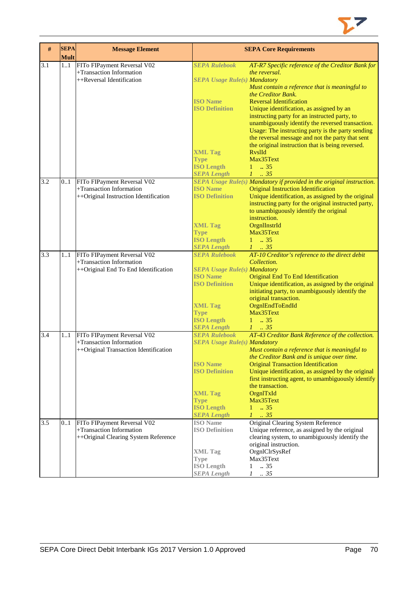

| #   | <b>SEPA</b><br><b>Mult</b> | <b>Message Element</b>                                                                           |                                                                                                                                                                                     | <b>SEPA Core Requirements</b>                                                                                                                                                                                                                                                                                                                                                                                                                                                                                            |
|-----|----------------------------|--------------------------------------------------------------------------------------------------|-------------------------------------------------------------------------------------------------------------------------------------------------------------------------------------|--------------------------------------------------------------------------------------------------------------------------------------------------------------------------------------------------------------------------------------------------------------------------------------------------------------------------------------------------------------------------------------------------------------------------------------------------------------------------------------------------------------------------|
| 3.1 | 11                         | FITo FIPayment Reversal V02<br>+Transaction Information<br>++Reversal Identification             | <b>SEPA Rulebook</b><br><b>SEPA Usage Rule(s) Mandatory</b><br><b>ISO Name</b><br><b>ISO Definition</b><br><b>XML Tag</b><br><b>Type</b>                                            | AT-R7 Specific reference of the Creditor Bank for<br>the reversal.<br>Must contain a reference that is meaningful to<br>the Creditor Bank.<br><b>Reversal Identification</b><br>Unique identification, as assigned by an<br>instructing party for an instructed party, to<br>unambiguously identify the reversed transaction.<br>Usage: The instructing party is the party sending<br>the reversal message and not the party that sent<br>the original instruction that is being reversed.<br><b>RvslId</b><br>Max35Text |
| 3.2 | 0.1                        | FITo FIPayment Reversal V02                                                                      | <b>ISO Length</b><br><b>SEPA Length</b>                                                                                                                                             | $1 \t . 35$<br>$1 \t 35$<br>SEPA Usage Rule(s) Mandatory if provided in the original instruction.                                                                                                                                                                                                                                                                                                                                                                                                                        |
|     |                            | +Transaction Information<br>++Original Instruction Identification                                | <b>ISO Name</b><br><b>ISO Definition</b><br><b>XML Tag</b><br><b>Type</b><br><b>ISO Length</b><br><b>SEPA Length</b>                                                                | <b>Original Instruction Identification</b><br>Unique identification, as assigned by the original<br>instructing party for the original instructed party,<br>to unambiguously identify the original<br>instruction.<br>OrgnIInstrId<br>Max35Text<br>$1 \t . 35$<br>$1-.35$                                                                                                                                                                                                                                                |
| 3.3 | 11                         | FITo FIPayment Reversal V02<br>+Transaction Information<br>++Original End To End Identification  | <b>SEPA Rulebook</b><br><b>SEPA Usage Rule(s) Mandatory</b><br><b>ISO</b> Name<br><b>ISO Definition</b><br><b>XML Tag</b><br><b>Type</b><br><b>ISO Length</b><br><b>SEPA Length</b> | AT-10 Creditor's reference to the direct debit<br>Collection.<br>Original End To End Identification<br>Unique identification, as assigned by the original<br>initiating party, to unambiguously identify the<br>original transaction.<br>OrgnlEndToEndId<br>Max35Text<br>$1 \t . 35$<br>$1 \t35$                                                                                                                                                                                                                         |
| 3.4 | 11                         | FITo FIPayment Reversal V02<br>+Transaction Information<br>++Original Transaction Identification | <b>SEPA Rulebook</b><br><b>SEPA Usage Rule(s) Mandatory</b><br><b>ISO Name</b><br><b>ISO Definition</b><br><b>XML Tag</b><br><b>Type</b><br><b>ISO Length</b><br><b>SEPA Length</b> | AT-43 Creditor Bank Reference of the collection.<br>Must contain a reference that is meaningful to<br>the Creditor Bank and is unique over time.<br><b>Original Transaction Identification</b><br>Unique identification, as assigned by the original<br>first instructing agent, to umambiguously identify<br>the transaction.<br>OrgnITxId<br>Max35Text<br>$\ldots$ 35<br>$1 -$<br>$1-.35$                                                                                                                              |
| 3.5 | 01                         | FITo FIPayment Reversal V02<br>+Transaction Information<br>++Original Clearing System Reference  | <b>ISO</b> Name<br><b>ISO Definition</b><br><b>XML</b> Tag<br>Type<br><b>ISO Length</b><br><b>SEPA Length</b>                                                                       | Original Clearing System Reference<br>Unique reference, as assigned by the original<br>clearing system, to unambiguously identify the<br>original instruction.<br>OrgnlClrSysRef<br>Max35Text<br>.35<br>1<br>$\mathcal{I}$<br>.35                                                                                                                                                                                                                                                                                        |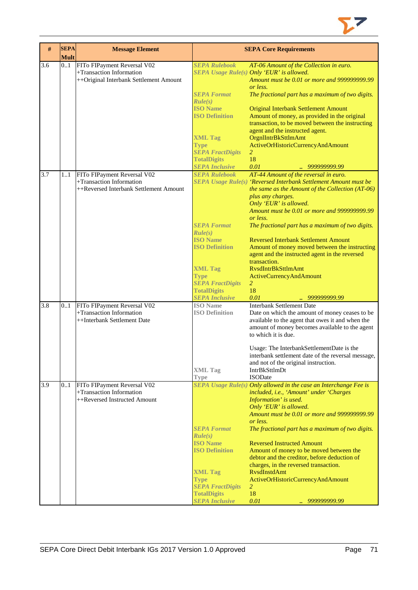

| #   | <b>SEPA</b><br><b>Mult</b> | <b>Message Element</b>                                                                            |                                                                                                                                                                                                              | <b>SEPA Core Requirements</b>                                                                                                                                                                                                                                                                                                                                                                                                                                                                                                                                                                                                                |
|-----|----------------------------|---------------------------------------------------------------------------------------------------|--------------------------------------------------------------------------------------------------------------------------------------------------------------------------------------------------------------|----------------------------------------------------------------------------------------------------------------------------------------------------------------------------------------------------------------------------------------------------------------------------------------------------------------------------------------------------------------------------------------------------------------------------------------------------------------------------------------------------------------------------------------------------------------------------------------------------------------------------------------------|
| 3.6 | 0.1                        | FITo FIPayment Reversal V02<br>+Transaction Information<br>++Original Interbank Settlement Amount | <b>SEPA Rulebook</b><br><b>SEPA Format</b><br>Rule(s)<br><b>ISO Name</b><br><b>ISO Definition</b><br><b>XML Tag</b><br><b>Type</b><br><b>SEPA FractDigits</b><br><b>TotalDigits</b><br><b>SEPA Inclusive</b> | AT-06 Amount of the Collection in euro.<br>SEPA Usage Rule(s) Only 'EUR' is allowed.<br>Amount must be 0.01 or more and 999999999.99<br>or less.<br>The fractional part has a maximum of two digits.<br><b>Original Interbank Settlement Amount</b><br>Amount of money, as provided in the original<br>transaction, to be moved between the instructing<br>agent and the instructed agent.<br><b>OrgnIIntrBkSttlmAmt</b><br>ActiveOrHistoricCurrencyAndAmount<br>2<br>18<br>0.01<br>999999999.99                                                                                                                                             |
| 3.7 | 11                         | FITo FIPayment Reversal V02<br>+Transaction Information<br>++Reversed Interbank Settlement Amount | <b>SEPA Rulebook</b><br><b>SEPA Format</b><br>Rule(s)<br><b>ISO Name</b><br><b>ISO Definition</b><br><b>XML Tag</b><br><b>Type</b><br><b>SEPA FractDigits</b><br><b>TotalDigits</b><br><b>SEPA Inclusive</b> | AT-44 Amount of the reversal in euro.<br>SEPA Usage Rule(s) 'Reversed Interbank Settlement Amount must be<br>the same as the Amount of the Collection (AT-06)<br>plus any charges.<br>Only 'EUR' is allowed.<br>Amount must be 0.01 or more and 999999999.99<br>or less.<br>The fractional part has a maximum of two digits.<br><b>Reversed Interbank Settlement Amount</b><br>Amount of money moved between the instructing<br>agent and the instructed agent in the reversed<br>transaction.<br><b>RysdIntrBkSttlmAmt</b><br><b>ActiveCurrencyAndAmount</b><br>$\overline{2}$<br>18<br>0.01<br>999999999.99<br>$\mathcal{L}_{\mathcal{A}}$ |
| 3.8 | 0.1                        | FITo FIPayment Reversal V02<br>+Transaction Information<br>++Interbank Settlement Date            | <b>ISO</b> Name<br><b>ISO Definition</b><br><b>XML Tag</b><br><b>Type</b>                                                                                                                                    | <b>Interbank Settlement Date</b><br>Date on which the amount of money ceases to be<br>available to the agent that owes it and when the<br>amount of money becomes available to the agent<br>to which it is due.<br>Usage: The Interbank Settlement Date is the<br>interbank settlement date of the reversal message,<br>and not of the original instruction.<br>IntrBkSttlmDt<br><b>ISODate</b>                                                                                                                                                                                                                                              |
| 3.9 | 0.1                        | FITo FIPayment Reversal V02<br>+Transaction Information<br>++Reversed Instructed Amount           | <b>SEPA Format</b><br>Rule(s)<br><b>ISO Name</b><br><b>ISO Definition</b><br><b>XML Tag</b><br><b>Type</b><br><b>SEPA FractDigits</b><br><b>TotalDigits</b><br><b>SEPA Inclusive</b>                         | SEPA Usage Rule(s) Only allowed in the case an Interchange Fee is<br>included, i.e., 'Amount' under 'Charges<br>Information' is used.<br>Only 'EUR' is allowed.<br>Amount must be 0.01 or more and 999999999.99<br>or less.<br>The fractional part has a maximum of two digits.<br><b>Reversed Instructed Amount</b><br>Amount of money to be moved between the<br>debtor and the creditor, before deduction of<br>charges, in the reversed transaction.<br><b>RysdInstdAmt</b><br>ActiveOrHistoricCurrencyAndAmount<br>$\overline{2}$<br>18<br>0.01<br>999999999.99<br>ш                                                                    |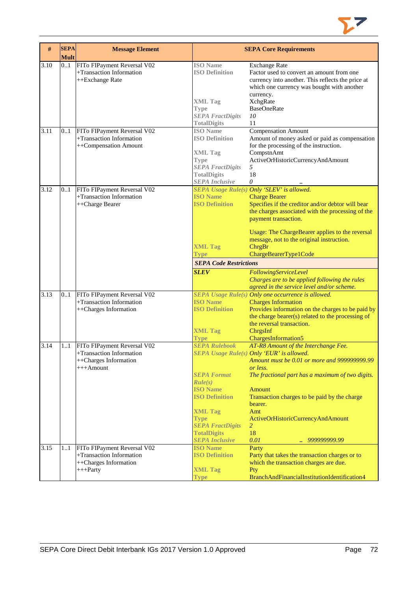

| #            | <b>SEPA</b><br><b>Mult</b> | <b>Message Element</b>                                                                                                          | <b>SEPA Core Requirements</b>                                                                                                                                                                                                   |                                                                                                                                                                                                                                                                                                                                                                                                                                                                 |  |
|--------------|----------------------------|---------------------------------------------------------------------------------------------------------------------------------|---------------------------------------------------------------------------------------------------------------------------------------------------------------------------------------------------------------------------------|-----------------------------------------------------------------------------------------------------------------------------------------------------------------------------------------------------------------------------------------------------------------------------------------------------------------------------------------------------------------------------------------------------------------------------------------------------------------|--|
| 3.10         | 01                         | FITo FIPayment Reversal V02<br>+Transaction Information<br>++Exchange Rate                                                      | <b>ISO</b> Name<br><b>ISO Definition</b><br><b>XML Tag</b><br><b>Type</b><br><b>SEPA FractDigits</b><br><b>TotalDigits</b>                                                                                                      | <b>Exchange Rate</b><br>Factor used to convert an amount from one<br>currency into another. This reflects the price at<br>which one currency was bought with another<br>currency.<br><b>XchgRate</b><br><b>BaseOneRate</b><br>10<br>11                                                                                                                                                                                                                          |  |
| 3.11         | 01                         | FITo FIPayment Reversal V02<br>+Transaction Information<br>++Compensation Amount                                                | <b>ISO</b> Name<br><b>ISO Definition</b><br><b>XML Tag</b><br><b>Type</b><br><b>SEPA FractDigits</b><br><b>TotalDigits</b><br><b>SEPA Inclusive</b>                                                                             | <b>Compensation Amount</b><br>Amount of money asked or paid as compensation<br>for the processing of the instruction.<br>CompstnAmt<br>ActiveOrHistoricCurrencyAndAmount<br>5<br>18<br>0                                                                                                                                                                                                                                                                        |  |
| 3.12         | 0.1                        | FITo FIPayment Reversal V02<br>+Transaction Information<br>++Charge Bearer                                                      | <b>ISO Name</b><br><b>ISO Definition</b><br><b>XML Tag</b><br>Type<br><b>SEPA Code Restrictions</b><br><b>SLEV</b>                                                                                                              | SEPA Usage Rule(s) Only 'SLEV' is allowed.<br><b>Charge Bearer</b><br>Specifies if the creditor and/or debtor will bear<br>the charges associated with the processing of the<br>payment transaction.<br>Usage: The ChargeBearer applies to the reversal<br>message, not to the original instruction.<br>ChrgBr<br>ChargeBearerType1Code<br>FollowingServiceLevel<br>Charges are to be applied following the rules<br>agreed in the service level and/or scheme. |  |
| 3.13         | 0.1                        | FITo FIPayment Reversal V02<br>+Transaction Information<br>++Charges Information                                                | <b>ISO Name</b><br><b>ISO Definition</b><br><b>XML Tag</b><br><b>Type</b>                                                                                                                                                       | SEPA Usage Rule(s) Only one occurrence is allowed.<br><b>Charges Information</b><br>Provides information on the charges to be paid by<br>the charge bearer(s) related to the processing of<br>the reversal transaction.<br>ChrgsInf<br>ChargesInformation5                                                                                                                                                                                                      |  |
| 3.14<br>3.15 | 1.1<br>11                  | FITo FIPayment Reversal V02<br>+Transaction Information<br>++Charges Information<br>$+++$ Amount<br>FITo FIPayment Reversal V02 | <b>SEPA Rulebook</b><br><b>SEPA Format</b><br>Rule(s)<br><b>ISO Name</b><br><b>ISO Definition</b><br><b>XML Tag</b><br><b>Type</b><br><b>SEPA FractDigits</b><br><b>TotalDigits</b><br><b>SEPA Inclusive</b><br><b>ISO Name</b> | AT-R8 Amount of the Interchange Fee.<br><b>SEPA Usage Rule(s) Only 'EUR' is allowed.</b><br>Amount must be 0.01 or more and 9999999999.99<br>or less.<br>The fractional part has a maximum of two digits.<br>Amount<br>Transaction charges to be paid by the charge<br>bearer.<br>Amt<br>ActiveOrHistoricCurrencyAndAmount<br>$\overline{2}$<br>18<br>0.01<br>999999999.99<br>u.<br>Party                                                                       |  |
|              |                            | +Transaction Information<br>++Charges Information<br>$+++$ Party                                                                | <b>ISO Definition</b><br><b>XML Tag</b><br><b>Type</b>                                                                                                                                                                          | Party that takes the transaction charges or to<br>which the transaction charges are due.<br>Pty<br>BranchAndFinancialInstitutionIdentification4                                                                                                                                                                                                                                                                                                                 |  |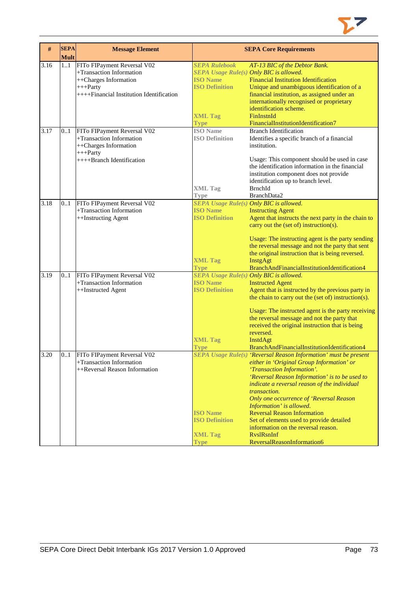

| #    | <b>SEPA</b><br><b>Mult</b> | <b>Message Element</b>                                                                                                                        | <b>SEPA Core Requirements</b>                                    |                                                                                                                                                                                                                                                                                             |  |
|------|----------------------------|-----------------------------------------------------------------------------------------------------------------------------------------------|------------------------------------------------------------------|---------------------------------------------------------------------------------------------------------------------------------------------------------------------------------------------------------------------------------------------------------------------------------------------|--|
| 3.16 | 1.1                        | FITo FIPayment Reversal V02<br>+Transaction Information<br>++Charges Information<br>$+++$ Party<br>$++++Financial Institution Identification$ | <b>SEPA Rulebook</b><br><b>ISO Name</b><br><b>ISO Definition</b> | AT-13 BIC of the Debtor Bank.<br>SEPA Usage Rule(s) Only BIC is allowed.<br><b>Financial Institution Identification</b><br>Unique and unambiguous identification of a<br>financial institution, as assigned under an<br>internationally recognised or proprietary<br>identification scheme. |  |
|      |                            |                                                                                                                                               | <b>XML Tag</b><br><b>Type</b>                                    | FinInstnId<br>FinancialInstitutionIdentification7                                                                                                                                                                                                                                           |  |
| 3.17 | 01                         | FITo FIPayment Reversal V02<br>+Transaction Information<br>++Charges Information<br>$+++$ Party<br>++++Branch Identification                  | <b>ISO</b> Name<br><b>ISO Definition</b>                         | <b>Branch Identification</b><br>Identifies a specific branch of a financial<br>institution.<br>Usage: This component should be used in case                                                                                                                                                 |  |
|      |                            |                                                                                                                                               | <b>XML Tag</b>                                                   | the identification information in the financial<br>institution component does not provide<br>identification up to branch level.<br>BrnchId                                                                                                                                                  |  |
|      |                            |                                                                                                                                               | Type                                                             | BranchData2                                                                                                                                                                                                                                                                                 |  |
| 3.18 | 0.1                        | FITo FIPayment Reversal V02                                                                                                                   |                                                                  | SEPA Usage Rule(s) Only BIC is allowed.                                                                                                                                                                                                                                                     |  |
|      |                            | +Transaction Information                                                                                                                      | <b>ISO Name</b>                                                  | <b>Instructing Agent</b>                                                                                                                                                                                                                                                                    |  |
|      |                            | ++Instructing Agent                                                                                                                           | <b>ISO Definition</b>                                            | Agent that instructs the next party in the chain to<br>carry out the (set of) instruction(s).                                                                                                                                                                                               |  |
|      |                            |                                                                                                                                               |                                                                  | Usage: The instructing agent is the party sending<br>the reversal message and not the party that sent<br>the original instruction that is being reversed.                                                                                                                                   |  |
|      |                            |                                                                                                                                               | <b>XML Tag</b><br><b>Type</b>                                    | InstgAgt<br>BranchAndFinancialInstitutionIdentification4                                                                                                                                                                                                                                    |  |
| 3.19 | 0.1                        | FITo FIPayment Reversal V02                                                                                                                   | SEPA Usage Rule(s) Only BIC is allowed.                          |                                                                                                                                                                                                                                                                                             |  |
|      |                            | +Transaction Information                                                                                                                      | <b>ISO Name</b>                                                  | <b>Instructed Agent</b>                                                                                                                                                                                                                                                                     |  |
|      |                            | ++Instructed Agent                                                                                                                            | <b>ISO Definition</b>                                            | Agent that is instructed by the previous party in<br>the chain to carry out the (set of) instruction(s).                                                                                                                                                                                    |  |
|      |                            |                                                                                                                                               |                                                                  | Usage: The instructed agent is the party receiving<br>the reversal message and not the party that                                                                                                                                                                                           |  |
|      |                            |                                                                                                                                               |                                                                  | received the original instruction that is being                                                                                                                                                                                                                                             |  |
|      |                            |                                                                                                                                               |                                                                  | reversed.                                                                                                                                                                                                                                                                                   |  |
|      |                            |                                                                                                                                               | <b>XML Tag</b>                                                   | InstdAgt                                                                                                                                                                                                                                                                                    |  |
|      |                            |                                                                                                                                               | <b>Type</b>                                                      | BranchAndFinancialInstitutionIdentification4                                                                                                                                                                                                                                                |  |
| 3.20 | 01                         | FITo FIPayment Reversal V02<br>+Transaction Information                                                                                       |                                                                  | $SEPA$ Usage Rule $(s)$ 'Reversal Reason Information' must be present                                                                                                                                                                                                                       |  |
|      |                            | ++Reversal Reason Information                                                                                                                 |                                                                  | either in 'Original Group Information' or<br>'Transaction Information'.                                                                                                                                                                                                                     |  |
|      |                            |                                                                                                                                               |                                                                  | 'Reversal Reason Information' is to be used to                                                                                                                                                                                                                                              |  |
|      |                            |                                                                                                                                               |                                                                  | indicate a reversal reason of the individual                                                                                                                                                                                                                                                |  |
|      |                            |                                                                                                                                               |                                                                  | transaction.                                                                                                                                                                                                                                                                                |  |
|      |                            |                                                                                                                                               |                                                                  | Only one occurrence of 'Reversal Reason                                                                                                                                                                                                                                                     |  |
|      |                            |                                                                                                                                               |                                                                  | Information' is allowed.                                                                                                                                                                                                                                                                    |  |
|      |                            |                                                                                                                                               | <b>ISO</b> Name                                                  | <b>Reversal Reason Information</b>                                                                                                                                                                                                                                                          |  |
|      |                            |                                                                                                                                               | <b>ISO Definition</b>                                            | Set of elements used to provide detailed<br>information on the reversal reason.                                                                                                                                                                                                             |  |
|      |                            |                                                                                                                                               | <b>XML Tag</b>                                                   | <b>RyslRsnInf</b>                                                                                                                                                                                                                                                                           |  |
|      |                            |                                                                                                                                               | <b>Type</b>                                                      | ReversalReasonInformation6                                                                                                                                                                                                                                                                  |  |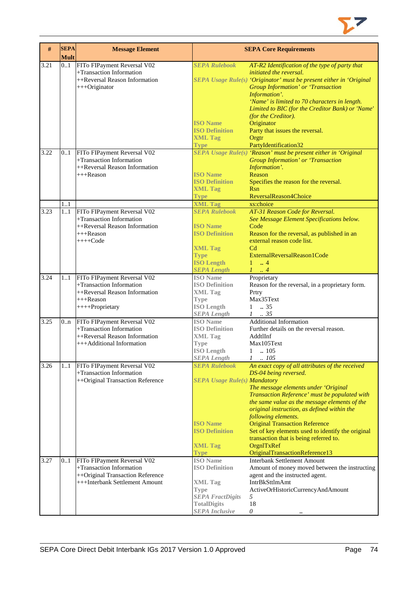

| $\#$ | <b>SEPA</b><br><b>Mult</b> | <b>Message Element</b>                                                                                                        | <b>SEPA Core Requirements</b>                                                                                                                       |                                                                                                                                                                                                                                                                                                                                                                                                                                                                                  |  |
|------|----------------------------|-------------------------------------------------------------------------------------------------------------------------------|-----------------------------------------------------------------------------------------------------------------------------------------------------|----------------------------------------------------------------------------------------------------------------------------------------------------------------------------------------------------------------------------------------------------------------------------------------------------------------------------------------------------------------------------------------------------------------------------------------------------------------------------------|--|
| 3.21 | 0.1                        | FITo FIPayment Reversal V02<br>+Transaction Information<br>++Reversal Reason Information<br>+++Originator                     | <b>SEPA Rulebook</b>                                                                                                                                | AT-R2 Identification of the type of party that<br>initiated the reversal.<br>SEPA Usage Rule(s) 'Originator' must be present either in 'Original<br><b>Group Information' or 'Transaction</b><br>Information'.<br>'Name' is limited to 70 characters in length.                                                                                                                                                                                                                  |  |
|      |                            |                                                                                                                               | <b>ISO</b> Name<br><b>ISO Definition</b><br><b>XML Tag</b><br><b>Type</b>                                                                           | Limited to BIC (for the Creditor Bank) or 'Name'<br>(for the Creditor).<br>Originator<br>Party that issues the reversal.<br>Orgtr<br>PartyIdentification32                                                                                                                                                                                                                                                                                                                       |  |
| 3.22 | 0.1                        | FITo FIPayment Reversal V02<br>+Transaction Information<br>++Reversal Reason Information<br>+++Reason                         | <b>ISO Name</b><br><b>ISO Definition</b><br><b>XML Tag</b><br><b>Type</b>                                                                           | SEPA Usage Rule(s) 'Reason' must be present either in 'Original<br>Group Information' or 'Transaction<br>Information'.<br>Reason<br>Specifies the reason for the reversal.<br><b>Rsn</b><br>ReversalReason4Choice                                                                                                                                                                                                                                                                |  |
|      | 11                         |                                                                                                                               | <b>XML Tag</b>                                                                                                                                      | xs:choice                                                                                                                                                                                                                                                                                                                                                                                                                                                                        |  |
| 3.23 | 1.1                        | FITo FIPayment Reversal V02<br>+Transaction Information<br>++Reversal Reason Information<br>$+++$ Reason<br>$+++Code$         | <b>SEPA Rulebook</b><br><b>ISO Name</b><br><b>ISO Definition</b><br><b>XML Tag</b><br><b>Type</b><br><b>ISO Length</b><br><b>SEPA Length</b>        | AT-31 Reason Code for Reversal.<br>See Message Element Specifications below.<br>Code<br>Reason for the reversal, as published in an<br>external reason code list.<br>C <sub>d</sub><br>ExternalReversalReason1Code<br>$1 \t . 4$<br>$1 \dots 4$                                                                                                                                                                                                                                  |  |
| 3.24 | 11                         | FITo FIPayment Reversal V02<br>+Transaction Information<br>++Reversal Reason Information<br>+++Reason<br>++++Proprietary      | <b>ISO</b> Name<br><b>ISO Definition</b><br><b>XML Tag</b><br><b>Type</b><br><b>ISO Length</b><br><b>SEPA Length</b>                                | Proprietary<br>Reason for the reversal, in a proprietary form.<br>Prtry<br>Max35Text<br>$1 \t . 35$<br>$1 \t . 35$                                                                                                                                                                                                                                                                                                                                                               |  |
| 3.25 | 0 <sub>nn</sub>            | FITo FIPayment Reversal V02<br>+Transaction Information<br>++Reversal Reason Information<br>+++Additional Information         | <b>ISO</b> Name<br><b>ISO Definition</b><br><b>XML Tag</b><br><b>Type</b><br><b>ISO Length</b><br><b>SEPA</b> Length                                | <b>Additional Information</b><br>Further details on the reversal reason.<br>AddtlInf<br>Max105Text<br>$1 \quad . \quad 105$<br>$\therefore$ 105                                                                                                                                                                                                                                                                                                                                  |  |
| 3.26 | 11                         | FITo FIPayment Reversal V02<br>+Transaction Information<br>++Original Transaction Reference                                   | <b>SEPA Rulebook</b><br><b>SEPA Usage Rule(s) Mandatory</b><br><b>ISO Name</b><br><b>ISO Definition</b><br><b>XML Tag</b><br><b>Type</b>            | An exact copy of all attributes of the received<br>DS-04 being reversed.<br>The message elements under 'Original<br>Transaction Reference' must be populated with<br>the same value as the message elements of the<br>original instruction, as defined within the<br>following elements.<br><b>Original Transaction Reference</b><br>Set of key elements used to identify the original<br>transaction that is being referred to.<br>OrgnITxRef<br>OriginalTransactionReference13 |  |
| 3.27 | 0.1                        | FITo FIPayment Reversal V02<br>+Transaction Information<br>++Original Transaction Reference<br>+++Interbank Settlement Amount | <b>ISO</b> Name<br><b>ISO Definition</b><br><b>XML</b> Tag<br><b>Type</b><br><b>SEPA FractDigits</b><br><b>TotalDigits</b><br><b>SEPA</b> Inclusive | <b>Interbank Settlement Amount</b><br>Amount of money moved between the instructing<br>agent and the instructed agent.<br>IntrBkSttlmAmt<br>ActiveOrHistoricCurrencyAndAmount<br>5<br>18<br>0                                                                                                                                                                                                                                                                                    |  |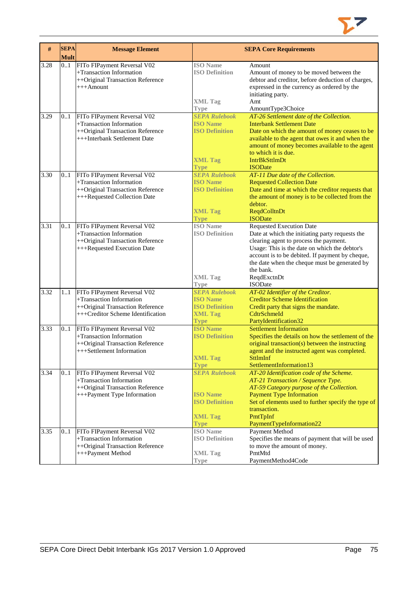

| #    | <b>SEPA</b> | <b>Message Element</b>                                                                                                           | <b>SEPA Core Requirements</b>                                                                     |                                                                                                                                                                                                                                                                                                                                 |  |
|------|-------------|----------------------------------------------------------------------------------------------------------------------------------|---------------------------------------------------------------------------------------------------|---------------------------------------------------------------------------------------------------------------------------------------------------------------------------------------------------------------------------------------------------------------------------------------------------------------------------------|--|
|      | <b>Mult</b> |                                                                                                                                  |                                                                                                   |                                                                                                                                                                                                                                                                                                                                 |  |
| 3.28 | 01          | FITo FIPayment Reversal V02<br>+Transaction Information<br>++Original Transaction Reference<br>$+++$ Amount                      | <b>ISO</b> Name<br><b>ISO Definition</b>                                                          | Amount<br>Amount of money to be moved between the<br>debtor and creditor, before deduction of charges,<br>expressed in the currency as ordered by the<br>initiating party.                                                                                                                                                      |  |
|      |             |                                                                                                                                  | <b>XML Tag</b><br><b>Type</b>                                                                     | Amt<br>AmountType3Choice                                                                                                                                                                                                                                                                                                        |  |
| 3.29 | 0.1         | FITo FIPayment Reversal V02<br>+Transaction Information<br>++Original Transaction Reference<br>+++Interbank Settlement Date      | <b>SEPA Rulebook</b><br><b>ISO Name</b><br><b>ISO Definition</b><br><b>XML Tag</b><br><b>Type</b> | AT-26 Settlement date of the Collection.<br><b>Interbank Settlement Date</b><br>Date on which the amount of money ceases to be<br>available to the agent that owes it and when the<br>amount of money becomes available to the agent<br>to which it is due.<br><b>IntrBkSttlmDt</b><br><b>ISODate</b>                           |  |
| 3.30 | 01          | FITo FIPayment Reversal V02                                                                                                      | <b>SEPA Rulebook</b>                                                                              | AT-11 Due date of the Collection.                                                                                                                                                                                                                                                                                               |  |
|      |             | +Transaction Information<br>++Original Transaction Reference<br>+++Requested Collection Date                                     | <b>ISO Name</b><br><b>ISO Definition</b>                                                          | <b>Requested Collection Date</b><br>Date and time at which the creditor requests that<br>the amount of money is to be collected from the<br>debtor.                                                                                                                                                                             |  |
|      |             |                                                                                                                                  | <b>XML Tag</b><br><b>Type</b>                                                                     | <b>ReqdColltnDt</b><br><b>ISODate</b>                                                                                                                                                                                                                                                                                           |  |
| 3.31 | 0.1         | FITo FIPayment Reversal V02<br>+Transaction Information<br>++Original Transaction Reference<br>+++Requested Execution Date       | <b>ISO</b> Name<br><b>ISO Definition</b><br><b>XML Tag</b><br><b>Type</b>                         | <b>Requested Execution Date</b><br>Date at which the initiating party requests the<br>clearing agent to process the payment.<br>Usage: This is the date on which the debtor's<br>account is to be debited. If payment by cheque,<br>the date when the cheque must be generated by<br>the bank.<br>ReqdExctnDt<br><b>ISODate</b> |  |
| 3.32 | 11          | FITo FIPayment Reversal V02<br>+Transaction Information<br>++Original Transaction Reference<br>+++Creditor Scheme Identification | <b>SEPA Rulebook</b><br><b>ISO Name</b><br><b>ISO Definition</b><br><b>XML Tag</b><br><b>Type</b> | AT-02 Identifier of the Creditor.<br><b>Creditor Scheme Identification</b><br>Credit party that signs the mandate.<br>CdtrSchmeId<br>PartyIdentification32                                                                                                                                                                      |  |
| 3.33 | 0.1         | FITo FIPayment Reversal V02<br>+Transaction Information<br>++Original Transaction Reference<br>+++Settlement Information         | <b>ISO Name</b><br><b>ISO Definition</b><br><b>XML Tag</b><br><b>Type</b>                         | <b>Settlement Information</b><br>Specifies the details on how the settlement of the<br>original transaction(s) between the instructing<br>agent and the instructed agent was completed.<br><b>SttlmInf</b><br>SettlementInformation13                                                                                           |  |
| 3.34 | 0.1         | FITo FIPayment Reversal V02<br>+Transaction Information<br>++Original Transaction Reference<br>+++Payment Type Information       | <b>SEPA Rulebook</b><br><b>ISO Name</b><br><b>ISO Definition</b><br><b>XML Tag</b><br><b>Type</b> | AT-20 Identification code of the Scheme.<br>AT-21 Transaction / Sequence Type.<br>AT-59 Category purpose of the Collection.<br><b>Payment Type Information</b><br>Set of elements used to further specify the type of<br>transaction.<br>PmtTpInf<br>PaymentTypeInformation22                                                   |  |
| 3.35 | 01          | FITo FIPayment Reversal V02<br>+Transaction Information<br>++Original Transaction Reference<br>+++Payment Method                 | <b>ISO</b> Name<br><b>ISO Definition</b><br><b>XML Tag</b><br><b>Type</b>                         | Payment Method<br>Specifies the means of payment that will be used<br>to move the amount of money.<br>PmtMtd<br>PaymentMethod4Code                                                                                                                                                                                              |  |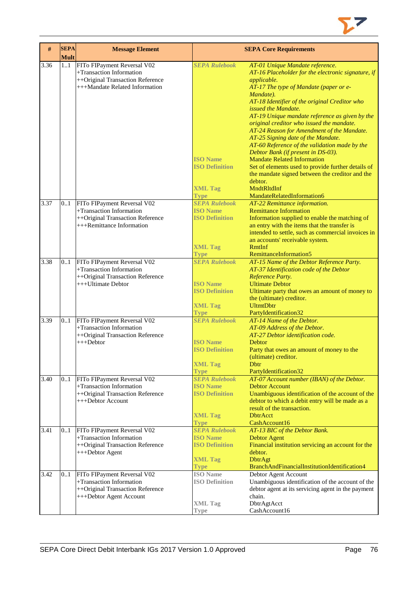

| $\#$ | <b>SEPA</b><br><b>Mult</b> | <b>Message Element</b>                                                                                                        | <b>SEPA Core Requirements</b>                                                                                    |                                                                                                                                                                                                                                                                                                                                                                                                                                                                                                                                                                                                                                                                                        |  |  |
|------|----------------------------|-------------------------------------------------------------------------------------------------------------------------------|------------------------------------------------------------------------------------------------------------------|----------------------------------------------------------------------------------------------------------------------------------------------------------------------------------------------------------------------------------------------------------------------------------------------------------------------------------------------------------------------------------------------------------------------------------------------------------------------------------------------------------------------------------------------------------------------------------------------------------------------------------------------------------------------------------------|--|--|
| 3.36 | 11                         | FITo FIPayment Reversal V02<br>+Transaction Information<br>++Original Transaction Reference<br>+++Mandate Related Information | <b>SEPA Rulebook</b><br><b>ISO Name</b><br><b>ISO Definition</b><br><b>XML Tag</b>                               | AT-01 Unique Mandate reference.<br>AT-16 Placeholder for the electronic signature, if<br>applicable.<br>AT-17 The type of Mandate (paper or e-<br>Mandate).<br>AT-18 Identifier of the original Creditor who<br>issued the Mandate.<br>AT-19 Unique mandate reference as given by the<br>original creditor who issued the mandate.<br>AT-24 Reason for Amendment of the Mandate.<br>AT-25 Signing date of the Mandate.<br>AT-60 Reference of the validation made by the<br>Debtor Bank (if present in DS-03).<br><b>Mandate Related Information</b><br>Set of elements used to provide further details of<br>the mandate signed between the creditor and the<br>debtor.<br>MndtRltdInf |  |  |
| 3.37 | 0.1                        | FITo FIPayment Reversal V02<br>+Transaction Information<br>++Original Transaction Reference<br>$+++$ Remittance Information   | <b>Type</b><br><b>SEPA Rulebook</b><br><b>ISO Name</b><br><b>ISO Definition</b><br><b>XML Tag</b><br><b>Type</b> | MandateRelatedInformation6<br>AT-22 Remittance information.<br><b>Remittance Information</b><br>Information supplied to enable the matching of<br>an entry with the items that the transfer is<br>intended to settle, such as commercial invoices in<br>an accounts' receivable system.<br><b>RmtInf</b><br>RemittanceInformation5                                                                                                                                                                                                                                                                                                                                                     |  |  |
| 3.38 | 0.1                        | FITo FIPayment Reversal V02<br>+Transaction Information<br>++Original Transaction Reference<br>+++Ultimate Debtor             | <b>SEPA Rulebook</b><br><b>ISO Name</b><br><b>ISO Definition</b><br><b>XML Tag</b><br><b>Type</b>                | AT-15 Name of the Debtor Reference Party.<br>AT-37 Identification code of the Debtor<br>Reference Party.<br><b>Ultimate Debtor</b><br>Ultimate party that owes an amount of money to<br>the (ultimate) creditor.<br><b>UltmtDbtr</b><br>PartyIdentification32                                                                                                                                                                                                                                                                                                                                                                                                                          |  |  |
| 3.39 | 0.1                        | FITo FIPayment Reversal V02<br>+Transaction Information<br>++Original Transaction Reference<br>$+++$ Debtor                   | <b>SEPA Rulebook</b><br><b>ISO Name</b><br><b>ISO Definition</b><br><b>XML Tag</b><br><b>Type</b>                | AT-14 Name of the Debtor.<br>AT-09 Address of the Debtor.<br>AT-27 Debtor identification code.<br>Debtor<br>Party that owes an amount of money to the<br>(ultimate) creditor.<br>Dbtr<br>PartyIdentification32                                                                                                                                                                                                                                                                                                                                                                                                                                                                         |  |  |
| 3.40 | 0.1                        | FITo FIPayment Reversal V02<br>+Transaction Information<br>++Original Transaction Reference<br>+++Debtor Account              | <b>SEPA Rulebook</b><br><b>ISO Name</b><br><b>ISO Definition</b><br><b>XML Tag</b><br><b>Type</b>                | AT-07 Account number (IBAN) of the Debtor.<br><b>Debtor Account</b><br>Unambiguous identification of the account of the<br>debtor to which a debit entry will be made as a<br>result of the transaction.<br><b>DbtrAcct</b><br>CashAccount16                                                                                                                                                                                                                                                                                                                                                                                                                                           |  |  |
| 3.41 | 0.1                        | FITo FIPayment Reversal V02<br>+Transaction Information<br>++Original Transaction Reference<br>+++Debtor Agent                | <b>SEPA Rulebook</b><br><b>ISO Name</b><br><b>ISO Definition</b><br><b>XML Tag</b><br><b>Type</b>                | AT-13 BIC of the Debtor Bank.<br><b>Debtor Agent</b><br>Financial institution servicing an account for the<br>debtor.<br><b>DbtrAgt</b><br>BranchAndFinancialInstitutionIdentification4                                                                                                                                                                                                                                                                                                                                                                                                                                                                                                |  |  |
| 3.42 | 0.1                        | FITo FIPayment Reversal V02<br>+Transaction Information<br>++Original Transaction Reference<br>+++Debtor Agent Account        | <b>ISO</b> Name<br><b>ISO Definition</b><br><b>XML</b> Tag<br><b>Type</b>                                        | Debtor Agent Account<br>Unambiguous identification of the account of the<br>debtor agent at its servicing agent in the payment<br>chain.<br>DbtrAgtAcct<br>CashAccount16                                                                                                                                                                                                                                                                                                                                                                                                                                                                                                               |  |  |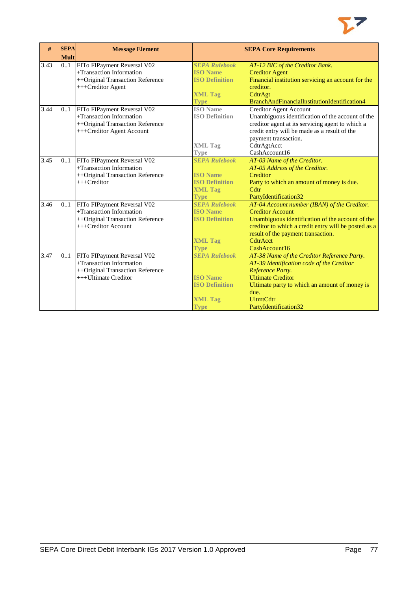

| #                 | <b>SEPA</b> | <b>Message Element</b>                                  | <b>SEPA Core Requirements</b>           |                                                                 |  |  |
|-------------------|-------------|---------------------------------------------------------|-----------------------------------------|-----------------------------------------------------------------|--|--|
|                   | <b>Mult</b> |                                                         |                                         |                                                                 |  |  |
| $\overline{3.43}$ | 0.1         | FITo FIPayment Reversal V02<br>+Transaction Information | <b>SEPA Rulebook</b><br><b>ISO</b> Name | AT-12 BIC of the Creditor Bank.                                 |  |  |
|                   |             |                                                         | <b>ISO Definition</b>                   | <b>Creditor Agent</b>                                           |  |  |
|                   |             | ++Original Transaction Reference<br>+++Creditor Agent   |                                         | Financial institution servicing an account for the<br>creditor. |  |  |
|                   |             |                                                         | <b>XML Tag</b>                          | CdtrAgt                                                         |  |  |
|                   |             |                                                         | <b>Type</b>                             | BranchAndFinancialInstitutionIdentification4                    |  |  |
| 3.44              | 0.1         | FITo FIPayment Reversal V02                             | <b>ISO</b> Name                         | Creditor Agent Account                                          |  |  |
|                   |             | +Transaction Information                                | <b>ISO Definition</b>                   | Unambiguous identification of the account of the                |  |  |
|                   |             | ++Original Transaction Reference                        |                                         | creditor agent at its servicing agent to which a                |  |  |
|                   |             | +++Creditor Agent Account                               |                                         | credit entry will be made as a result of the                    |  |  |
|                   |             |                                                         |                                         | payment transaction.                                            |  |  |
|                   |             |                                                         | <b>XML Tag</b>                          | CdtrAgtAcct                                                     |  |  |
|                   |             |                                                         | <b>Type</b>                             | CashAccount16                                                   |  |  |
| 3.45              | 0.1         | FITo FIPayment Reversal V02                             | <b>SEPA Rulebook</b>                    | AT-03 Name of the Creditor.                                     |  |  |
|                   |             | +Transaction Information                                |                                         | AT-05 Address of the Creditor.                                  |  |  |
|                   |             | ++Original Transaction Reference                        | <b>ISO</b> Name                         | Creditor                                                        |  |  |
|                   |             | +++Creditor                                             | <b>ISO Definition</b>                   | Party to which an amount of money is due.                       |  |  |
|                   |             |                                                         | <b>XML Tag</b>                          | Cdtr                                                            |  |  |
|                   |             |                                                         | <b>Type</b>                             | PartyIdentification32                                           |  |  |
| 3.46              | 0.1         | FITo FIPayment Reversal V02                             | <b>SEPA Rulebook</b>                    | AT-04 Account number (IBAN) of the Creditor.                    |  |  |
|                   |             | +Transaction Information                                | <b>ISO</b> Name                         | <b>Creditor Account</b>                                         |  |  |
|                   |             | ++Original Transaction Reference                        | <b>ISO Definition</b>                   | Unambiguous identification of the account of the                |  |  |
|                   |             | +++Creditor Account                                     |                                         | creditor to which a credit entry will be posted as a            |  |  |
|                   |             |                                                         |                                         | result of the payment transaction.                              |  |  |
|                   |             |                                                         | <b>XML Tag</b>                          | CdtrAcct                                                        |  |  |
|                   |             |                                                         | <b>Type</b>                             | CashAccount16                                                   |  |  |
| 3.47              | 01          | FITo FIPayment Reversal V02                             | <b>SEPA Rulebook</b>                    | AT-38 Name of the Creditor Reference Party.                     |  |  |
|                   |             | +Transaction Information                                |                                         | AT-39 Identification code of the Creditor                       |  |  |
|                   |             | ++Original Transaction Reference                        |                                         | Reference Party.                                                |  |  |
|                   |             | +++Ultimate Creditor                                    | <b>ISO</b> Name                         | <b>Ultimate Creditor</b>                                        |  |  |
|                   |             |                                                         | <b>ISO Definition</b>                   | Ultimate party to which an amount of money is                   |  |  |
|                   |             |                                                         |                                         | due.                                                            |  |  |
|                   |             |                                                         | <b>XML Tag</b>                          | <b>UltmtCdtr</b>                                                |  |  |
|                   |             |                                                         | <b>Type</b>                             | PartyIdentification32                                           |  |  |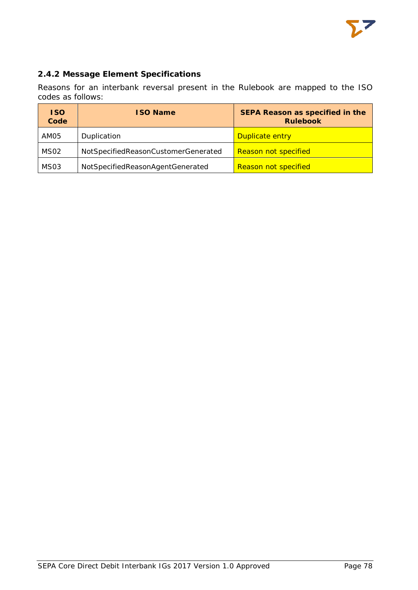## **2.4.2 Message Element Specifications**

Reasons for an interbank reversal present in the Rulebook are mapped to the ISO codes as follows:

| <b>ISO</b><br>Code | <b>ISO Name</b>                     | SEPA Reason as specified in the<br><b>Rulebook</b> |
|--------------------|-------------------------------------|----------------------------------------------------|
| AM05               | Duplication                         | Duplicate entry                                    |
| MS <sub>02</sub>   | NotSpecifiedReasonCustomerGenerated | Reason not specified                               |
| MS <sub>03</sub>   | NotSpecifiedReasonAgentGenerated    | <b>Reason not specified</b>                        |